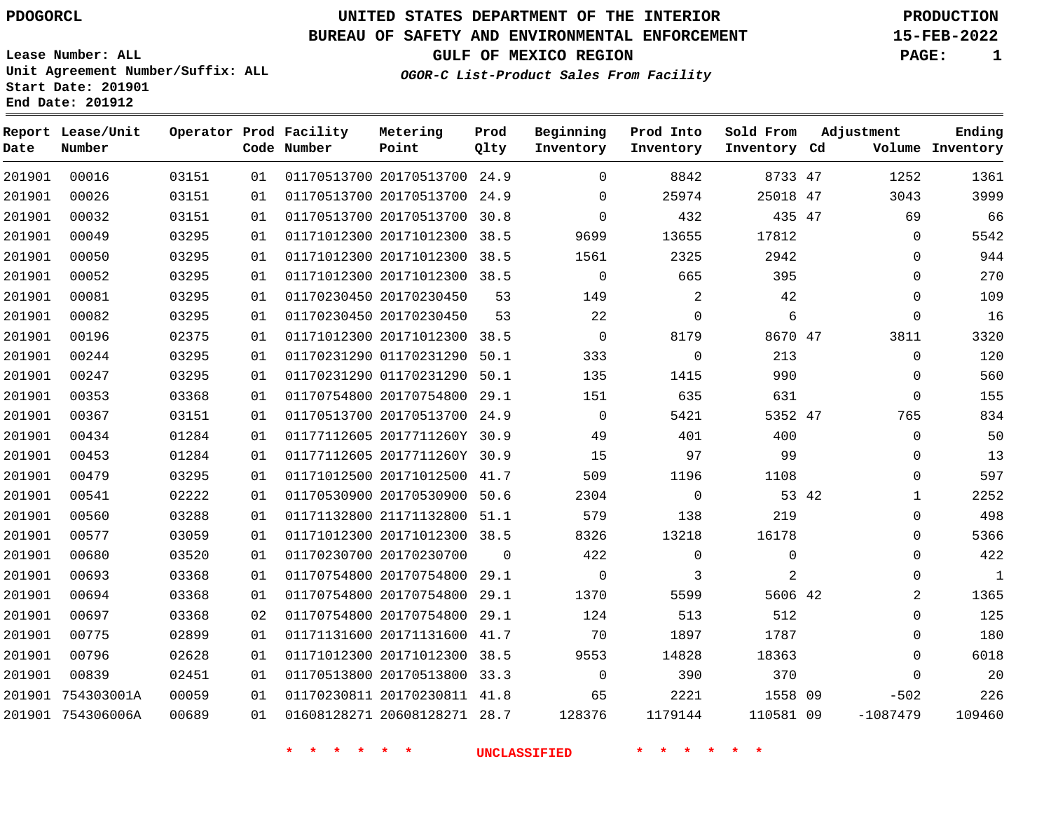**End Date: 201912**

# **UNITED STATES DEPARTMENT OF THE INTERIOR PDOGORCL PRODUCTION**

### **BUREAU OF SAFETY AND ENVIRONMENTAL ENFORCEMENT 15-FEB-2022**

**Lease Number: ALL Unit Agreement Number/Suffix: ALL Start Date: 201901**

**GULF OF MEXICO REGION PAGE: 1**

**OGOR-C List-Product Sales From Facility**

| Date   | Report Lease/Unit<br>Number |       |    | Operator Prod Facility<br>Code Number | Metering<br>Point            | Prod<br>Qlty   | Beginning<br>Inventory | Prod Into<br>Inventory | Sold From<br>Inventory Cd | Adjustment   | Ending<br>Volume Inventory |
|--------|-----------------------------|-------|----|---------------------------------------|------------------------------|----------------|------------------------|------------------------|---------------------------|--------------|----------------------------|
| 201901 | 00016                       | 03151 | 01 |                                       | 01170513700 20170513700 24.9 |                | $\Omega$               | 8842                   | 8733 47                   | 1252         | 1361                       |
| 201901 | 00026                       | 03151 | 01 |                                       | 01170513700 20170513700 24.9 |                | $\Omega$               | 25974                  | 25018 47                  | 3043         | 3999                       |
| 201901 | 00032                       | 03151 | 01 |                                       | 01170513700 20170513700      | 30.8           | $\mathbf 0$            | 432                    | 435 47                    | 69           | 66                         |
| 201901 | 00049                       | 03295 | 01 |                                       | 01171012300 20171012300 38.5 |                | 9699                   | 13655                  | 17812                     | $\mathbf 0$  | 5542                       |
| 201901 | 00050                       | 03295 | 01 |                                       | 01171012300 20171012300 38.5 |                | 1561                   | 2325                   | 2942                      | $\Omega$     | 944                        |
| 201901 | 00052                       | 03295 | 01 |                                       | 01171012300 20171012300 38.5 |                | $\mathbf 0$            | 665                    | 395                       | $\mathbf 0$  | 270                        |
| 201901 | 00081                       | 03295 | 01 |                                       | 01170230450 20170230450      | 53             | 149                    | 2                      | 42                        | $\mathbf 0$  | 109                        |
| 201901 | 00082                       | 03295 | 01 |                                       | 01170230450 20170230450      | 53             | 22                     | 0                      | 6                         | 0            | 16                         |
| 201901 | 00196                       | 02375 | 01 |                                       | 01171012300 20171012300 38.5 |                | $\mathbf 0$            | 8179                   | 8670 47                   | 3811         | 3320                       |
| 201901 | 00244                       | 03295 | 01 |                                       | 01170231290 01170231290 50.1 |                | 333                    | $\mathbf 0$            | 213                       | $\mathbf 0$  | 120                        |
| 201901 | 00247                       | 03295 | 01 |                                       | 01170231290 01170231290 50.1 |                | 135                    | 1415                   | 990                       | 0            | 560                        |
| 201901 | 00353                       | 03368 | 01 |                                       | 01170754800 20170754800 29.1 |                | 151                    | 635                    | 631                       | 0            | 155                        |
| 201901 | 00367                       | 03151 | 01 |                                       | 01170513700 20170513700 24.9 |                | $\overline{0}$         | 5421                   | 5352 47                   | 765          | 834                        |
| 201901 | 00434                       | 01284 | 01 |                                       | 01177112605 2017711260Y 30.9 |                | 49                     | 401                    | 400                       | $\mathbf 0$  | 50                         |
| 201901 | 00453                       | 01284 | 01 |                                       | 01177112605 2017711260Y 30.9 |                | 15                     | 97                     | 99                        | $\Omega$     | 13                         |
| 201901 | 00479                       | 03295 | 01 |                                       | 01171012500 20171012500 41.7 |                | 509                    | 1196                   | 1108                      | $\mathbf 0$  | 597                        |
| 201901 | 00541                       | 02222 | 01 |                                       | 01170530900 20170530900 50.6 |                | 2304                   | $\overline{0}$         | 53 42                     | $\mathbf{1}$ | 2252                       |
| 201901 | 00560                       | 03288 | 01 |                                       | 01171132800 21171132800 51.1 |                | 579                    | 138                    | 219                       | $\mathbf 0$  | 498                        |
| 201901 | 00577                       | 03059 | 01 |                                       | 01171012300 20171012300 38.5 |                | 8326                   | 13218                  | 16178                     | $\mathbf 0$  | 5366                       |
| 201901 | 00680                       | 03520 | 01 |                                       | 01170230700 20170230700      | $\overline{0}$ | 422                    | $\mathbf 0$            | $\mathbf 0$               | $\mathbf 0$  | 422                        |
| 201901 | 00693                       | 03368 | 01 |                                       | 01170754800 20170754800 29.1 |                | $\mathbf 0$            | 3                      | 2                         | $\Omega$     | $\mathbf{1}$               |
| 201901 | 00694                       | 03368 | 01 |                                       | 01170754800 20170754800 29.1 |                | 1370                   | 5599                   | 5606 42                   | 2            | 1365                       |
| 201901 | 00697                       | 03368 | 02 |                                       | 01170754800 20170754800 29.1 |                | 124                    | 513                    | 512                       | $\mathbf 0$  | 125                        |
| 201901 | 00775                       | 02899 | 01 |                                       | 01171131600 20171131600 41.7 |                | 70                     | 1897                   | 1787                      | $\mathbf 0$  | 180                        |
| 201901 | 00796                       | 02628 | 01 |                                       | 01171012300 20171012300 38.5 |                | 9553                   | 14828                  | 18363                     | $\mathbf{0}$ | 6018                       |
| 201901 | 00839                       | 02451 | 01 |                                       | 01170513800 20170513800 33.3 |                | $\mathbf 0$            | 390                    | 370                       | $\mathbf 0$  | 20                         |
|        | 201901 754303001A           | 00059 | 01 |                                       | 01170230811 20170230811 41.8 |                | 65                     | 2221                   | 1558 09                   | $-502$       | 226                        |
|        | 201901 754306006A           | 00689 | 01 |                                       | 01608128271 20608128271 28.7 |                | 128376                 | 1179144                | 110581 09                 | $-1087479$   | 109460                     |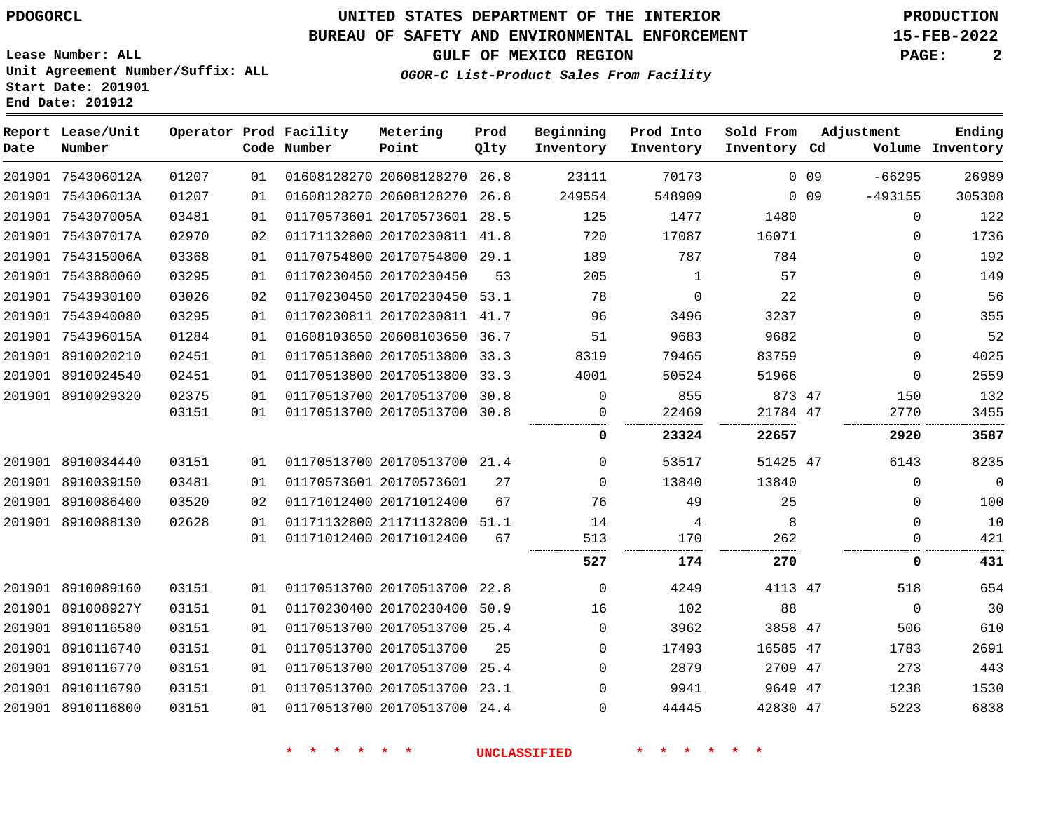**Date**

 8910116790 8910116800    

# **UNITED STATES DEPARTMENT OF THE INTERIOR PDOGORCL PRODUCTION**

#### **BUREAU OF SAFETY AND ENVIRONMENTAL ENFORCEMENT 15-FEB-2022**

**OGOR-C List-Product Sales From Facility**

**Beginning**

**Prod Into**

**Sold From**

**Adjustment**

**Prod**

**Metering**

**GULF OF MEXICO REGION PAGE: 2**

**Ending**

 

**Lease Number: ALL Unit Agreement Number/Suffix: ALL Start Date: 201901 End Date: 201912**

| Date | Report Lease/Unit<br>Number |       |    | Operator Prod Facility<br>Code Number | Metering<br>Point            | Prod<br>Qlty | Beginning<br>Inventory | Prod Into<br>Inventory | Sold From<br>Inventory Cd |                 | Adjustment   | Ending<br>Volume Inventory |
|------|-----------------------------|-------|----|---------------------------------------|------------------------------|--------------|------------------------|------------------------|---------------------------|-----------------|--------------|----------------------------|
|      | 201901 754306012A           | 01207 | 01 |                                       | 01608128270 20608128270      | 26.8         | 23111                  | 70173                  |                           | 0.09            | $-66295$     | 26989                      |
|      | 201901 754306013A           | 01207 | 01 |                                       | 01608128270 20608128270 26.8 |              | 249554                 | 548909                 |                           | 0 <sub>09</sub> | $-493155$    | 305308                     |
|      | 201901 754307005A           | 03481 | 01 |                                       | 01170573601 20170573601 28.5 |              | 125                    | 1477                   | 1480                      |                 | $\mathbf 0$  | 122                        |
|      | 201901 754307017A           | 02970 | 02 |                                       | 01171132800 20170230811 41.8 |              | 720                    | 17087                  | 16071                     |                 | $\Omega$     | 1736                       |
|      | 201901 754315006A           | 03368 | 01 |                                       | 01170754800 20170754800 29.1 |              | 189                    | 787                    | 784                       |                 | $\Omega$     | 192                        |
|      | 201901 7543880060           | 03295 | 01 |                                       | 01170230450 20170230450      | 53           | 205                    | 1                      | 57                        |                 | $\Omega$     | 149                        |
|      | 201901 7543930100           | 03026 | 02 |                                       | 01170230450 20170230450 53.1 |              | 78                     | $\Omega$               | 22                        |                 | $\Omega$     | 56                         |
|      | 201901 7543940080           | 03295 | 01 |                                       | 01170230811 20170230811 41.7 |              | 96                     | 3496                   | 3237                      |                 | $\mathbf{0}$ | 355                        |
|      | 201901 754396015A           | 01284 | 01 |                                       | 01608103650 20608103650 36.7 |              | 51                     | 9683                   | 9682                      |                 | $\Omega$     | 52                         |
|      | 201901 8910020210           | 02451 | 01 |                                       | 01170513800 20170513800 33.3 |              | 8319                   | 79465                  | 83759                     |                 | $\Omega$     | 4025                       |
|      | 201901 8910024540           | 02451 | 01 |                                       | 01170513800 20170513800 33.3 |              | 4001                   | 50524                  | 51966                     |                 | $\mathbf{0}$ | 2559                       |
|      | 201901 8910029320           | 02375 | 01 |                                       | 01170513700 20170513700 30.8 |              | $\Omega$               | 855                    | 873 47                    |                 | 150          | 132                        |
|      |                             | 03151 | 01 |                                       | 01170513700 20170513700 30.8 |              | 0                      | 22469                  | 21784 47                  |                 | 2770         | 3455                       |
|      |                             |       |    |                                       |                              |              | 0                      | 23324                  | 22657                     |                 | 2920         | 3587                       |
|      | 201901 8910034440           | 03151 | 01 |                                       | 01170513700 20170513700 21.4 |              | $\Omega$               | 53517                  | 51425 47                  |                 | 6143         | 8235                       |
|      | 201901 8910039150           | 03481 | 01 |                                       | 01170573601 20170573601      | 27           | $\Omega$               | 13840                  | 13840                     |                 | $\mathbf{0}$ | $\mathsf 0$                |
|      | 201901 8910086400           | 03520 | 02 |                                       | 01171012400 20171012400      | 67           | 76                     | 49                     | 25                        |                 | $\Omega$     | 100                        |
|      | 201901 8910088130           | 02628 | 01 |                                       | 01171132800 21171132800 51.1 |              | 14                     | 4                      | 8                         |                 | $\mathbf 0$  | 10                         |
|      |                             |       | 01 |                                       | 01171012400 20171012400      | 67           | 513                    | 170                    | 262                       |                 | $\Omega$     | 421                        |
|      |                             |       |    |                                       |                              |              | 527                    | 174                    | 270                       |                 | 0            | 431                        |
|      | 201901 8910089160           | 03151 | 01 |                                       | 01170513700 20170513700      | 22.8         | $\mathbf 0$            | 4249                   | 4113 47                   |                 | 518          | 654                        |
|      | 201901 891008927Y           | 03151 | 01 |                                       | 01170230400 20170230400      | 50.9         | 16                     | 102                    | 88                        |                 | $\mathbf 0$  | 30                         |
|      | 201901 8910116580           | 03151 | 01 |                                       | 01170513700 20170513700 25.4 |              | $\Omega$               | 3962                   | 3858 47                   |                 | 506          | 610                        |
|      | 201901 8910116740           | 03151 | 01 |                                       | 01170513700 20170513700      | 25           | $\Omega$               | 17493                  | 16585 47                  |                 | 1783         | 2691                       |
|      | 201901 8910116770           | 03151 | 01 |                                       | 01170513700 20170513700 25.4 |              | 0                      | 2879                   | 2709 47                   |                 | 273          | 443                        |
|      |                             |       |    |                                       |                              |              |                        |                        |                           |                 |              |                            |

 20170513700 23.1 20170513700 24.4  

 

47 47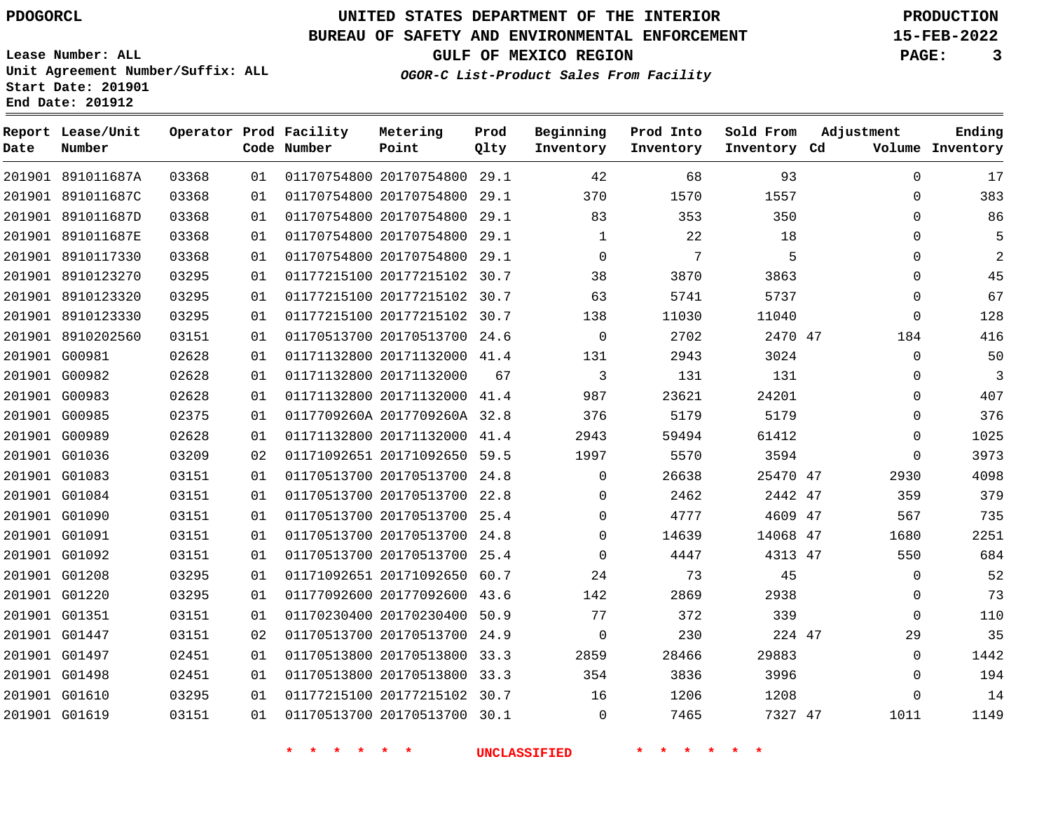### **BUREAU OF SAFETY AND ENVIRONMENTAL ENFORCEMENT 15-FEB-2022**

**Lease Number: ALL Unit Agreement Number/Suffix: ALL Start Date: 201901 End Date: 201912**

**OGOR-C List-Product Sales From Facility**

**GULF OF MEXICO REGION PAGE: 3**

| Date | Report Lease/Unit<br>Number |       |    | Operator Prod Facility<br>Code Number | Metering<br>Point            | Prod<br>Qlty | Beginning<br>Inventory | Prod Into<br>Inventory | Sold From<br>Inventory Cd | Adjustment  | Ending<br>Volume Inventory |
|------|-----------------------------|-------|----|---------------------------------------|------------------------------|--------------|------------------------|------------------------|---------------------------|-------------|----------------------------|
|      | 201901 891011687A           | 03368 | 01 |                                       | 01170754800 20170754800 29.1 |              | 42                     | 68                     | 93                        | $\mathbf 0$ | 17                         |
|      | 201901 891011687C           | 03368 | 01 |                                       | 01170754800 20170754800      | 29.1         | 370                    | 1570                   | 1557                      | $\Omega$    | 383                        |
|      | 201901 891011687D           | 03368 | 01 |                                       | 01170754800 20170754800 29.1 |              | 83                     | 353                    | 350                       | $\mathbf 0$ | 86                         |
|      | 201901 891011687E           | 03368 | 01 |                                       | 01170754800 20170754800 29.1 |              | 1                      | 22                     | 18                        | $\Omega$    | 5                          |
|      | 201901 8910117330           | 03368 | 01 |                                       | 01170754800 20170754800 29.1 |              | 0                      | 7                      | 5                         | $\mathbf 0$ | 2                          |
|      | 201901 8910123270           | 03295 | 01 |                                       | 01177215100 20177215102 30.7 |              | 38                     | 3870                   | 3863                      | $\Omega$    | 45                         |
|      | 201901 8910123320           | 03295 | 01 |                                       | 01177215100 20177215102 30.7 |              | 63                     | 5741                   | 5737                      | $\mathbf 0$ | 67                         |
|      | 201901 8910123330           | 03295 | 01 |                                       | 01177215100 20177215102 30.7 |              | 138                    | 11030                  | 11040                     | 0           | 128                        |
|      | 201901 8910202560           | 03151 | 01 |                                       | 01170513700 20170513700 24.6 |              | $\mathbf 0$            | 2702                   | 2470 47                   | 184         | 416                        |
|      | 201901 G00981               | 02628 | 01 |                                       | 01171132800 20171132000 41.4 |              | 131                    | 2943                   | 3024                      | 0           | 50                         |
|      | 201901 G00982               | 02628 | 01 |                                       | 01171132800 20171132000      | 67           | 3                      | 131                    | 131                       | $\mathbf 0$ | 3                          |
|      | 201901 G00983               | 02628 | 01 |                                       | 01171132800 20171132000 41.4 |              | 987                    | 23621                  | 24201                     | $\Omega$    | 407                        |
|      | 201901 G00985               | 02375 | 01 |                                       | 0117709260A 2017709260A 32.8 |              | 376                    | 5179                   | 5179                      | $\mathbf 0$ | 376                        |
|      | 201901 G00989               | 02628 | 01 |                                       | 01171132800 20171132000 41.4 |              | 2943                   | 59494                  | 61412                     | $\Omega$    | 1025                       |
|      | 201901 G01036               | 03209 | 02 |                                       | 01171092651 20171092650 59.5 |              | 1997                   | 5570                   | 3594                      | $\Omega$    | 3973                       |
|      | 201901 G01083               | 03151 | 01 |                                       | 01170513700 20170513700 24.8 |              | $\Omega$               | 26638                  | 25470 47                  | 2930        | 4098                       |
|      | 201901 G01084               | 03151 | 01 |                                       | 01170513700 20170513700 22.8 |              | $\Omega$               | 2462                   | 2442 47                   | 359         | 379                        |
|      | 201901 G01090               | 03151 | 01 |                                       | 01170513700 20170513700 25.4 |              | $\Omega$               | 4777                   | 4609 47                   | 567         | 735                        |
|      | 201901 G01091               | 03151 | 01 |                                       | 01170513700 20170513700 24.8 |              | $\Omega$               | 14639                  | 14068 47                  | 1680        | 2251                       |
|      | 201901 G01092               | 03151 | 01 |                                       | 01170513700 20170513700 25.4 |              | $\Omega$               | 4447                   | 4313 47                   | 550         | 684                        |
|      | 201901 G01208               | 03295 | 01 |                                       | 01171092651 20171092650 60.7 |              | 24                     | 73                     | 45                        | $\Omega$    | 52                         |
|      | 201901 G01220               | 03295 | 01 |                                       | 01177092600 20177092600 43.6 |              | 142                    | 2869                   | 2938                      | $\mathbf 0$ | 73                         |
|      | 201901 G01351               | 03151 | 01 |                                       | 01170230400 20170230400 50.9 |              | 77                     | 372                    | 339                       | $\Omega$    | 110                        |
|      | 201901 G01447               | 03151 | 02 |                                       | 01170513700 20170513700 24.9 |              | $\mathbf 0$            | 230                    | 224 47                    | 29          | 35                         |
|      | 201901 G01497               | 02451 | 01 |                                       | 01170513800 20170513800 33.3 |              | 2859                   | 28466                  | 29883                     | $\Omega$    | 1442                       |
|      | 201901 G01498               | 02451 | 01 |                                       | 01170513800 20170513800 33.3 |              | 354                    | 3836                   | 3996                      | 0           | 194                        |
|      | 201901 G01610               | 03295 | 01 |                                       | 01177215100 20177215102 30.7 |              | 16                     | 1206                   | 1208                      | $\Omega$    | 14                         |
|      | 201901 G01619               | 03151 | 01 |                                       | 01170513700 20170513700 30.1 |              | $\Omega$               | 7465                   | 7327 47                   | 1011        | 1149                       |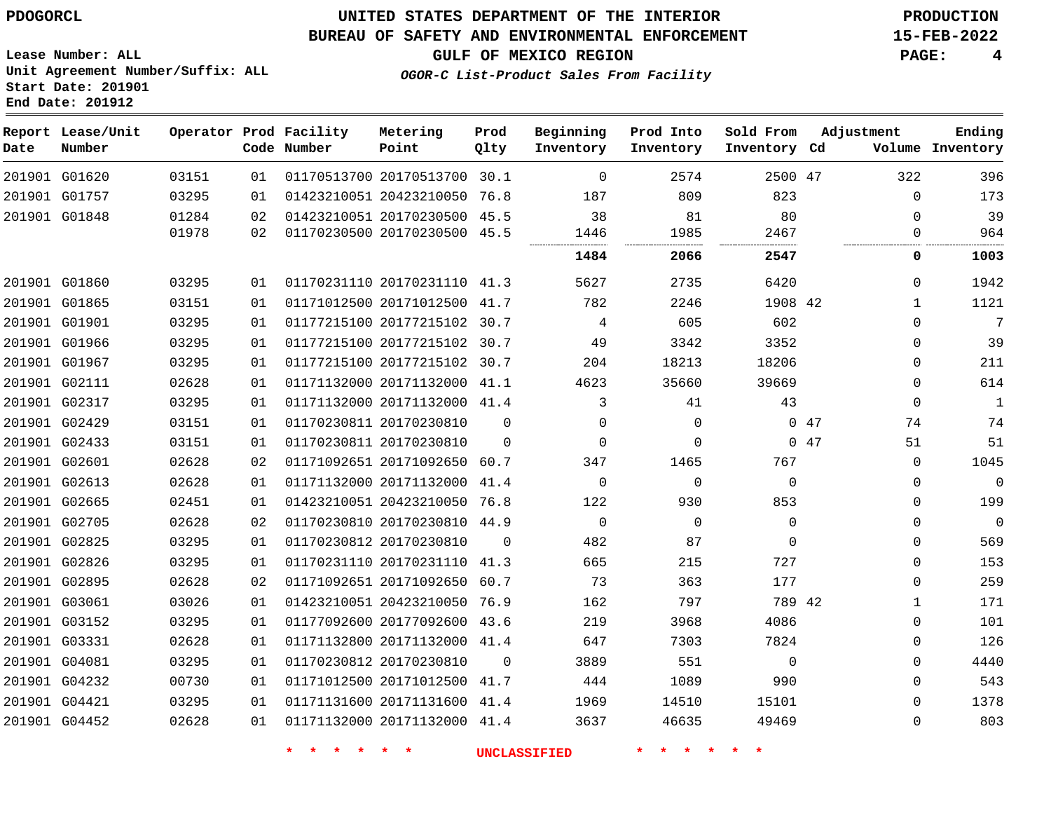**Date**

**Report Lease/Unit**

**Number**

### **UNITED STATES DEPARTMENT OF THE INTERIOR PDOGORCL PRODUCTION**

**Prod Qlty**

### **BUREAU OF SAFETY AND ENVIRONMENTAL ENFORCEMENT 15-FEB-2022**

**OGOR-C List-Product Sales From Facility**

**Beginning Inventory**

**Prod Into Inventory**

**Sold From Inventory**

**Adjustment**

**GULF OF MEXICO REGION PAGE: 4**

 

**Ending**

**Lease Number: ALL Unit Agreement Number/Suffix: ALL Start Date: 201901 End Date: 201912**

**Operator Prod Facility**

| Date | Number        |       |    | Code Number | Point                        | Qlty     | Inventory | Inventory | Inventory Cd |     |              | Volume Inventory |
|------|---------------|-------|----|-------------|------------------------------|----------|-----------|-----------|--------------|-----|--------------|------------------|
|      | 201901 G01620 | 03151 | 01 |             | 01170513700 20170513700 30.1 |          | $\Omega$  | 2574      | 2500 47      |     | 322          | 396              |
|      | 201901 G01757 | 03295 | 01 |             | 01423210051 20423210050 76.8 |          | 187       | 809       | 823          |     | 0            | 173              |
|      | 201901 G01848 | 01284 | 02 |             | 01423210051 20170230500 45.5 |          | 38        | 81        | 80           |     | $\Omega$     | 39               |
|      |               | 01978 | 02 |             | 01170230500 20170230500 45.5 |          | 1446      | 1985      | 2467         |     | 0<br>        | 964              |
|      |               |       |    |             |                              |          | 1484      | 2066      | 2547         |     | 0            | 1003             |
|      | 201901 G01860 | 03295 | 01 |             | 01170231110 20170231110 41.3 |          | 5627      | 2735      | 6420         |     | 0            | 1942             |
|      | 201901 G01865 | 03151 | 01 |             | 01171012500 20171012500 41.7 |          | 782       | 2246      | 1908 42      |     | $\mathbf 1$  | 1121             |
|      | 201901 G01901 | 03295 | 01 |             | 01177215100 20177215102 30.7 |          | 4         | 605       | 602          |     | $\Omega$     | 7                |
|      | 201901 G01966 | 03295 | 01 |             | 01177215100 20177215102 30.7 |          | 49        | 3342      | 3352         |     | $\Omega$     | 39               |
|      | 201901 G01967 | 03295 | 01 |             | 01177215100 20177215102 30.7 |          | 204       | 18213     | 18206        |     | $\Omega$     | 211              |
|      | 201901 G02111 | 02628 | 01 |             | 01171132000 20171132000 41.1 |          | 4623      | 35660     | 39669        |     | 0            | 614              |
|      | 201901 G02317 | 03295 | 01 |             | 01171132000 20171132000 41.4 |          | 3         | 41        | 43           |     | $\mathbf 0$  | $\mathbf{1}$     |
|      | 201901 G02429 | 03151 | 01 |             | 01170230811 20170230810      | $\Omega$ | $\Omega$  | $\Omega$  |              | 047 | 74           | 74               |
|      | 201901 G02433 | 03151 | 01 |             | 01170230811 20170230810      | $\Omega$ | $\Omega$  | 0         |              | 047 | 51           | 51               |
|      | 201901 G02601 | 02628 | 02 |             | 01171092651 20171092650 60.7 |          | 347       | 1465      | 767          |     | 0            | 1045             |
|      | 201901 G02613 | 02628 | 01 |             | 01171132000 20171132000 41.4 |          | $\Omega$  | $\Omega$  | $\Omega$     |     | $\Omega$     | $\mathbf 0$      |
|      | 201901 G02665 | 02451 | 01 |             | 01423210051 20423210050 76.8 |          | 122       | 930       | 853          |     | $\Omega$     | 199              |
|      | 201901 G02705 | 02628 | 02 |             | 01170230810 20170230810 44.9 |          | $\Omega$  | $\Omega$  | 0            |     | 0            | $\mathbf 0$      |
|      | 201901 G02825 | 03295 | 01 |             | 01170230812 20170230810      | $\Omega$ | 482       | 87        | $\Omega$     |     | 0            | 569              |
|      | 201901 G02826 | 03295 | 01 |             | 01170231110 20170231110 41.3 |          | 665       | 215       | 727          |     | $\Omega$     | 153              |
|      | 201901 G02895 | 02628 | 02 |             | 01171092651 20171092650      | 60.7     | 73        | 363       | 177          |     | 0            | 259              |
|      | 201901 G03061 | 03026 | 01 |             | 01423210051 20423210050 76.9 |          | 162       | 797       | 789 42       |     | $\mathbf{1}$ | 171              |
|      | 201901 G03152 | 03295 | 01 |             | 01177092600 20177092600 43.6 |          | 219       | 3968      | 4086         |     | $\Omega$     | 101              |
|      | 201901 G03331 | 02628 | 01 |             | 01171132800 20171132000 41.4 |          | 647       | 7303      | 7824         |     | $\Omega$     | 126              |
|      | 201901 G04081 | 03295 | 01 |             | 01170230812 20170230810      | $\Omega$ | 3889      | 551       | $\mathbf{0}$ |     | $\Omega$     | 4440             |
|      | 201901 G04232 | 00730 | 01 |             | 01171012500 20171012500 41.7 |          | 444       | 1089      | 990          |     | $\mathbf 0$  | 543              |
|      | 201901 G04421 | 03295 | 01 |             | 01171131600 20171131600 41.4 |          | 1969      | 14510     | 15101        |     | $\Omega$     | 1378             |
|      | 201901 G04452 | 02628 | 01 |             | 01171132000 20171132000 41.4 |          | 3637      | 46635     | 49469        |     | $\Omega$     | 803              |

**Metering Point**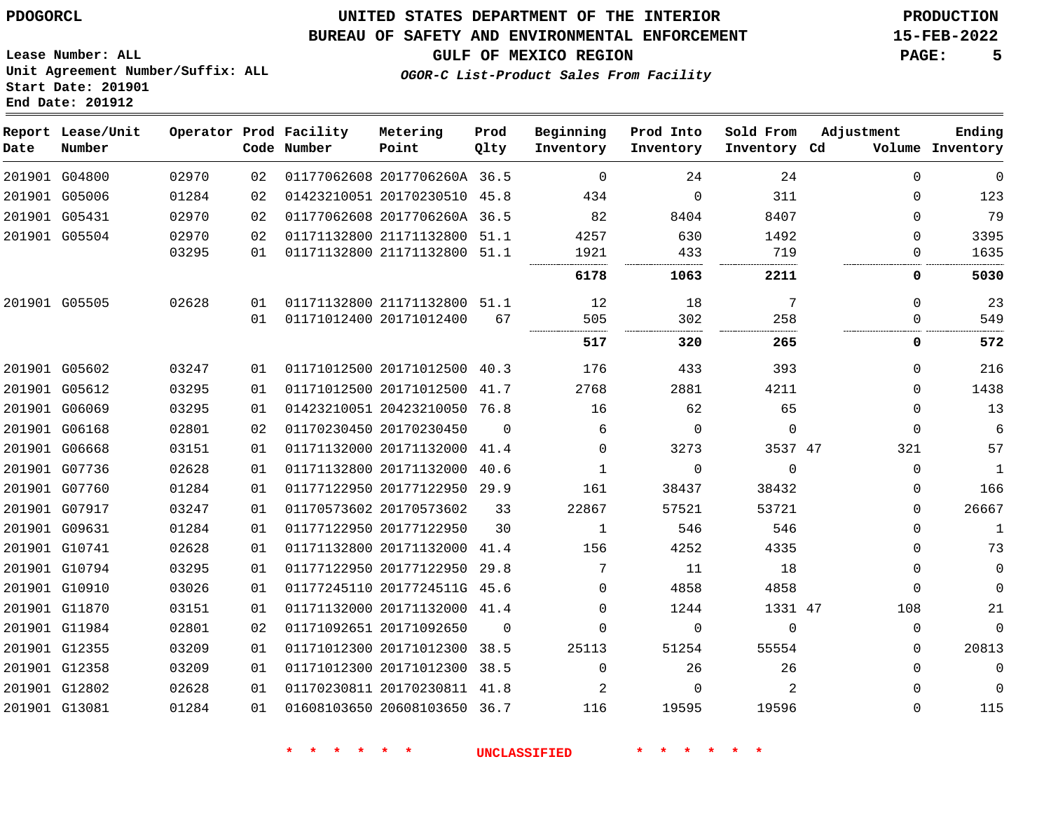**Lease Number: ALL**

### **UNITED STATES DEPARTMENT OF THE INTERIOR PDOGORCL PRODUCTION**

### **BUREAU OF SAFETY AND ENVIRONMENTAL ENFORCEMENT 15-FEB-2022**

**GULF OF MEXICO REGION PAGE: 5**

**Unit Agreement Number/Suffix: ALL Start Date: 201901 End Date: 201912**

**OGOR-C List-Product Sales From Facility**

| Date | Report Lease/Unit<br>Number |       |    | Operator Prod Facility<br>Code Number | Metering<br>Point            | Prod<br>Qlty | Beginning<br>Inventory | Prod Into<br>Inventory | Sold From<br>Inventory Cd | Adjustment  | Ending<br>Volume Inventory |
|------|-----------------------------|-------|----|---------------------------------------|------------------------------|--------------|------------------------|------------------------|---------------------------|-------------|----------------------------|
|      | 201901 G04800               | 02970 | 02 |                                       | 01177062608 2017706260A 36.5 |              | $\Omega$               | 24                     | 24                        | $\Omega$    | 0                          |
|      | 201901 G05006               | 01284 | 02 |                                       | 01423210051 20170230510 45.8 |              | 434                    | $\Omega$               | 311                       | $\Omega$    | 123                        |
|      | 201901 G05431               | 02970 | 02 |                                       | 01177062608 2017706260A 36.5 |              | 82                     | 8404                   | 8407                      | $\Omega$    | 79                         |
|      | 201901 G05504               | 02970 | 02 |                                       | 01171132800 21171132800 51.1 |              | 4257                   | 630                    | 1492                      | 0           | 3395                       |
|      |                             | 03295 | 01 |                                       | 01171132800 21171132800 51.1 |              | 1921                   | 433                    | 719                       | $\Omega$    | 1635                       |
|      |                             |       |    |                                       |                              |              | 6178                   | 1063                   | 2211                      | 0           | 5030                       |
|      | 201901 G05505               | 02628 | 01 |                                       | 01171132800 21171132800 51.1 |              | 12                     | 18                     | 7                         | $\Omega$    | 23                         |
|      |                             |       | 01 |                                       | 01171012400 20171012400      | 67           | 505                    | 302                    | 258                       | $\Omega$    | 549                        |
|      |                             |       |    |                                       |                              |              | 517                    | 320                    | 265                       | 0           | 572                        |
|      | 201901 G05602               | 03247 | 01 |                                       | 01171012500 20171012500 40.3 |              | 176                    | 433                    | 393                       | $\Omega$    | 216                        |
|      | 201901 G05612               | 03295 | 01 |                                       | 01171012500 20171012500 41.7 |              | 2768                   | 2881                   | 4211                      | $\Omega$    | 1438                       |
|      | 201901 G06069               | 03295 | 01 |                                       | 01423210051 20423210050 76.8 |              | 16                     | 62                     | 65                        | $\mathbf 0$ | 13                         |
|      | 201901 G06168               | 02801 | 02 |                                       | 01170230450 20170230450      | $\Omega$     | 6                      | $\Omega$               | $\Omega$                  | $\Omega$    | 6                          |
|      | 201901 G06668               | 03151 | 01 |                                       | 01171132000 20171132000 41.4 |              | $\Omega$               | 3273                   | 3537 47                   | 321         | 57                         |
|      | 201901 G07736               | 02628 | 01 |                                       | 01171132800 20171132000 40.6 |              | 1                      | $\mathbf 0$            | $\Omega$                  | $\mathbf 0$ | 1                          |
|      | 201901 G07760               | 01284 | 01 |                                       | 01177122950 20177122950 29.9 |              | 161                    | 38437                  | 38432                     | 0           | 166                        |
|      | 201901 G07917               | 03247 | 01 |                                       | 01170573602 20170573602      | 33           | 22867                  | 57521                  | 53721                     | $\Omega$    | 26667                      |
|      | 201901 G09631               | 01284 | 01 |                                       | 01177122950 20177122950      | 30           | $\mathbf{1}$           | 546                    | 546                       | 0           | $\mathbf{1}$               |
|      | 201901 G10741               | 02628 | 01 |                                       | 01171132800 20171132000 41.4 |              | 156                    | 4252                   | 4335                      | $\Omega$    | 73                         |
|      | 201901 G10794               | 03295 | 01 |                                       | 01177122950 20177122950 29.8 |              | 7                      | 11                     | 18                        | $\mathbf 0$ | 0                          |
|      | 201901 G10910               | 03026 | 01 |                                       | 01177245110 2017724511G 45.6 |              | 0                      | 4858                   | 4858                      | $\mathbf 0$ | $\Omega$                   |
|      | 201901 G11870               | 03151 | 01 |                                       | 01171132000 20171132000 41.4 |              | $\Omega$               | 1244                   | 1331 47                   | 108         | 21                         |
|      | 201901 G11984               | 02801 | 02 |                                       | 01171092651 20171092650      | $\Omega$     | $\Omega$               | $\mathbf 0$            | 0                         | $\mathbf 0$ | 0                          |
|      | 201901 G12355               | 03209 | 01 |                                       | 01171012300 20171012300 38.5 |              | 25113                  | 51254                  | 55554                     | 0           | 20813                      |
|      | 201901 G12358               | 03209 | 01 |                                       | 01171012300 20171012300 38.5 |              | $\Omega$               | 26                     | 26                        | $\Omega$    | 0                          |
|      | 201901 G12802               | 02628 | 01 |                                       | 01170230811 20170230811 41.8 |              | 2                      | $\Omega$               | 2                         | $\Omega$    | $\Omega$                   |
|      | 201901 G13081               | 01284 | 01 |                                       | 01608103650 20608103650 36.7 |              | 116                    | 19595                  | 19596                     | $\Omega$    | 115                        |
|      |                             |       |    |                                       |                              |              |                        |                        |                           |             |                            |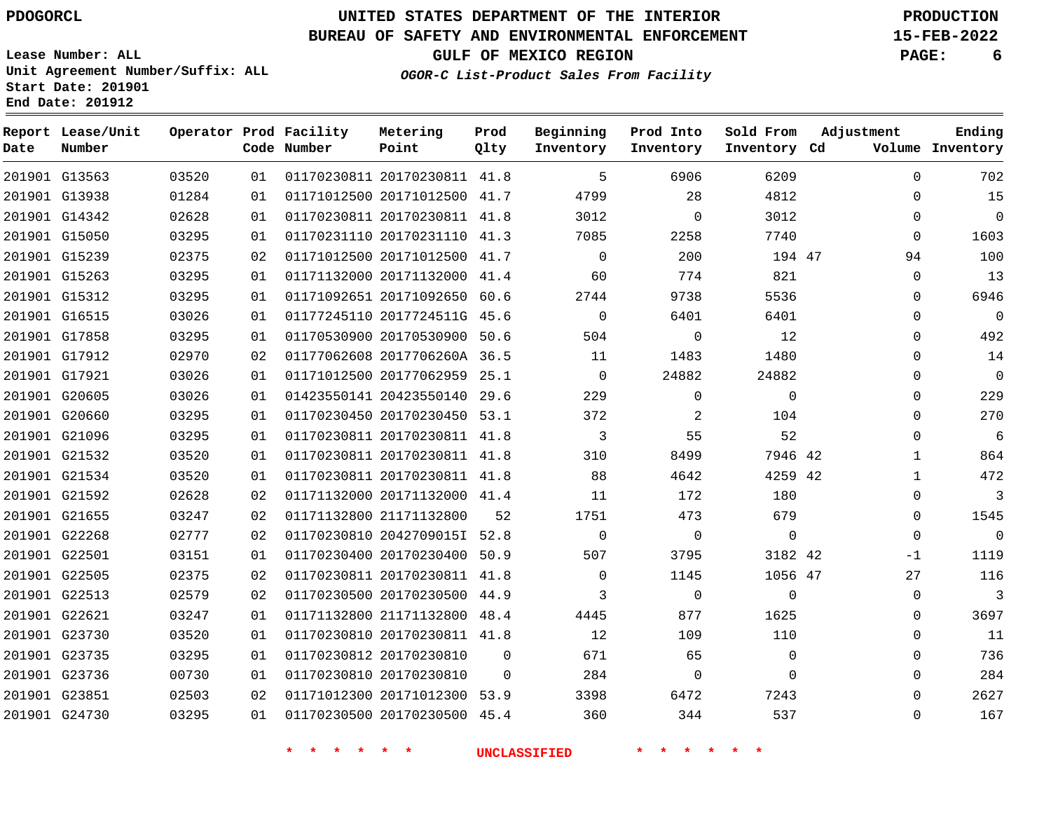**Date**

# **UNITED STATES DEPARTMENT OF THE INTERIOR PDOGORCL PRODUCTION**

### **BUREAU OF SAFETY AND ENVIRONMENTAL ENFORCEMENT 15-FEB-2022**

**OGOR-C List-Product Sales From Facility**

**GULF OF MEXICO REGION PAGE: 6**

**Ending**

**Lease Number: ALL Unit Agreement Number/Suffix: ALL Start Date: 201901 End Date: 201912**

| Date | Report Lease/Unit<br>Number |       |                  | Operator Prod Facility<br>Code Number | Metering<br>Point            | Prod<br>Qlty | Beginning<br>Inventory | Prod Into<br>Inventory | Sold From<br>Inventory Cd | Adjustment  | Ending<br>Volume Inventory |
|------|-----------------------------|-------|------------------|---------------------------------------|------------------------------|--------------|------------------------|------------------------|---------------------------|-------------|----------------------------|
|      | 201901 G13563               | 03520 | 01               |                                       | 01170230811 20170230811 41.8 |              | 5                      | 6906                   | 6209                      | $\Omega$    | 702                        |
|      | 201901 G13938               | 01284 | 01               |                                       | 01171012500 20171012500 41.7 |              | 4799                   | 28                     | 4812                      | 0           | 15                         |
|      | 201901 G14342               | 02628 | 01               |                                       | 01170230811 20170230811 41.8 |              | 3012                   | $\Omega$               | 3012                      | $\mathbf 0$ | 0                          |
|      | 201901 G15050               | 03295 | 01               |                                       | 01170231110 20170231110 41.3 |              | 7085                   | 2258                   | 7740                      | $\mathbf 0$ | 1603                       |
|      | 201901 G15239               | 02375 | 02               |                                       | 01171012500 20171012500 41.7 |              | $\Omega$               | 200                    | 194 47                    | 94          | 100                        |
|      | 201901 G15263               | 03295 | 01               |                                       | 01171132000 20171132000 41.4 |              | 60                     | 774                    | 821                       | $\mathbf 0$ | 13                         |
|      | 201901 G15312               | 03295 | 01               |                                       | 01171092651 20171092650 60.6 |              | 2744                   | 9738                   | 5536                      | $\mathbf 0$ | 6946                       |
|      | 201901 G16515               | 03026 | 01               |                                       | 01177245110 2017724511G 45.6 |              | $\Omega$               | 6401                   | 6401                      | $\mathbf 0$ | - 0                        |
|      | 201901 G17858               | 03295 | 01               |                                       | 01170530900 20170530900 50.6 |              | 504                    | $\Omega$               | 12                        | $\Omega$    | 492                        |
|      | 201901 G17912               | 02970 | 0.2 <sub>1</sub> |                                       | 01177062608 2017706260A 36.5 |              | 11                     | 1483                   | 1480                      | $\Omega$    | 14                         |
|      | 201901 G17921               | 03026 | 01               |                                       | 01171012500 20177062959 25.1 |              | $\Omega$               | 24882                  | 24882                     | $\Omega$    | 0                          |

| 201901 G13938 | 01284 | 01 | 01171012500 20171012500 41.7 |          | 4799           | 28          | 4812        | $\Omega$     | 15             |
|---------------|-------|----|------------------------------|----------|----------------|-------------|-------------|--------------|----------------|
| 201901 G14342 | 02628 | 01 | 01170230811 20170230811 41.8 |          | 3012           | $\Omega$    | 3012        | $\Omega$     | $\overline{0}$ |
| 201901 G15050 | 03295 | 01 | 01170231110 20170231110 41.3 |          | 7085           | 2258        | 7740        | 0            | 1603           |
| 201901 G15239 | 02375 | 02 | 01171012500 20171012500      | 41.7     | $\mathbf 0$    | 200         | 194 47      | 94           | 100            |
| 201901 G15263 | 03295 | 01 | 01171132000 20171132000      | 41.4     | 60             | 774         | 821         | $\Omega$     | 13             |
| 201901 G15312 | 03295 | 01 | 01171092651 20171092650 60.6 |          | 2744           | 9738        | 5536        | $\Omega$     | 6946           |
| 201901 G16515 | 03026 | 01 | 01177245110 2017724511G 45.6 |          | $\mathbf 0$    | 6401        | 6401        | $\Omega$     | $\overline{0}$ |
| 201901 G17858 | 03295 | 01 | 01170530900 20170530900 50.6 |          | 504            | $\mathbf 0$ | 12          | $\Omega$     | 492            |
| 201901 G17912 | 02970 | 02 | 01177062608 2017706260A 36.5 |          | 11             | 1483        | 1480        | $\Omega$     | 14             |
| 201901 G17921 | 03026 | 01 | 01171012500 20177062959 25.1 |          | $\overline{0}$ | 24882       | 24882       | $\Omega$     | $\overline{0}$ |
| 201901 G20605 | 03026 | 01 | 01423550141 20423550140 29.6 |          | 229            | $\mathbf 0$ | $\mathbf 0$ | $\mathbf{0}$ | 229            |
| 201901 G20660 | 03295 | 01 | 01170230450 20170230450      | 53.1     | 372            | 2           | 104         | $\Omega$     | 270            |
| 201901 G21096 | 03295 | 01 | 01170230811 20170230811 41.8 |          | 3              | 55          | 52          | $\mathbf 0$  | 6              |
| 201901 G21532 | 03520 | 01 | 01170230811 20170230811 41.8 |          | 310            | 8499        | 7946 42     | $\mathbf{1}$ | 864            |
| 201901 G21534 | 03520 | 01 | 01170230811 20170230811 41.8 |          | 88             | 4642        | 4259 42     | $\mathbf{1}$ | 472            |
| 201901 G21592 | 02628 | 02 | 01171132000 20171132000 41.4 |          | 11             | 172         | 180         | $\Omega$     | 3              |
| 201901 G21655 | 03247 | 02 | 01171132800 21171132800      | 52       | 1751           | 473         | 679         | $\Omega$     | 1545           |
| 201901 G22268 | 02777 | 02 | 01170230810 2042709015I 52.8 |          | $\mathbf 0$    | $\Omega$    | $\mathbf 0$ | $\Omega$     | $\overline{0}$ |
| 201901 G22501 | 03151 | 01 | 01170230400 20170230400 50.9 |          | 507            | 3795        | 3182 42     | $-1$         | 1119           |
| 201901 G22505 | 02375 | 02 | 01170230811 20170230811 41.8 |          | 0              | 1145        | 1056 47     | 27           | 116            |
| 201901 G22513 | 02579 | 02 | 01170230500 20170230500 44.9 |          | 3              | $\mathbf 0$ | $\mathbf 0$ | $\mathbf 0$  | $\overline{3}$ |
| 201901 G22621 | 03247 | 01 | 01171132800 21171132800 48.4 |          | 4445           | 877         | 1625        | $\mathbf{0}$ | 3697           |
| 201901 G23730 | 03520 | 01 | 01170230810 20170230811 41.8 |          | 12             | 109         | 110         | $\Omega$     | 11             |
| 201901 G23735 | 03295 | 01 | 01170230812 20170230810      | $\Omega$ | 671            | 65          | $\Omega$    | $\Omega$     | 736            |
| 201901 G23736 | 00730 | 01 | 01170230810 20170230810      | $\Omega$ | 284            | $\mathbf 0$ | $\Omega$    | $\Omega$     | 284            |
| 201901 G23851 | 02503 | 02 | 01171012300 20171012300 53.9 |          | 3398           | 6472        | 7243        | $\Omega$     | 2627           |
| 201901 G24730 | 03295 | 01 | 01170230500 20170230500 45.4 |          | 360            | 344         | 537         | $\Omega$     | 167            |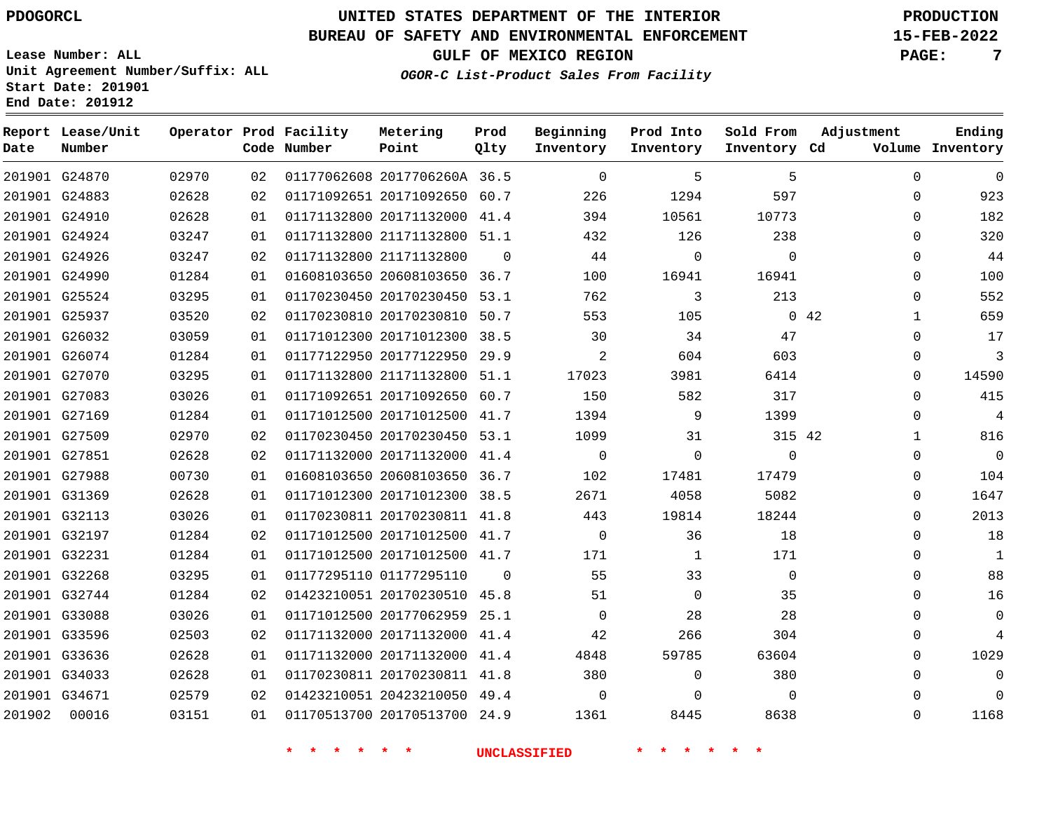### **BUREAU OF SAFETY AND ENVIRONMENTAL ENFORCEMENT 15-FEB-2022**

**OGOR-C List-Product Sales From Facility**

**GULF OF MEXICO REGION PAGE: 7**

**Lease Number: ALL Unit Agreement Number/Suffix: ALL Start Date: 201901 End Date: 201912**

| Date   | Report Lease/Unit<br>Number |       |    | Operator Prod Facility<br>Code Number | Metering<br>Point            | Prod<br>Qlty | Beginning<br>Inventory | Prod Into<br>Inventory | Sold From<br>Inventory Cd | Adjustment                  | Ending<br>Volume Inventory |
|--------|-----------------------------|-------|----|---------------------------------------|------------------------------|--------------|------------------------|------------------------|---------------------------|-----------------------------|----------------------------|
|        | 201901 G24870               | 02970 | 02 |                                       | 01177062608 2017706260A 36.5 |              | $\overline{0}$         | 5                      | 5                         | $\Omega$                    | $\mathbf 0$                |
|        | 201901 G24883               | 02628 | 02 |                                       | 01171092651 20171092650 60.7 |              | 226                    | 1294                   | 597                       | $\Omega$                    | 923                        |
|        | 201901 G24910               | 02628 | 01 |                                       | 01171132800 20171132000 41.4 |              | 394                    | 10561                  | 10773                     | $\Omega$                    | 182                        |
|        | 201901 G24924               | 03247 | 01 |                                       | 01171132800 21171132800 51.1 |              | 432                    | 126                    | 238                       | $\Omega$                    | 320                        |
|        | 201901 G24926               | 03247 | 02 |                                       | 01171132800 21171132800      | 0            | 44                     | 0                      | $\overline{0}$            | $\mathbf 0$                 | 44                         |
|        | 201901 G24990               | 01284 | 01 |                                       | 01608103650 20608103650 36.7 |              | 100                    | 16941                  | 16941                     | $\mathbf 0$                 | 100                        |
|        | 201901 G25524               | 03295 | 01 |                                       | 01170230450 20170230450 53.1 |              | 762                    | 3                      | 213                       | $\mathbf 0$                 | 552                        |
|        | 201901 G25937               | 03520 | 02 |                                       | 01170230810 20170230810 50.7 |              | 553                    | 105                    |                           | $0\quad 42$<br>$\mathbf{1}$ | 659                        |
|        | 201901 G26032               | 03059 | 01 |                                       | 01171012300 20171012300 38.5 |              | 30                     | 34                     | 47                        | $\mathbf 0$                 | 17                         |
|        | 201901 G26074               | 01284 | 01 |                                       | 01177122950 20177122950 29.9 |              | 2                      | 604                    | 603                       | $\mathbf 0$                 | 3                          |
|        | 201901 G27070               | 03295 | 01 |                                       | 01171132800 21171132800 51.1 |              | 17023                  | 3981                   | 6414                      | $\Omega$                    | 14590                      |
|        | 201901 G27083               | 03026 | 01 |                                       | 01171092651 20171092650 60.7 |              | 150                    | 582                    | 317                       | $\Omega$                    | 415                        |
|        | 201901 G27169               | 01284 | 01 |                                       | 01171012500 20171012500 41.7 |              | 1394                   | 9                      | 1399                      | $\Omega$                    | 4                          |
|        | 201901 G27509               | 02970 | 02 |                                       | 01170230450 20170230450 53.1 |              | 1099                   | 31                     | 315 42                    | 1                           | 816                        |
|        | 201901 G27851               | 02628 | 02 |                                       | 01171132000 20171132000 41.4 |              | 0                      | $\Omega$               | $\Omega$                  | $\Omega$                    | $\mathbf 0$                |
|        | 201901 G27988               | 00730 | 01 |                                       | 01608103650 20608103650 36.7 |              | 102                    | 17481                  | 17479                     | 0                           | 104                        |
|        | 201901 G31369               | 02628 | 01 |                                       | 01171012300 20171012300 38.5 |              | 2671                   | 4058                   | 5082                      | $\Omega$                    | 1647                       |
|        | 201901 G32113               | 03026 | 01 |                                       | 01170230811 20170230811 41.8 |              | 443                    | 19814                  | 18244                     | $\mathbf 0$                 | 2013                       |
|        | 201901 G32197               | 01284 | 02 |                                       | 01171012500 20171012500 41.7 |              | $\overline{0}$         | 36                     | 18                        | $\Omega$                    | 18                         |
|        | 201901 G32231               | 01284 | 01 |                                       | 01171012500 20171012500 41.7 |              | 171                    | 1                      | 171                       | $\mathbf 0$                 | $\mathbf{1}$               |
|        | 201901 G32268               | 03295 | 01 |                                       | 01177295110 01177295110      | $\Omega$     | 55                     | 33                     | $\Omega$                  | $\Omega$                    | 88                         |
|        | 201901 G32744               | 01284 | 02 |                                       | 01423210051 20170230510 45.8 |              | 51                     | $\mathbf 0$            | 35                        | $\mathbf 0$                 | 16                         |
|        | 201901 G33088               | 03026 | 01 |                                       | 01171012500 20177062959 25.1 |              | $\Omega$               | 28                     | 28                        | $\mathbf 0$                 | $\mathbf 0$                |
|        | 201901 G33596               | 02503 | 02 |                                       | 01171132000 20171132000 41.4 |              | 42                     | 266                    | 304                       | $\mathbf 0$                 | $\overline{4}$             |
|        | 201901 G33636               | 02628 | 01 |                                       | 01171132000 20171132000 41.4 |              | 4848                   | 59785                  | 63604                     | $\Omega$                    | 1029                       |
|        | 201901 G34033               | 02628 | 01 |                                       | 01170230811 20170230811 41.8 |              | 380                    | $\Omega$               | 380                       | $\Omega$                    | $\Omega$                   |
|        | 201901 G34671               | 02579 | 02 |                                       | 01423210051 20423210050 49.4 |              | 0                      | $\mathbf 0$            | $\Omega$                  | $\mathbf 0$                 | $\Omega$                   |
| 201902 | 00016                       | 03151 | 01 |                                       | 01170513700 20170513700 24.9 |              | 1361                   | 8445                   | 8638                      | $\Omega$                    | 1168                       |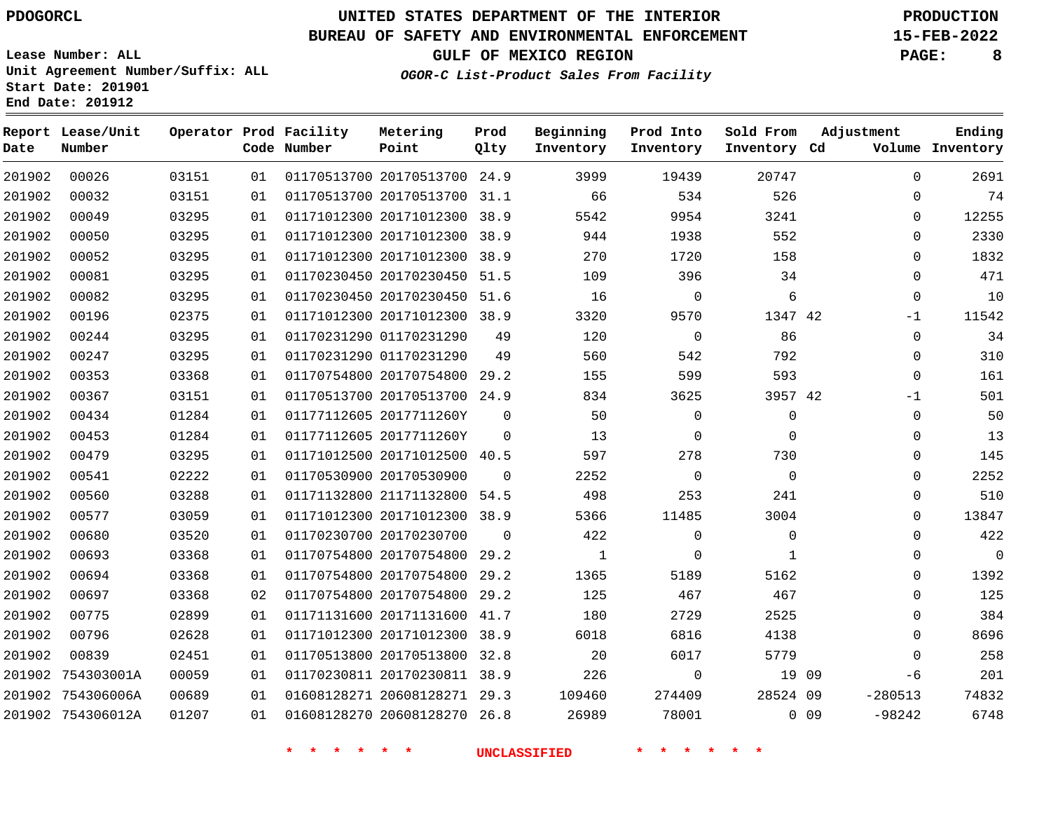**Date**

# **UNITED STATES DEPARTMENT OF THE INTERIOR PDOGORCL PRODUCTION**

**Prod Qlty**

#### **BUREAU OF SAFETY AND ENVIRONMENTAL ENFORCEMENT 15-FEB-2022**

**Lease Number: ALL Unit Agreement Number/Suffix: ALL**

**Operator Prod Facility**

**Code Number**

**Metering Point**

**Start Date: 201901 End Date: 201912**

**Number**

**Report Lease/Unit**

**OGOR-C List-Product Sales From Facility**

**Beginning Inventory** **Prod Into Inventory** **Sold From Inventory**

**GULF OF MEXICO REGION PAGE: 8**

**Inventory Cd Volume**

**Adjustment**

**Ending**

| 201902 | 00026             | 03151 | 01 | 01170513700 20170513700 24.9 |          | 3999           | 19439          | 20747       | 0                  | 2691           |
|--------|-------------------|-------|----|------------------------------|----------|----------------|----------------|-------------|--------------------|----------------|
| 201902 | 00032             | 03151 | 01 | 01170513700 20170513700 31.1 |          | 66             | 534            | 526         | 0                  | 74             |
| 201902 | 00049             | 03295 | 01 | 01171012300 20171012300 38.9 |          | 5542           | 9954           | 3241        | 0                  | 12255          |
| 201902 | 00050             | 03295 | 01 | 01171012300 20171012300 38.9 |          | 944            | 1938           | 552         | $\Omega$           | 2330           |
| 201902 | 00052             | 03295 | 01 | 01171012300 20171012300      | 38.9     | 270            | 1720           | 158         | 0                  | 1832           |
| 201902 | 00081             | 03295 | 01 | 01170230450 20170230450 51.5 |          | 109            | 396            | 34          | $\Omega$           | 471            |
| 201902 | 00082             | 03295 | 01 | 01170230450 20170230450 51.6 |          | 16             | $\overline{0}$ | 6           | $\mathbf{0}$       | 10             |
| 201902 | 00196             | 02375 | 01 | 01171012300 20171012300 38.9 |          | 3320           | 9570           | 1347 42     | $-1$               | 11542          |
| 201902 | 00244             | 03295 | 01 | 01170231290 01170231290      | 49       | 120            | $\overline{0}$ | 86          | 0                  | 34             |
| 201902 | 00247             | 03295 | 01 | 01170231290 01170231290      | 49       | 560            | 542            | 792         | $\Omega$           | 310            |
| 201902 | 00353             | 03368 | 01 | 01170754800 20170754800      | 29.2     | 155            | 599            | 593         | 0                  | 161            |
| 201902 | 00367             | 03151 | 01 | 01170513700 20170513700 24.9 |          | 834            | 3625           | 3957 42     | $-1$               | 501            |
| 201902 | 00434             | 01284 | 01 | 01177112605 2017711260Y      | $\Omega$ | 50             | $\mathbf 0$    | $\mathbf 0$ | 0                  | 50             |
| 201902 | 00453             | 01284 | 01 | 01177112605 2017711260Y      | $\Omega$ | 13             | $\mathbf 0$    | $\Omega$    | 0                  | 13             |
| 201902 | 00479             | 03295 | 01 | 01171012500 20171012500 40.5 |          | 597            | 278            | 730         | 0                  | 145            |
| 201902 | 00541             | 02222 | 01 | 01170530900 20170530900      | $\Omega$ | 2252           | $\overline{0}$ | $\Omega$    | $\Omega$           | 2252           |
| 201902 | 00560             | 03288 | 01 | 01171132800 21171132800      | 54.5     | 498            | 253            | 241         | 0                  | 510            |
| 201902 | 00577             | 03059 | 01 | 01171012300 20171012300 38.9 |          | 5366           | 11485          | 3004        | $\Omega$           | 13847          |
| 201902 | 00680             | 03520 | 01 | 01170230700 20170230700      | $\Omega$ | 422            | $\mathbf 0$    | $\mathbf 0$ | $\Omega$           | 422            |
| 201902 | 00693             | 03368 | 01 | 01170754800 20170754800      | 29.2     | $\overline{1}$ | $\mathbf 0$    | 1           | 0                  | $\overline{0}$ |
| 201902 | 00694             | 03368 | 01 | 01170754800 20170754800 29.2 |          | 1365           | 5189           | 5162        | $\Omega$           | 1392           |
| 201902 | 00697             | 03368 | 02 | 01170754800 20170754800      | 29.2     | 125            | 467            | 467         | 0                  | 125            |
| 201902 | 00775             | 02899 | 01 | 01171131600 20171131600 41.7 |          | 180            | 2729           | 2525        | 0                  | 384            |
| 201902 | 00796             | 02628 | 01 | 01171012300 20171012300 38.9 |          | 6018           | 6816           | 4138        | $\Omega$           | 8696           |
| 201902 | 00839             | 02451 | 01 | 01170513800 20170513800 32.8 |          | 20             | 6017           | 5779        | $\Omega$           | 258            |
| 201902 | 754303001A        | 00059 | 01 | 01170230811 20170230811 38.9 |          | 226            | $\overline{0}$ | 19 09       | -6                 | 201            |
|        | 201902 754306006A | 00689 | 01 | 01608128271 20608128271 29.3 |          | 109460         | 274409         | 28524 09    | $-280513$          | 74832          |
|        | 201902 754306012A | 01207 | 01 | 01608128270 20608128270 26.8 |          | 26989          | 78001          |             | $-98242$<br>$0$ 09 | 6748           |
|        |                   |       |    |                              |          |                |                |             |                    |                |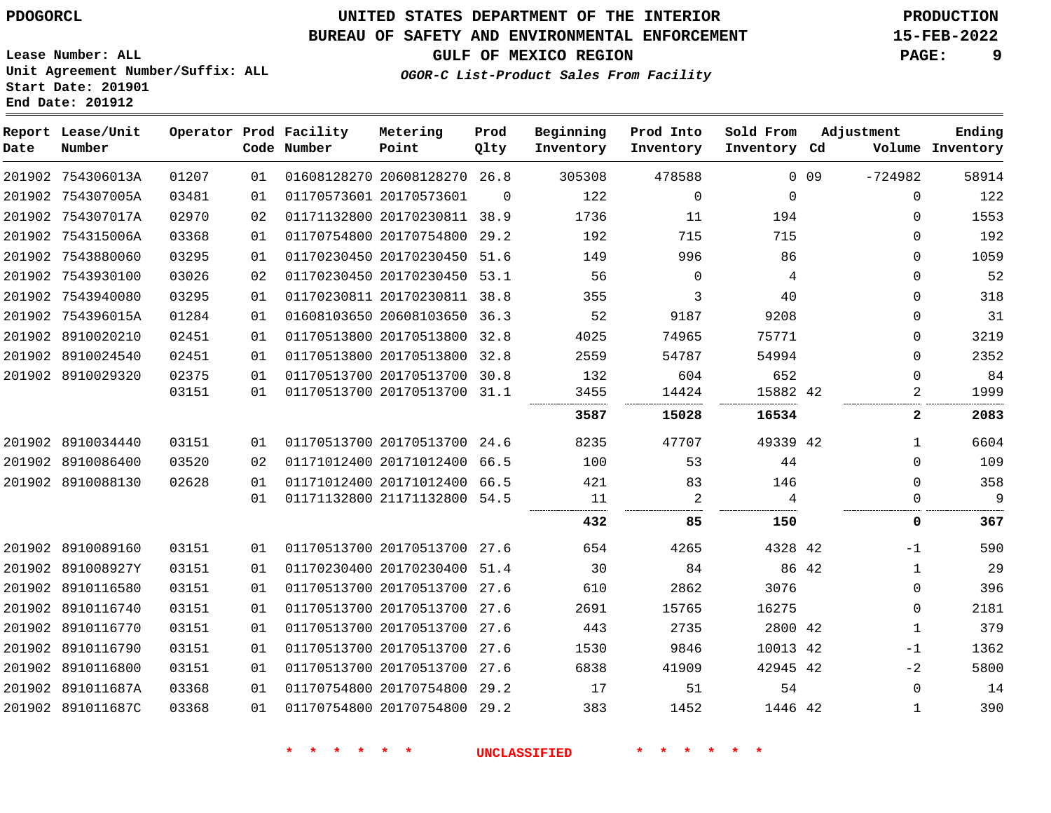# **UNITED STATES DEPARTMENT OF THE INTERIOR PDOGORCL PRODUCTION**

### **BUREAU OF SAFETY AND ENVIRONMENTAL ENFORCEMENT 15-FEB-2022**

**GULF OF MEXICO REGION PAGE: 9**

**Lease Number: ALL Unit Agreement Number/Suffix: ALL Start Date: 201901 End Date: 201912**

**OGOR-C List-Product Sales From Facility**

| Date | Report Lease/Unit<br>Number |       |    | Operator Prod Facility<br>Code Number | Metering<br>Point            | Prod<br>Qlty | Beginning<br>Inventory | Prod Into<br>Inventory | Sold From<br>Inventory Cd |            | Adjustment   | Ending<br>Volume Inventory |
|------|-----------------------------|-------|----|---------------------------------------|------------------------------|--------------|------------------------|------------------------|---------------------------|------------|--------------|----------------------------|
|      | 201902 754306013A           | 01207 | 01 |                                       | 01608128270 20608128270 26.8 |              | 305308                 | 478588                 |                           | $0\quad09$ | $-724982$    | 58914                      |
|      | 201902 754307005A           | 03481 | 01 |                                       | 01170573601 20170573601      | $\Omega$     | 122                    | $\Omega$               | $\Omega$                  |            | $\Omega$     | 122                        |
|      | 201902 754307017A           | 02970 | 02 |                                       | 01171132800 20170230811 38.9 |              | 1736                   | 11                     | 194                       |            | $\Omega$     | 1553                       |
|      | 201902 754315006A           | 03368 | 01 |                                       | 01170754800 20170754800 29.2 |              | 192                    | 715                    | 715                       |            | $\Omega$     | 192                        |
|      | 201902 7543880060           | 03295 | 01 |                                       | 01170230450 20170230450 51.6 |              | 149                    | 996                    | 86                        |            | 0            | 1059                       |
|      | 201902 7543930100           | 03026 | 02 |                                       | 01170230450 20170230450 53.1 |              | 56                     | $\Omega$               | 4                         |            | 0            | 52                         |
|      | 201902 7543940080           | 03295 | 01 |                                       | 01170230811 20170230811 38.8 |              | 355                    | 3                      | 40                        |            | $\Omega$     | 318                        |
|      | 201902 754396015A           | 01284 | 01 |                                       | 01608103650 20608103650 36.3 |              | 52                     | 9187                   | 9208                      |            | $\Omega$     | 31                         |
|      | 201902 8910020210           | 02451 | 01 |                                       | 01170513800 20170513800 32.8 |              | 4025                   | 74965                  | 75771                     |            | $\mathbf 0$  | 3219                       |
|      | 201902 8910024540           | 02451 | 01 |                                       | 01170513800 20170513800 32.8 |              | 2559                   | 54787                  | 54994                     |            | 0            | 2352                       |
|      | 201902 8910029320           | 02375 | 01 |                                       | 01170513700 20170513700 30.8 |              | 132                    | 604                    | 652                       |            | $\Omega$     | 84                         |
|      |                             | 03151 | 01 |                                       | 01170513700 20170513700 31.1 |              | 3455                   | 14424                  | 15882 42                  |            | 2            | 1999                       |
|      |                             |       |    |                                       |                              |              | 3587                   | 15028                  | 16534                     |            | $\mathbf{2}$ | 2083                       |
|      | 201902 8910034440           | 03151 | 01 |                                       | 01170513700 20170513700 24.6 |              | 8235                   | 47707                  | 49339 42                  |            | $\mathbf{1}$ | 6604                       |
|      | 201902 8910086400           | 03520 | 02 |                                       | 01171012400 20171012400 66.5 |              | 100                    | 53                     | 44                        |            | $\Omega$     | 109                        |
|      | 201902 8910088130           | 02628 | 01 |                                       | 01171012400 20171012400 66.5 |              | 421                    | 83                     | 146                       |            | $\Omega$     | 358                        |
|      |                             |       | 01 |                                       | 01171132800 21171132800 54.5 |              | 11                     | $\overline{c}$         | 4                         |            | 0            | 9                          |
|      |                             |       |    |                                       |                              |              | 432                    | 85                     | 150                       |            | 0            | 367                        |
|      | 201902 8910089160           | 03151 | 01 |                                       | 01170513700 20170513700 27.6 |              | 654                    | 4265                   | 4328 42                   |            | $-1$         | 590                        |
|      | 201902 891008927Y           | 03151 | 01 |                                       | 01170230400 20170230400 51.4 |              | 30                     | 84                     | 86 42                     |            | $\mathbf{1}$ | 29                         |
|      | 201902 8910116580           | 03151 | 01 |                                       | 01170513700 20170513700 27.6 |              | 610                    | 2862                   | 3076                      |            | $\Omega$     | 396                        |
|      | 201902 8910116740           | 03151 | 01 |                                       | 01170513700 20170513700 27.6 |              | 2691                   | 15765                  | 16275                     |            | $\mathbf 0$  | 2181                       |
|      | 201902 8910116770           | 03151 | 01 |                                       | 01170513700 20170513700 27.6 |              | 443                    | 2735                   | 2800 42                   |            | $\mathbf{1}$ | 379                        |
|      | 201902 8910116790           | 03151 | 01 |                                       | 01170513700 20170513700 27.6 |              | 1530                   | 9846                   | 10013 42                  |            | $-1$         | 1362                       |
|      | 201902 8910116800           | 03151 | 01 |                                       | 01170513700 20170513700 27.6 |              | 6838                   | 41909                  | 42945 42                  |            | $-2$         | 5800                       |
|      | 201902 891011687A           | 03368 | 01 |                                       | 01170754800 20170754800 29.2 |              | 17                     | 51                     | 54                        |            | $\mathbf 0$  | 14                         |
|      | 201902 891011687C           | 03368 | 01 |                                       | 01170754800 20170754800 29.2 |              | 383                    | 1452                   | 1446 42                   |            | $\mathbf{1}$ | 390                        |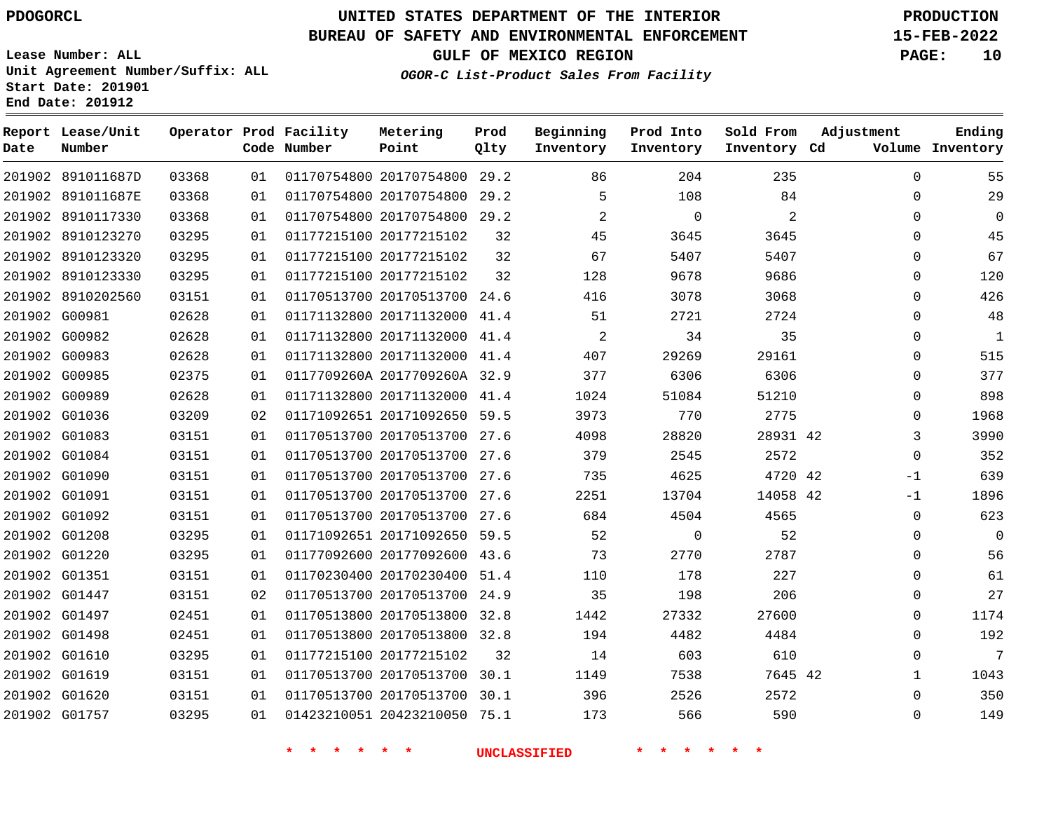**Date**

**Report Lease/Unit**

**Number**

# **UNITED STATES DEPARTMENT OF THE INTERIOR PDOGORCL PRODUCTION**

**Prod Qlty**

### **BUREAU OF SAFETY AND ENVIRONMENTAL ENFORCEMENT 15-FEB-2022**

**Lease Number: ALL Unit Agreement Number/Suffix: ALL Start Date: 201901 End Date: 201912**

**Operator Prod Facility**

**Code Number**

**OGOR-C List-Product Sales From Facility**

**Beginning Inventory** **Prod Into Inventory** **Sold From Inventory**

**GULF OF MEXICO REGION PAGE: 10**

**Inventory Cd Volume**

**Adjustment**

**Ending**

**Metering Point**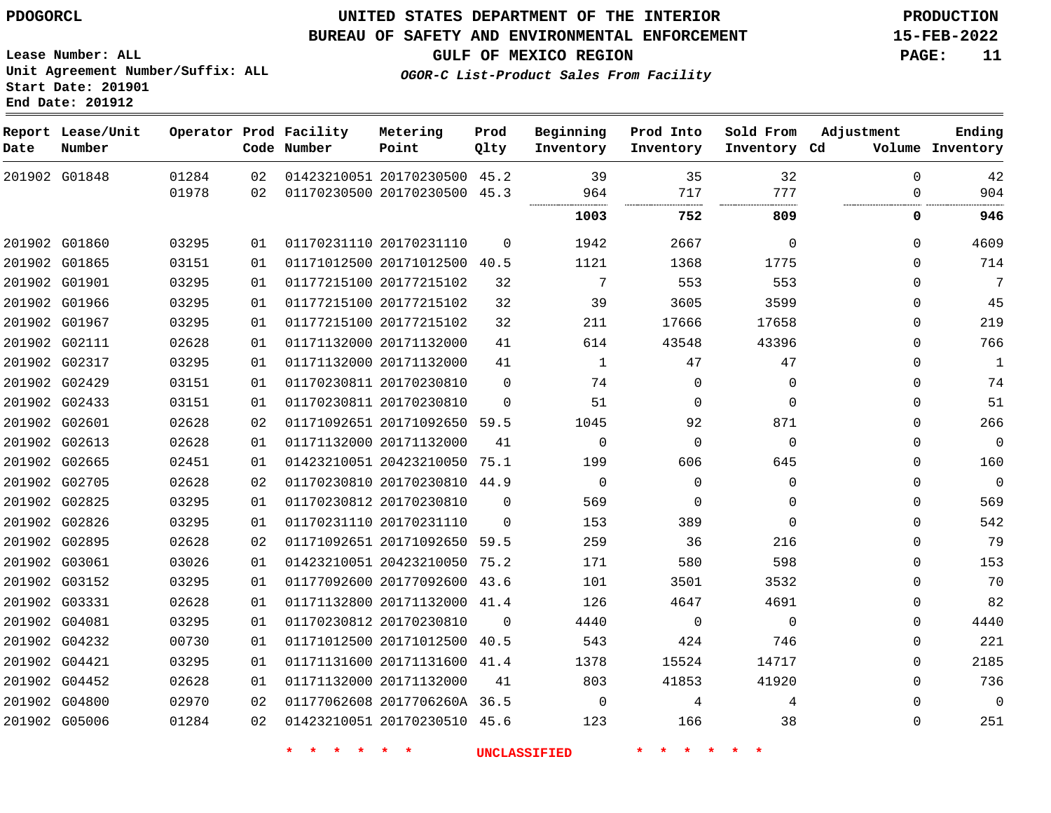**End Date: 201912**

### **UNITED STATES DEPARTMENT OF THE INTERIOR PDOGORCL PRODUCTION**

#### **BUREAU OF SAFETY AND ENVIRONMENTAL ENFORCEMENT 15-FEB-2022**

**Lease Number: ALL Unit Agreement Number/Suffix: ALL Start Date: 201901**

**OGOR-C List-Product Sales From Facility**

**GULF OF MEXICO REGION PAGE: 11**

| Date          | Report Lease/Unit<br>Number |       |    | Operator Prod Facility<br>Code Number | Metering<br>Point            | Prod<br>Qlty | Beginning<br>Inventory | Prod Into<br>Inventory | Sold From<br>Inventory Cd | Adjustment  | Ending<br>Volume Inventory |
|---------------|-----------------------------|-------|----|---------------------------------------|------------------------------|--------------|------------------------|------------------------|---------------------------|-------------|----------------------------|
|               | 201902 G01848               | 01284 | 02 |                                       | 01423210051 20170230500 45.2 |              | 39                     | 35                     | 32                        | $\mathbf 0$ | 42                         |
|               |                             | 01978 | 02 |                                       | 01170230500 20170230500      | 45.3         | 964                    | 717<br>                | 777<br>.<br>              | ∩           | 904                        |
|               |                             |       |    |                                       |                              |              | 1003                   | 752                    | 809                       | 0           | 946                        |
|               | 201902 G01860               | 03295 | 01 |                                       | 01170231110 20170231110      | $\Omega$     | 1942                   | 2667                   | $\mathbf 0$               | 0           | 4609                       |
|               | 201902 G01865               | 03151 | 01 |                                       | 01171012500 20171012500 40.5 |              | 1121                   | 1368                   | 1775                      | $\Omega$    | 714                        |
|               | 201902 G01901               | 03295 | 01 |                                       | 01177215100 20177215102      | 32           | 7                      | 553                    | 553                       | $\Omega$    | $7\phantom{.0}$            |
| 201902 G01966 |                             | 03295 | 01 |                                       | 01177215100 20177215102      | 32           | 39                     | 3605                   | 3599                      | $\Omega$    | 45                         |
|               | 201902 G01967               | 03295 | 01 |                                       | 01177215100 20177215102      | 32           | 211                    | 17666                  | 17658                     | 0           | 219                        |
| 201902 G02111 |                             | 02628 | 01 |                                       | 01171132000 20171132000      | 41           | 614                    | 43548                  | 43396                     | 0           | 766                        |
| 201902 G02317 |                             | 03295 | 01 |                                       | 01171132000 20171132000      | 41           | 1                      | 47                     | 47                        | 0           | 1                          |
|               | 201902 G02429               | 03151 | 01 |                                       | 01170230811 20170230810      | $\Omega$     | 74                     | 0                      | 0                         | 0           | 74                         |
| 201902 G02433 |                             | 03151 | 01 |                                       | 01170230811 20170230810      | $\Omega$     | 51                     | $\Omega$               | $\Omega$                  | 0           | 51                         |
| 201902 G02601 |                             | 02628 | 02 |                                       | 01171092651 20171092650 59.5 |              | 1045                   | 92                     | 871                       | 0           | 266                        |
| 201902 G02613 |                             | 02628 | 01 |                                       | 01171132000 20171132000      | 41           | $\Omega$               | $\Omega$               | $\Omega$                  | 0           | $\mathbf 0$                |
|               | 201902 G02665               | 02451 | 01 |                                       | 01423210051 20423210050      | 75.1         | 199                    | 606                    | 645                       | 0           | 160                        |
| 201902 G02705 |                             | 02628 | 02 |                                       | 01170230810 20170230810 44.9 |              | $\Omega$               | $\Omega$               | $\Omega$                  | $\Omega$    | $\mathbf 0$                |
| 201902 G02825 |                             | 03295 | 01 |                                       | 01170230812 20170230810      | $\Omega$     | 569                    | $\Omega$               | $\Omega$                  | $\Omega$    | 569                        |
| 201902 G02826 |                             | 03295 | 01 |                                       | 01170231110 20170231110      | $\Omega$     | 153                    | 389                    | $\Omega$                  | 0           | 542                        |
| 201902 G02895 |                             | 02628 | 02 |                                       | 01171092651 20171092650      | 59.5         | 259                    | 36                     | 216                       | 0           | 79                         |
| 201902 G03061 |                             | 03026 | 01 |                                       | 01423210051 20423210050      | 75.2         | 171                    | 580                    | 598                       | 0           | 153                        |
|               | 201902 G03152               | 03295 | 01 |                                       | 01177092600 20177092600 43.6 |              | 101                    | 3501                   | 3532                      | 0           | 70                         |
|               | 201902 G03331               | 02628 | 01 |                                       | 01171132800 20171132000 41.4 |              | 126                    | 4647                   | 4691                      | 0           | 82                         |
|               | 201902 G04081               | 03295 | 01 |                                       | 01170230812 20170230810      | $\Omega$     | 4440                   | $\Omega$               | $\Omega$                  | $\Omega$    | 4440                       |
| 201902 G04232 |                             | 00730 | 01 |                                       | 01171012500 20171012500      | 40.5         | 543                    | 424                    | 746                       | 0           | 221                        |
| 201902 G04421 |                             | 03295 | 01 |                                       | 01171131600 20171131600      | 41.4         | 1378                   | 15524                  | 14717                     | 0           | 2185                       |
|               | 201902 G04452               | 02628 | 01 |                                       | 01171132000 20171132000      | 41           | 803                    | 41853                  | 41920                     | $\Omega$    | 736                        |
|               | 201902 G04800               | 02970 | 02 |                                       | 01177062608 2017706260A 36.5 |              | $\Omega$               | 4                      | 4                         | 0           | $\mathbf 0$                |
|               | 201902 G05006               | 01284 | 02 |                                       | 01423210051 20170230510 45.6 |              | 123                    | 166                    | 38                        | 0           | 251                        |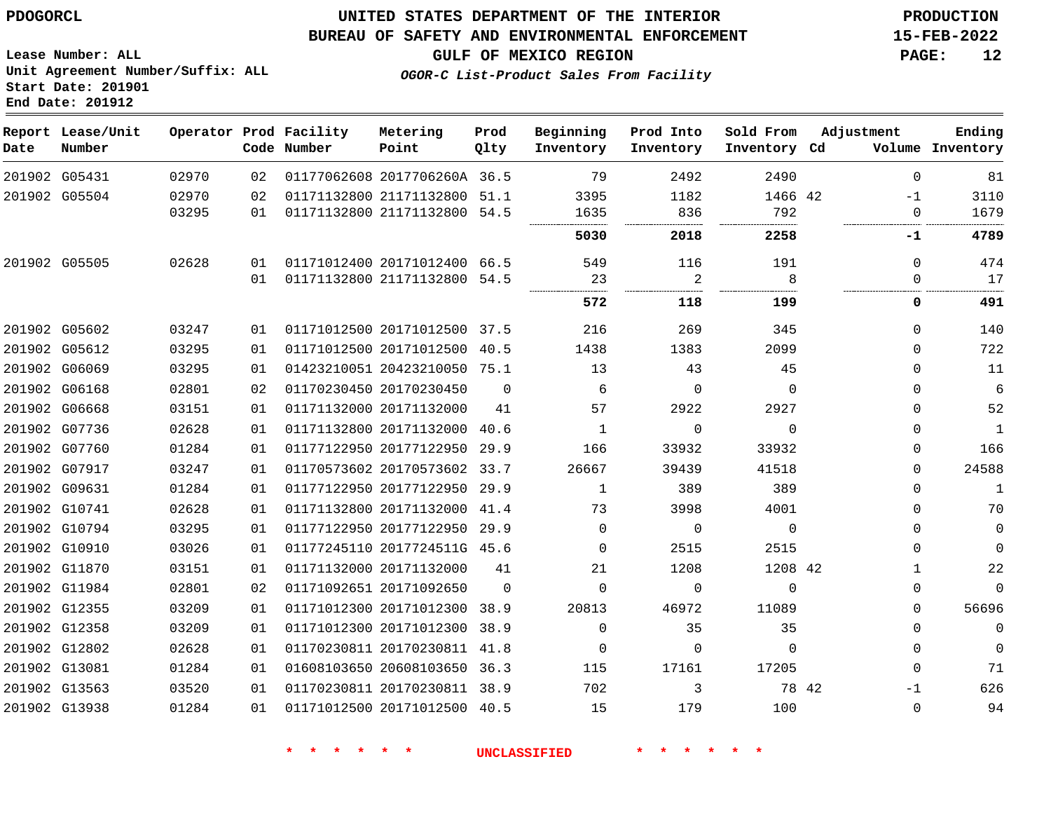**Prod**

#### **BUREAU OF SAFETY AND ENVIRONMENTAL ENFORCEMENT 15-FEB-2022**

**Lease Number: ALL Unit Agreement Number/Suffix: ALL Start Date: 201901 End Date: 201912**

**OGOR-C List-Product Sales From Facility**

**GULF OF MEXICO REGION PAGE: 12**

**Adjustment**

**Ending**

| Date | Report Lease/Unit<br>Number |       |    | Operator Prod Facility<br>Code Number | Metering<br>Point            | Prod<br>Qlty | Beginning<br>Inventory | Prod Into<br>Inventory | Sold From<br>Inventory Cd | Adjustment    | Ending<br>Volume Inventory |
|------|-----------------------------|-------|----|---------------------------------------|------------------------------|--------------|------------------------|------------------------|---------------------------|---------------|----------------------------|
|      | 201902 G05431               | 02970 | 02 |                                       | 01177062608 2017706260A 36.5 |              | 79                     | 2492                   | 2490                      | $\mathbf 0$   | 81                         |
|      | 201902 G05504               | 02970 | 02 |                                       | 01171132800 21171132800 51.1 |              | 3395                   | 1182                   | 1466 42                   | $-1$          | 3110                       |
|      |                             | 03295 | 01 |                                       | 01171132800 21171132800 54.5 |              | 1635                   | 836                    | 792                       | $\Omega$      | 1679                       |
|      |                             |       |    |                                       |                              |              | 5030                   | 2018                   | 2258                      | $-1$          | 4789                       |
|      | 201902 G05505               | 02628 | 01 |                                       | 01171012400 20171012400 66.5 |              | 549                    | 116                    | 191                       | $\mathbf 0$   | 474                        |
|      |                             |       | 01 |                                       | 01171132800 21171132800 54.5 |              | 23                     | $\overline{a}$         | 8                         | $\Omega$      | 17                         |
|      |                             |       |    |                                       |                              |              | 572                    | 118                    | 199                       | 0             | 491                        |
|      | 201902 G05602               | 03247 | 01 |                                       | 01171012500 20171012500 37.5 |              | 216                    | 269                    | 345                       | $\Omega$      | 140                        |
|      | 201902 G05612               | 03295 | 01 |                                       | 01171012500 20171012500 40.5 |              | 1438                   | 1383                   | 2099                      | $\Omega$      | 722                        |
|      | 201902 G06069               | 03295 | 01 |                                       | 01423210051 20423210050 75.1 |              | 13                     | 43                     | 45                        | $\mathbf 0$   | 11                         |
|      | 201902 G06168               | 02801 | 02 |                                       | 01170230450 20170230450      | $\Omega$     | 6                      | $\mathbf 0$            | $\Omega$                  | $\mathbf 0$   | 6                          |
|      | 201902 G06668               | 03151 | 01 |                                       | 01171132000 20171132000      | 41           | 57                     | 2922                   | 2927                      | $\Omega$      | 52                         |
|      | 201902 G07736               | 02628 | 01 |                                       | 01171132800 20171132000      | 40.6         | $\mathbf{1}$           | $\Omega$               | $\Omega$                  | $\Omega$      | $\mathbf{1}$               |
|      | 201902 G07760               | 01284 | 01 |                                       | 01177122950 20177122950 29.9 |              | 166                    | 33932                  | 33932                     | 0             | 166                        |
|      | 201902 G07917               | 03247 | 01 |                                       | 01170573602 20170573602 33.7 |              | 26667                  | 39439                  | 41518                     | $\Omega$      | 24588                      |
|      | 201902 G09631               | 01284 | 01 |                                       | 01177122950 20177122950 29.9 |              | $\mathbf{1}$           | 389                    | 389                       | $\Omega$      | $\mathbf{1}$               |
|      | 201902 G10741               | 02628 | 01 |                                       | 01171132800 20171132000 41.4 |              | 73                     | 3998                   | 4001                      | $\mathbf 0$   | 70                         |
|      | 201902 G10794               | 03295 | 01 |                                       | 01177122950 20177122950 29.9 |              | $\Omega$               | $\mathbf 0$            | $\Omega$                  | $\Omega$      | $\mathbf 0$                |
|      | 201902 G10910               | 03026 | 01 |                                       | 01177245110 2017724511G 45.6 |              | $\Omega$               | 2515                   | 2515                      | $\Omega$      | $\Omega$                   |
|      | 201902 G11870               | 03151 | 01 |                                       | 01171132000 20171132000      | 41           | 21                     | 1208                   | 1208 42                   | $\mathbf{1}$  | 22                         |
|      | 201902 G11984               | 02801 | 02 |                                       | 01171092651 20171092650      | $\Omega$     | $\mathbf 0$            | 0                      | $\mathbf{0}$              | 0             | $\mathbf 0$                |
|      | 201902 G12355               | 03209 | 01 |                                       | 01171012300 20171012300 38.9 |              | 20813                  | 46972                  | 11089                     | $\Omega$      | 56696                      |
|      | 201902 G12358               | 03209 | 01 |                                       | 01171012300 20171012300 38.9 |              | $\Omega$               | 35                     | 35                        | $\mathbf 0$   | $\Omega$                   |
|      | 201902 G12802               | 02628 | 01 |                                       | 01170230811 20170230811 41.8 |              | $\mathbf 0$            | $\mathbf 0$            | $\Omega$                  | $\Omega$      | $\mathbf 0$                |
|      | 201902 G13081               | 01284 | 01 |                                       | 01608103650 20608103650 36.3 |              | 115                    | 17161                  | 17205                     | $\mathbf 0$   | 71                         |
|      | 201902 G13563               | 03520 | 01 |                                       | 01170230811 20170230811 38.9 |              | 702                    | 3                      |                           | 78 42<br>$-1$ | 626                        |
|      | 201902 G13938               | 01284 | 01 |                                       | 01171012500 20171012500 40.5 |              | 15                     | 179                    | 100                       | $\Omega$      | 94                         |
|      |                             |       |    |                                       |                              |              |                        |                        |                           |               |                            |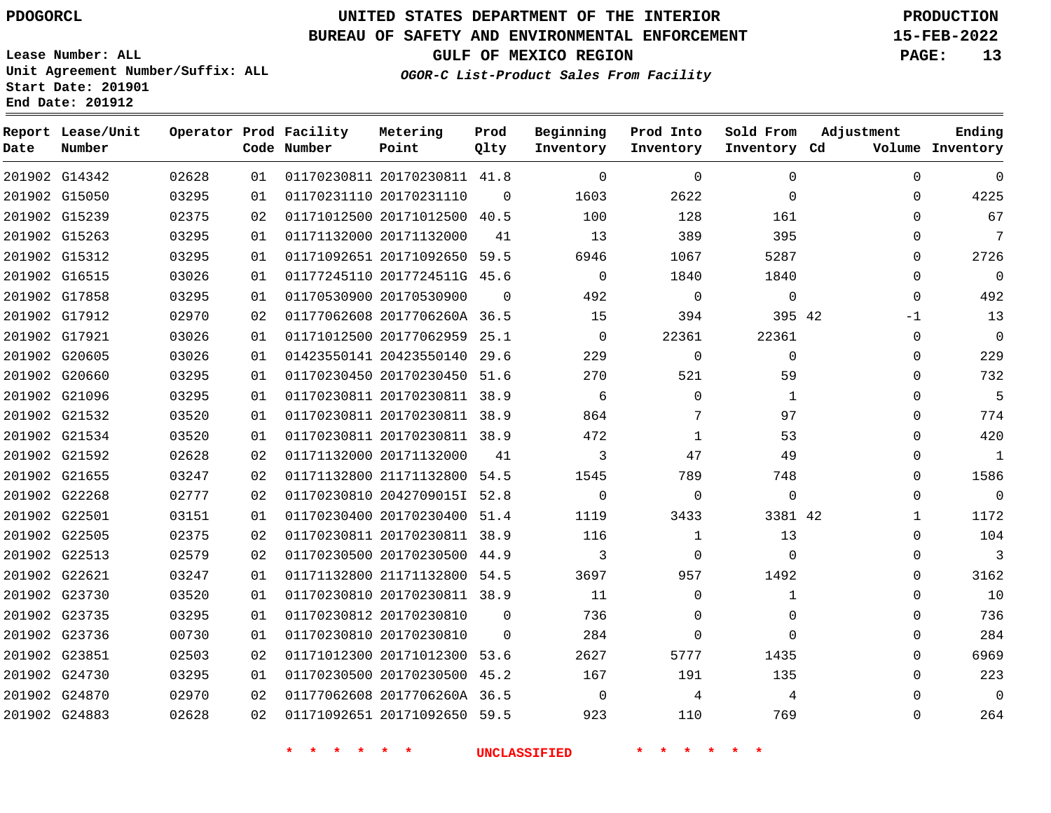### **BUREAU OF SAFETY AND ENVIRONMENTAL ENFORCEMENT 15-FEB-2022**

**Lease Number: ALL Unit Agreement Number/Suffix: ALL Start Date: 201901 End Date: 201912**

**GULF OF MEXICO REGION PAGE: 13**

**OGOR-C List-Product Sales From Facility**

| Date | Report Lease/Unit<br>Number |       |    | Operator Prod Facility<br>Code Number | Metering<br>Point            | Prod<br>Qlty | Beginning<br>Inventory | Prod Into<br>Inventory | Sold From<br>Inventory Cd | Adjustment   | Ending<br>Volume Inventory |
|------|-----------------------------|-------|----|---------------------------------------|------------------------------|--------------|------------------------|------------------------|---------------------------|--------------|----------------------------|
|      | 201902 G14342               | 02628 | 01 |                                       | 01170230811 20170230811 41.8 |              | $\Omega$               | $\mathbf 0$            | $\Omega$                  | $\Omega$     | $\mathbf 0$                |
|      | 201902 G15050               | 03295 | 01 |                                       | 01170231110 20170231110      | $\Omega$     | 1603                   | 2622                   | $\Omega$                  | $\Omega$     | 4225                       |
|      | 201902 G15239               | 02375 | 02 |                                       | 01171012500 20171012500 40.5 |              | 100                    | 128                    | 161                       | $\Omega$     | 67                         |
|      | 201902 G15263               | 03295 | 01 |                                       | 01171132000 20171132000      | 41           | 13                     | 389                    | 395                       | 0            | 7                          |
|      | 201902 G15312               | 03295 | 01 |                                       | 01171092651 20171092650 59.5 |              | 6946                   | 1067                   | 5287                      | $\Omega$     | 2726                       |
|      | 201902 G16515               | 03026 | 01 |                                       | 01177245110 2017724511G 45.6 |              | $\overline{0}$         | 1840                   | 1840                      | $\mathbf 0$  | $\Omega$                   |
|      | 201902 G17858               | 03295 | 01 |                                       | 01170530900 20170530900      | $\Omega$     | 492                    | $\mathbf 0$            | $\mathbf 0$               | $\mathbf 0$  | 492                        |
|      | 201902 G17912               | 02970 | 02 |                                       | 01177062608 2017706260A 36.5 |              | 15                     | 394                    | 395 42                    | $-1$         | 13                         |
|      | 201902 G17921               | 03026 | 01 |                                       | 01171012500 20177062959 25.1 |              | $\mathbf{0}$           | 22361                  | 22361                     | $\mathbf 0$  | $\mathbf 0$                |
|      | 201902 G20605               | 03026 | 01 |                                       | 01423550141 20423550140 29.6 |              | 229                    | $\mathbf 0$            | $\Omega$                  | $\mathbf 0$  | 229                        |
|      | 201902 G20660               | 03295 | 01 |                                       | 01170230450 20170230450 51.6 |              | 270                    | 521                    | 59                        | $\mathbf 0$  | 732                        |
|      | 201902 G21096               | 03295 | 01 |                                       | 01170230811 20170230811 38.9 |              | 6                      | $\mathbf 0$            | 1                         | $\mathbf 0$  | 5                          |
|      | 201902 G21532               | 03520 | 01 |                                       | 01170230811 20170230811 38.9 |              | 864                    | 7                      | 97                        | $\mathbf 0$  | 774                        |
|      | 201902 G21534               | 03520 | 01 |                                       | 01170230811 20170230811 38.9 |              | 472                    | $\mathbf{1}$           | 53                        | $\mathbf 0$  | 420                        |
|      | 201902 G21592               | 02628 | 02 |                                       | 01171132000 20171132000      | 41           | 3                      | 47                     | 49                        | $\Omega$     | $\mathbf{1}$               |
|      | 201902 G21655               | 03247 | 02 |                                       | 01171132800 21171132800 54.5 |              | 1545                   | 789                    | 748                       | $\Omega$     | 1586                       |
|      | 201902 G22268               | 02777 | 02 |                                       | 01170230810 2042709015I 52.8 |              | $\Omega$               | $\mathbf 0$            | $\Omega$                  | $\Omega$     | $\mathbf 0$                |
|      | 201902 G22501               | 03151 | 01 |                                       | 01170230400 20170230400 51.4 |              | 1119                   | 3433                   | 3381 42                   | $\mathbf{1}$ | 1172                       |
|      | 201902 G22505               | 02375 | 02 |                                       | 01170230811 20170230811 38.9 |              | 116                    | $\mathbf{1}$           | 13                        | $\Omega$     | 104                        |
|      | 201902 G22513               | 02579 | 02 |                                       | 01170230500 20170230500 44.9 |              | 3                      | $\mathbf 0$            | $\Omega$                  | $\mathbf 0$  | 3                          |
|      | 201902 G22621               | 03247 | 01 |                                       | 01171132800 21171132800 54.5 |              | 3697                   | 957                    | 1492                      | $\Omega$     | 3162                       |
|      | 201902 G23730               | 03520 | 01 |                                       | 01170230810 20170230811 38.9 |              | 11                     | $\mathbf 0$            | $\mathbf{1}$              | $\Omega$     | 10                         |
|      | 201902 G23735               | 03295 | 01 |                                       | 01170230812 20170230810      | $\Omega$     | 736                    | $\Omega$               | $\Omega$                  | $\mathbf 0$  | 736                        |
|      | 201902 G23736               | 00730 | 01 |                                       | 01170230810 20170230810      | $\Omega$     | 284                    | $\Omega$               | $\Omega$                  | $\mathbf 0$  | 284                        |
|      | 201902 G23851               | 02503 | 02 |                                       | 01171012300 20171012300 53.6 |              | 2627                   | 5777                   | 1435                      | $\mathbf 0$  | 6969                       |
|      | 201902 G24730               | 03295 | 01 |                                       | 01170230500 20170230500 45.2 |              | 167                    | 191                    | 135                       | $\Omega$     | 223                        |
|      | 201902 G24870               | 02970 | 02 |                                       | 01177062608 2017706260A 36.5 |              | $\mathsf{O}$           | 4                      | 4                         | $\mathbf 0$  | $\mathbf 0$                |
|      | 201902 G24883               | 02628 | 02 |                                       | 01171092651 20171092650 59.5 |              | 923                    | 110                    | 769                       | $\mathbf 0$  | 264                        |
|      |                             |       |    |                                       |                              |              |                        |                        |                           |              |                            |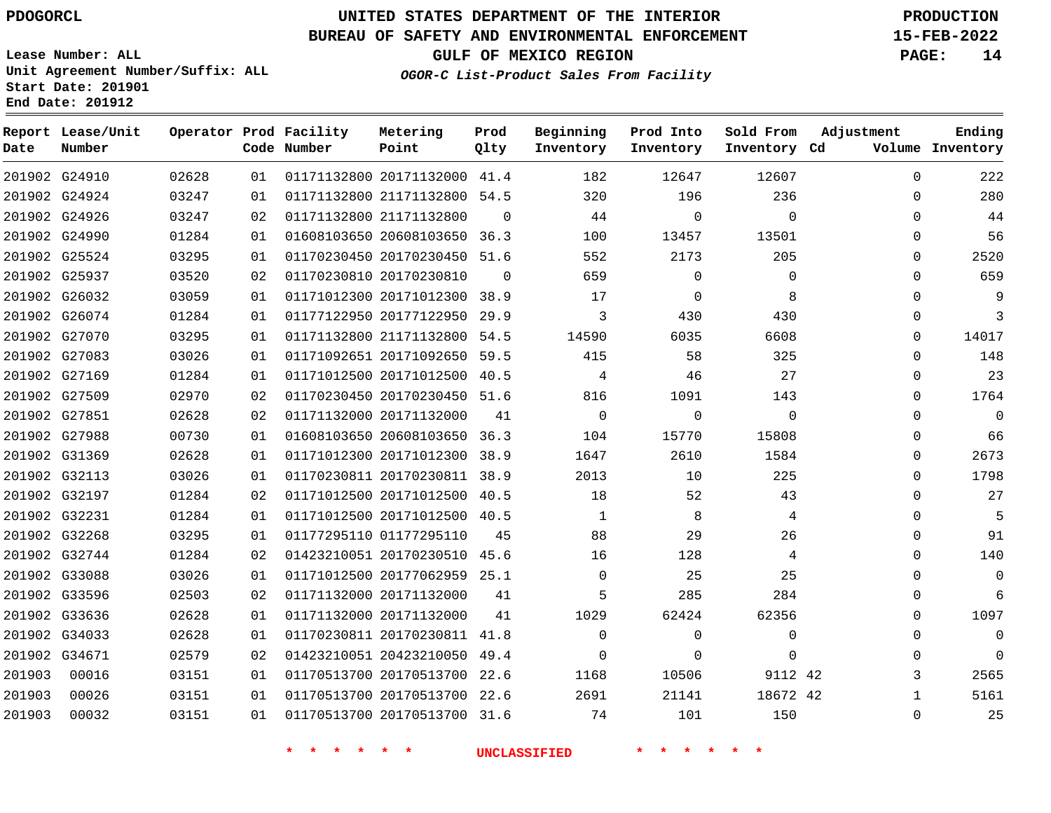**Report Lease/Unit**

# **UNITED STATES DEPARTMENT OF THE INTERIOR PDOGORCL PRODUCTION**

#### **BUREAU OF SAFETY AND ENVIRONMENTAL ENFORCEMENT 15-FEB-2022**

**Lease Number: ALL Unit Agreement Number/Suffix: ALL Start Date: 201901 End Date: 201912**

**Operator Prod Facility**

**GULF OF MEXICO REGION PAGE: 14**

**Prod**

**Metering**

**Ending**

**OGOR-C List-Product Sales From Facility**

| Date   | Number        |       |    | Code Number | Point                        | Qlty        | Inventory    | Inventory   | Inventory Cd   |              | Volume Inventory |
|--------|---------------|-------|----|-------------|------------------------------|-------------|--------------|-------------|----------------|--------------|------------------|
|        | 201902 G24910 | 02628 | 01 |             | 01171132800 20171132000 41.4 |             | 182          | 12647       | 12607          | 0            | 222              |
|        | 201902 G24924 | 03247 | 01 |             | 01171132800 21171132800 54.5 |             | 320          | 196         | 236            | $\Omega$     | 280              |
|        | 201902 G24926 | 03247 | 02 |             | 01171132800 21171132800      | $\mathbf 0$ | 44           | $\mathbf 0$ | $\mathbf 0$    | $\mathbf{0}$ | 44               |
|        | 201902 G24990 | 01284 | 01 |             | 01608103650 20608103650 36.3 |             | 100          | 13457       | 13501          | $\Omega$     | 56               |
|        | 201902 G25524 | 03295 | 01 |             | 01170230450 20170230450 51.6 |             | 552          | 2173        | 205            | 0            | 2520             |
|        | 201902 G25937 | 03520 | 02 |             | 01170230810 20170230810      | $\Omega$    | 659          | $\Omega$    | $\Omega$       | $\Omega$     | 659              |
|        | 201902 G26032 | 03059 | 01 |             | 01171012300 20171012300 38.9 |             | 17           | $\mathbf 0$ | 8              | $\mathbf{0}$ | 9                |
|        | 201902 G26074 | 01284 | 01 |             | 01177122950 20177122950 29.9 |             | 3            | 430         | 430            | $\Omega$     | 3                |
|        | 201902 G27070 | 03295 | 01 |             | 01171132800 21171132800 54.5 |             | 14590        | 6035        | 6608           | 0            | 14017            |
|        | 201902 G27083 | 03026 | 01 |             | 01171092651 20171092650 59.5 |             | 415          | 58          | 325            | 0            | 148              |
|        | 201902 G27169 | 01284 | 01 |             | 01171012500 20171012500 40.5 |             | 4            | 46          | 27             | $\Omega$     | 23               |
|        | 201902 G27509 | 02970 | 02 |             | 01170230450 20170230450 51.6 |             | 816          | 1091        | 143            | 0            | 1764             |
|        | 201902 G27851 | 02628 | 02 |             | 01171132000 20171132000      | 41          | $\Omega$     | $\Omega$    | $\Omega$       | $\Omega$     | $\Omega$         |
|        | 201902 G27988 | 00730 | 01 |             | 01608103650 20608103650      | 36.3        | 104          | 15770       | 15808          | 0            | 66               |
|        | 201902 G31369 | 02628 | 01 |             | 01171012300 20171012300 38.9 |             | 1647         | 2610        | 1584           | $\Omega$     | 2673             |
|        | 201902 G32113 | 03026 | 01 |             | 01170230811 20170230811 38.9 |             | 2013         | 10          | 225            | $\Omega$     | 1798             |
|        | 201902 G32197 | 01284 | 02 |             | 01171012500 20171012500 40.5 |             | 18           | 52          | 43             | 0            | 27               |
|        | 201902 G32231 | 01284 | 01 |             | 01171012500 20171012500 40.5 |             | $\mathbf{1}$ | 8           | 4              | $\mathbf{0}$ | 5                |
|        | 201902 G32268 | 03295 | 01 |             | 01177295110 01177295110      | 45          | 88           | 29          | 26             | 0            | 91               |
|        | 201902 G32744 | 01284 | 02 |             | 01423210051 20170230510 45.6 |             | 16           | 128         | $\overline{4}$ | $\mathbf{0}$ | 140              |
|        | 201902 G33088 | 03026 | 01 |             | 01171012500 20177062959 25.1 |             | $\mathbf 0$  | 25          | 25             | $\mathbf{0}$ | $\mathbf 0$      |
|        | 201902 G33596 | 02503 | 02 |             | 01171132000 20171132000      | 41          | 5            | 285         | 284            | 0            | 6                |
|        | 201902 G33636 | 02628 | 01 |             | 01171132000 20171132000      | 41          | 1029         | 62424       | 62356          | 0            | 1097             |
|        | 201902 G34033 | 02628 | 01 |             | 01170230811 20170230811 41.8 |             | $\mathbf 0$  | $\Omega$    | $\Omega$       | 0            | $\mathbf 0$      |
|        | 201902 G34671 | 02579 | 02 |             | 01423210051 20423210050 49.4 |             | $\mathbf 0$  | $\Omega$    | $\Omega$       | 0            | $\mathbf 0$      |
| 201903 | 00016         | 03151 | 01 |             | 01170513700 20170513700 22.6 |             | 1168         | 10506       | 9112 42        | 3            | 2565             |
| 201903 | 00026         | 03151 | 01 |             | 01170513700 20170513700 22.6 |             | 2691         | 21141       | 18672 42       | $\mathbf{1}$ | 5161             |
| 201903 | 00032         | 03151 | 01 |             | 01170513700 20170513700 31.6 |             | 74           | 101         | 150            | $\mathbf 0$  | 25               |

**\* \* \* \* \* \* UNCLASSIFIED \* \* \* \* \* \***

**Beginning Prod Into Sold From Adjustment**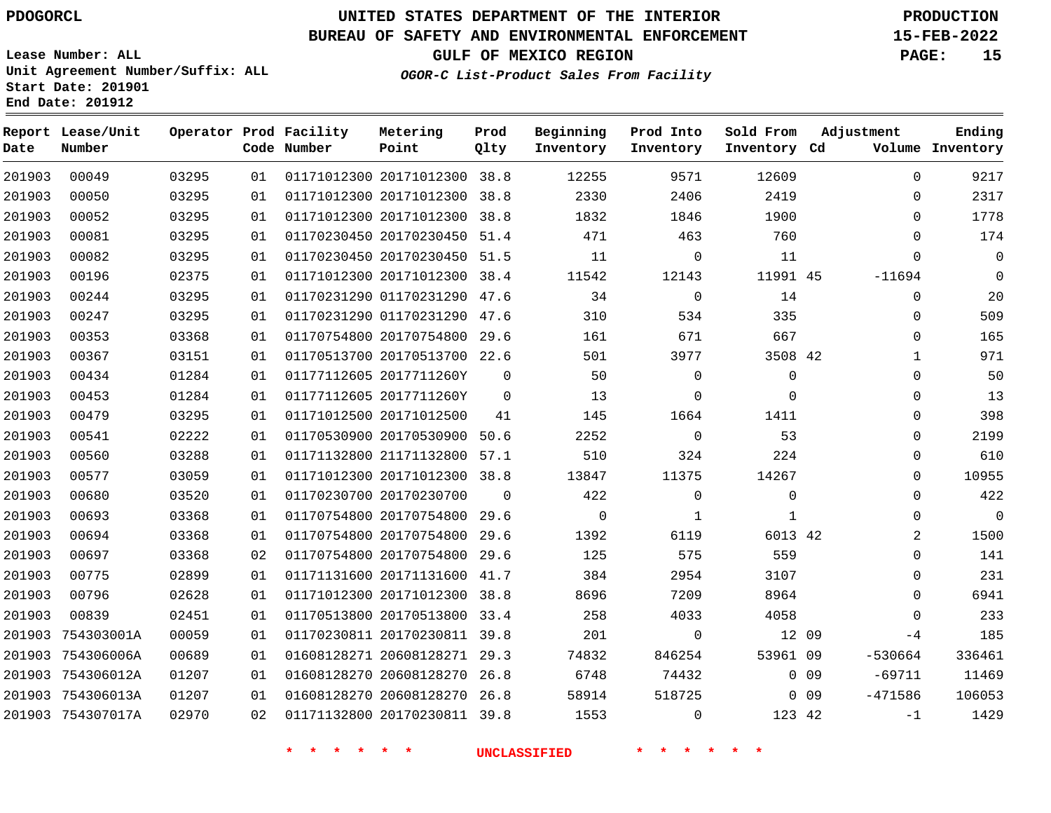**Report Lease/Unit**

**Number**

**Date**

# **UNITED STATES DEPARTMENT OF THE INTERIOR PDOGORCL PRODUCTION**

#### **BUREAU OF SAFETY AND ENVIRONMENTAL ENFORCEMENT 15-FEB-2022**

**Lease Number: ALL Unit Agreement Number/Suffix: ALL Start Date: 201901 End Date: 201912**

**Operator Prod Facility**

**Code Number**

 20171012300 38.8 20171012300 38.8 20171012300 38.8 20170230450 51.4 20170230450 51.5 20171012300 38.4 01170231290 47.6

**Metering Point**

**Prod Qlty**

**Ending**

**GULF OF MEXICO REGION PAGE: 15**

**Inventory Cd Volume**

**Adjustment**

-11694

 $\Omega$ 

  $\Omega$  $\Omega$  $\Omega$  $\Omega$ 

**OGOR-C List-Product Sales From Facility**

**Prod Into Inventory**

**Beginning Inventory**

| 201903 | 00247             | 03295 | 01 | 01170231290 01170231290 | 47.6 | 310            | 534          | 335      |                              | 509<br>0                |
|--------|-------------------|-------|----|-------------------------|------|----------------|--------------|----------|------------------------------|-------------------------|
| 201903 | 00353             | 03368 | 01 | 01170754800 20170754800 | 29.6 | 161            | 671          | 667      |                              | 165<br>0                |
| 201903 | 00367             | 03151 | 01 | 01170513700 20170513700 | 22.6 | 501            | 3977         | 3508 42  |                              | 971                     |
| 201903 | 00434             | 01284 | 01 | 01177112605 2017711260Y |      | $\Omega$<br>50 | $\mathbf 0$  | $\Omega$ |                              | 50<br>0                 |
| 201903 | 00453             | 01284 | 01 | 01177112605 2017711260Y |      | 13<br>$\Omega$ | 0            | $\Omega$ |                              | 0<br>13                 |
| 201903 | 00479             | 03295 | 01 | 01171012500 20171012500 | 41   | 145            | 1664         | 1411     |                              | 398<br>$\Omega$         |
| 201903 | 00541             | 02222 | 01 | 01170530900 20170530900 | 50.6 | 2252           | 0            | 53       |                              | 2199<br>0               |
| 201903 | 00560             | 03288 | 01 | 01171132800 21171132800 | 57.1 | 510            | 324          | 224      |                              | 610<br>0                |
| 201903 | 00577             | 03059 | 01 | 01171012300 20171012300 | 38.8 | 13847          | 11375        | 14267    |                              | 10955<br>0              |
| 201903 | 00680             | 03520 | 01 | 01170230700 20170230700 |      | 422<br>0       | $\mathbf{0}$ | $\Omega$ |                              | 422<br>0                |
| 201903 | 00693             | 03368 | 01 | 01170754800 20170754800 | 29.6 | $\mathbf 0$    |              |          |                              | $\Omega$<br>$\mathbf 0$ |
| 201903 | 00694             | 03368 | 01 | 01170754800 20170754800 | 29.6 | 1392           | 6119         | 6013 42  |                              | 2<br>1500               |
| 201903 | 00697             | 03368 | 02 | 01170754800 20170754800 | 29.6 | 125            | 575          | 559      |                              | 141<br>0                |
| 201903 | 00775             | 02899 | 01 | 01171131600 20171131600 | 41.7 | 384            | 2954         | 3107     |                              | 231<br>$\Omega$         |
| 201903 | 00796             | 02628 | 01 | 01171012300 20171012300 | 38.8 | 8696           | 7209         | 8964     |                              | 6941<br>0               |
| 201903 | 00839             | 02451 | 01 | 01170513800 20170513800 | 33.4 | 258            | 4033         | 4058     |                              | 233<br>$\Omega$         |
| 201903 | 754303001A        | 00059 | 01 | 01170230811 20170230811 | 39.8 | 201            | $\mathbf 0$  | 12       | 09                           | 185<br>$-4$             |
| 201903 | 754306006A        | 00689 | 01 | 01608128271 20608128271 | 29.3 | 74832          | 846254       | 53961 09 | $-530664$                    | 336461                  |
| 201903 | 754306012A        | 01207 | 01 | 01608128270 20608128270 | 26.8 | 6748           | 74432        |          | 0 <sub>09</sub><br>$-69711$  | 11469                   |
| 201903 | 754306013A        | 01207 | 01 | 01608128270 20608128270 | 26.8 | 58914          | 518725       |          | 0 <sub>09</sub><br>$-471586$ | 106053                  |
|        | 201903 754307017A | 02970 | 02 | 01171132800 20170230811 | 39.8 | 1553           | $\mathbf{0}$ | 123 42   |                              | 1429<br>$-1$            |

**\* \* \* \* \* \* UNCLASSIFIED \* \* \* \* \* \***

45

**Sold From Inventory**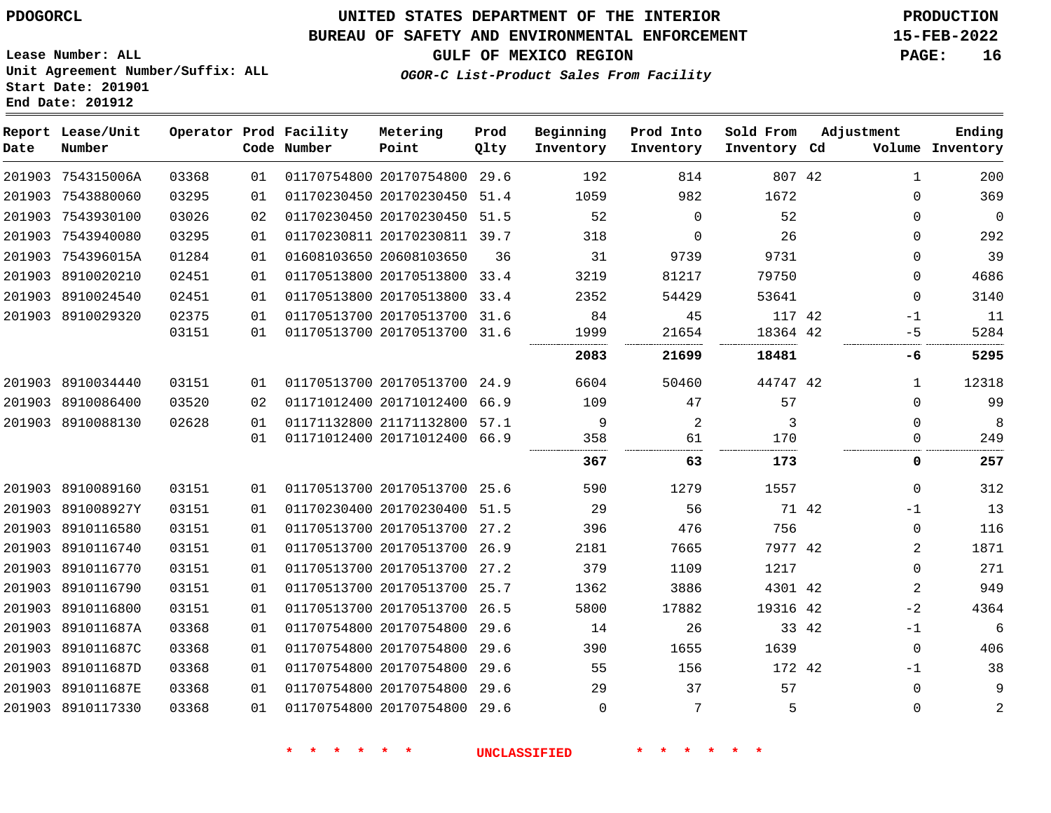**Start Date: 201901 End Date: 201912**

# **UNITED STATES DEPARTMENT OF THE INTERIOR PDOGORCL PRODUCTION**

### **BUREAU OF SAFETY AND ENVIRONMENTAL ENFORCEMENT 15-FEB-2022**

**Lease Number: ALL Unit Agreement Number/Suffix: ALL**

**GULF OF MEXICO REGION PAGE: 16**

**OGOR-C List-Product Sales From Facility**

| Date | Report Lease/Unit<br>Number |       |    | Operator Prod Facility<br>Code Number | Metering<br>Point            | Prod<br>Qlty | Beginning<br>Inventory | Prod Into<br>Inventory | Sold From<br>Inventory Cd | Adjustment     | Ending<br>Volume Inventory |
|------|-----------------------------|-------|----|---------------------------------------|------------------------------|--------------|------------------------|------------------------|---------------------------|----------------|----------------------------|
|      | 201903 754315006A           | 03368 | 01 |                                       | 01170754800 20170754800 29.6 |              | 192                    | 814                    | 807 42                    | 1              | 200                        |
|      | 201903 7543880060           | 03295 | 01 |                                       | 01170230450 20170230450      | 51.4         | 1059                   | 982                    | 1672                      | 0              | 369                        |
|      | 201903 7543930100           | 03026 | 02 |                                       | 01170230450 20170230450      | 51.5         | 52                     | $\mathbf 0$            | 52                        | 0              | 0                          |
|      | 201903 7543940080           | 03295 | 01 |                                       | 01170230811 20170230811 39.7 |              | 318                    | $\mathbf 0$            | 26                        | 0              | 292                        |
|      | 201903 754396015A           | 01284 | 01 |                                       | 01608103650 20608103650      | 36           | 31                     | 9739                   | 9731                      | 0              | 39                         |
|      | 201903 8910020210           | 02451 | 01 |                                       | 01170513800 20170513800 33.4 |              | 3219                   | 81217                  | 79750                     | 0              | 4686                       |
|      | 201903 8910024540           | 02451 | 01 |                                       | 01170513800 20170513800      | 33.4         | 2352                   | 54429                  | 53641                     | $\mathbf 0$    | 3140                       |
|      | 201903 8910029320           | 02375 | 01 |                                       | 01170513700 20170513700 31.6 |              | 84                     | 45                     | 117 42                    | -1             | 11                         |
|      |                             | 03151 | 01 |                                       | 01170513700 20170513700 31.6 |              | 1999                   | 21654                  | 18364 42                  | $-5$           | 5284                       |
|      |                             |       |    |                                       |                              |              | 2083                   | 21699                  | 18481                     | -6             | 5295                       |
|      | 201903 8910034440           | 03151 | 01 |                                       | 01170513700 20170513700      | 24.9         | 6604                   | 50460                  | 44747 42                  | $\mathbf{1}$   | 12318                      |
|      | 201903 8910086400           | 03520 | 02 |                                       | 01171012400 20171012400 66.9 |              | 109                    | 47                     | 57                        | $\Omega$       | 99                         |
|      | 201903 8910088130           | 02628 | 01 |                                       | 01171132800 21171132800 57.1 |              | 9                      | 2                      | 3                         | 0              | 8                          |
|      |                             |       | 01 |                                       | 01171012400 20171012400 66.9 |              | 358                    | 61                     | 170                       | 0              | 249                        |
|      |                             |       |    |                                       |                              |              | 367                    | 63                     | 173                       | 0              | 257                        |
|      | 201903 8910089160           | 03151 | 01 |                                       | 01170513700 20170513700 25.6 |              | 590                    | 1279                   | 1557                      | $\Omega$       | 312                        |
|      | 201903 891008927Y           | 03151 | 01 |                                       | 01170230400 20170230400 51.5 |              | 29                     | 56                     | 71 42                     | $-1$           | 13                         |
|      | 201903 8910116580           | 03151 | 01 |                                       | 01170513700 20170513700 27.2 |              | 396                    | 476                    | 756                       | $\mathbf 0$    | 116                        |
|      | 201903 8910116740           | 03151 | 01 |                                       | 01170513700 20170513700      | 26.9         | 2181                   | 7665                   | 7977 42                   | $\overline{2}$ | 1871                       |
|      | 201903 8910116770           | 03151 | 01 |                                       | 01170513700 20170513700 27.2 |              | 379                    | 1109                   | 1217                      | $\Omega$       | 271                        |
|      | 201903 8910116790           | 03151 | 01 |                                       | 01170513700 20170513700 25.7 |              | 1362                   | 3886                   | 4301 42                   | $\overline{2}$ | 949                        |
|      | 201903 8910116800           | 03151 | 01 |                                       | 01170513700 20170513700      | 26.5         | 5800                   | 17882                  | 19316 42                  | $-2$           | 4364                       |
|      | 201903 891011687A           | 03368 | 01 |                                       | 01170754800 20170754800      | 29.6         | 14                     | 26                     | 33 42                     | $-1$           | 6                          |
|      | 201903 891011687C           | 03368 | 01 |                                       | 01170754800 20170754800      | 29.6         | 390                    | 1655                   | 1639                      | $\mathbf 0$    | 406                        |
|      | 201903 891011687D           | 03368 | 01 |                                       | 01170754800 20170754800      | 29.6         | 55                     | 156                    | 172 42                    | $-1$           | 38                         |
|      | 201903 891011687E           | 03368 | 01 |                                       | 01170754800 20170754800      | 29.6         | 29                     | 37                     | 57                        | $\Omega$       | 9                          |
|      | 201903 8910117330           | 03368 | 01 |                                       | 01170754800 20170754800      | 29.6         | $\Omega$               | 7                      | 5                         | $\Omega$       | $\overline{2}$             |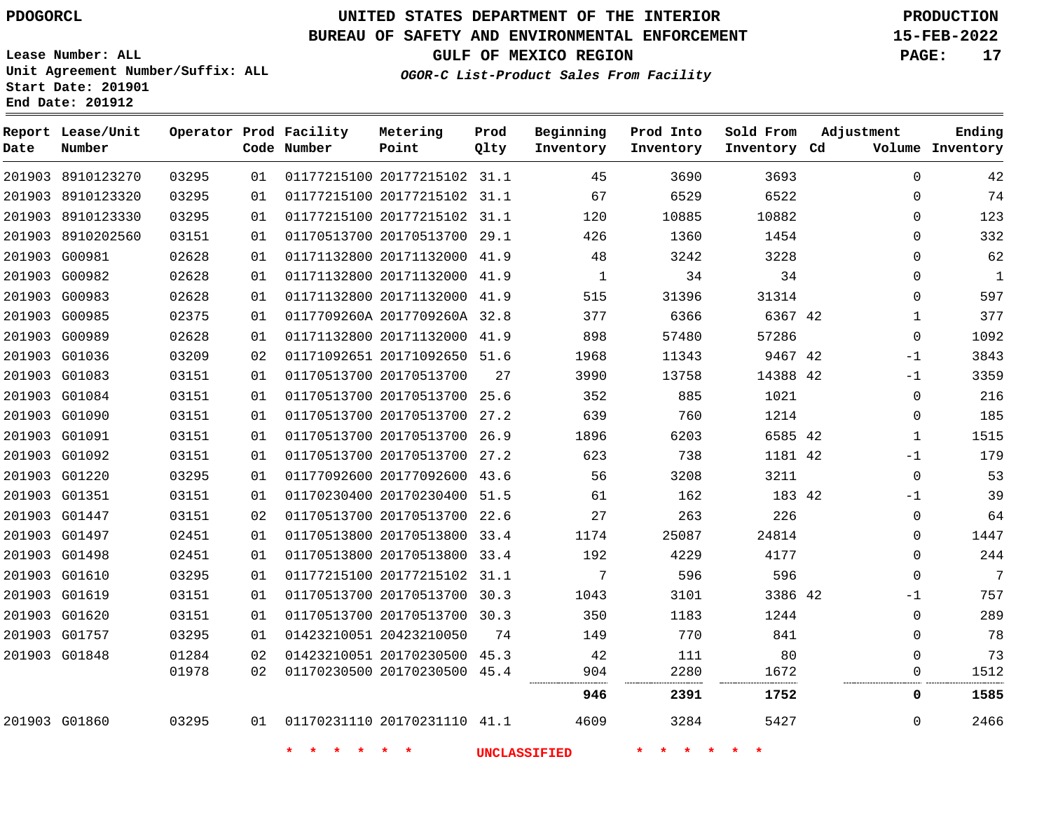**Date**

 8910123270 8910123320 8910123330 8910202560 G00981 G00982 G00983 G00985 G00989 G01036 G01083 G01084 G01090 G01091 G01092 G01220 G01351 G01447 G01497 G01498 G01610 G01619 G01620 G01757 G01848

**Report Lease/Unit**

**Number**

G01860

# **UNITED STATES DEPARTMENT OF THE INTERIOR PDOGORCL PRODUCTION**

**Prod Qlty**

#### **BUREAU OF SAFETY AND ENVIRONMENTAL ENFORCEMENT 15-FEB-2022**

**Lease Number: ALL Unit Agreement Number/Suffix: ALL Start Date: 201901 End Date: 201912**

**Operator Prod Facility**

**Code Number**

 20177215102 31.1 20177215102 31.1 20177215102 31.1 20170513700 29.1 20171132000 41.9 20171132000 41.9 20171132000 41.9 0117709260A 2017709260A 32.8 20171132000 41.9 20171092650 51.6

**Metering Point**

**OGOR-C List-Product Sales From Facility**

**Prod Into Inventory**

**Beginning Inventory**

**GULF OF MEXICO REGION PAGE: 17**

**Inventory Cd Volume**

**Adjustment**

  $\Omega$  $\Omega$  $\Omega$  $\Omega$  $\Omega$  $\Omega$   $\Omega$ -1  $-1$  $\Omega$  $\overline{0}$   $-1$  $\overline{0}$  $-1$  $\Omega$  $\Omega$  $\Omega$  -1  $\Omega$   $\Omega$  $\Omega$ 

**Ending**

42

**Sold From Inventory**

9467 42

| 01170513700 20170513700 25.6<br>216<br>03151<br>352<br>885<br>1021<br>$\Omega$<br>01<br>185<br>01170513700 20170513700 27.2<br>639<br>760<br>1214<br>$\Omega$<br>03151<br>01<br>01170513700 20170513700<br>03151<br>6585 42<br>1515<br>26.9<br>1896<br>6203<br>01<br>1<br>179<br>01170513700 20170513700<br>623<br>738<br>1181 42<br>03151<br>27.2<br>01<br>$-1$<br>53<br>01177092600 20177092600<br>03295<br>56<br>3208<br>3211<br>0<br>01<br>43.6<br>39<br>03151<br>01170230400 20170230400 51.5<br>162<br>183 42<br>61<br>01<br>$-1$<br>226<br>03151<br>01170513700 20170513700<br>27<br>263<br>$\mathbf{0}$<br>64<br>02<br>22.6<br>01170513800 20170513800 33.4<br>02451<br>1174<br>25087<br>24814<br>1447<br>01<br>0<br>244<br>01170513800 20170513800 33.4<br>4229<br>02451<br>192<br>4177<br>01<br>$\Omega$<br>7<br>01177215100 20177215102 31.1<br>03295<br>7<br>596<br>596<br>$\Omega$<br>01<br>757<br>01170513700 20170513700 30.3<br>03151<br>1043<br>3101<br>3386 42<br>01<br>$-1$<br>03151<br>01170513700 20170513700 30.3<br>289<br>350<br>1183<br>1244<br>01<br>$\Omega$<br>78<br>03295<br>01423210051 20423210050<br>770<br>74<br>149<br>841<br>01<br>$\Omega$<br>73<br>01423210051 20170230500 45.3<br>01284<br>02<br>42<br>80<br>111<br>$\Omega$<br>01170230500 20170230500 45.4<br>01978<br>1672<br>1512<br>02<br>904<br>2280<br>0<br>1752<br>1585<br>946<br>2391<br>0<br>03295<br>01170231110 20170231110 41.1<br>2466<br>4609<br>3284<br>5427<br>$\Omega$<br>01<br><b>UNCLASSIFIED</b> | 03151 | 01 | 01170513700 20170513700 | 27 | 3990 | 13758 | 14388 42 | $-1$ | 3359 |
|-------------------------------------------------------------------------------------------------------------------------------------------------------------------------------------------------------------------------------------------------------------------------------------------------------------------------------------------------------------------------------------------------------------------------------------------------------------------------------------------------------------------------------------------------------------------------------------------------------------------------------------------------------------------------------------------------------------------------------------------------------------------------------------------------------------------------------------------------------------------------------------------------------------------------------------------------------------------------------------------------------------------------------------------------------------------------------------------------------------------------------------------------------------------------------------------------------------------------------------------------------------------------------------------------------------------------------------------------------------------------------------------------------------------------------------------------------------------------------------------------------------|-------|----|-------------------------|----|------|-------|----------|------|------|
|                                                                                                                                                                                                                                                                                                                                                                                                                                                                                                                                                                                                                                                                                                                                                                                                                                                                                                                                                                                                                                                                                                                                                                                                                                                                                                                                                                                                                                                                                                             |       |    |                         |    |      |       |          |      |      |
|                                                                                                                                                                                                                                                                                                                                                                                                                                                                                                                                                                                                                                                                                                                                                                                                                                                                                                                                                                                                                                                                                                                                                                                                                                                                                                                                                                                                                                                                                                             |       |    |                         |    |      |       |          |      |      |
|                                                                                                                                                                                                                                                                                                                                                                                                                                                                                                                                                                                                                                                                                                                                                                                                                                                                                                                                                                                                                                                                                                                                                                                                                                                                                                                                                                                                                                                                                                             |       |    |                         |    |      |       |          |      |      |
|                                                                                                                                                                                                                                                                                                                                                                                                                                                                                                                                                                                                                                                                                                                                                                                                                                                                                                                                                                                                                                                                                                                                                                                                                                                                                                                                                                                                                                                                                                             |       |    |                         |    |      |       |          |      |      |
|                                                                                                                                                                                                                                                                                                                                                                                                                                                                                                                                                                                                                                                                                                                                                                                                                                                                                                                                                                                                                                                                                                                                                                                                                                                                                                                                                                                                                                                                                                             |       |    |                         |    |      |       |          |      |      |
|                                                                                                                                                                                                                                                                                                                                                                                                                                                                                                                                                                                                                                                                                                                                                                                                                                                                                                                                                                                                                                                                                                                                                                                                                                                                                                                                                                                                                                                                                                             |       |    |                         |    |      |       |          |      |      |
|                                                                                                                                                                                                                                                                                                                                                                                                                                                                                                                                                                                                                                                                                                                                                                                                                                                                                                                                                                                                                                                                                                                                                                                                                                                                                                                                                                                                                                                                                                             |       |    |                         |    |      |       |          |      |      |
|                                                                                                                                                                                                                                                                                                                                                                                                                                                                                                                                                                                                                                                                                                                                                                                                                                                                                                                                                                                                                                                                                                                                                                                                                                                                                                                                                                                                                                                                                                             |       |    |                         |    |      |       |          |      |      |
|                                                                                                                                                                                                                                                                                                                                                                                                                                                                                                                                                                                                                                                                                                                                                                                                                                                                                                                                                                                                                                                                                                                                                                                                                                                                                                                                                                                                                                                                                                             |       |    |                         |    |      |       |          |      |      |
|                                                                                                                                                                                                                                                                                                                                                                                                                                                                                                                                                                                                                                                                                                                                                                                                                                                                                                                                                                                                                                                                                                                                                                                                                                                                                                                                                                                                                                                                                                             |       |    |                         |    |      |       |          |      |      |
|                                                                                                                                                                                                                                                                                                                                                                                                                                                                                                                                                                                                                                                                                                                                                                                                                                                                                                                                                                                                                                                                                                                                                                                                                                                                                                                                                                                                                                                                                                             |       |    |                         |    |      |       |          |      |      |
|                                                                                                                                                                                                                                                                                                                                                                                                                                                                                                                                                                                                                                                                                                                                                                                                                                                                                                                                                                                                                                                                                                                                                                                                                                                                                                                                                                                                                                                                                                             |       |    |                         |    |      |       |          |      |      |
|                                                                                                                                                                                                                                                                                                                                                                                                                                                                                                                                                                                                                                                                                                                                                                                                                                                                                                                                                                                                                                                                                                                                                                                                                                                                                                                                                                                                                                                                                                             |       |    |                         |    |      |       |          |      |      |
|                                                                                                                                                                                                                                                                                                                                                                                                                                                                                                                                                                                                                                                                                                                                                                                                                                                                                                                                                                                                                                                                                                                                                                                                                                                                                                                                                                                                                                                                                                             |       |    |                         |    |      |       |          |      |      |
|                                                                                                                                                                                                                                                                                                                                                                                                                                                                                                                                                                                                                                                                                                                                                                                                                                                                                                                                                                                                                                                                                                                                                                                                                                                                                                                                                                                                                                                                                                             |       |    |                         |    |      |       |          |      |      |
|                                                                                                                                                                                                                                                                                                                                                                                                                                                                                                                                                                                                                                                                                                                                                                                                                                                                                                                                                                                                                                                                                                                                                                                                                                                                                                                                                                                                                                                                                                             |       |    |                         |    |      |       |          |      |      |
|                                                                                                                                                                                                                                                                                                                                                                                                                                                                                                                                                                                                                                                                                                                                                                                                                                                                                                                                                                                                                                                                                                                                                                                                                                                                                                                                                                                                                                                                                                             |       |    |                         |    |      |       |          |      |      |
|                                                                                                                                                                                                                                                                                                                                                                                                                                                                                                                                                                                                                                                                                                                                                                                                                                                                                                                                                                                                                                                                                                                                                                                                                                                                                                                                                                                                                                                                                                             |       |    |                         |    |      |       |          |      |      |
|                                                                                                                                                                                                                                                                                                                                                                                                                                                                                                                                                                                                                                                                                                                                                                                                                                                                                                                                                                                                                                                                                                                                                                                                                                                                                                                                                                                                                                                                                                             |       |    |                         |    |      |       |          |      |      |
|                                                                                                                                                                                                                                                                                                                                                                                                                                                                                                                                                                                                                                                                                                                                                                                                                                                                                                                                                                                                                                                                                                                                                                                                                                                                                                                                                                                                                                                                                                             |       |    |                         |    |      |       |          |      |      |
|                                                                                                                                                                                                                                                                                                                                                                                                                                                                                                                                                                                                                                                                                                                                                                                                                                                                                                                                                                                                                                                                                                                                                                                                                                                                                                                                                                                                                                                                                                             |       |    |                         |    |      |       |          |      |      |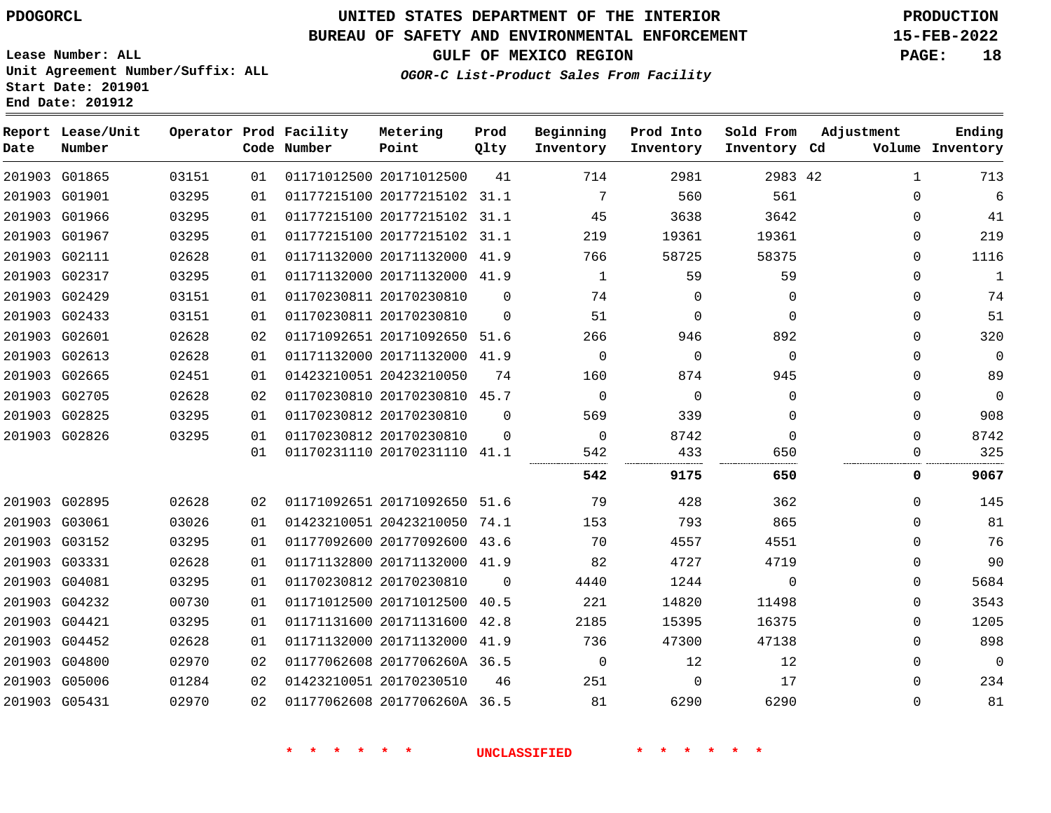# **UNITED STATES DEPARTMENT OF THE INTERIOR PDOGORCL PRODUCTION**

#### **BUREAU OF SAFETY AND ENVIRONMENTAL ENFORCEMENT 15-FEB-2022**

**Lease Number: ALL Unit Agreement Number/Suffix: ALL Start Date: 201901 End Date: 201912**

**GULF OF MEXICO REGION PAGE: 18**

**OGOR-C List-Product Sales From Facility**

| Date | Report Lease/Unit<br>Number |       |    | Operator Prod Facility<br>Code Number | Metering<br>Point            | Prod<br>Qlty | Beginning<br>Inventory | Prod Into<br>Inventory | Sold From<br>Inventory Cd | Adjustment   | Ending<br>Volume Inventory |
|------|-----------------------------|-------|----|---------------------------------------|------------------------------|--------------|------------------------|------------------------|---------------------------|--------------|----------------------------|
|      | 201903 G01865               | 03151 | 01 |                                       | 01171012500 20171012500      | 41           | 714                    | 2981                   | 2983 42                   | 1            | 713                        |
|      | 201903 G01901               | 03295 | 01 |                                       | 01177215100 20177215102 31.1 |              | 7                      | 560                    | 561                       | $\Omega$     | 6                          |
|      | 201903 G01966               | 03295 | 01 |                                       | 01177215100 20177215102 31.1 |              | 45                     | 3638                   | 3642                      | 0            | 41                         |
|      | 201903 G01967               | 03295 | 01 |                                       | 01177215100 20177215102 31.1 |              | 219                    | 19361                  | 19361                     | $\Omega$     | 219                        |
|      | 201903 G02111               | 02628 | 01 |                                       | 01171132000 20171132000 41.9 |              | 766                    | 58725                  | 58375                     | 0            | 1116                       |
|      | 201903 G02317               | 03295 | 01 |                                       | 01171132000 20171132000 41.9 |              | 1                      | 59                     | 59                        | $\Omega$     | 1                          |
|      | 201903 G02429               | 03151 | 01 |                                       | 01170230811 20170230810      | $\Omega$     | 74                     | 0                      | 0                         | $\Omega$     | 74                         |
|      | 201903 G02433               | 03151 | 01 |                                       | 01170230811 20170230810      | $\Omega$     | 51                     | 0                      | $\Omega$                  | $\Omega$     | 51                         |
|      | 201903 G02601               | 02628 | 02 |                                       | 01171092651 20171092650      | 51.6         | 266                    | 946                    | 892                       | $\Omega$     | 320                        |
|      | 201903 G02613               | 02628 | 01 |                                       | 01171132000 20171132000 41.9 |              | $\Omega$               | $\Omega$               | $\Omega$                  | $\Omega$     | $\mathbf 0$                |
|      | 201903 G02665               | 02451 | 01 |                                       | 01423210051 20423210050      | 74           | 160                    | 874                    | 945                       | $\Omega$     | 89                         |
|      | 201903 G02705               | 02628 | 02 |                                       | 01170230810 20170230810 45.7 |              | $\mathbf 0$            | $\mathbf 0$            | $\mathbf 0$               | $\Omega$     | $\mathbf 0$                |
|      | 201903 G02825               | 03295 | 01 |                                       | 01170230812 20170230810      | $\Omega$     | 569                    | 339                    | 0                         | 0            | 908                        |
|      | 201903 G02826               | 03295 | 01 |                                       | 01170230812 20170230810      | $\Omega$     | $\Omega$               | 8742                   | $\Omega$                  | $\Omega$     | 8742                       |
|      |                             |       | 01 |                                       | 01170231110 20170231110 41.1 |              | 542                    | 433                    | 650                       | 0            | 325                        |
|      |                             |       |    |                                       |                              |              | 542                    | 9175                   | 650                       | 0            | 9067                       |
|      | 201903 G02895               | 02628 | 02 |                                       | 01171092651 20171092650 51.6 |              | 79                     | 428                    | 362                       | $\Omega$     | 145                        |
|      | 201903 G03061               | 03026 | 01 |                                       | 01423210051 20423210050 74.1 |              | 153                    | 793                    | 865                       | $\Omega$     | 81                         |
|      | 201903 G03152               | 03295 | 01 |                                       | 01177092600 20177092600 43.6 |              | 70                     | 4557                   | 4551                      | $\Omega$     | 76                         |
|      | 201903 G03331               | 02628 | 01 |                                       | 01171132800 20171132000 41.9 |              | 82                     | 4727                   | 4719                      | 0            | 90                         |
|      | 201903 G04081               | 03295 | 01 |                                       | 01170230812 20170230810      | $\Omega$     | 4440                   | 1244                   | $\Omega$                  | $\Omega$     | 5684                       |
|      | 201903 G04232               | 00730 | 01 |                                       | 01171012500 20171012500 40.5 |              | 221                    | 14820                  | 11498                     | $\Omega$     | 3543                       |
|      | 201903 G04421               | 03295 | 01 |                                       | 01171131600 20171131600 42.8 |              | 2185                   | 15395                  | 16375                     | $\Omega$     | 1205                       |
|      | 201903 G04452               | 02628 | 01 |                                       | 01171132000 20171132000 41.9 |              | 736                    | 47300                  | 47138                     | $\Omega$     | 898                        |
|      | 201903 G04800               | 02970 | 02 |                                       | 01177062608 2017706260A 36.5 |              | $\mathbf 0$            | 12                     | 12                        | $\mathbf{0}$ | $\mathbf 0$                |
|      | 201903 G05006               | 01284 | 02 |                                       | 01423210051 20170230510      | 46           | 251                    | $\Omega$               | 17                        | $\Omega$     | 234                        |
|      | 201903 G05431               | 02970 | 02 |                                       | 01177062608 2017706260A 36.5 |              | 81                     | 6290                   | 6290                      | 0            | 81                         |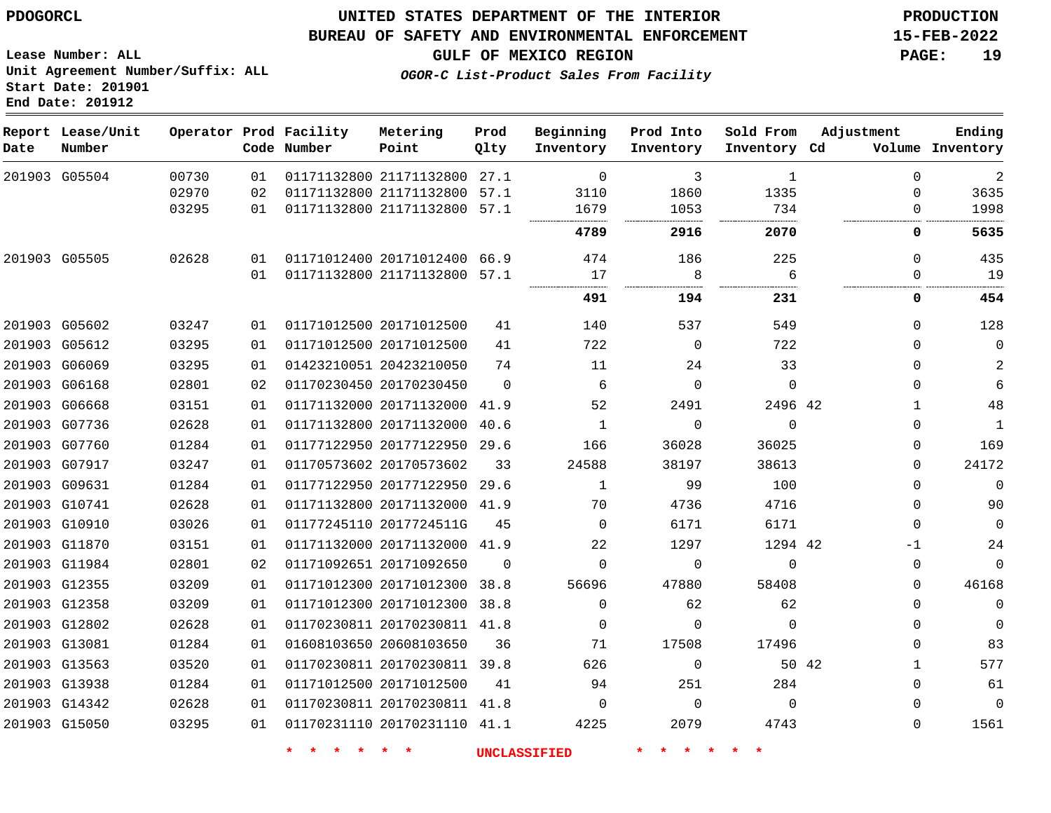#### **BUREAU OF SAFETY AND ENVIRONMENTAL ENFORCEMENT 15-FEB-2022**

**Lease Number: ALL Unit Agreement Number/Suffix: ALL Start Date: 201901 End Date: 201912**

**GULF OF MEXICO REGION PAGE: 19**

**OGOR-C List-Product Sales From Facility**

| Date | Report Lease/Unit<br>Number |       |    | Operator Prod Facility<br>Code Number | Metering<br>Point            | Prod<br>Qlty | Beginning<br>Inventory | Prod Into<br>Inventory | Sold From<br>Inventory Cd | Adjustment   | Ending<br>Volume Inventory |
|------|-----------------------------|-------|----|---------------------------------------|------------------------------|--------------|------------------------|------------------------|---------------------------|--------------|----------------------------|
|      | 201903 G05504               | 00730 | 01 |                                       | 01171132800 21171132800      | 27.1         | $\mathbf 0$            | 3                      | 1                         | $\mathbf 0$  | $\overline{a}$             |
|      |                             | 02970 | 02 |                                       | 01171132800 21171132800 57.1 |              | 3110                   | 1860                   | 1335                      | $\mathbf{0}$ | 3635                       |
|      |                             | 03295 | 01 |                                       | 01171132800 21171132800 57.1 |              | 1679                   | 1053                   | 734                       | 0            | 1998                       |
|      |                             |       |    |                                       |                              |              | 4789                   | 2916                   | 2070                      | 0            | 5635                       |
|      | 201903 G05505               | 02628 | 01 |                                       | 01171012400 20171012400 66.9 |              | 474                    | 186                    | 225                       | $\Omega$     | 435                        |
|      |                             |       | 01 |                                       | 01171132800 21171132800 57.1 |              | 17                     | 8                      | 6                         | $\Omega$     | 19                         |
|      |                             |       |    |                                       |                              |              | 491                    | 194                    | 231                       | 0            | 454                        |
|      | 201903 G05602               | 03247 | 01 |                                       | 01171012500 20171012500      | 41           | 140                    | 537                    | 549                       | $\Omega$     | 128                        |
|      | 201903 G05612               | 03295 | 01 |                                       | 01171012500 20171012500      | 41           | 722                    | $\Omega$               | 722                       | $\Omega$     | $\mathbf 0$                |
|      | 201903 G06069               | 03295 | 01 |                                       | 01423210051 20423210050      | 74           | 11                     | 24                     | 33                        | 0            | 2                          |
|      | 201903 G06168               | 02801 | 02 |                                       | 01170230450 20170230450      | $\Omega$     | 6                      | $\Omega$               | $\Omega$                  | $\Omega$     | 6                          |
|      | 201903 G06668               | 03151 | 01 |                                       | 01171132000 20171132000      | 41.9         | 52                     | 2491                   | 2496 42                   | 1            | 48                         |
|      | 201903 G07736               | 02628 | 01 |                                       | 01171132800 20171132000      | 40.6         | $\mathbf{1}$           | $\mathbf 0$            | $\mathbf 0$               | $\mathbf{0}$ | $\mathbf{1}$               |
|      | 201903 G07760               | 01284 | 01 |                                       | 01177122950 20177122950 29.6 |              | 166                    | 36028                  | 36025                     | $\Omega$     | 169                        |
|      | 201903 G07917               | 03247 | 01 |                                       | 01170573602 20170573602      | 33           | 24588                  | 38197                  | 38613                     | $\Omega$     | 24172                      |
|      | 201903 G09631               | 01284 | 01 |                                       | 01177122950 20177122950      | 29.6         | 1                      | 99                     | 100                       | $\Omega$     | $\mathbf 0$                |
|      | 201903 G10741               | 02628 | 01 |                                       | 01171132800 20171132000 41.9 |              | 70                     | 4736                   | 4716                      | $\mathbf 0$  | 90                         |
|      | 201903 G10910               | 03026 | 01 |                                       | 01177245110 2017724511G      | 45           | $\mathbf 0$            | 6171                   | 6171                      | $\Omega$     | $\mathbf 0$                |
|      | 201903 G11870               | 03151 | 01 |                                       | 01171132000 20171132000 41.9 |              | 22                     | 1297                   | 1294 42                   | $-1$         | 24                         |
|      | 201903 G11984               | 02801 | 02 |                                       | 01171092651 20171092650      | $\Omega$     | $\Omega$               | $\Omega$               | $\Omega$                  | $\mathbf 0$  | $\Omega$                   |
|      | 201903 G12355               | 03209 | 01 |                                       | 01171012300 20171012300      | 38.8         | 56696                  | 47880                  | 58408                     | $\Omega$     | 46168                      |
|      | 201903 G12358               | 03209 | 01 |                                       | 01171012300 20171012300 38.8 |              | 0                      | 62                     | 62                        | $\mathbf 0$  | $\mathsf{O}$               |
|      | 201903 G12802               | 02628 | 01 |                                       | 01170230811 20170230811 41.8 |              | 0                      | $\Omega$               | $\Omega$                  | $\Omega$     | $\mathbf 0$                |
|      | 201903 G13081               | 01284 | 01 |                                       | 01608103650 20608103650      | 36           | 71                     | 17508                  | 17496                     | $\mathbf{0}$ | 83                         |
|      | 201903 G13563               | 03520 | 01 |                                       | 01170230811 20170230811 39.8 |              | 626                    | $\mathbf 0$            |                           | 50 42<br>1   | 577                        |
|      | 201903 G13938               | 01284 | 01 |                                       | 01171012500 20171012500      | 41           | 94                     | 251                    | 284                       | $\mathbf{0}$ | 61                         |
|      | 201903 G14342               | 02628 | 01 |                                       | 01170230811 20170230811 41.8 |              | $\Omega$               | $\mathbf 0$            | $\Omega$                  | $\mathbf 0$  | 0                          |
|      | 201903 G15050               | 03295 | 01 |                                       | 01170231110 20170231110 41.1 |              | 4225                   | 2079                   | 4743                      | 0            | 1561                       |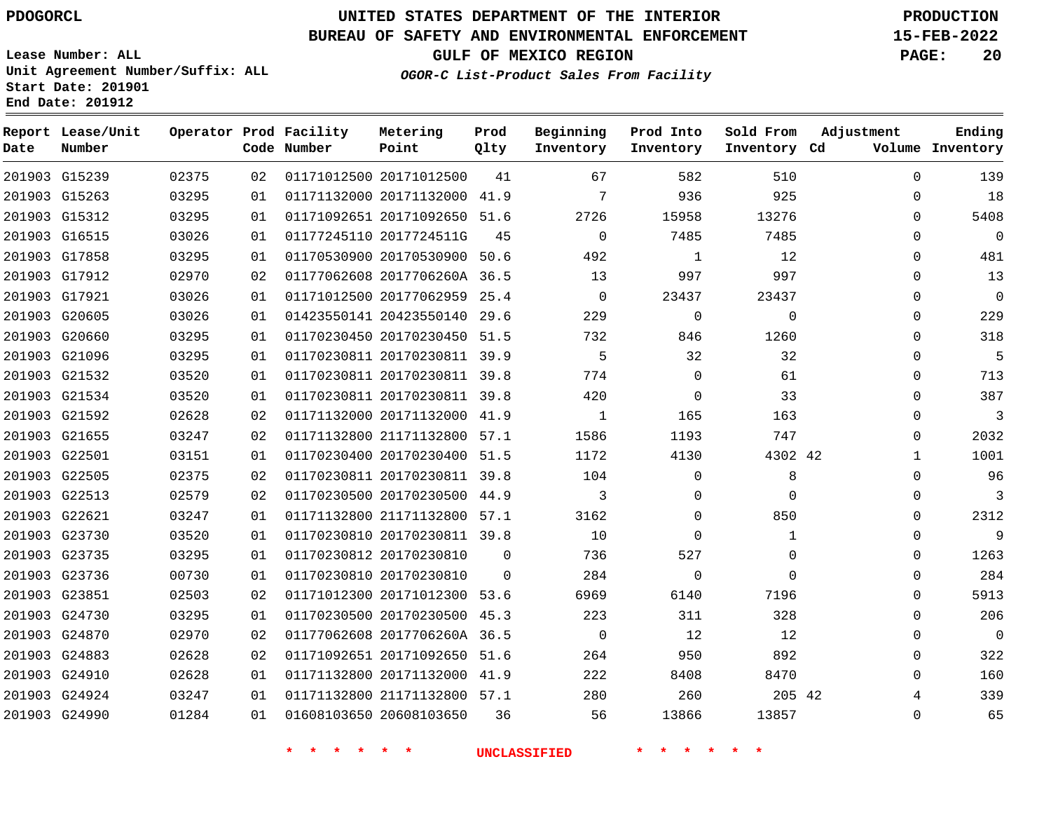### **BUREAU OF SAFETY AND ENVIRONMENTAL ENFORCEMENT 15-FEB-2022**

**Lease Number: ALL Unit Agreement Number/Suffix: ALL Start Date: 201901 End Date: 201912**

**OGOR-C List-Product Sales From Facility**

**GULF OF MEXICO REGION PAGE: 20**

| Date          | Report Lease/Unit<br>Number |       |    | Operator Prod Facility<br>Code Number | Metering<br>Point            | Prod<br>Qlty | Beginning<br>Inventory | Prod Into<br>Inventory | Sold From<br>Inventory Cd | Adjustment   | Ending<br>Volume Inventory |
|---------------|-----------------------------|-------|----|---------------------------------------|------------------------------|--------------|------------------------|------------------------|---------------------------|--------------|----------------------------|
|               | 201903 G15239               | 02375 | 02 |                                       | 01171012500 20171012500      | 41           | 67                     | 582                    | 510                       | $\mathbf 0$  | 139                        |
|               | 201903 G15263               | 03295 | 01 |                                       | 01171132000 20171132000      | 41.9         | 7                      | 936                    | 925                       | $\mathbf 0$  | 18                         |
|               | 201903 G15312               | 03295 | 01 |                                       | 01171092651 20171092650 51.6 |              | 2726                   | 15958                  | 13276                     | $\Omega$     | 5408                       |
|               | 201903 G16515               | 03026 | 01 |                                       | 01177245110 2017724511G      | 45           | $\Omega$               | 7485                   | 7485                      | $\Omega$     | $\Omega$                   |
|               | 201903 G17858               | 03295 | 01 |                                       | 01170530900 20170530900 50.6 |              | 492                    | 1                      | 12                        | $\Omega$     | 481                        |
|               | 201903 G17912               | 02970 | 02 |                                       | 01177062608 2017706260A 36.5 |              | 13                     | 997                    | 997                       | $\Omega$     | 13                         |
|               | 201903 G17921               | 03026 | 01 |                                       | 01171012500 20177062959 25.4 |              | $\mathbf 0$            | 23437                  | 23437                     | $\mathbf 0$  | $\overline{0}$             |
|               | 201903 G20605               | 03026 | 01 |                                       | 01423550141 20423550140 29.6 |              | 229                    | $\mathbf 0$            | $\mathbf 0$               | $\mathbf 0$  | 229                        |
|               | 201903 G20660               | 03295 | 01 |                                       | 01170230450 20170230450 51.5 |              | 732                    | 846                    | 1260                      | $\mathbf 0$  | 318                        |
|               | 201903 G21096               | 03295 | 01 |                                       | 01170230811 20170230811 39.9 |              | 5                      | 32                     | 32                        | $\mathbf 0$  | 5                          |
|               | 201903 G21532               | 03520 | 01 |                                       | 01170230811 20170230811 39.8 |              | 774                    | $\Omega$               | 61                        | $\mathbf 0$  | 713                        |
|               | 201903 G21534               | 03520 | 01 |                                       | 01170230811 20170230811 39.8 |              | 420                    | $\mathbf 0$            | 33                        | $\Omega$     | 387                        |
|               | 201903 G21592               | 02628 | 02 |                                       | 01171132000 20171132000 41.9 |              | 1                      | 165                    | 163                       | $\mathbf 0$  | 3                          |
|               | 201903 G21655               | 03247 | 02 |                                       | 01171132800 21171132800 57.1 |              | 1586                   | 1193                   | 747                       | $\Omega$     | 2032                       |
|               | 201903 G22501               | 03151 | 01 |                                       | 01170230400 20170230400 51.5 |              | 1172                   | 4130                   | 4302 42                   | $\mathbf{1}$ | 1001                       |
|               | 201903 G22505               | 02375 | 02 |                                       | 01170230811 20170230811 39.8 |              | 104                    | $\Omega$               | 8                         | $\Omega$     | 96                         |
|               | 201903 G22513               | 02579 | 02 |                                       | 01170230500 20170230500 44.9 |              | 3                      | $\Omega$               | $\Omega$                  | $\mathbf 0$  | 3                          |
|               | 201903 G22621               | 03247 | 01 |                                       | 01171132800 21171132800 57.1 |              | 3162                   | $\Omega$               | 850                       | $\Omega$     | 2312                       |
|               | 201903 G23730               | 03520 | 01 |                                       | 01170230810 20170230811 39.8 |              | 10                     | 0                      | 1                         | $\mathbf 0$  | 9                          |
|               | 201903 G23735               | 03295 | 01 |                                       | 01170230812 20170230810      | $\Omega$     | 736                    | 527                    | $\Omega$                  | $\mathbf 0$  | 1263                       |
|               | 201903 G23736               | 00730 | 01 |                                       | 01170230810 20170230810      | 0            | 284                    | 0                      | $\mathbf 0$               | $\mathbf 0$  | 284                        |
| 201903 G23851 |                             | 02503 | 02 |                                       | 01171012300 20171012300 53.6 |              | 6969                   | 6140                   | 7196                      | $\Omega$     | 5913                       |
|               | 201903 G24730               | 03295 | 01 |                                       | 01170230500 20170230500 45.3 |              | 223                    | 311                    | 328                       | $\mathbf 0$  | 206                        |
|               | 201903 G24870               | 02970 | 02 |                                       | 01177062608 2017706260A 36.5 |              | $\Omega$               | 12                     | 12                        | $\Omega$     | $\Omega$                   |
|               | 201903 G24883               | 02628 | 02 |                                       | 01171092651 20171092650 51.6 |              | 264                    | 950                    | 892                       | 0            | 322                        |
|               | 201903 G24910               | 02628 | 01 |                                       | 01171132800 20171132000 41.9 |              | 222                    | 8408                   | 8470                      | $\Omega$     | 160                        |
|               | 201903 G24924               | 03247 | 01 |                                       | 01171132800 21171132800 57.1 |              | 280                    | 260                    | 205 42                    | 4            | 339                        |
|               | 201903 G24990               | 01284 | 01 |                                       | 01608103650 20608103650      | 36           | 56                     | 13866                  | 13857                     | $\mathbf 0$  | 65                         |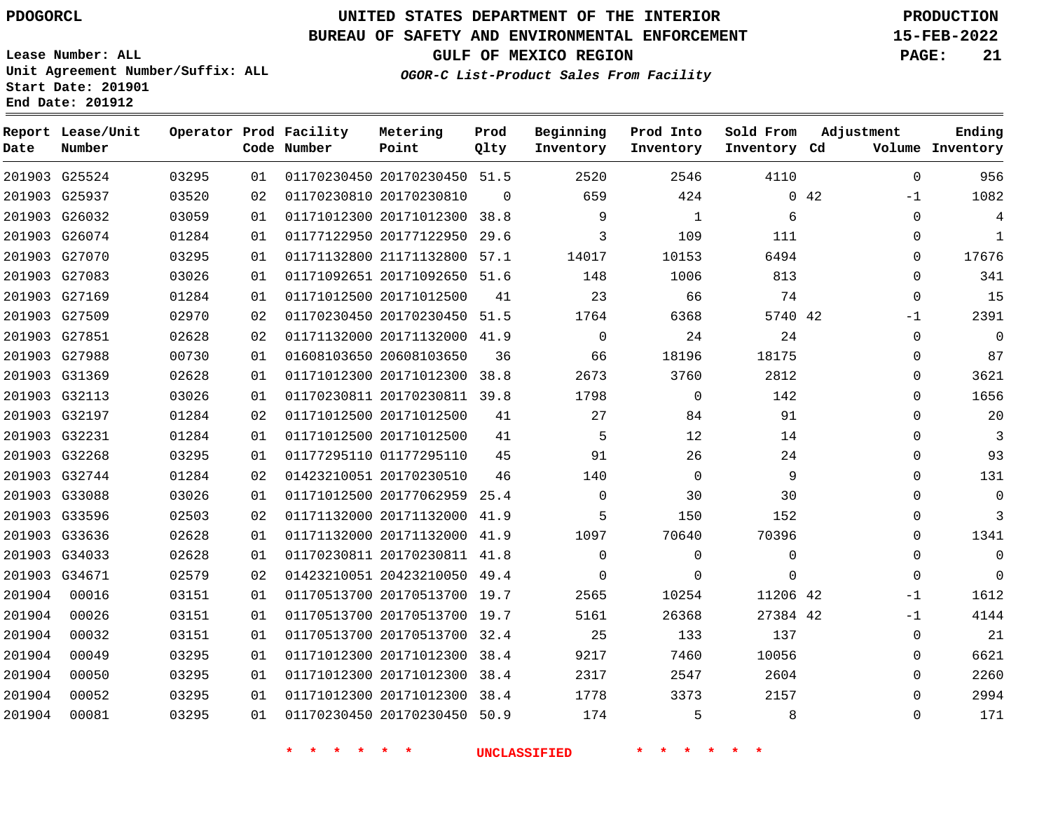G25524 G25937 G26032 G26074 G27070 G27083 G27169 G27509 G27851 G27988 G31369 G32113 G32197 G32231 G32268 G32744 G33088 G33596 G33636 G34033 G34671

**Date**

**Report Lease/Unit**

**Number**

# **UNITED STATES DEPARTMENT OF THE INTERIOR PDOGORCL PRODUCTION**

#### **BUREAU OF SAFETY AND ENVIRONMENTAL ENFORCEMENT 15-FEB-2022**

**Lease Number: ALL Unit Agreement Number/Suffix: ALL Start Date: 201901 End Date: 201912**

**Operator Prod Facility**

**Code Number**

20170230450 51.5

**Metering Point**

20171012300 38.8

20170230810

20177062959

 20171132000 41.9 20171132000 41.9 20170230811 41.8 20423210050 49.4 20170513700 19.7 20170513700 19.7 20170513700 32.4 20171012300 38.4 20171012300 38.4 20171012300 38.4 20170230450 50.9

**GULF OF MEXICO REGION PAGE: 21**

**Inventory Cd Volume**

**Adjustment**

 -1  $\Omega$  $\Omega$  $\Omega$  $\Omega$  $\Omega$ -1  $\Omega$  $\Omega$  $\Omega$  $\Omega$  $\Omega$   $\Omega$  $\Omega$  $\Omega$  $\cap$  $\Omega$  $\Omega$  -1 -1  $\Omega$   $\Omega$  $\Omega$ 

**Ending**

**OGOR-C List-Product Sales From Facility**

**Beginning Inventory**

**Prod Into Inventory**

| 111     | 109      | 3     |    | 01177122950 20177122950 29.6<br>01 | 01284 |
|---------|----------|-------|----|------------------------------------|-------|
| 6494    | 10153    | 14017 |    | 01171132800 21171132800 57.1<br>01 | 03295 |
| 813     | 1006     | 148   |    | 01171092651 20171092650 51.6<br>01 | 03026 |
| 74      | 66       | 23    | 41 | 01171012500 20171012500<br>01      | 01284 |
| 5740 42 | 6368     | 1764  |    | 01170230450 20170230450 51.5<br>02 | 02970 |
| 24      | 24       | 0     |    | 02<br>01171132000 20171132000 41.9 | 02628 |
| 18175   | 18196    | 66    | 36 | 01<br>01608103650 20608103650      | 00730 |
| 2812    | 3760     | 2673  |    | 01171012300 20171012300 38.8<br>01 | 02628 |
| 142     | $\Omega$ | 1798  |    | 01<br>01170230811 20170230811 39.8 | 03026 |
| 91      | 84       | 27    | 41 | 02<br>01171012500 20171012500      | 01284 |
| 14      | 12       | 5     | 41 | 01<br>01171012500 20171012500      | 01284 |
| 24      | 26       | 91    | 45 | 01<br>01177295110 01177295110      | 03295 |
| 9       | $\Omega$ | 140   | 46 | 02<br>01423210051 20170230510      | 01284 |

25.4

 $\Omega$ 

**Prod Qlty**

**\* \* \* \* \* \* UNCLASSIFIED \* \* \* \* \* \***

42 42

42

 

**Sold From Inventory**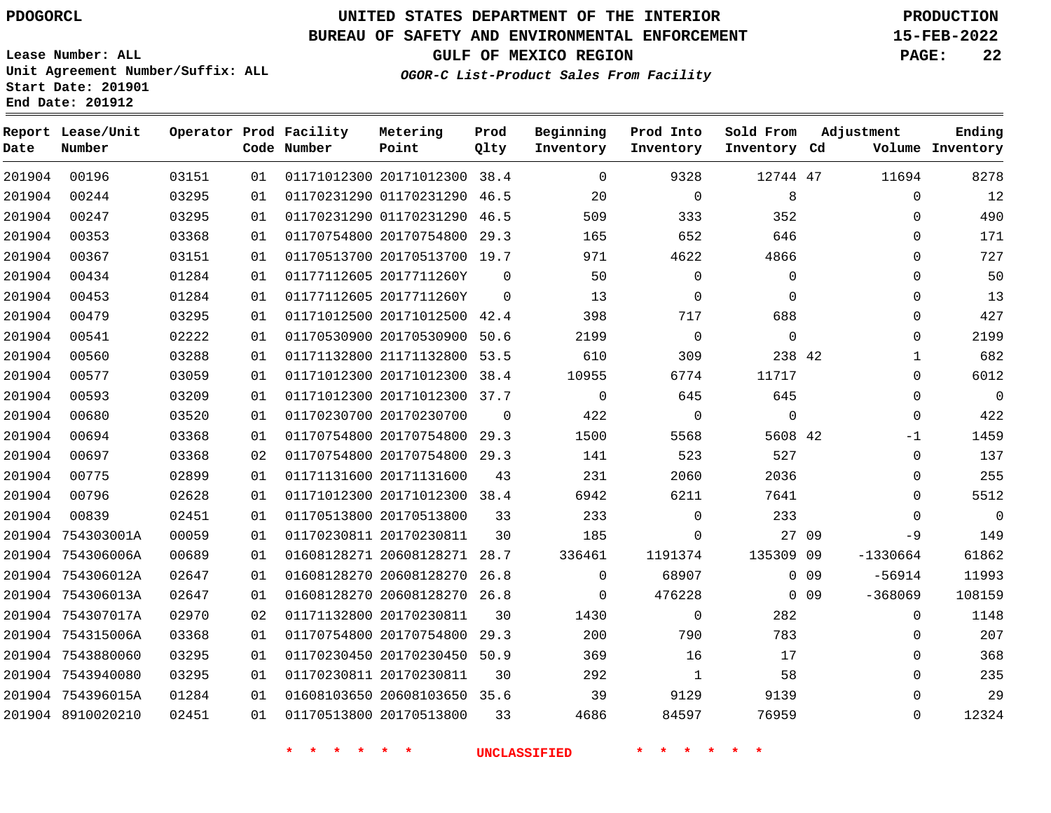**End Date: 201912**

### **UNITED STATES DEPARTMENT OF THE INTERIOR PDOGORCL PRODUCTION**

### **BUREAU OF SAFETY AND ENVIRONMENTAL ENFORCEMENT 15-FEB-2022**

**Lease Number: ALL Unit Agreement Number/Suffix: ALL Start Date: 201901**

**OGOR-C List-Product Sales From Facility**

**GULF OF MEXICO REGION PAGE: 22**

| OGOR-C LIST-Product Sales From Facility |  |  |
|-----------------------------------------|--|--|
|                                         |  |  |

| Date   | Report Lease/Unit<br>Number |       |    | Operator Prod Facility<br>Code Number | Metering<br>Point            | Prod<br>Qlty | Beginning<br>Inventory | Prod Into<br>Inventory | Sold From<br>Inventory Cd | Adjustment |              | Ending<br>Volume Inventory |
|--------|-----------------------------|-------|----|---------------------------------------|------------------------------|--------------|------------------------|------------------------|---------------------------|------------|--------------|----------------------------|
| 201904 | 00196                       | 03151 | 01 |                                       | 01171012300 20171012300 38.4 |              | $\Omega$               | 9328                   | 12744 47                  |            | 11694        | 8278                       |
| 201904 | 00244                       | 03295 | 01 |                                       | 01170231290 01170231290 46.5 |              | 20                     | $\Omega$               | 8                         |            | $\Omega$     | 12                         |
| 201904 | 00247                       | 03295 | 01 |                                       | 01170231290 01170231290      | 46.5         | 509                    | 333                    | 352                       |            | 0            | 490                        |
| 201904 | 00353                       | 03368 | 01 |                                       | 01170754800 20170754800 29.3 |              | 165                    | 652                    | 646                       |            | $\mathbf{0}$ | 171                        |
| 201904 | 00367                       | 03151 | 01 |                                       | 01170513700 20170513700 19.7 |              | 971                    | 4622                   | 4866                      |            | $\Omega$     | 727                        |
| 201904 | 00434                       | 01284 | 01 |                                       | 01177112605 2017711260Y      | $\Omega$     | 50                     | $\Omega$               | $\Omega$                  |            | $\Omega$     | 50                         |
| 201904 | 00453                       | 01284 | 01 |                                       | 01177112605 2017711260Y      | $\Omega$     | 13                     | $\mathbf 0$            | $\Omega$                  |            | $\mathbf{0}$ | 13                         |
| 201904 | 00479                       | 03295 | 01 |                                       | 01171012500 20171012500 42.4 |              | 398                    | 717                    | 688                       |            | $\Omega$     | 427                        |
| 201904 | 00541                       | 02222 | 01 |                                       | 01170530900 20170530900      | 50.6         | 2199                   | $\overline{0}$         | $\Omega$                  |            | $\Omega$     | 2199                       |
| 201904 | 00560                       | 03288 | 01 |                                       | 01171132800 21171132800      | 53.5         | 610                    | 309                    | 238 42                    |            | 1            | 682                        |
| 201904 | 00577                       | 03059 | 01 |                                       | 01171012300 20171012300      | 38.4         | 10955                  | 6774                   | 11717                     |            | $\mathbf 0$  | 6012                       |
| 201904 | 00593                       | 03209 | 01 |                                       | 01171012300 20171012300      | 37.7         | $\Omega$               | 645                    | 645                       |            | $\Omega$     | $\overline{0}$             |
| 201904 | 00680                       | 03520 | 01 |                                       | 01170230700 20170230700      | $\Omega$     | 422                    | $\overline{0}$         | $\mathbf 0$               |            | $\Omega$     | 422                        |
| 201904 | 00694                       | 03368 | 01 |                                       | 01170754800 20170754800      | 29.3         | 1500                   | 5568                   | 5608 42                   |            | $-1$         | 1459                       |
| 201904 | 00697                       | 03368 | 02 |                                       | 01170754800 20170754800 29.3 |              | 141                    | 523                    | 527                       |            | $\Omega$     | 137                        |
| 201904 | 00775                       | 02899 | 01 |                                       | 01171131600 20171131600      | 43           | 231                    | 2060                   | 2036                      |            | 0            | 255                        |
| 201904 | 00796                       | 02628 | 01 |                                       | 01171012300 20171012300 38.4 |              | 6942                   | 6211                   | 7641                      |            | $\mathbf{0}$ | 5512                       |
| 201904 | 00839                       | 02451 | 01 |                                       | 01170513800 20170513800      | 33           | 233                    | $\Omega$               | 233                       |            | $\Omega$     | $\Omega$                   |
|        | 201904 754303001A           | 00059 | 01 |                                       | 01170230811 20170230811      | 30           | 185                    | $\Omega$               |                           | 27 09      | -9           | 149                        |
|        | 201904 754306006A           | 00689 | 01 |                                       | 01608128271 20608128271      | 28.7         | 336461                 | 1191374                | 135309 09                 |            | $-1330664$   | 61862                      |
|        | 201904 754306012A           | 02647 | 01 |                                       | 01608128270 20608128270      | 26.8         | $\Omega$               | 68907                  |                           | 0.09       | $-56914$     | 11993                      |
|        | 201904 754306013A           | 02647 | 01 |                                       | 01608128270 20608128270      | 26.8         | $\mathbf 0$            | 476228                 |                           | $0\quad09$ | $-368069$    | 108159                     |
|        | 201904 754307017A           | 02970 | 02 | 01171132800 20170230811               |                              | 30           | 1430                   | $\mathbf 0$            | 282                       |            | 0            | 1148                       |
|        | 201904 754315006A           | 03368 | 01 |                                       | 01170754800 20170754800      | 29.3         | 200                    | 790                    | 783                       |            | $\Omega$     | 207                        |
|        | 201904 7543880060           | 03295 | 01 |                                       | 01170230450 20170230450      | 50.9         | 369                    | 16                     | 17                        |            | $\Omega$     | 368                        |
|        | 201904 7543940080           | 03295 | 01 | 01170230811 20170230811               |                              | 30           | 292                    | 1                      | 58                        |            | $\Omega$     | 235                        |
|        | 201904 754396015A           | 01284 | 01 |                                       | 01608103650 20608103650 35.6 |              | 39                     | 9129                   | 9139                      |            | 0            | 29                         |
|        | 201904 8910020210           | 02451 | 01 |                                       | 01170513800 20170513800      | 33           | 4686                   | 84597                  | 76959                     |            | $\Omega$     | 12324                      |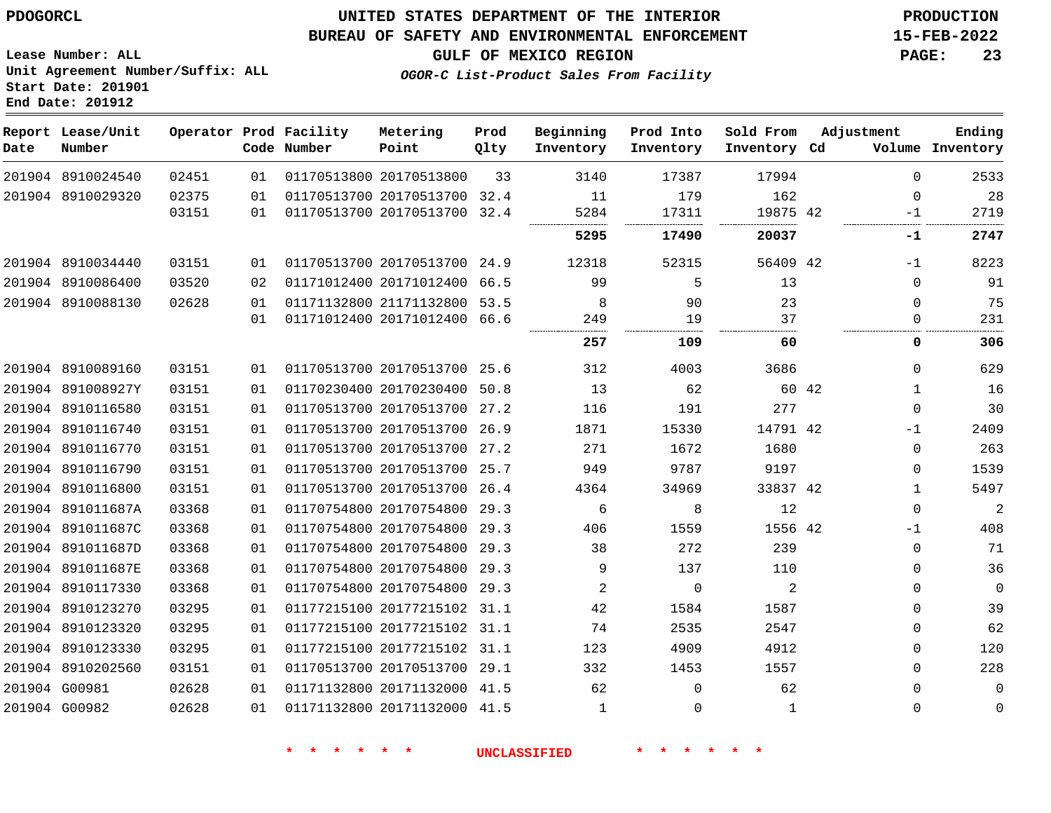#### **BUREAU OF SAFETY AND ENVIRONMENTAL ENFORCEMENT 15-FEB-2022**

**Lease Number: ALL Unit Agreement Number/Suffix: ALL Start Date: 201901**

**OGOR-C List-Product Sales From Facility**

**GULF OF MEXICO REGION PAGE: 23**

**End Date: 201912**

| Date | Report Lease/Unit<br>Number |       |    | Operator Prod Facility<br>Code Number | Metering<br>Point            | Prod<br>Qlty | Beginning<br>Inventory | Prod Into<br>Inventory | Sold From<br>Inventory Cd | Adjustment |              | Ending<br>Volume Inventory |
|------|-----------------------------|-------|----|---------------------------------------|------------------------------|--------------|------------------------|------------------------|---------------------------|------------|--------------|----------------------------|
|      | 201904 8910024540           | 02451 | 01 |                                       | 01170513800 20170513800      | 33           | 3140                   | 17387                  | 17994                     |            | $\Omega$     | 2533                       |
|      | 201904 8910029320           | 02375 | 01 |                                       | 01170513700 20170513700 32.4 |              | 11                     | 179                    | 162                       |            | $\Omega$     | 28                         |
|      |                             | 03151 | 01 |                                       | 01170513700 20170513700 32.4 |              | 5284                   | 17311                  | 19875 42                  |            | $-1$         | 2719                       |
|      |                             |       |    |                                       |                              |              | 5295                   | 17490                  | 20037                     |            | -1           | 2747                       |
|      | 201904 8910034440           | 03151 | 01 |                                       | 01170513700 20170513700 24.9 |              | 12318                  | 52315                  | 56409 42                  |            | $-1$         | 8223                       |
|      | 201904 8910086400           | 03520 | 02 |                                       | 01171012400 20171012400      | 66.5         | 99                     | 5                      | 13                        |            | $\mathbf 0$  | 91                         |
|      | 201904 8910088130           | 02628 | 01 |                                       | 01171132800 21171132800 53.5 |              | 8                      | 90                     | 23                        |            | $\mathbf 0$  | 75                         |
|      |                             |       | 01 |                                       | 01171012400 20171012400 66.6 |              | 249                    | 19                     | 37                        |            | 0            | 231                        |
|      |                             |       |    |                                       |                              |              | 257                    | 109                    | 60                        |            | 0            | 306                        |
|      | 201904 8910089160           | 03151 | 01 |                                       | 01170513700 20170513700 25.6 |              | 312                    | 4003                   | 3686                      |            | $\Omega$     | 629                        |
|      | 201904 891008927Y           | 03151 | 01 |                                       | 01170230400 20170230400 50.8 |              | 13                     | 62                     |                           | 60 42      | $\mathbf{1}$ | 16                         |
|      | 201904 8910116580           | 03151 | 01 |                                       | 01170513700 20170513700 27.2 |              | 116                    | 191                    | 277                       |            | $\mathbf 0$  | 30                         |
|      | 201904 8910116740           | 03151 | 01 |                                       | 01170513700 20170513700 26.9 |              | 1871                   | 15330                  | 14791 42                  |            | -1           | 2409                       |
|      | 201904 8910116770           | 03151 | 01 |                                       | 01170513700 20170513700 27.2 |              | 271                    | 1672                   | 1680                      |            | $\mathbf 0$  | 263                        |
|      | 201904 8910116790           | 03151 | 01 |                                       | 01170513700 20170513700 25.7 |              | 949                    | 9787                   | 9197                      |            | 0            | 1539                       |
|      | 201904 8910116800           | 03151 | 01 |                                       | 01170513700 20170513700 26.4 |              | 4364                   | 34969                  | 33837 42                  |            | $\mathbf{1}$ | 5497                       |
|      | 201904 891011687A           | 03368 | 01 |                                       | 01170754800 20170754800 29.3 |              | 6                      | 8                      | 12                        |            | $\mathbf 0$  | $\overline{a}$             |
|      | 201904 891011687C           | 03368 | 01 |                                       | 01170754800 20170754800 29.3 |              | 406                    | 1559                   | 1556 42                   |            | $-1$         | 408                        |
|      | 201904 891011687D           | 03368 | 01 |                                       | 01170754800 20170754800 29.3 |              | 38                     | 272                    | 239                       |            | $\mathbf 0$  | 71                         |
|      | 201904 891011687E           | 03368 | 01 |                                       | 01170754800 20170754800 29.3 |              | 9                      | 137                    | 110                       |            | $\mathbf 0$  | 36                         |
|      | 201904 8910117330           | 03368 | 01 |                                       | 01170754800 20170754800 29.3 |              | $\overline{c}$         | $\Omega$               | 2                         |            | $\Omega$     | $\mathbf{0}$               |
|      | 201904 8910123270           | 03295 | 01 |                                       | 01177215100 20177215102 31.1 |              | 42                     | 1584                   | 1587                      |            | $\Omega$     | 39                         |
|      | 201904 8910123320           | 03295 | 01 |                                       | 01177215100 20177215102 31.1 |              | 74                     | 2535                   | 2547                      |            | $\Omega$     | 62                         |
|      | 201904 8910123330           | 03295 | 01 |                                       | 01177215100 20177215102 31.1 |              | 123                    | 4909                   | 4912                      |            | $\Omega$     | 120                        |
|      | 201904 8910202560           | 03151 | 01 |                                       | 01170513700 20170513700 29.1 |              | 332                    | 1453                   | 1557                      |            | $\Omega$     | 228                        |
|      | 201904 G00981               | 02628 | 01 |                                       | 01171132800 20171132000 41.5 |              | 62                     | $\Omega$               | 62                        |            | $\Omega$     | $\Omega$                   |
|      | 201904 G00982               | 02628 | 01 |                                       | 01171132800 20171132000 41.5 |              | $\mathbf{1}$           | $\Omega$               | $\mathbf{1}$              |            | $\Omega$     | $\mathbf{0}$               |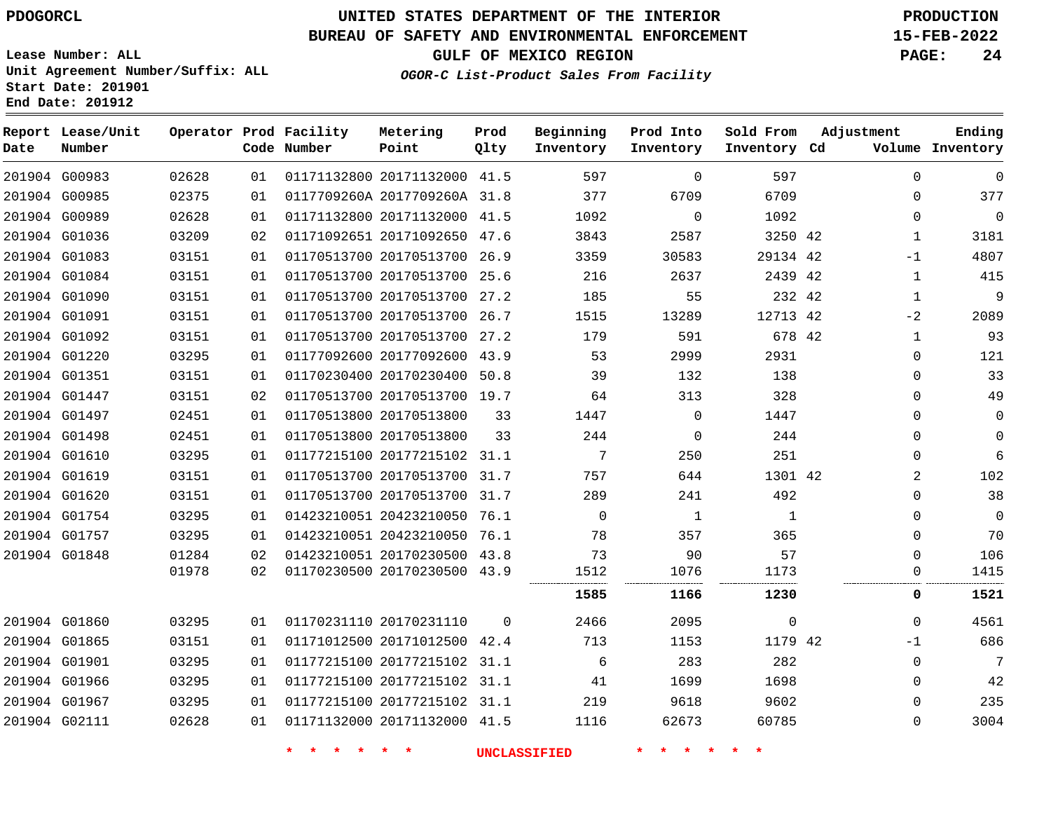# **UNITED STATES DEPARTMENT OF THE INTERIOR PDOGORCL PRODUCTION**

#### **BUREAU OF SAFETY AND ENVIRONMENTAL ENFORCEMENT 15-FEB-2022**

**Lease Number: ALL Unit Agreement Number/Suffix: ALL Start Date: 201901 End Date: 201912**

**GULF OF MEXICO REGION PAGE: 24**

**OGOR-C List-Product Sales From Facility**

| Date | Report Lease/Unit<br>Number |       |    | Operator Prod Facility<br>Code Number | Metering<br>Point            | Prod<br>Qlty | Beginning<br>Inventory | Prod Into<br>Inventory | Sold From<br>Inventory Cd | Adjustment | Ending<br>Volume Inventory |
|------|-----------------------------|-------|----|---------------------------------------|------------------------------|--------------|------------------------|------------------------|---------------------------|------------|----------------------------|
|      | 201904 G00983               | 02628 | 01 |                                       | 01171132800 20171132000 41.5 |              | 597                    | $\Omega$               | 597                       |            | $\mathbf 0$<br>$\Omega$    |
|      | 201904 G00985               | 02375 | 01 |                                       | 0117709260A 2017709260A 31.8 |              | 377                    | 6709                   | 6709                      |            | 377<br>$\Omega$            |
|      | 201904 G00989               | 02628 | 01 |                                       | 01171132800 20171132000      | 41.5         | 1092                   | $\Omega$               | 1092                      |            | $\mathbf 0$<br>$\Omega$    |
|      | 201904 G01036               | 03209 | 02 |                                       | 01171092651 20171092650 47.6 |              | 3843                   | 2587                   | 3250 42                   |            | 3181<br>$\mathbf{1}$       |
|      | 201904 G01083               | 03151 | 01 |                                       | 01170513700 20170513700      | 26.9         | 3359                   | 30583                  | 29134 42                  | $-1$       | 4807                       |
|      | 201904 G01084               | 03151 | 01 |                                       | 01170513700 20170513700      | 25.6         | 216                    | 2637                   | 2439                      | 42         | 415<br>$\mathbf{1}$        |
|      | 201904 G01090               | 03151 | 01 |                                       | 01170513700 20170513700      | 27.2         | 185                    | 55                     | 232 42                    |            | 9<br>$\mathbf{1}$          |
|      | 201904 G01091               | 03151 | 01 |                                       | 01170513700 20170513700      | 26.7         | 1515                   | 13289                  | 12713 42                  | $-2$       | 2089                       |
|      | 201904 G01092               | 03151 | 01 |                                       | 01170513700 20170513700      | 27.2         | 179                    | 591                    | 678 42                    |            | 93<br>$\mathbf{1}$         |
|      | 201904 G01220               | 03295 | 01 |                                       | 01177092600 20177092600      | 43.9         | 53                     | 2999                   | 2931                      |            | 121<br>$\Omega$            |
|      | 201904 G01351               | 03151 | 01 |                                       | 01170230400 20170230400 50.8 |              | 39                     | 132                    | 138                       |            | 33<br>$\Omega$             |
|      | 201904 G01447               | 03151 | 02 |                                       | 01170513700 20170513700      | 19.7         | 64                     | 313                    | 328                       |            | 49<br>$\Omega$             |
|      | 201904 G01497               | 02451 | 01 |                                       | 01170513800 20170513800      | 33           | 1447                   | $\Omega$               | 1447                      |            | $\Omega$<br>$\mathbf 0$    |
|      | 201904 G01498               | 02451 | 01 |                                       | 01170513800 20170513800      | 33           | 244                    | $\Omega$               | 244                       |            | $\Omega$<br>$\mathbf 0$    |
|      | 201904 G01610               | 03295 | 01 |                                       | 01177215100 20177215102      | 31.1         | 7                      | 250                    | 251                       |            | 6<br>$\mathbf 0$           |
|      | 201904 G01619               | 03151 | 01 |                                       | 01170513700 20170513700 31.7 |              | 757                    | 644                    | 1301 42                   |            | 2<br>102                   |
|      | 201904 G01620               | 03151 | 01 |                                       | 01170513700 20170513700      | 31.7         | 289                    | 241                    | 492                       |            | 38<br>$\Omega$             |
|      | 201904 G01754               | 03295 | 01 |                                       | 01423210051 20423210050      | 76.1         | $\Omega$               | -1                     |                           |            | $\mathbf 0$<br>0           |
|      | 201904 G01757               | 03295 | 01 |                                       | 01423210051 20423210050      | 76.1         | 78                     | 357                    | 365                       |            | 70<br>0                    |
|      | 201904 G01848               | 01284 | 02 |                                       | 01423210051 20170230500 43.8 |              | 73                     | 90                     | 57                        |            | 106<br>0                   |
|      |                             | 01978 | 02 |                                       | 01170230500 20170230500      | 43.9         | 1512                   | 1076                   | 1173                      |            | 1415<br>$\Omega$           |
|      |                             |       |    |                                       |                              |              | 1585                   | 1166                   | 1230                      |            | 1521<br>0                  |

| 201904 G01860 | 03295 | 01 | 01170231110 20170231110      |      | 2466 | 2095  |         | $\cup$   | 4561 |
|---------------|-------|----|------------------------------|------|------|-------|---------|----------|------|
| 201904 G01865 | 03151 | 01 | 01171012500 20171012500      | 42.4 | 713  | 1153  | 1179 42 | -1       | 686  |
| 201904 G01901 | 03295 | 01 | 01177215100 20177215102 31.1 |      |      | 283   | 282     | $\Omega$ | 7    |
| 201904 G01966 | 03295 | 01 | 01177215100 20177215102 31.1 |      | 41   | 1699  | 1698    | 0        | 42   |
| 201904 G01967 | 03295 | 01 | 01177215100 20177215102 31.1 |      | 219  | 9618  | 9602    | $\Omega$ | 235  |
| 201904 G02111 | 02628 |    | 01171132000 20171132000      | 41.5 | 1116 | 62673 | 60785   | 0        | 3004 |
|               |       |    |                              |      |      |       |         |          |      |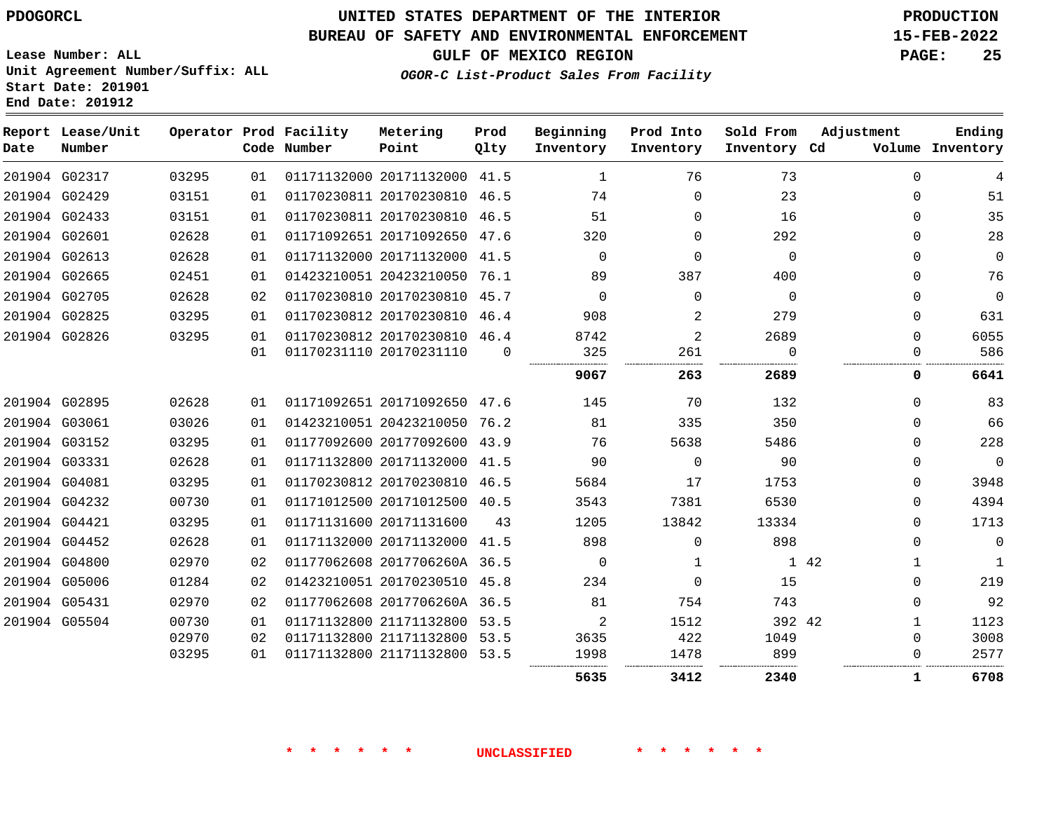### **BUREAU OF SAFETY AND ENVIRONMENTAL ENFORCEMENT 15-FEB-2022**

**Lease Number: ALL Unit Agreement Number/Suffix: ALL Start Date: 201901 End Date: 201912**

**GULF OF MEXICO REGION PAGE: 25**

**OGOR-C List-Product Sales From Facility**

| Date | Report Lease/Unit<br>Number |       |    | Operator Prod Facility<br>Code Number | Metering<br>Point            | Prod<br>Qlty | Beginning<br>Inventory | Prod Into<br>Inventory | Sold From<br>Inventory Cd | Adjustment           | Ending<br>Volume Inventory |
|------|-----------------------------|-------|----|---------------------------------------|------------------------------|--------------|------------------------|------------------------|---------------------------|----------------------|----------------------------|
|      | 201904 G02317               | 03295 | 01 |                                       | 01171132000 20171132000 41.5 |              | 1                      | 76                     | 73                        | $\Omega$             | 4                          |
|      | 201904 G02429               | 03151 | 01 |                                       | 01170230811 20170230810      | 46.5         | 74                     | $\Omega$               | 23                        | 0                    | 51                         |
|      | 201904 G02433               | 03151 | 01 |                                       | 01170230811 20170230810 46.5 |              | 51                     | $\Omega$               | 16                        | $\Omega$             | 35                         |
|      | 201904 G02601               | 02628 | 01 |                                       | 01171092651 20171092650 47.6 |              | 320                    | $\Omega$               | 292                       | $\Omega$             | 28                         |
|      | 201904 G02613               | 02628 | 01 |                                       | 01171132000 20171132000      | 41.5         | $\Omega$               | 0                      | $\Omega$                  | $\Omega$             | $\mathbf 0$                |
|      | 201904 G02665               | 02451 | 01 |                                       | 01423210051 20423210050 76.1 |              | 89                     | 387                    | 400                       | 0                    | 76                         |
|      | 201904 G02705               | 02628 | 02 |                                       | 01170230810 20170230810 45.7 |              | $\Omega$               | $\Omega$               | $\Omega$                  | $\Omega$             | $\mathbf 0$                |
|      | 201904 G02825               | 03295 | 01 |                                       | 01170230812 20170230810      | 46.4         | 908                    | 2                      | 279                       | 0                    | 631                        |
|      | 201904 G02826               | 03295 | 01 |                                       | 01170230812 20170230810 46.4 |              | 8742                   | $\overline{2}$         | 2689                      | $\Omega$             | 6055                       |
|      |                             |       | 01 |                                       | 01170231110 20170231110      | $\Omega$     | 325                    | 261                    | $\Omega$                  | 0                    | 586                        |
|      |                             |       |    |                                       |                              |              | 9067                   | 263                    | 2689                      | 0                    | 6641                       |
|      | 201904 G02895               | 02628 | 01 |                                       | 01171092651 20171092650 47.6 |              | 145                    | 70                     | 132                       | $\Omega$             | 83                         |
|      | 201904 G03061               | 03026 | 01 |                                       | 01423210051 20423210050 76.2 |              | 81                     | 335                    | 350                       | 0                    | 66                         |
|      | 201904 G03152               | 03295 | 01 |                                       | 01177092600 20177092600 43.9 |              | 76                     | 5638                   | 5486                      | $\Omega$             | 228                        |
|      | 201904 G03331               | 02628 | 01 |                                       | 01171132800 20171132000 41.5 |              | 90                     | $\Omega$               | 90                        | 0                    | $\mathbf 0$                |
|      | 201904 G04081               | 03295 | 01 |                                       | 01170230812 20170230810      | 46.5         | 5684                   | 17                     | 1753                      | 0                    | 3948                       |
|      | 201904 G04232               | 00730 | 01 |                                       | 01171012500 20171012500 40.5 |              | 3543                   | 7381                   | 6530                      | 0                    | 4394                       |
|      | 201904 G04421               | 03295 | 01 |                                       | 01171131600 20171131600      | 43           | 1205                   | 13842                  | 13334                     | $\Omega$             | 1713                       |
|      | 201904 G04452               | 02628 | 01 |                                       | 01171132000 20171132000      | 41.5         | 898                    | 0                      | 898                       | 0                    | $\mathbf 0$                |
|      | 201904 G04800               | 02970 | 02 |                                       | 01177062608 2017706260A 36.5 |              | $\Omega$               | $\mathbf{1}$           |                           | 1 42<br>$\mathbf{1}$ | 1                          |
|      | 201904 G05006               | 01284 | 02 |                                       | 01423210051 20170230510 45.8 |              | 234                    | $\Omega$               | 15                        | 0                    | 219                        |
|      | 201904 G05431               | 02970 | 02 |                                       | 01177062608 2017706260A 36.5 |              | 81                     | 754                    | 743                       | 0                    | 92                         |
|      | 201904 G05504               | 00730 | 01 |                                       | 01171132800 21171132800 53.5 |              | 2                      | 1512                   | 392 42                    | 1                    | 1123                       |
|      |                             | 02970 | 02 |                                       | 01171132800 21171132800      | 53.5         | 3635                   | 422                    | 1049                      | $\Omega$             | 3008                       |
|      |                             | 03295 | 01 |                                       | 01171132800 21171132800 53.5 |              | 1998                   | 1478                   | 899                       | 0                    | 2577                       |
|      |                             |       |    |                                       |                              |              | 5635                   | 3412                   | 2340                      | 1                    | 6708                       |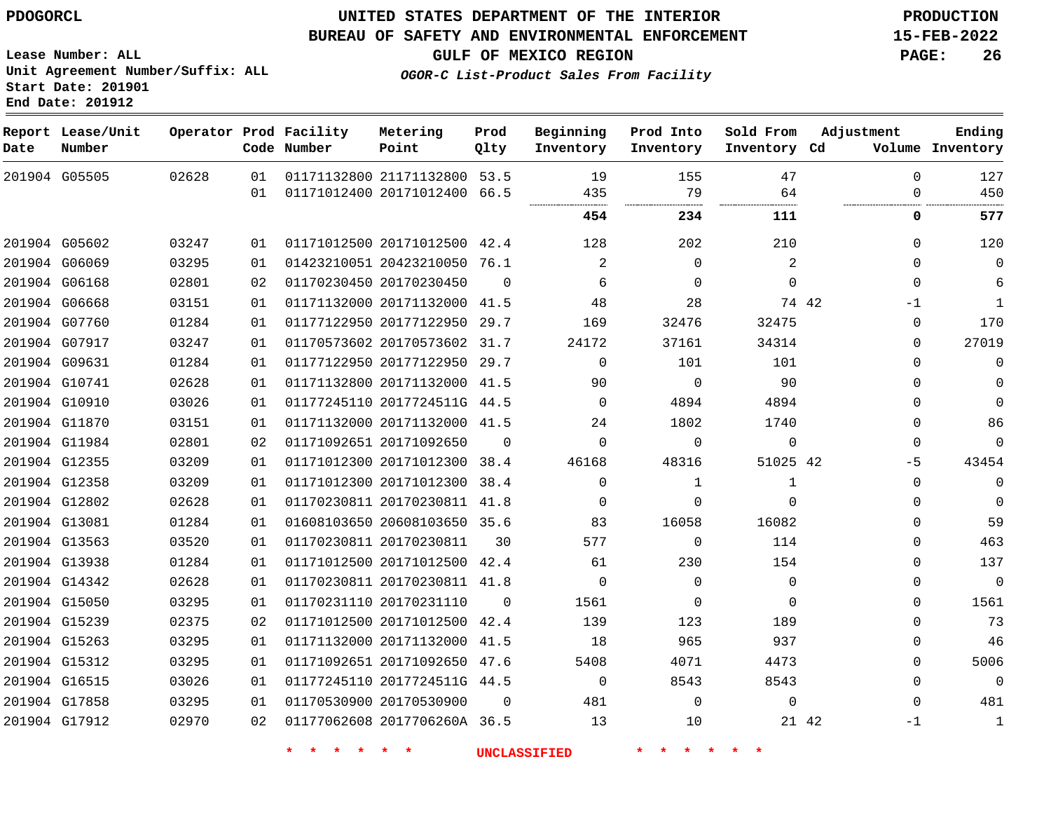### **UNITED STATES DEPARTMENT OF THE INTERIOR PDOGORCL PRODUCTION**

**Prod**

**Metering**

#### **BUREAU OF SAFETY AND ENVIRONMENTAL ENFORCEMENT 15-FEB-2022**

**Lease Number: ALL Unit Agreement Number/Suffix: ALL Start Date: 201901 End Date: 201912**

**GULF OF MEXICO REGION PAGE: 26**

**Adjustment**

**Ending**

**OGOR-C List-Product Sales From Facility**

| Date | Report Lease/Unit<br>Number |       |    | Operator Prod Facility<br>Code Number | Metering<br>Point            | Prod<br>Qlty | Beginning<br>Inventory | Prod Into<br>Inventory | Sold From<br>Inventory Cd | Adjustment    | Ending<br>Volume Inventory |
|------|-----------------------------|-------|----|---------------------------------------|------------------------------|--------------|------------------------|------------------------|---------------------------|---------------|----------------------------|
|      | 201904 G05505               | 02628 | 01 |                                       | 01171132800 21171132800 53.5 |              | 19                     | 155                    | 47                        | 0             | 127                        |
|      |                             |       | 01 |                                       | 01171012400 20171012400 66.5 |              | 435<br>                | 79<br>                 | 64<br>                    | $\Omega$      | 450                        |
|      |                             |       |    |                                       |                              |              | 454                    | 234                    | 111                       | 0             | 577                        |
|      | 201904 G05602               | 03247 | 01 |                                       | 01171012500 20171012500 42.4 |              | 128                    | 202                    | 210                       | $\Omega$      | 120                        |
|      | 201904 G06069               | 03295 | 01 |                                       | 01423210051 20423210050 76.1 |              | 2                      | $\Omega$               | 2                         | $\Omega$      | $\mathbf 0$                |
|      | 201904 G06168               | 02801 | 02 |                                       | 01170230450 20170230450      | $\Omega$     | 6                      | $\mathbf 0$            | $\Omega$                  | 0             | 6                          |
|      | 201904 G06668               | 03151 | 01 |                                       | 01171132000 20171132000 41.5 |              | 48                     | 28                     |                           | 74 42<br>$-1$ | $\mathbf{1}$               |
|      | 201904 G07760               | 01284 | 01 |                                       | 01177122950 20177122950      | 29.7         | 169                    | 32476                  | 32475                     | 0             | 170                        |
|      | 201904 G07917               | 03247 | 01 |                                       | 01170573602 20170573602 31.7 |              | 24172                  | 37161                  | 34314                     | $\Omega$      | 27019                      |
|      | 201904 G09631               | 01284 | 01 |                                       | 01177122950 20177122950 29.7 |              | $\mathbf 0$            | 101                    | 101                       | $\Omega$      | $\mathbf 0$                |
|      | 201904 G10741               | 02628 | 01 |                                       | 01171132800 20171132000 41.5 |              | 90                     | $\Omega$               | 90                        | $\Omega$      | $\mathbf 0$                |
|      | 201904 G10910               | 03026 | 01 |                                       | 01177245110 2017724511G 44.5 |              | $\Omega$               | 4894                   | 4894                      | $\Omega$      | $\mathbf 0$                |
|      | 201904 G11870               | 03151 | 01 |                                       | 01171132000 20171132000 41.5 |              | 24                     | 1802                   | 1740                      | 0             | 86                         |
|      | 201904 G11984               | 02801 | 02 |                                       | 01171092651 20171092650      | $\Omega$     | $\mathbf 0$            | $\Omega$               | $\mathbf 0$               | 0             | $\Omega$                   |
|      | 201904 G12355               | 03209 | 01 |                                       | 01171012300 20171012300 38.4 |              | 46168                  | 48316                  | 51025 42                  | $-5$          | 43454                      |
|      | 201904 G12358               | 03209 | 01 |                                       | 01171012300 20171012300      | 38.4         | $\Omega$               | 1                      | 1                         | 0             | $\mathbf 0$                |
|      | 201904 G12802               | 02628 | 01 |                                       | 01170230811 20170230811 41.8 |              | 0                      | $\Omega$               | $\Omega$                  | $\Omega$      | $\mathbf 0$                |
|      | 201904 G13081               | 01284 | 01 |                                       | 01608103650 20608103650 35.6 |              | 83                     | 16058                  | 16082                     | $\Omega$      | 59                         |
|      | 201904 G13563               | 03520 | 01 |                                       | 01170230811 20170230811      | 30           | 577                    | $\mathbf 0$            | 114                       | 0             | 463                        |
|      | 201904 G13938               | 01284 | 01 |                                       | 01171012500 20171012500 42.4 |              | 61                     | 230                    | 154                       | 0             | 137                        |
|      | 201904 G14342               | 02628 | 01 |                                       | 01170230811 20170230811 41.8 |              | $\mathbf 0$            | $\mathbf 0$            | $\mathbf 0$               | 0             | $\mathbf 0$                |
|      | 201904 G15050               | 03295 | 01 |                                       | 01170231110 20170231110      | $\Omega$     | 1561                   | 0                      | $\Omega$                  | 0             | 1561                       |
|      | 201904 G15239               | 02375 | 02 |                                       | 01171012500 20171012500 42.4 |              | 139                    | 123                    | 189                       | 0             | 73                         |
|      | 201904 G15263               | 03295 | 01 |                                       | 01171132000 20171132000 41.5 |              | 18                     | 965                    | 937                       | $\Omega$      | 46                         |
|      | 201904 G15312               | 03295 | 01 |                                       | 01171092651 20171092650 47.6 |              | 5408                   | 4071                   | 4473                      | $\Omega$      | 5006                       |
|      | 201904 G16515               | 03026 | 01 |                                       | 01177245110 2017724511G 44.5 |              | 0                      | 8543                   | 8543                      | $\Omega$      | $\mathbf 0$                |
|      | 201904 G17858               | 03295 | 01 |                                       | 01170530900 20170530900      | $\Omega$     | 481                    | $\Omega$               | $\Omega$                  | 0             | 481                        |
|      | 201904 G17912               | 02970 | 02 |                                       | 01177062608 2017706260A 36.5 |              | 13                     | 10                     |                           | 21 42<br>$-1$ | 1                          |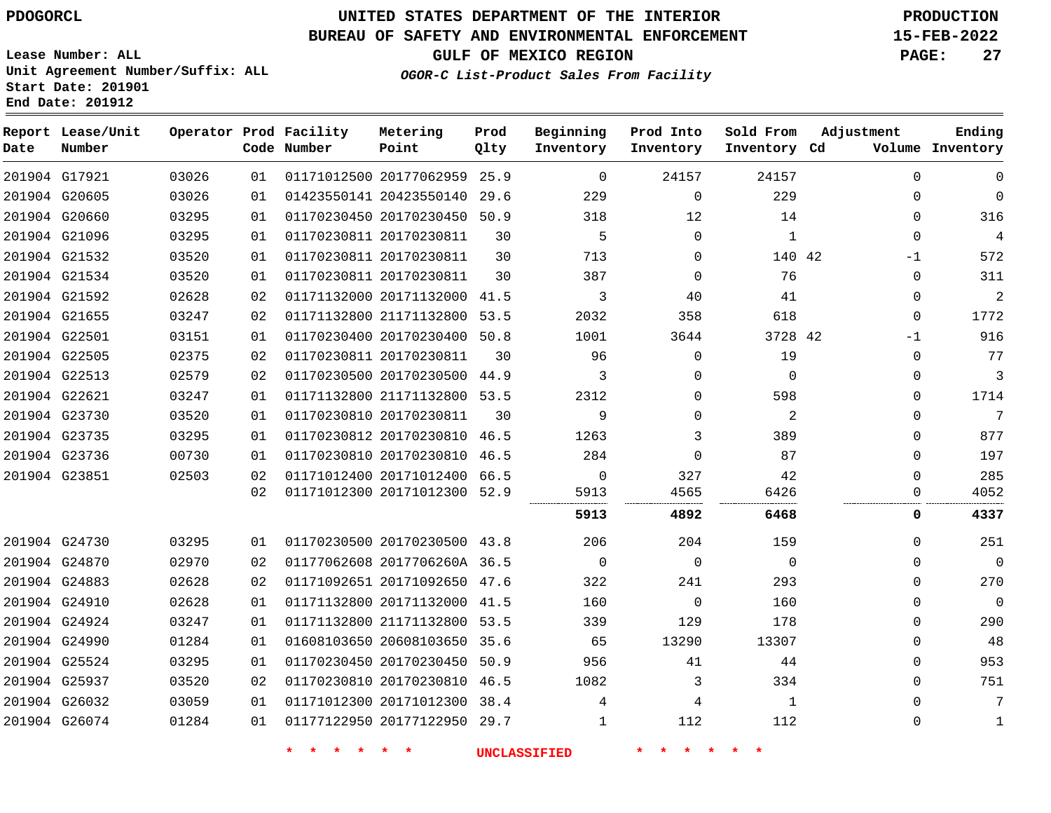**Report Lease/Unit**

# **UNITED STATES DEPARTMENT OF THE INTERIOR PDOGORCL PRODUCTION**

#### **BUREAU OF SAFETY AND ENVIRONMENTAL ENFORCEMENT 15-FEB-2022**

**Lease Number: ALL Unit Agreement Number/Suffix: ALL Start Date: 201901 End Date: 201912**

**Operator Prod Facility**

**Prod**

**Metering**

**GULF OF MEXICO REGION PAGE: 27**

**Sold From Adjustment**

**Ending**

**OGOR-C List-Product Sales From Facility**

**Beginning**

**Prod Into**

| Date | Number        |       |    | Code Number | Point                        | Qlty | Inventory      | Inventory      | Inventory Cd   |             | Volume Inventory |
|------|---------------|-------|----|-------------|------------------------------|------|----------------|----------------|----------------|-------------|------------------|
|      | 201904 G17921 | 03026 | 01 |             | 01171012500 20177062959 25.9 |      | $\overline{0}$ | 24157          | 24157          | $\mathbf 0$ | 0                |
|      | 201904 G20605 | 03026 | 01 |             | 01423550141 20423550140 29.6 |      | 229            | $\mathbf 0$    | 229            | $\Omega$    | $\mathbf 0$      |
|      | 201904 G20660 | 03295 | 01 |             | 01170230450 20170230450 50.9 |      | 318            | 12             | 14             | 0           | 316              |
|      | 201904 G21096 | 03295 | 01 |             | 01170230811 20170230811      | 30   | 5              | $\Omega$       | 1              | $\Omega$    | $\overline{4}$   |
|      | 201904 G21532 | 03520 | 01 |             | 01170230811 20170230811      | 30   | 713            | 0              | 140 42         | -1          | 572              |
|      | 201904 G21534 | 03520 | 01 |             | 01170230811 20170230811      | 30   | 387            | $\Omega$       | 76             | $\Omega$    | 311              |
|      | 201904 G21592 | 02628 | 02 |             | 01171132000 20171132000 41.5 |      | 3              | 40             | 41             | 0           | $\overline{2}$   |
|      | 201904 G21655 | 03247 | 02 |             | 01171132800 21171132800 53.5 |      | 2032           | 358            | 618            | $\Omega$    | 1772             |
|      | 201904 G22501 | 03151 | 01 |             | 01170230400 20170230400 50.8 |      | 1001           | 3644           | 3728 42        | $-1$        | 916              |
|      | 201904 G22505 | 02375 | 02 |             | 01170230811 20170230811      | 30   | 96             | 0              | 19             | 0           | 77               |
|      | 201904 G22513 | 02579 | 02 |             | 01170230500 20170230500 44.9 |      | 3              | 0              | $\Omega$       | $\Omega$    | $\overline{3}$   |
|      | 201904 G22621 | 03247 | 01 |             | 01171132800 21171132800 53.5 |      | 2312           | 0              | 598            | $\Omega$    | 1714             |
|      | 201904 G23730 | 03520 | 01 |             | 01170230810 20170230811      | 30   | 9              | $\Omega$       | 2              | $\Omega$    | 7                |
|      | 201904 G23735 | 03295 | 01 |             | 01170230812 20170230810 46.5 |      | 1263           | 3              | 389            | $\Omega$    | 877              |
|      | 201904 G23736 | 00730 | 01 |             | 01170230810 20170230810 46.5 |      | 284            | $\Omega$       | 87             | 0           | 197              |
|      | 201904 G23851 | 02503 | 02 |             | 01171012400 20171012400 66.5 |      | $\overline{0}$ | 327            | 42             | $\Omega$    | 285              |
|      |               |       | 02 |             | 01171012300 20171012300 52.9 |      | 5913           | 4565           | 6426           | 0           | 4052             |
|      |               |       |    |             |                              |      | 5913           | 4892           | 6468           | 0           | 4337             |
|      | 201904 G24730 | 03295 | 01 |             | 01170230500 20170230500 43.8 |      | 206            | 204            | 159            | $\Omega$    | 251              |
|      | 201904 G24870 | 02970 | 02 |             | 01177062608 2017706260A 36.5 |      | $\overline{0}$ | $\overline{0}$ | $\overline{0}$ | $\Omega$    | $\mathbf 0$      |
|      | 201904 G24883 | 02628 | 02 |             | 01171092651 20171092650 47.6 |      | 322            | 241            | 293            | $\Omega$    | 270              |
|      | 201904 G24910 | 02628 | 01 |             | 01171132800 20171132000 41.5 |      | 160            | $\Omega$       | 160            | $\Omega$    | $\mathbf 0$      |
|      | 201904 G24924 | 03247 | 01 |             | 01171132800 21171132800 53.5 |      | 339            | 129            | 178            | $\Omega$    | 290              |
|      | 201904 G24990 | 01284 | 01 |             | 01608103650 20608103650 35.6 |      | 65             | 13290          | 13307          | $\Omega$    | 48               |
|      | 201904 G25524 | 03295 | 01 |             | 01170230450 20170230450 50.9 |      | 956            | 41             | 44             | $\Omega$    | 953              |
|      | 201904 G25937 | 03520 | 02 |             | 01170230810 20170230810 46.5 |      | 1082           | 3              | 334            | $\Omega$    | 751              |
|      | 201904 G26032 | 03059 | 01 |             | 01171012300 20171012300 38.4 |      | 4              | 4              | 1              | $\Omega$    | 7                |
|      | 201904 G26074 | 01284 | 01 |             | 01177122950 20177122950 29.7 |      | $\mathbf{1}$   | 112            | 112            | $\Omega$    | $\mathbf 1$      |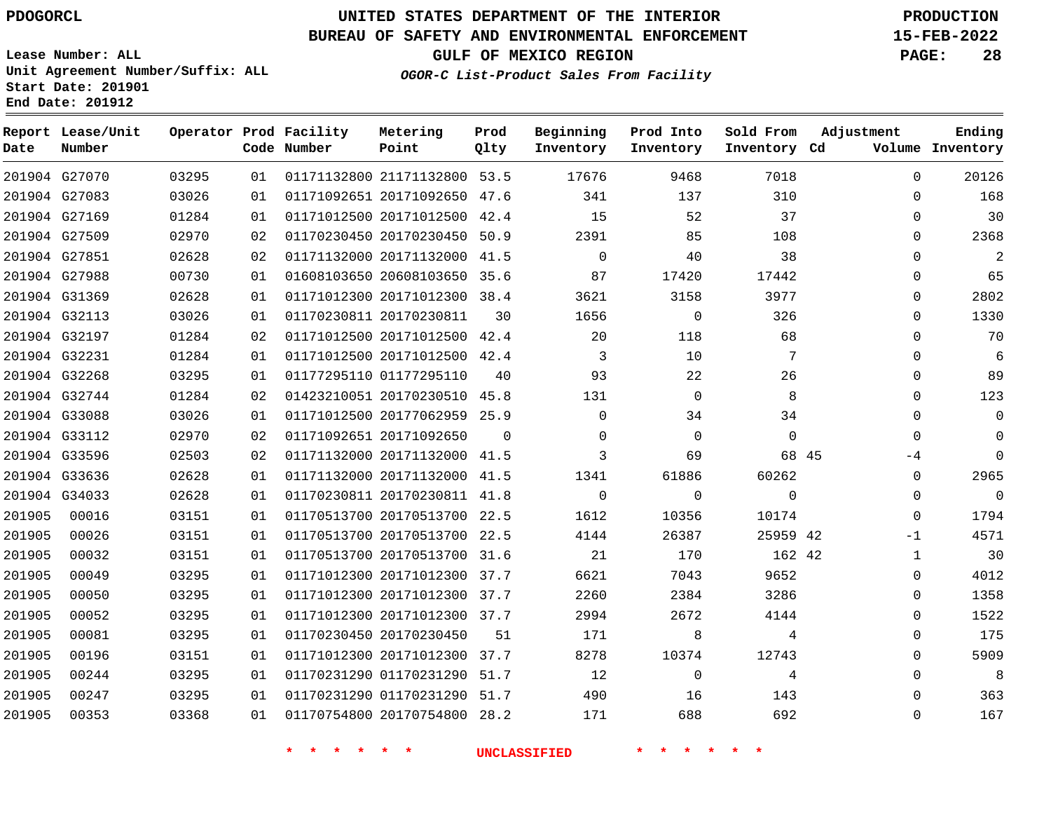### **BUREAU OF SAFETY AND ENVIRONMENTAL ENFORCEMENT 15-FEB-2022**

**Lease Number: ALL Unit Agreement Number/Suffix: ALL Start Date: 201901 End Date: 201912**

**OGOR-C List-Product Sales From Facility**

**GULF OF MEXICO REGION PAGE: 28**

| Ending<br>Volume Inventory | Adjustment   | Sold From<br>Inventory Cd | Prod Into<br>Inventory | Beginning<br>Inventory | Prod<br>Qlty | Metering<br>Point            | Operator Prod Facility<br>Code Number |    |       | Report Lease/Unit<br>Number | Date   |
|----------------------------|--------------|---------------------------|------------------------|------------------------|--------------|------------------------------|---------------------------------------|----|-------|-----------------------------|--------|
| 20126                      | $\Omega$     | 7018                      | 9468                   | 17676                  |              | 01171132800 21171132800 53.5 |                                       | 01 | 03295 | 201904 G27070               |        |
| 168                        | $\Omega$     | 310                       | 137                    | 341                    |              | 01171092651 20171092650 47.6 |                                       | 01 | 03026 | 201904 G27083               |        |
| 30                         | 0            | 37                        | 52                     | 15                     |              | 01171012500 20171012500 42.4 |                                       | 01 | 01284 | 201904 G27169               |        |
| 2368                       | $\Omega$     | 108                       | 85                     | 2391                   | 50.9         | 01170230450 20170230450      |                                       | 02 | 02970 | 201904 G27509               |        |
| 2                          | $\Omega$     | 38                        | 40                     | $\mathbf 0$            |              | 01171132000 20171132000 41.5 |                                       | 02 | 02628 | 201904 G27851               |        |
| 65                         | $\mathbf 0$  | 17442                     | 17420                  | 87                     |              | 01608103650 20608103650 35.6 |                                       | 01 | 00730 | 201904 G27988               |        |
| 2802                       | 0            | 3977                      | 3158                   | 3621                   |              | 01171012300 20171012300 38.4 |                                       | 01 | 02628 | 201904 G31369               |        |
| 1330                       | 0            | 326                       | $\mathbf 0$            | 1656                   | 30           |                              | 01170230811 20170230811               | 01 | 03026 | 201904 G32113               |        |
| 70                         | $\Omega$     | 68                        | 118                    | 20                     |              | 01171012500 20171012500 42.4 |                                       | 02 | 01284 | 201904 G32197               |        |
| 6                          | $\mathbf 0$  | 7                         | 10                     | 3                      |              | 01171012500 20171012500 42.4 |                                       | 01 | 01284 | 201904 G32231               |        |
| 89                         | 0            | 26                        | 22                     | 93                     | 40           | 01177295110 01177295110      |                                       | 01 | 03295 | 201904 G32268               |        |
| 123                        | 0            | 8                         | $\Omega$               | 131                    |              | 01423210051 20170230510 45.8 |                                       | 02 | 01284 | 201904 G32744               |        |
| $\mathbf 0$                | $\Omega$     | 34                        | 34                     | $\Omega$               |              | 01171012500 20177062959 25.9 |                                       | 01 | 03026 | 201904 G33088               |        |
| 0                          | $\Omega$     | $\Omega$                  | $\Omega$               | $\Omega$               | 0            | 01171092651 20171092650      |                                       | 02 | 02970 | 201904 G33112               |        |
| $\mathbf 0$                | -4           | 68 45                     | 69                     | 3                      |              | 01171132000 20171132000 41.5 |                                       | 02 | 02503 | 201904 G33596               |        |
| 2965                       | 0            | 60262                     | 61886                  | 1341                   |              | 01171132000 20171132000 41.5 |                                       | 01 | 02628 | 201904 G33636               |        |
| $\overline{0}$             | $\Omega$     | $\Omega$                  | $\mathbf 0$            | $\Omega$               |              | 01170230811 20170230811 41.8 |                                       | 01 | 02628 | 201904 G34033               |        |
| 1794                       | 0            | 10174                     | 10356                  | 1612                   |              | 01170513700 20170513700 22.5 |                                       | 01 | 03151 | 00016                       | 201905 |
| 4571                       | $-1$         | 25959 42                  | 26387                  | 4144                   |              | 01170513700 20170513700 22.5 |                                       | 01 | 03151 | 00026                       | 201905 |
| 30                         | $\mathbf{1}$ | 162 42                    | 170                    | 21                     |              | 01170513700 20170513700 31.6 |                                       | 01 | 03151 | 00032                       | 201905 |
| 4012                       | 0            | 9652                      | 7043                   | 6621                   |              | 01171012300 20171012300 37.7 |                                       | 01 | 03295 | 00049                       | 201905 |
| 1358                       | 0            | 3286                      | 2384                   | 2260                   |              | 01171012300 20171012300 37.7 |                                       | 01 | 03295 | 00050                       | 201905 |
| 1522                       | 0            | 4144                      | 2672                   | 2994                   |              | 01171012300 20171012300 37.7 |                                       | 01 | 03295 | 00052                       | 201905 |
| 175                        | 0            | 4                         | 8                      | 171                    | 51           | 01170230450 20170230450      |                                       | 01 | 03295 | 00081                       | 201905 |
| 5909                       | $\mathbf 0$  | 12743                     | 10374                  | 8278                   |              | 01171012300 20171012300 37.7 |                                       | 01 | 03151 | 00196                       | 201905 |
| 8                          | 0            | 4                         | $\mathbf 0$            | 12                     |              | 01170231290 01170231290 51.7 |                                       | 01 | 03295 | 00244                       | 201905 |
| 363                        | 0            | 143                       | 16                     | 490                    |              | 01170231290 01170231290 51.7 |                                       | 01 | 03295 | 00247                       | 201905 |
| 167                        | $\Omega$     | 692                       | 688                    | 171                    |              | 01170754800 20170754800 28.2 |                                       | 01 | 03368 | 00353                       | 201905 |
|                            |              |                           |                        |                        |              |                              |                                       |    |       |                             |        |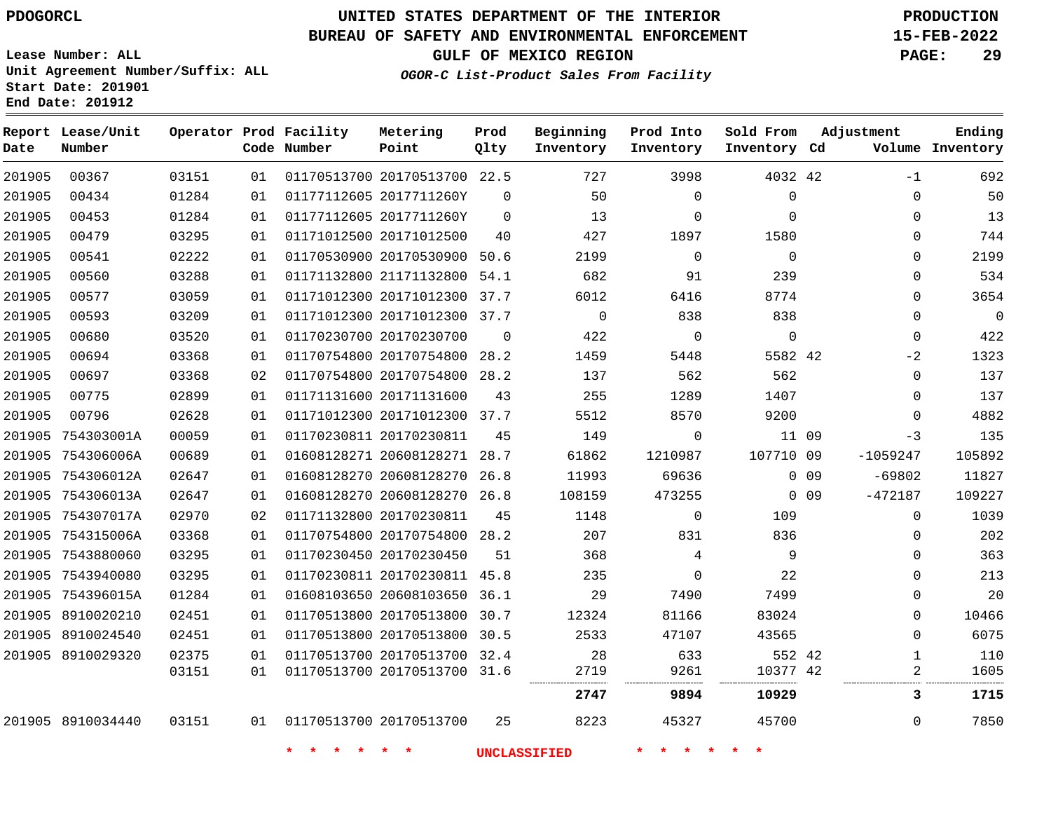### **BUREAU OF SAFETY AND ENVIRONMENTAL ENFORCEMENT 15-FEB-2022**

**Lease Number: ALL Unit Agreement Number/Suffix: ALL Start Date: 201901 End Date: 201912**

**GULF OF MEXICO REGION PAGE: 29**

**OGOR-C List-Product Sales From Facility**

| Date   | Report Lease/Unit<br>Number |       |    | Operator Prod Facility<br>Code Number | Metering<br>Point            | Prod<br>Qlty | Beginning<br>Inventory | Prod Into<br>Inventory             | Sold From<br>Inventory Cd | Adjustment              | Ending<br>Volume Inventory |
|--------|-----------------------------|-------|----|---------------------------------------|------------------------------|--------------|------------------------|------------------------------------|---------------------------|-------------------------|----------------------------|
| 201905 | 00367                       | 03151 | 01 |                                       | 01170513700 20170513700 22.5 |              | 727                    | 3998                               | 4032 42                   | $-1$                    | 692                        |
| 201905 | 00434                       | 01284 | 01 |                                       | 01177112605 2017711260Y      | $\Omega$     | 50                     | $\Omega$                           | $\Omega$                  | $\Omega$                | 50                         |
| 201905 | 00453                       | 01284 | 01 |                                       | 01177112605 2017711260Y      | $\mathbf 0$  | 13                     | $\mathbf 0$                        | $\mathbf 0$               | 0                       | 13                         |
| 201905 | 00479                       | 03295 | 01 |                                       | 01171012500 20171012500      | 40           | 427                    | 1897                               | 1580                      | $\mathbf 0$             | 744                        |
| 201905 | 00541                       | 02222 | 01 |                                       | 01170530900 20170530900 50.6 |              | 2199                   | $\mathbf 0$                        | $\mathbf{0}$              | $\mathbf 0$             | 2199                       |
| 201905 | 00560                       | 03288 | 01 |                                       | 01171132800 21171132800 54.1 |              | 682                    | 91                                 | 239                       | $\mathbf{0}$            | 534                        |
| 201905 | 00577                       | 03059 | 01 |                                       | 01171012300 20171012300 37.7 |              | 6012                   | 6416                               | 8774                      | 0                       | 3654                       |
| 201905 | 00593                       | 03209 | 01 |                                       | 01171012300 20171012300 37.7 |              | $\mathsf{O}$           | 838                                | 838                       | $\mathbf{0}$            | $\overline{0}$             |
| 201905 | 00680                       | 03520 | 01 |                                       | 01170230700 20170230700      | $\Omega$     | 422                    | $\Omega$                           | $\mathbf 0$               | $\mathbf 0$             | 422                        |
| 201905 | 00694                       | 03368 | 01 |                                       | 01170754800 20170754800 28.2 |              | 1459                   | 5448                               | 5582 42                   | $-2$                    | 1323                       |
| 201905 | 00697                       | 03368 | 02 |                                       | 01170754800 20170754800 28.2 |              | 137                    | 562                                | 562                       | $\mathbf{0}$            | 137                        |
| 201905 | 00775                       | 02899 | 01 |                                       | 01171131600 20171131600      | 43           | 255                    | 1289                               | 1407                      | 0                       | 137                        |
| 201905 | 00796                       | 02628 | 01 |                                       | 01171012300 20171012300 37.7 |              | 5512                   | 8570                               | 9200                      | $\Omega$                | 4882                       |
|        | 201905 754303001A           | 00059 | 01 |                                       | 01170230811 20170230811      | 45           | 149                    | 0                                  |                           | 11 09<br>$-3$           | 135                        |
|        | 201905 754306006A           | 00689 | 01 |                                       | 01608128271 20608128271 28.7 |              | 61862                  | 1210987                            | 107710 09                 | $-1059247$              | 105892                     |
|        | 201905 754306012A           | 02647 | 01 |                                       | 01608128270 20608128270      | 26.8         | 11993                  | 69636                              |                           | $-69802$<br>$0$ 09      | 11827                      |
|        | 201905 754306013A           | 02647 | 01 |                                       | 01608128270 20608128270 26.8 |              | 108159                 | 473255                             |                           | $-472187$<br>$0\quad09$ | 109227                     |
|        | 201905 754307017A           | 02970 | 02 |                                       | 01171132800 20170230811      | 45           | 1148                   | $\mathbf 0$                        | 109                       | $\mathbf{0}$            | 1039                       |
|        | 201905 754315006A           | 03368 | 01 |                                       | 01170754800 20170754800 28.2 |              | 207                    | 831                                | 836                       | 0                       | 202                        |
|        | 201905 7543880060           | 03295 | 01 |                                       | 01170230450 20170230450      | 51           | 368                    | 4                                  | 9                         | $\mathbf 0$             | 363                        |
|        | 201905 7543940080           | 03295 | 01 |                                       | 01170230811 20170230811 45.8 |              | 235                    | $\mathbf 0$                        | 22                        | 0                       | 213                        |
|        | 201905 754396015A           | 01284 | 01 |                                       | 01608103650 20608103650 36.1 |              | 29                     | 7490                               | 7499                      | $\mathbf{0}$            | 20                         |
|        | 201905 8910020210           | 02451 | 01 |                                       | 01170513800 20170513800 30.7 |              | 12324                  | 81166                              | 83024                     | 0                       | 10466                      |
|        | 201905 8910024540           | 02451 | 01 |                                       | 01170513800 20170513800 30.5 |              | 2533                   | 47107                              | 43565                     | $\mathbf{0}$            | 6075                       |
|        | 201905 8910029320           | 02375 | 01 |                                       | 01170513700 20170513700 32.4 |              | 28                     | 633                                | 552 42                    | $\mathbf{1}$            | 110                        |
|        |                             | 03151 | 01 |                                       | 01170513700 20170513700 31.6 |              | 2719                   | 9261                               | 10377 42                  | $\overline{c}$          | 1605                       |
|        |                             |       |    |                                       |                              |              | 2747                   | 9894                               | 10929                     |                         | 3<br>1715                  |
|        | 201905 8910034440           | 03151 | 01 |                                       | 01170513700 20170513700      | 25           | 8223                   | 45327                              | 45700                     | 0                       | 7850                       |
|        |                             |       |    | * * * *                               | $\star$ $\star$              |              | <b>UNCLASSIFIED</b>    | $\star$ $\star$<br>$\star$ $\star$ | $\star$<br>$\star$        |                         |                            |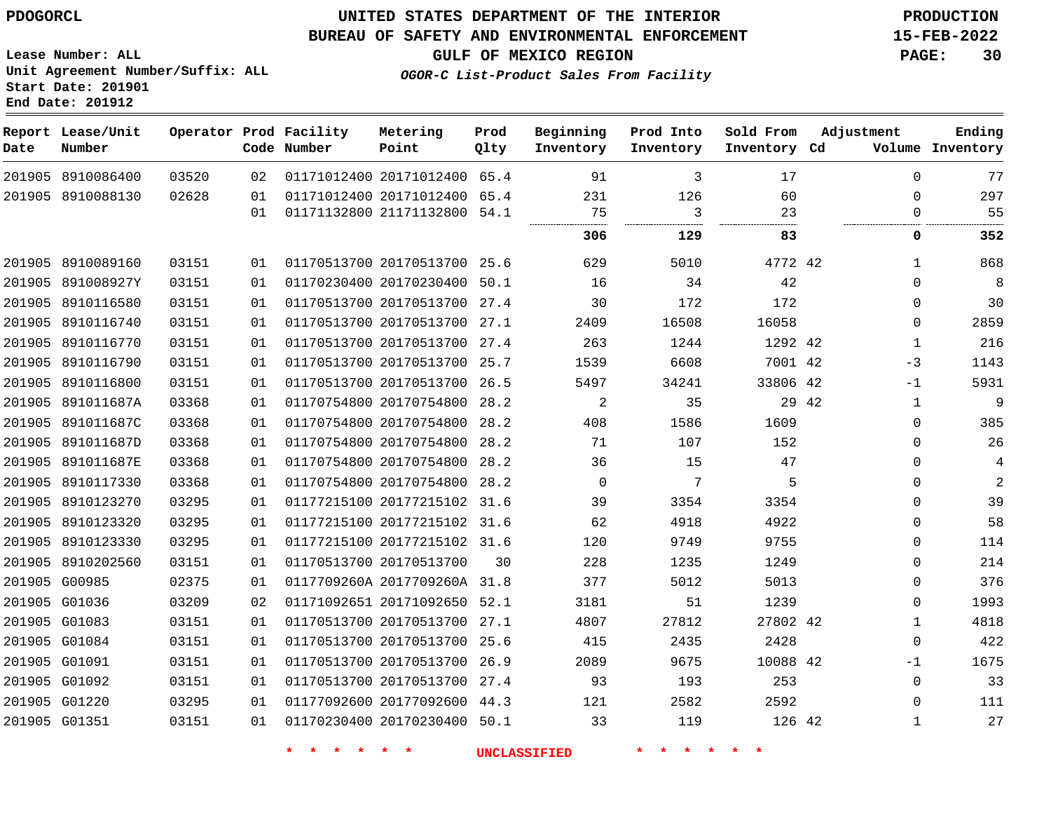**Date**

G01351

### **UNITED STATES DEPARTMENT OF THE INTERIOR PDOGORCL PRODUCTION**

**Metering**

#### **BUREAU OF SAFETY AND ENVIRONMENTAL ENFORCEMENT 15-FEB-2022**

**Lease Number: ALL Unit Agreement Number/Suffix: ALL Start Date: 201901 End Date: 201912**

**OGOR-C List-Product Sales From Facility**

**Beginning**

**Prod Into**

**Sold From**

**Adjustment**

**GULF OF MEXICO REGION PAGE: 30**

**Ending**

| Date | Report Lease/Unit<br>Number |       |    | Operator Prod Facility<br>Code Number | Metering<br>Point            | Prod<br>Qlty | Beginning<br>Inventory | Prod Into<br>Inventory | Sold From<br>Inventory Cd |       | Adjustment   | Ending<br>Volume Inventory |
|------|-----------------------------|-------|----|---------------------------------------|------------------------------|--------------|------------------------|------------------------|---------------------------|-------|--------------|----------------------------|
|      | 201905 8910086400           | 03520 | 02 |                                       | 01171012400 20171012400 65.4 |              | 91                     | 3                      | 17                        |       | $\Omega$     | 77                         |
|      | 201905 8910088130           | 02628 | 01 |                                       | 01171012400 20171012400 65.4 |              | 231                    | 126                    | 60                        |       | $\Omega$     | 297                        |
|      |                             |       | 01 |                                       | 01171132800 21171132800 54.1 |              | 75                     | 3                      | 23                        |       | $\mathbf 0$  | 55                         |
|      |                             |       |    |                                       |                              |              | 306                    | 129                    | 83                        |       | 0            | 352                        |
|      | 201905 8910089160           | 03151 | 01 |                                       | 01170513700 20170513700 25.6 |              | 629                    | 5010                   | 4772 42                   |       | $\mathbf{1}$ | 868                        |
|      | 201905 891008927Y           | 03151 | 01 |                                       | 01170230400 20170230400 50.1 |              | 16                     | 34                     | 42                        |       | $\mathbf 0$  | 8                          |
|      | 201905 8910116580           | 03151 | 01 |                                       | 01170513700 20170513700 27.4 |              | 30                     | 172                    | 172                       |       | $\mathbf 0$  | 30                         |
|      | 201905 8910116740           | 03151 | 01 |                                       | 01170513700 20170513700 27.1 |              | 2409                   | 16508                  | 16058                     |       | $\mathbf 0$  | 2859                       |
|      | 201905 8910116770           | 03151 | 01 |                                       | 01170513700 20170513700 27.4 |              | 263                    | 1244                   | 1292 42                   |       | 1            | 216                        |
|      | 201905 8910116790           | 03151 | 01 |                                       | 01170513700 20170513700 25.7 |              | 1539                   | 6608                   | 7001 42                   |       | $-3$         | 1143                       |
|      | 201905 8910116800           | 03151 | 01 |                                       | 01170513700 20170513700 26.5 |              | 5497                   | 34241                  | 33806 42                  |       | $-1$         | 5931                       |
|      | 201905 891011687A           | 03368 | 01 |                                       | 01170754800 20170754800 28.2 |              | 2                      | 35                     |                           | 29 42 | 1            | 9                          |
|      | 201905 891011687C           | 03368 | 01 |                                       | 01170754800 20170754800 28.2 |              | 408                    | 1586                   | 1609                      |       | $\mathbf 0$  | 385                        |
|      | 201905 891011687D           | 03368 | 01 |                                       | 01170754800 20170754800 28.2 |              | 71                     | 107                    | 152                       |       | $\Omega$     | 26                         |
|      | 201905 891011687E           | 03368 | 01 |                                       | 01170754800 20170754800 28.2 |              | 36                     | 15                     | 47                        |       | $\mathbf 0$  | 4                          |
|      | 201905 8910117330           | 03368 | 01 |                                       | 01170754800 20170754800      | 28.2         | $\mathbf 0$            | 7                      | 5                         |       | $\mathbf 0$  | $\overline{2}$             |
|      | 201905 8910123270           | 03295 | 01 |                                       | 01177215100 20177215102 31.6 |              | 39                     | 3354                   | 3354                      |       | $\Omega$     | 39                         |
|      | 201905 8910123320           | 03295 | 01 |                                       | 01177215100 20177215102 31.6 |              | 62                     | 4918                   | 4922                      |       | $\mathbf 0$  | 58                         |
|      | 201905 8910123330           | 03295 | 01 |                                       | 01177215100 20177215102 31.6 |              | 120                    | 9749                   | 9755                      |       | $\mathbf 0$  | 114                        |
|      | 201905 8910202560           | 03151 | 01 |                                       | 01170513700 20170513700      | 30           | 228                    | 1235                   | 1249                      |       | $\mathbf 0$  | 214                        |
|      | 201905 G00985               | 02375 | 01 |                                       | 0117709260A 2017709260A 31.8 |              | 377                    | 5012                   | 5013                      |       | $\mathbf 0$  | 376                        |
|      | 201905 G01036               | 03209 | 02 |                                       | 01171092651 20171092650 52.1 |              | 3181                   | 51                     | 1239                      |       | $\mathbf 0$  | 1993                       |
|      | 201905 G01083               | 03151 | 01 |                                       | 01170513700 20170513700 27.1 |              | 4807                   | 27812                  | 27802 42                  |       | 1            | 4818                       |
|      | 201905 G01084               | 03151 | 01 |                                       | 01170513700 20170513700 25.6 |              | 415                    | 2435                   | 2428                      |       | $\Omega$     | 422                        |
|      | 201905 G01091               | 03151 | 01 |                                       | 01170513700 20170513700 26.9 |              | 2089                   | 9675                   | 10088 42                  |       | $-1$         | 1675                       |
|      | 201905 G01092               | 03151 | 01 |                                       | 01170513700 20170513700 27.4 |              | 93                     | 193                    | 253                       |       | $\mathbf 0$  | 33                         |
|      | 201905 G01220               | 03295 | 01 |                                       | 01177092600 20177092600 44.3 |              | 121                    | 2582                   | 2592                      |       | $\Omega$     | 111                        |

**\* \* \* \* \* \* UNCLASSIFIED \* \* \* \* \* \***

01170230400 20170230400 50.1

42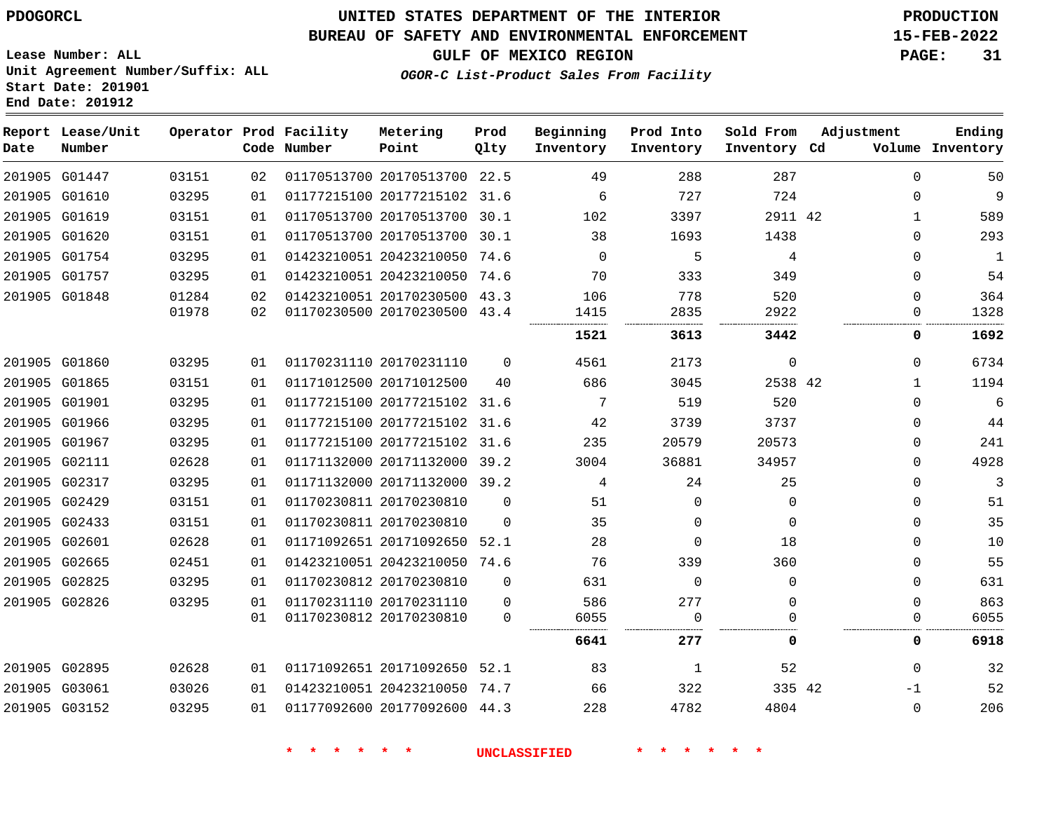### **BUREAU OF SAFETY AND ENVIRONMENTAL ENFORCEMENT 15-FEB-2022**

**Lease Number: ALL Unit Agreement Number/Suffix: ALL Start Date: 201901 End Date: 201912**

**GULF OF MEXICO REGION PAGE: 31**

**OGOR-C List-Product Sales From Facility**

| Date | Report Lease/Unit<br>Number |       |     | Operator Prod Facility<br>Code Number | Metering<br>Point            | Prod<br>Qlty | Beginning<br>Inventory | Prod Into<br>Inventory | Sold From<br>Inventory Cd | Adjustment   | Ending<br>Volume Inventory |
|------|-----------------------------|-------|-----|---------------------------------------|------------------------------|--------------|------------------------|------------------------|---------------------------|--------------|----------------------------|
|      | 201905 G01447               | 03151 | 02  |                                       | 01170513700 20170513700 22.5 |              | 49                     | 288                    | 287                       | $\mathbf 0$  | 50                         |
|      | 201905 G01610               | 03295 | 01  |                                       | 01177215100 20177215102 31.6 |              | 6                      | 727                    | 724                       | $\Omega$     | 9                          |
|      | 201905 G01619               | 03151 | 01  |                                       | 01170513700 20170513700 30.1 |              | 102                    | 3397                   | 2911 42                   | $\mathbf{1}$ | 589                        |
|      | 201905 G01620               | 03151 | 01  |                                       | 01170513700 20170513700 30.1 |              | 38                     | 1693                   | 1438                      | $\Omega$     | 293                        |
|      | 201905 G01754               | 03295 | 01  |                                       | 01423210051 20423210050 74.6 |              | $\mathbf 0$            | 5                      | 4                         | $\Omega$     | $\mathbf 1$                |
|      | 201905 G01757               | 03295 | 01  |                                       | 01423210051 20423210050 74.6 |              | 70                     | 333                    | 349                       | $\Omega$     | 54                         |
|      | 201905 G01848               | 01284 | 02  |                                       | 01423210051 20170230500 43.3 |              | 106                    | 778                    | 520                       | $\Omega$     | 364                        |
|      |                             | 01978 | 02  |                                       | 01170230500 20170230500 43.4 |              | 1415                   | 2835                   | 2922                      | 0            | 1328                       |
|      |                             |       |     |                                       |                              |              | 1521                   | 3613                   | 3442                      | 0            | 1692                       |
|      | 201905 G01860               | 03295 | 01  |                                       | 01170231110 20170231110      | $\Omega$     | 4561                   | 2173                   | 0                         | 0            | 6734                       |
|      | 201905 G01865               | 03151 | 01  |                                       | 01171012500 20171012500      | 40           | 686                    | 3045                   | 2538 42                   | 1            | 1194                       |
|      | 201905 G01901               | 03295 | 01  |                                       | 01177215100 20177215102 31.6 |              | 7                      | 519                    | 520                       | $\Omega$     | 6                          |
|      | 201905 G01966               | 03295 | 01  |                                       | 01177215100 20177215102 31.6 |              | 42                     | 3739                   | 3737                      | $\mathbf{0}$ | 44                         |
|      | 201905 G01967               | 03295 | 01  |                                       | 01177215100 20177215102 31.6 |              | 235                    | 20579                  | 20573                     | 0            | 241                        |
|      | 201905 G02111               | 02628 | 01  |                                       | 01171132000 20171132000 39.2 |              | 3004                   | 36881                  | 34957                     | $\Omega$     | 4928                       |
|      | 201905 G02317               | 03295 | 01  |                                       | 01171132000 20171132000 39.2 |              | 4                      | 24                     | 25                        | $\mathbf{0}$ | 3                          |
|      | 201905 G02429               | 03151 | 01  |                                       | 01170230811 20170230810      | $\Omega$     | 51                     | $\Omega$               | $\Omega$                  | $\Omega$     | 51                         |
|      | 201905 G02433               | 03151 | 01  |                                       | 01170230811 20170230810      | $\Omega$     | 35                     | $\Omega$               | $\Omega$                  | $\Omega$     | 35                         |
|      | 201905 G02601               | 02628 | 01  |                                       | 01171092651 20171092650 52.1 |              | 28                     | $\Omega$               | 18                        | $\Omega$     | $10$                       |
|      | 201905 G02665               | 02451 | 01  |                                       | 01423210051 20423210050 74.6 |              | 76                     | 339                    | 360                       | $\Omega$     | 55                         |
|      | 201905 G02825               | 03295 | 01  |                                       | 01170230812 20170230810      | $\Omega$     | 631                    | $\Omega$               | $\Omega$                  | $\Omega$     | 631                        |
|      | 201905 G02826               | 03295 | 01  |                                       | 01170231110 20170231110      | $\Omega$     | 586                    | 277                    | $\Omega$                  | $\Omega$     | 863                        |
|      |                             |       | 01  |                                       | 01170230812 20170230810      | $\Omega$     | 6055                   | 0                      | 0                         | $\mathbf{0}$ | 6055                       |
|      |                             |       |     |                                       |                              |              | 6641                   | 277                    | 0                         | 0            | 6918                       |
|      | 201905 G02895               | 02628 | 01  |                                       | 01171092651 20171092650 52.1 |              | 83                     | 1                      | 52                        | 0            | 32                         |
|      | 201905 G03061               | 03026 | 01  |                                       | 01423210051 20423210050 74.7 |              | 66                     | 322                    | 335 42                    | $-1$         | 52                         |
|      | 201905 G03152               | 03295 | 0.1 |                                       | 01177092600 20177092600 44.3 |              | 228                    | 4782                   | 4804                      | $\mathbf{0}$ | 206                        |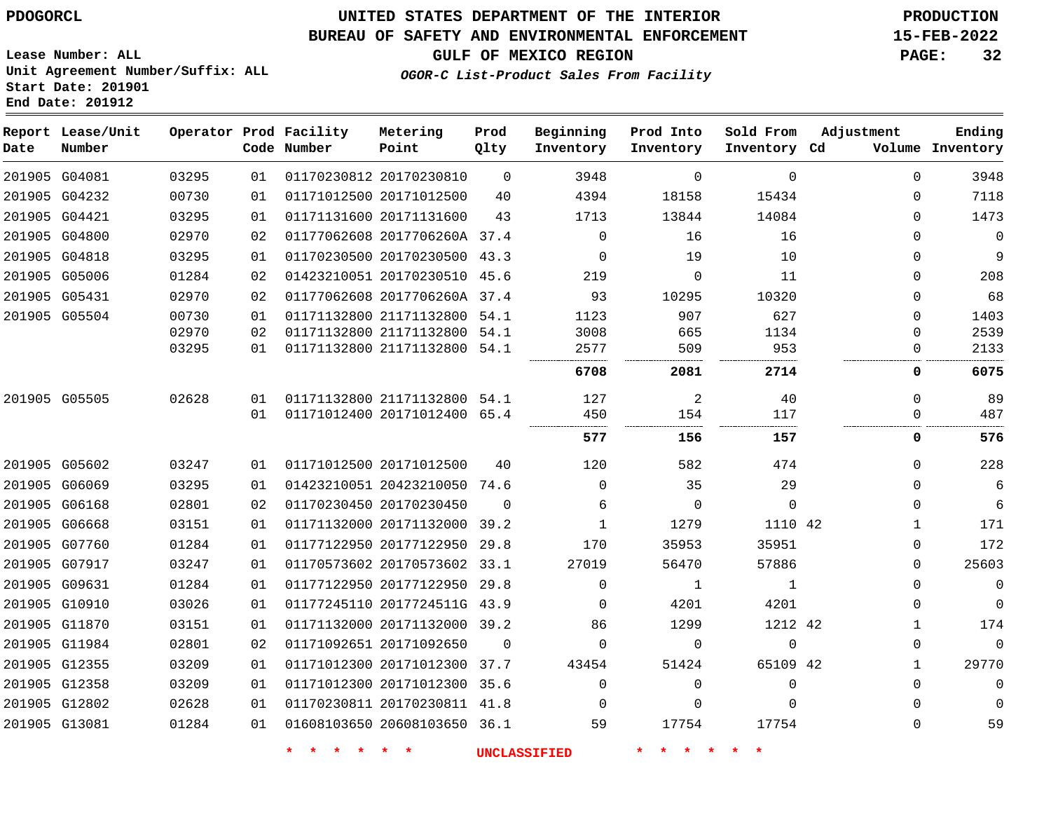#### **BUREAU OF SAFETY AND ENVIRONMENTAL ENFORCEMENT 15-FEB-2022**

**Lease Number: ALL Unit Agreement Number/Suffix: ALL Start Date: 201901 End Date: 201912**

# **GULF OF MEXICO REGION PAGE: 32**

**OGOR-C List-Product Sales From Facility**

| Date | Report Lease/Unit<br>Number |       |    | Operator Prod Facility<br>Code Number | Metering<br>Point            | Prod<br>Qlty | Beginning<br>Inventory | Prod Into<br>Inventory | Sold From<br>Inventory Cd | Adjustment   | Ending<br>Volume Inventory |
|------|-----------------------------|-------|----|---------------------------------------|------------------------------|--------------|------------------------|------------------------|---------------------------|--------------|----------------------------|
|      | 201905 G04081               | 03295 | 01 |                                       | 01170230812 20170230810      | $\Omega$     | 3948                   | $\mathbf 0$            | $\mathbf 0$               | $\Omega$     | 3948                       |
|      | 201905 G04232               | 00730 | 01 |                                       | 01171012500 20171012500      | 40           | 4394                   | 18158                  | 15434                     | $\Omega$     | 7118                       |
|      | 201905 G04421               | 03295 | 01 |                                       | 01171131600 20171131600      | 43           | 1713                   | 13844                  | 14084                     | $\Omega$     | 1473                       |
|      | 201905 G04800               | 02970 | 02 |                                       | 01177062608 2017706260A 37.4 |              | $\mathbf 0$            | 16                     | 16                        | $\Omega$     | $\mathbf 0$                |
|      | 201905 G04818               | 03295 | 01 |                                       | 01170230500 20170230500 43.3 |              | $\mathbf 0$            | 19                     | 10                        | $\Omega$     | 9                          |
|      | 201905 G05006               | 01284 | 02 |                                       | 01423210051 20170230510 45.6 |              | 219                    | $\mathbf 0$            | 11                        | $\Omega$     | 208                        |
|      | 201905 G05431               | 02970 | 02 |                                       | 01177062608 2017706260A 37.4 |              | 93                     | 10295                  | 10320                     | $\Omega$     | 68                         |
|      | 201905 G05504               | 00730 | 01 |                                       | 01171132800 21171132800 54.1 |              | 1123                   | 907                    | 627                       | $\mathbf 0$  | 1403                       |
|      |                             | 02970 | 02 |                                       | 01171132800 21171132800 54.1 |              | 3008                   | 665                    | 1134                      | 0            | 2539                       |
|      |                             | 03295 | 01 |                                       | 01171132800 21171132800 54.1 |              | 2577                   | 509                    | 953                       | 0            | 2133                       |
|      |                             |       |    |                                       |                              |              | 6708                   | 2081                   | 2714                      | 0            | 6075                       |
|      | 201905 G05505               | 02628 | 01 |                                       | 01171132800 21171132800 54.1 |              | 127                    | $\overline{2}$         | 40                        | $\Omega$     | 89                         |
|      |                             |       | 01 |                                       | 01171012400 20171012400 65.4 |              | 450                    | 154                    | 117                       | 0            | 487                        |
|      |                             |       |    |                                       |                              |              | 577                    | 156                    | 157                       | 0            | 576                        |
|      | 201905 G05602               | 03247 | 01 |                                       | 01171012500 20171012500      | 40           | 120                    | 582                    | 474                       | $\Omega$     | 228                        |
|      | 201905 G06069               | 03295 | 01 |                                       | 01423210051 20423210050 74.6 |              | $\Omega$               | 35                     | 29                        | $\Omega$     | 6                          |
|      | 201905 G06168               | 02801 | 02 |                                       | 01170230450 20170230450      | $\Omega$     | 6                      | $\mathbf 0$            | $\mathbf 0$               | $\mathbf 0$  | 6                          |
|      | 201905 G06668               | 03151 | 01 |                                       | 01171132000 20171132000 39.2 |              | $\mathbf{1}$           | 1279                   | 1110 42                   | $\mathbf{1}$ | 171                        |
|      | 201905 G07760               | 01284 | 01 |                                       | 01177122950 20177122950      | 29.8         | 170                    | 35953                  | 35951                     | $\Omega$     | 172                        |
|      | 201905 G07917               | 03247 | 01 |                                       | 01170573602 20170573602 33.1 |              | 27019                  | 56470                  | 57886                     | 0            | 25603                      |
|      | 201905 G09631               | 01284 | 01 |                                       | 01177122950 20177122950 29.8 |              | $\mathbf 0$            | 1                      | $\mathbf{1}$              | $\Omega$     | $\mathbf 0$                |
|      | 201905 G10910               | 03026 | 01 |                                       | 01177245110 2017724511G 43.9 |              | $\mathbf 0$            | 4201                   | 4201                      | $\mathbf 0$  | $\mathbf 0$                |
|      | 201905 G11870               | 03151 | 01 |                                       | 01171132000 20171132000 39.2 |              | 86                     | 1299                   | 1212 42                   | $\mathbf{1}$ | 174                        |
|      | 201905 G11984               | 02801 | 02 |                                       | 01171092651 20171092650      | $\Omega$     | $\mathbf 0$            | $\mathbf 0$            | $\mathbf 0$               | $\Omega$     | $\Omega$                   |
|      | 201905 G12355               | 03209 | 01 |                                       | 01171012300 20171012300 37.7 |              | 43454                  | 51424                  | 65109 42                  | $\mathbf{1}$ | 29770                      |
|      | 201905 G12358               | 03209 | 01 |                                       | 01171012300 20171012300 35.6 |              | $\mathbf 0$            | $\mathbf 0$            | $\mathbf 0$               | $\Omega$     | $\mathbf 0$                |
|      | 201905 G12802               | 02628 | 01 |                                       | 01170230811 20170230811 41.8 |              | $\mathbf 0$            | $\mathbf 0$            | $\Omega$                  | 0            | $\mathbf 0$                |
|      | 201905 G13081               | 01284 | 01 |                                       | 01608103650 20608103650 36.1 |              | 59                     | 17754                  | 17754                     | $\Omega$     | 59                         |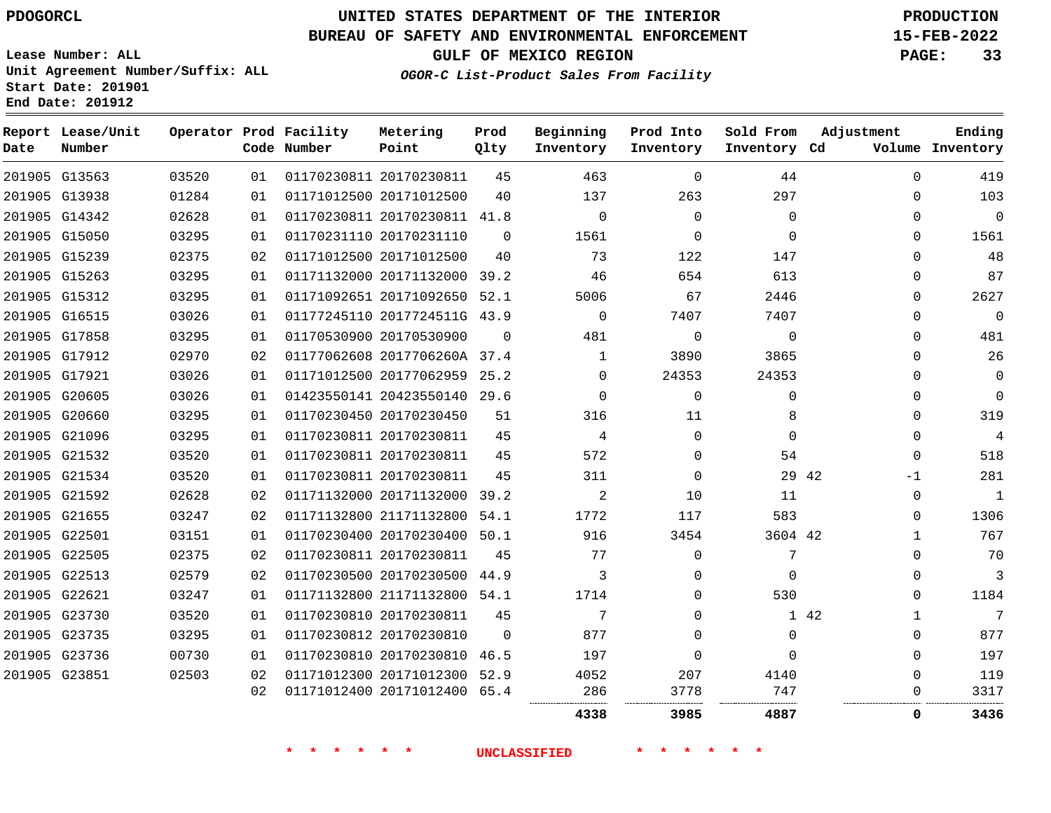### **UNITED STATES DEPARTMENT OF THE INTERIOR PDOGORCL PRODUCTION**

### **BUREAU OF SAFETY AND ENVIRONMENTAL ENFORCEMENT 15-FEB-2022**

**Lease Number: ALL Unit Agreement Number/Suffix: ALL Start Date: 201901 End Date: 201912**

**GULF OF MEXICO REGION PAGE: 33**

**OGOR-C List-Product Sales From Facility**

| 201905 G13563<br>03520<br>01170230811 20170230811<br>463<br>$\mathbf 0$<br>01<br>45<br>44<br>$\Omega$<br>01284<br>01171012500 20171012500<br>201905 G13938<br>40<br>137<br>263<br>297<br>01<br>$\Omega$<br>201905 G14342<br>01170230811 20170230811 41.8<br>02628<br>$\Omega$<br>$\Omega$<br>$\Omega$<br>$\Omega$<br>01<br>201905 G15050<br>01170231110 20170231110<br>03295<br>1561<br>$\Omega$<br>$\Omega$<br>01<br>$\Omega$<br>$\Omega$<br>201905 G15239<br>01171012500 20171012500<br>122<br>02375<br>40<br>73<br>147<br>02<br>0<br>201905 G15263<br>03295<br>01171132000 20171132000<br>46<br>654<br>613<br>39.2<br>0<br>01<br>201905 G15312<br>03295<br>01171092651 20171092650 52.1<br>5006<br>67<br>2446<br>0<br>01<br>7407<br>201905 G16515<br>03026<br>01177245110 2017724511G 43.9<br>$\Omega$<br>7407<br>$\Omega$<br>01<br>201905 G17858<br>03295<br>01170530900 20170530900<br>481<br>$\mathbf 0$<br>$\Omega$<br>$\Omega$<br>01<br>$\Omega$<br>201905 G17912<br>02970<br>01177062608 2017706260A 37.4<br>3865<br>3890<br>02<br>$\mathbf{1}$<br>$\Omega$<br>201905 G17921<br>01171012500 20177062959 25.2<br>24353<br>03026<br>24353<br>0<br>0<br>01<br>201905 G20605<br>03026<br>01423550141 20423550140 29.6<br>$\mathbf 0$<br>$\Omega$<br>01<br>$\Omega$<br>$\Omega$<br>201905 G20660<br>03295<br>01170230450 20170230450<br>316<br>51<br>11<br>8<br>01<br>0<br>201905 G21096<br>03295<br>01170230811 20170230811<br>4<br>$\mathbf 0$<br>$\Omega$<br>01<br>45<br>$\Omega$<br>572<br>201905 G21532<br>03520<br>01170230811 20170230811<br>45<br>54<br>$\mathbf 0$<br>0<br>01<br>201905 G21534<br>01170230811 20170230811<br>29 42<br>03520<br>45<br>311<br>01<br>$\mathbf 0$<br>$-1$<br>201905 G21592<br>01171132000 20171132000 39.2<br>02628<br>2<br>10<br>11<br>0<br>02<br>201905 G21655<br>01171132800 21171132800 54.1<br>1772<br>583<br>03247<br>117<br>02<br>0<br>201905 G22501<br>03151<br>01170230400 20170230400 50.1<br>916<br>3454<br>3604 42<br>01<br>1<br>7<br>201905 G22505<br>02375<br>01170230811 20170230811<br>77<br>$\mathbf 0$<br>45<br>$\Omega$<br>02<br>201905 G22513<br>02579<br>01170230500 20170230500<br>$\Omega$<br>02<br>44.9<br>3<br>0<br>$\Omega$<br>01171132800 21171132800 54.1<br>201905 G22621<br>03247<br>1714<br>530<br>01<br>$\Omega$<br>$\Omega$<br>201905 G23730<br>03520<br>01170230810 20170230811<br>45<br>7<br>$\mathbf 0$<br>1 42<br>01<br>1<br>201905 G23735<br>01170230812 20170230810<br>877<br>03295<br>$\mathbf 0$<br>$\mathbf 0$<br>0<br>01<br>0<br>201905 G23736<br>01170230810 20170230810<br>197<br>$\Omega$<br>00730<br>46.5<br>$\mathbf 0$<br>0<br>01<br>01171012300 20171012300 52.9<br>201905 G23851<br>02503<br>4052<br>207<br>4140<br>02<br>$\Omega$<br>01171012400 20171012400 65.4<br>747<br>02<br>286<br>3778<br>0<br>0<br>4338<br>3985<br>4887 | Date | Report Lease/Unit<br>Number |  | Operator Prod Facility<br>Code Number | Metering<br>Point | Prod<br>Qlty | Beginning<br>Inventory | Prod Into<br>Inventory | Sold From<br>Inventory Cd | Adjustment | Ending<br>Volume Inventory |
|------------------------------------------------------------------------------------------------------------------------------------------------------------------------------------------------------------------------------------------------------------------------------------------------------------------------------------------------------------------------------------------------------------------------------------------------------------------------------------------------------------------------------------------------------------------------------------------------------------------------------------------------------------------------------------------------------------------------------------------------------------------------------------------------------------------------------------------------------------------------------------------------------------------------------------------------------------------------------------------------------------------------------------------------------------------------------------------------------------------------------------------------------------------------------------------------------------------------------------------------------------------------------------------------------------------------------------------------------------------------------------------------------------------------------------------------------------------------------------------------------------------------------------------------------------------------------------------------------------------------------------------------------------------------------------------------------------------------------------------------------------------------------------------------------------------------------------------------------------------------------------------------------------------------------------------------------------------------------------------------------------------------------------------------------------------------------------------------------------------------------------------------------------------------------------------------------------------------------------------------------------------------------------------------------------------------------------------------------------------------------------------------------------------------------------------------------------------------------------------------------------------------------------------------------------------------------------------------------------------------------------------------------------------------------------------------------------------------------------------------------------------------------------------------------------------------------|------|-----------------------------|--|---------------------------------------|-------------------|--------------|------------------------|------------------------|---------------------------|------------|----------------------------|
|                                                                                                                                                                                                                                                                                                                                                                                                                                                                                                                                                                                                                                                                                                                                                                                                                                                                                                                                                                                                                                                                                                                                                                                                                                                                                                                                                                                                                                                                                                                                                                                                                                                                                                                                                                                                                                                                                                                                                                                                                                                                                                                                                                                                                                                                                                                                                                                                                                                                                                                                                                                                                                                                                                                                                                                                                              |      |                             |  |                                       |                   |              |                        |                        |                           |            | 419                        |
|                                                                                                                                                                                                                                                                                                                                                                                                                                                                                                                                                                                                                                                                                                                                                                                                                                                                                                                                                                                                                                                                                                                                                                                                                                                                                                                                                                                                                                                                                                                                                                                                                                                                                                                                                                                                                                                                                                                                                                                                                                                                                                                                                                                                                                                                                                                                                                                                                                                                                                                                                                                                                                                                                                                                                                                                                              |      |                             |  |                                       |                   |              |                        |                        |                           |            | 103                        |
|                                                                                                                                                                                                                                                                                                                                                                                                                                                                                                                                                                                                                                                                                                                                                                                                                                                                                                                                                                                                                                                                                                                                                                                                                                                                                                                                                                                                                                                                                                                                                                                                                                                                                                                                                                                                                                                                                                                                                                                                                                                                                                                                                                                                                                                                                                                                                                                                                                                                                                                                                                                                                                                                                                                                                                                                                              |      |                             |  |                                       |                   |              |                        |                        |                           |            | $\mathbf 0$                |
|                                                                                                                                                                                                                                                                                                                                                                                                                                                                                                                                                                                                                                                                                                                                                                                                                                                                                                                                                                                                                                                                                                                                                                                                                                                                                                                                                                                                                                                                                                                                                                                                                                                                                                                                                                                                                                                                                                                                                                                                                                                                                                                                                                                                                                                                                                                                                                                                                                                                                                                                                                                                                                                                                                                                                                                                                              |      |                             |  |                                       |                   |              |                        |                        |                           |            | 1561                       |
|                                                                                                                                                                                                                                                                                                                                                                                                                                                                                                                                                                                                                                                                                                                                                                                                                                                                                                                                                                                                                                                                                                                                                                                                                                                                                                                                                                                                                                                                                                                                                                                                                                                                                                                                                                                                                                                                                                                                                                                                                                                                                                                                                                                                                                                                                                                                                                                                                                                                                                                                                                                                                                                                                                                                                                                                                              |      |                             |  |                                       |                   |              |                        |                        |                           |            | 48                         |
|                                                                                                                                                                                                                                                                                                                                                                                                                                                                                                                                                                                                                                                                                                                                                                                                                                                                                                                                                                                                                                                                                                                                                                                                                                                                                                                                                                                                                                                                                                                                                                                                                                                                                                                                                                                                                                                                                                                                                                                                                                                                                                                                                                                                                                                                                                                                                                                                                                                                                                                                                                                                                                                                                                                                                                                                                              |      |                             |  |                                       |                   |              |                        |                        |                           |            | 87                         |
|                                                                                                                                                                                                                                                                                                                                                                                                                                                                                                                                                                                                                                                                                                                                                                                                                                                                                                                                                                                                                                                                                                                                                                                                                                                                                                                                                                                                                                                                                                                                                                                                                                                                                                                                                                                                                                                                                                                                                                                                                                                                                                                                                                                                                                                                                                                                                                                                                                                                                                                                                                                                                                                                                                                                                                                                                              |      |                             |  |                                       |                   |              |                        |                        |                           |            | 2627                       |
|                                                                                                                                                                                                                                                                                                                                                                                                                                                                                                                                                                                                                                                                                                                                                                                                                                                                                                                                                                                                                                                                                                                                                                                                                                                                                                                                                                                                                                                                                                                                                                                                                                                                                                                                                                                                                                                                                                                                                                                                                                                                                                                                                                                                                                                                                                                                                                                                                                                                                                                                                                                                                                                                                                                                                                                                                              |      |                             |  |                                       |                   |              |                        |                        |                           |            | $\mathbf 0$                |
|                                                                                                                                                                                                                                                                                                                                                                                                                                                                                                                                                                                                                                                                                                                                                                                                                                                                                                                                                                                                                                                                                                                                                                                                                                                                                                                                                                                                                                                                                                                                                                                                                                                                                                                                                                                                                                                                                                                                                                                                                                                                                                                                                                                                                                                                                                                                                                                                                                                                                                                                                                                                                                                                                                                                                                                                                              |      |                             |  |                                       |                   |              |                        |                        |                           |            | 481                        |
|                                                                                                                                                                                                                                                                                                                                                                                                                                                                                                                                                                                                                                                                                                                                                                                                                                                                                                                                                                                                                                                                                                                                                                                                                                                                                                                                                                                                                                                                                                                                                                                                                                                                                                                                                                                                                                                                                                                                                                                                                                                                                                                                                                                                                                                                                                                                                                                                                                                                                                                                                                                                                                                                                                                                                                                                                              |      |                             |  |                                       |                   |              |                        |                        |                           |            | 26                         |
|                                                                                                                                                                                                                                                                                                                                                                                                                                                                                                                                                                                                                                                                                                                                                                                                                                                                                                                                                                                                                                                                                                                                                                                                                                                                                                                                                                                                                                                                                                                                                                                                                                                                                                                                                                                                                                                                                                                                                                                                                                                                                                                                                                                                                                                                                                                                                                                                                                                                                                                                                                                                                                                                                                                                                                                                                              |      |                             |  |                                       |                   |              |                        |                        |                           |            | 0                          |
|                                                                                                                                                                                                                                                                                                                                                                                                                                                                                                                                                                                                                                                                                                                                                                                                                                                                                                                                                                                                                                                                                                                                                                                                                                                                                                                                                                                                                                                                                                                                                                                                                                                                                                                                                                                                                                                                                                                                                                                                                                                                                                                                                                                                                                                                                                                                                                                                                                                                                                                                                                                                                                                                                                                                                                                                                              |      |                             |  |                                       |                   |              |                        |                        |                           |            | $\mathbf 0$                |
|                                                                                                                                                                                                                                                                                                                                                                                                                                                                                                                                                                                                                                                                                                                                                                                                                                                                                                                                                                                                                                                                                                                                                                                                                                                                                                                                                                                                                                                                                                                                                                                                                                                                                                                                                                                                                                                                                                                                                                                                                                                                                                                                                                                                                                                                                                                                                                                                                                                                                                                                                                                                                                                                                                                                                                                                                              |      |                             |  |                                       |                   |              |                        |                        |                           |            | 319                        |
|                                                                                                                                                                                                                                                                                                                                                                                                                                                                                                                                                                                                                                                                                                                                                                                                                                                                                                                                                                                                                                                                                                                                                                                                                                                                                                                                                                                                                                                                                                                                                                                                                                                                                                                                                                                                                                                                                                                                                                                                                                                                                                                                                                                                                                                                                                                                                                                                                                                                                                                                                                                                                                                                                                                                                                                                                              |      |                             |  |                                       |                   |              |                        |                        |                           |            | $\overline{4}$             |
|                                                                                                                                                                                                                                                                                                                                                                                                                                                                                                                                                                                                                                                                                                                                                                                                                                                                                                                                                                                                                                                                                                                                                                                                                                                                                                                                                                                                                                                                                                                                                                                                                                                                                                                                                                                                                                                                                                                                                                                                                                                                                                                                                                                                                                                                                                                                                                                                                                                                                                                                                                                                                                                                                                                                                                                                                              |      |                             |  |                                       |                   |              |                        |                        |                           |            | 518                        |
|                                                                                                                                                                                                                                                                                                                                                                                                                                                                                                                                                                                                                                                                                                                                                                                                                                                                                                                                                                                                                                                                                                                                                                                                                                                                                                                                                                                                                                                                                                                                                                                                                                                                                                                                                                                                                                                                                                                                                                                                                                                                                                                                                                                                                                                                                                                                                                                                                                                                                                                                                                                                                                                                                                                                                                                                                              |      |                             |  |                                       |                   |              |                        |                        |                           |            | 281                        |
|                                                                                                                                                                                                                                                                                                                                                                                                                                                                                                                                                                                                                                                                                                                                                                                                                                                                                                                                                                                                                                                                                                                                                                                                                                                                                                                                                                                                                                                                                                                                                                                                                                                                                                                                                                                                                                                                                                                                                                                                                                                                                                                                                                                                                                                                                                                                                                                                                                                                                                                                                                                                                                                                                                                                                                                                                              |      |                             |  |                                       |                   |              |                        |                        |                           |            | $\mathbf{1}$               |
|                                                                                                                                                                                                                                                                                                                                                                                                                                                                                                                                                                                                                                                                                                                                                                                                                                                                                                                                                                                                                                                                                                                                                                                                                                                                                                                                                                                                                                                                                                                                                                                                                                                                                                                                                                                                                                                                                                                                                                                                                                                                                                                                                                                                                                                                                                                                                                                                                                                                                                                                                                                                                                                                                                                                                                                                                              |      |                             |  |                                       |                   |              |                        |                        |                           |            | 1306                       |
|                                                                                                                                                                                                                                                                                                                                                                                                                                                                                                                                                                                                                                                                                                                                                                                                                                                                                                                                                                                                                                                                                                                                                                                                                                                                                                                                                                                                                                                                                                                                                                                                                                                                                                                                                                                                                                                                                                                                                                                                                                                                                                                                                                                                                                                                                                                                                                                                                                                                                                                                                                                                                                                                                                                                                                                                                              |      |                             |  |                                       |                   |              |                        |                        |                           |            | 767                        |
|                                                                                                                                                                                                                                                                                                                                                                                                                                                                                                                                                                                                                                                                                                                                                                                                                                                                                                                                                                                                                                                                                                                                                                                                                                                                                                                                                                                                                                                                                                                                                                                                                                                                                                                                                                                                                                                                                                                                                                                                                                                                                                                                                                                                                                                                                                                                                                                                                                                                                                                                                                                                                                                                                                                                                                                                                              |      |                             |  |                                       |                   |              |                        |                        |                           |            | 70                         |
|                                                                                                                                                                                                                                                                                                                                                                                                                                                                                                                                                                                                                                                                                                                                                                                                                                                                                                                                                                                                                                                                                                                                                                                                                                                                                                                                                                                                                                                                                                                                                                                                                                                                                                                                                                                                                                                                                                                                                                                                                                                                                                                                                                                                                                                                                                                                                                                                                                                                                                                                                                                                                                                                                                                                                                                                                              |      |                             |  |                                       |                   |              |                        |                        |                           |            | 3                          |
|                                                                                                                                                                                                                                                                                                                                                                                                                                                                                                                                                                                                                                                                                                                                                                                                                                                                                                                                                                                                                                                                                                                                                                                                                                                                                                                                                                                                                                                                                                                                                                                                                                                                                                                                                                                                                                                                                                                                                                                                                                                                                                                                                                                                                                                                                                                                                                                                                                                                                                                                                                                                                                                                                                                                                                                                                              |      |                             |  |                                       |                   |              |                        |                        |                           |            | 1184                       |
|                                                                                                                                                                                                                                                                                                                                                                                                                                                                                                                                                                                                                                                                                                                                                                                                                                                                                                                                                                                                                                                                                                                                                                                                                                                                                                                                                                                                                                                                                                                                                                                                                                                                                                                                                                                                                                                                                                                                                                                                                                                                                                                                                                                                                                                                                                                                                                                                                                                                                                                                                                                                                                                                                                                                                                                                                              |      |                             |  |                                       |                   |              |                        |                        |                           |            | 7                          |
|                                                                                                                                                                                                                                                                                                                                                                                                                                                                                                                                                                                                                                                                                                                                                                                                                                                                                                                                                                                                                                                                                                                                                                                                                                                                                                                                                                                                                                                                                                                                                                                                                                                                                                                                                                                                                                                                                                                                                                                                                                                                                                                                                                                                                                                                                                                                                                                                                                                                                                                                                                                                                                                                                                                                                                                                                              |      |                             |  |                                       |                   |              |                        |                        |                           |            | 877                        |
|                                                                                                                                                                                                                                                                                                                                                                                                                                                                                                                                                                                                                                                                                                                                                                                                                                                                                                                                                                                                                                                                                                                                                                                                                                                                                                                                                                                                                                                                                                                                                                                                                                                                                                                                                                                                                                                                                                                                                                                                                                                                                                                                                                                                                                                                                                                                                                                                                                                                                                                                                                                                                                                                                                                                                                                                                              |      |                             |  |                                       |                   |              |                        |                        |                           |            | 197                        |
|                                                                                                                                                                                                                                                                                                                                                                                                                                                                                                                                                                                                                                                                                                                                                                                                                                                                                                                                                                                                                                                                                                                                                                                                                                                                                                                                                                                                                                                                                                                                                                                                                                                                                                                                                                                                                                                                                                                                                                                                                                                                                                                                                                                                                                                                                                                                                                                                                                                                                                                                                                                                                                                                                                                                                                                                                              |      |                             |  |                                       |                   |              |                        |                        |                           |            | 119                        |
|                                                                                                                                                                                                                                                                                                                                                                                                                                                                                                                                                                                                                                                                                                                                                                                                                                                                                                                                                                                                                                                                                                                                                                                                                                                                                                                                                                                                                                                                                                                                                                                                                                                                                                                                                                                                                                                                                                                                                                                                                                                                                                                                                                                                                                                                                                                                                                                                                                                                                                                                                                                                                                                                                                                                                                                                                              |      |                             |  |                                       |                   |              |                        |                        |                           |            | 3317                       |
|                                                                                                                                                                                                                                                                                                                                                                                                                                                                                                                                                                                                                                                                                                                                                                                                                                                                                                                                                                                                                                                                                                                                                                                                                                                                                                                                                                                                                                                                                                                                                                                                                                                                                                                                                                                                                                                                                                                                                                                                                                                                                                                                                                                                                                                                                                                                                                                                                                                                                                                                                                                                                                                                                                                                                                                                                              |      |                             |  |                                       |                   |              |                        |                        |                           |            | 3436                       |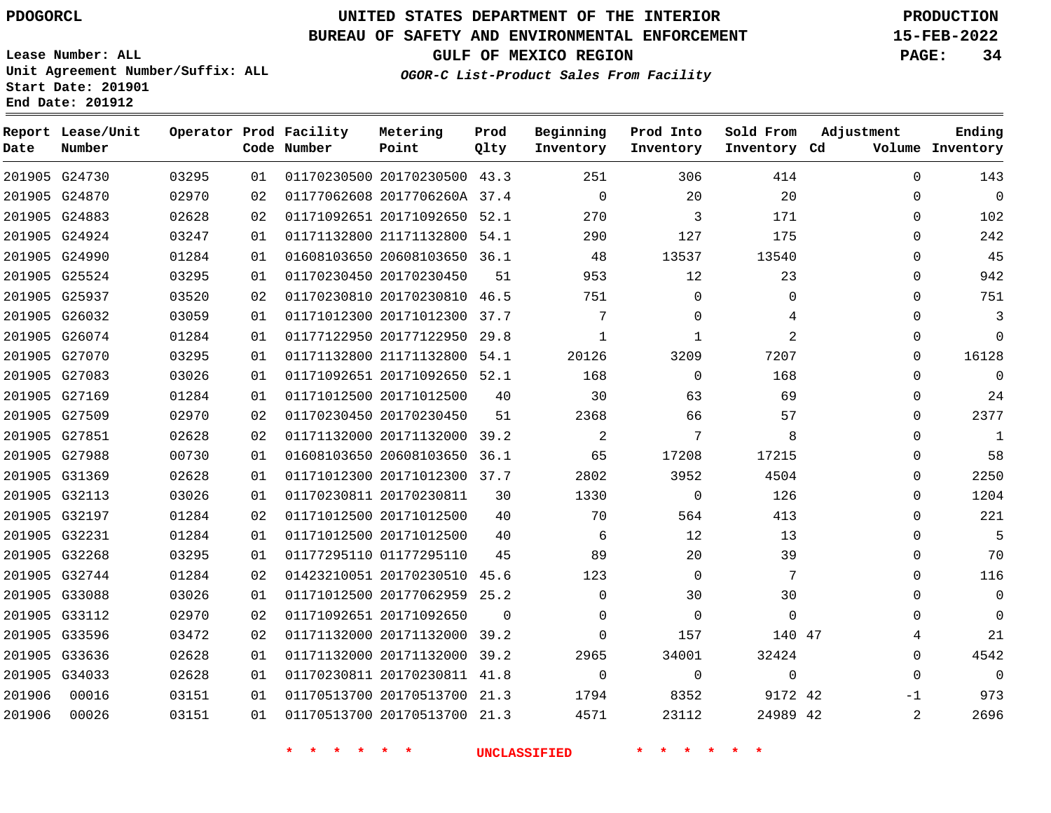**Report Lease/Unit**

**Number**

**Date**

### **UNITED STATES DEPARTMENT OF THE INTERIOR PDOGORCL PRODUCTION**

#### **BUREAU OF SAFETY AND ENVIRONMENTAL ENFORCEMENT 15-FEB-2022**

**Lease Number: ALL Unit Agreement Number/Suffix: ALL Start Date: 201901 End Date: 201912**

**Operator Prod Facility**

**OGOR-C List-Product Sales From Facility**

**Beginning Inventory** **Prod Into Inventory** **Sold From Inventory**

**GULF OF MEXICO REGION PAGE: 34**

**Adjustment**

**Ending**

| Number |       |    | Code Number | Point                        | Qlty     | Inventory      | Inventory    | Inventory Cd |          | Volume Inventory |
|--------|-------|----|-------------|------------------------------|----------|----------------|--------------|--------------|----------|------------------|
| G24730 | 03295 | 01 |             | 01170230500 20170230500 43.3 |          | 251            | 306          | 414          | 0        | 143              |
| G24870 | 02970 | 02 |             | 01177062608 2017706260A 37.4 |          | $\Omega$       | 20           | 20           | 0        | 0                |
| G24883 | 02628 | 02 |             | 01171092651 20171092650      | 52.1     | 270            | 3            | 171          | $\Omega$ | 102              |
| G24924 | 03247 | 01 |             | 01171132800 21171132800      | 54.1     | 290            | 127          | 175          | 0        | 242              |
| G24990 | 01284 | 01 |             | 01608103650 20608103650 36.1 |          | 48             | 13537        | 13540        | $\Omega$ | 45               |
| G25524 | 03295 | 01 |             | 01170230450 20170230450      | 51       | 953            | 12           | 23           | 0        | 942              |
| G25937 | 03520 | 02 |             | 01170230810 20170230810 46.5 |          | 751            | $\Omega$     | $\mathbf 0$  | 0        | 751              |
| G26032 | 03059 | 01 |             | 01171012300 20171012300      | 37.7     | 7              | $\Omega$     | 4            | 0        | 3                |
| G26074 | 01284 | 01 |             | 01177122950 20177122950      | 29.8     | $\mathbf{1}$   | $\mathbf{1}$ | 2            | 0        | $\Omega$         |
| G27070 | 03295 | 01 |             | 01171132800 21171132800      | 54.1     | 20126          | 3209         | 7207         | 0        | 16128            |
| G27083 | 03026 | 01 |             | 01171092651 20171092650 52.1 |          | 168            | $\Omega$     | 168          | $\Omega$ |                  |
| G27169 | 01284 | 01 |             | 01171012500 20171012500      | 40       | 30             | 63           | 69           | $\Omega$ | 24               |
| G27509 | 02970 | 02 |             | 01170230450 20170230450      | 51       | 2368           | 66           | 57           | 0        | 2377             |
| G27851 | 02628 | 02 |             | 01171132000 20171132000 39.2 |          | $\overline{2}$ | 7            | 8            | $\Omega$ | $\mathbf{1}$     |
| G27988 | 00730 | 01 |             | 01608103650 20608103650      | 36.1     | 65             | 17208        | 17215        | 0        | 58               |
| G31369 | 02628 | 01 |             | 01171012300 20171012300 37.7 |          | 2802           | 3952         | 4504         | 0        | 2250             |
| G32113 | 03026 | 01 |             | 01170230811 20170230811      | 30       | 1330           | $\Omega$     | 126          | 0        | 1204             |
| G32197 | 01284 | 02 |             | 01171012500 20171012500      | 40       | 70             | 564          | 413          | 0        | 221              |
| G32231 | 01284 | 01 |             | 01171012500 20171012500      | 40       | 6              | 12           | 13           | 0        | 5                |
| G32268 | 03295 | 01 |             | 01177295110 01177295110      | 45       | 89             | 20           | 39           | 0        | 70               |
| G32744 | 01284 | 02 |             | 01423210051 20170230510      | 45.6     | 123            | $\mathbf 0$  | 7            | 0        | 116              |
| G33088 | 03026 | 01 |             | 01171012500 20177062959 25.2 |          | $\Omega$       | 30           | 30           | 0        | 0                |
| G33112 | 02970 | 02 |             | 01171092651 20171092650      | $\Omega$ | 0              | $\Omega$     | $\Omega$     | 0        | 0                |
| G33596 | 03472 | 02 |             | 01171132000 20171132000      | 39.2     | $\Omega$       | 157          | 140 47       | 4        | 21               |
| G33636 | 02628 | 01 |             | 01171132000 20171132000      | 39.2     | 2965           | 34001        | 32424        | 0        | 4542             |
| G34033 | 02628 | 01 |             | 01170230811 20170230811 41.8 |          | $\Omega$       | $\Omega$     | $\mathbf{0}$ | $\Omega$ |                  |
| 00016  | 03151 | 01 |             | 01170513700 20170513700      | 21.3     | 1794           | 8352         | 9172 42      | $-1$     | 973              |

**Prod Qlty**

**Metering Point**

**\* \* \* \* \* \* UNCLASSIFIED \* \* \* \* \* \***

20170513700 21.3

42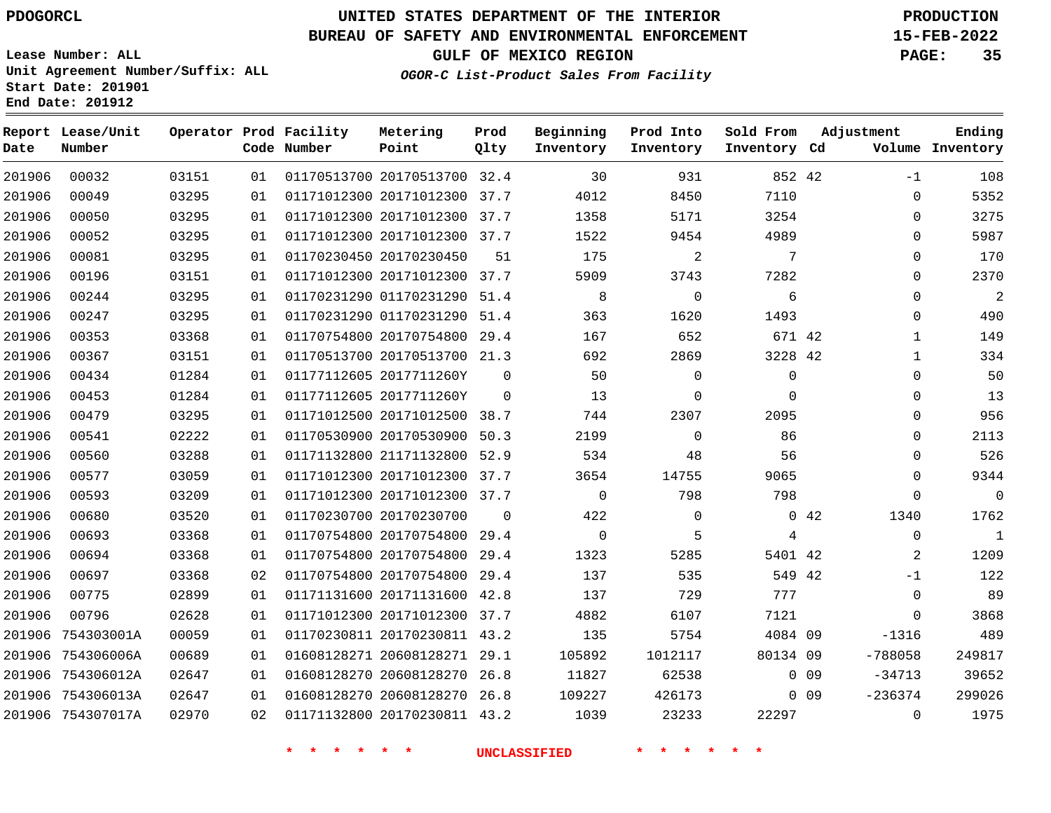**Report Lease/Unit**

# **UNITED STATES DEPARTMENT OF THE INTERIOR PDOGORCL PRODUCTION**

**Prod**

#### **BUREAU OF SAFETY AND ENVIRONMENTAL ENFORCEMENT 15-FEB-2022**

**Lease Number: ALL Unit Agreement Number/Suffix: ALL Start Date: 201901 End Date: 201912**

**Operator Prod Facility**

**OGOR-C List-Product Sales From Facility**

**GULF OF MEXICO REGION PAGE: 35**

**Ending**

| Date   | Number            |       |    | Code Number | Point                        | Qlty           | Inventory      | Inventory      | Inventory Cd |        |              | Volume Inventory |
|--------|-------------------|-------|----|-------------|------------------------------|----------------|----------------|----------------|--------------|--------|--------------|------------------|
| 201906 | 00032             | 03151 | 01 |             | 01170513700 20170513700 32.4 |                | 30             | 931            | 852 42       |        | $-1$         | 108              |
| 201906 | 00049             | 03295 | 01 |             | 01171012300 20171012300 37.7 |                | 4012           | 8450           | 7110         |        | 0            | 5352             |
| 201906 | 00050             | 03295 | 01 |             | 01171012300 20171012300 37.7 |                | 1358           | 5171           | 3254         |        | 0            | 3275             |
| 201906 | 00052             | 03295 | 01 |             | 01171012300 20171012300 37.7 |                | 1522           | 9454           | 4989         |        | $\Omega$     | 5987             |
| 201906 | 00081             | 03295 | 01 |             | 01170230450 20170230450      | 51             | 175            | 2              | 7            |        | $\Omega$     | 170              |
| 201906 | 00196             | 03151 | 01 |             | 01171012300 20171012300 37.7 |                | 5909           | 3743           | 7282         |        | $\Omega$     | 2370             |
| 201906 | 00244             | 03295 | 01 |             | 01170231290 01170231290 51.4 |                | 8              | $\mathsf{O}$   | 6            |        | $\Omega$     | $\overline{2}$   |
| 201906 | 00247             | 03295 | 01 |             | 01170231290 01170231290 51.4 |                | 363            | 1620           | 1493         |        | $\Omega$     | 490              |
| 201906 | 00353             | 03368 | 01 |             | 01170754800 20170754800 29.4 |                | 167            | 652            | 671 42       |        | 1            | 149              |
| 201906 | 00367             | 03151 | 01 |             | 01170513700 20170513700 21.3 |                | 692            | 2869           | 3228 42      |        | $\mathbf 1$  | 334              |
| 201906 | 00434             | 01284 | 01 |             | 01177112605 2017711260Y      | $\mathbf 0$    | 50             | $\mathsf{O}$   | $\mathbf 0$  |        | $\Omega$     | 50               |
| 201906 | 00453             | 01284 | 01 |             | 01177112605 2017711260Y      | 0              | 13             | $\mathbf 0$    | $\Omega$     |        | $\Omega$     | 13               |
| 201906 | 00479             | 03295 | 01 |             | 01171012500 20171012500 38.7 |                | 744            | 2307           | 2095         |        | 0            | 956              |
| 201906 | 00541             | 02222 | 01 |             | 01170530900 20170530900 50.3 |                | 2199           | $\Omega$       | 86           |        | $\Omega$     | 2113             |
| 201906 | 00560             | 03288 | 01 |             | 01171132800 21171132800 52.9 |                | 534            | 48             | 56           |        | $\Omega$     | 526              |
| 201906 | 00577             | 03059 | 01 |             | 01171012300 20171012300 37.7 |                | 3654           | 14755          | 9065         |        | $\Omega$     | 9344             |
| 201906 | 00593             | 03209 | 01 |             | 01171012300 20171012300 37.7 |                | $\overline{0}$ | 798            | 798          |        | $\mathbf{0}$ | $\overline{0}$   |
| 201906 | 00680             | 03520 | 01 |             | 01170230700 20170230700      | $\overline{0}$ | 422            | $\overline{0}$ |              | 042    | 1340         | 1762             |
| 201906 | 00693             | 03368 | 01 |             | 01170754800 20170754800      | 29.4           | $\overline{0}$ | 5              | 4            |        | $\mathbf 0$  | $\overline{1}$   |
| 201906 | 00694             | 03368 | 01 |             | 01170754800 20170754800 29.4 |                | 1323           | 5285           | 5401 42      |        | 2            | 1209             |
| 201906 | 00697             | 03368 | 02 |             | 01170754800 20170754800 29.4 |                | 137            | 535            | 549 42       |        | $-1$         | 122              |
| 201906 | 00775             | 02899 | 01 |             | 01171131600 20171131600 42.8 |                | 137            | 729            | 777          |        | 0            | 89               |
| 201906 | 00796             | 02628 | 01 |             | 01171012300 20171012300 37.7 |                | 4882           | 6107           | 7121         |        | $\mathbf 0$  | 3868             |
| 201906 | 754303001A        | 00059 | 01 |             | 01170230811 20170230811 43.2 |                | 135            | 5754           | 4084 09      |        | $-1316$      | 489              |
|        | 201906 754306006A | 00689 | 01 |             | 01608128271 20608128271 29.1 |                | 105892         | 1012117        | 80134 09     |        | $-788058$    | 249817           |
|        | 201906 754306012A | 02647 | 01 |             | 01608128270 20608128270 26.8 |                | 11827          | 62538          |              | $0$ 09 | $-34713$     | 39652            |
|        | 201906 754306013A | 02647 | 01 |             | 01608128270 20608128270 26.8 |                | 109227         | 426173         |              | $0$ 09 | $-236374$    | 299026           |
|        | 201906 754307017A | 02970 | 02 |             | 01171132800 20170230811 43.2 |                | 1039           | 23233          | 22297        |        | $\mathbf{0}$ | 1975             |

**Metering**

**\* \* \* \* \* \* UNCLASSIFIED \* \* \* \* \* \***

**Beginning Prod Into Sold From Adjustment**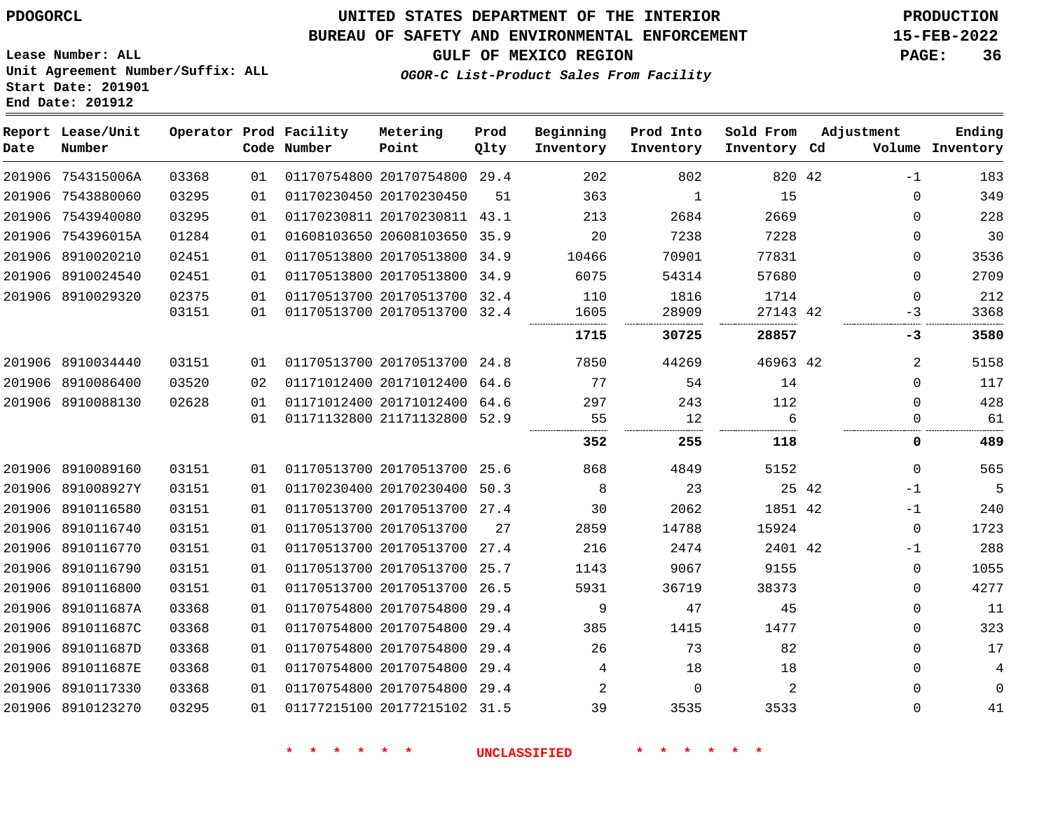8910117330 8910123270    

# **UNITED STATES DEPARTMENT OF THE INTERIOR PDOGORCL PRODUCTION**

**Prod**

#### **BUREAU OF SAFETY AND ENVIRONMENTAL ENFORCEMENT 15-FEB-2022**

**Lease Number: ALL Unit Agreement Number/Suffix: ALL Start Date: 201901 End Date: 201912**

**Operator** 

**Lease Contract Contract Contract Contract Contract Contract Contract Contract Contract Contract Contract Contract** 

**OGOR-C List-Product Sales From Facility**

**Beginning**

**Prod Into**

**Sold From**

**GULF OF MEXICO REGION PAGE: 36**

**Adjustment**

**Ending**

 

|      | Report Lease/Unit |       |    | Operator Prod Facility | Metering                     | Prod | Beginning | Prod Into | Sold From    |       | Adjustment  | Ending           |
|------|-------------------|-------|----|------------------------|------------------------------|------|-----------|-----------|--------------|-------|-------------|------------------|
| Date | Number            |       |    | Code Number            | Point                        | Qlty | Inventory | Inventory | Inventory Cd |       |             | Volume Inventory |
|      | 201906 754315006A | 03368 | 01 |                        | 01170754800 20170754800      | 29.4 | 202       | 802       | 820 42       |       | $-1$        | 183              |
|      | 201906 7543880060 | 03295 | 01 |                        | 01170230450 20170230450      | 51   | 363       | 1         | 15           |       | $\Omega$    | 349              |
|      | 201906 7543940080 | 03295 | 01 |                        | 01170230811 20170230811 43.1 |      | 213       | 2684      | 2669         |       | $\Omega$    | 228              |
|      | 201906 754396015A | 01284 | 01 |                        | 01608103650 20608103650 35.9 |      | 20        | 7238      | 7228         |       | $\Omega$    | 30               |
|      | 201906 8910020210 | 02451 | 01 |                        | 01170513800 20170513800      | 34.9 | 10466     | 70901     | 77831        |       | $\mathbf 0$ | 3536             |
|      | 201906 8910024540 | 02451 | 01 |                        | 01170513800 20170513800 34.9 |      | 6075      | 54314     | 57680        |       | $\Omega$    | 2709             |
|      | 201906 8910029320 | 02375 | 01 |                        | 01170513700 20170513700      | 32.4 | 110       | 1816      | 1714         |       | $\Omega$    | 212              |
|      |                   | 03151 | 01 |                        | 01170513700 20170513700 32.4 |      | 1605      | 28909     | 27143 42     |       | $-3$        | 3368             |
|      |                   |       |    |                        |                              |      | 1715      | 30725     | 28857        |       | $-3$        | 3580             |
|      | 201906 8910034440 | 03151 | 01 |                        | 01170513700 20170513700      | 24.8 | 7850      | 44269     | 46963 42     |       | 2           | 5158             |
|      | 201906 8910086400 | 03520 | 02 |                        | 01171012400 20171012400      | 64.6 | 77        | 54        | 14           |       | $\mathbf 0$ | 117              |
|      | 201906 8910088130 | 02628 | 01 |                        | 01171012400 20171012400      | 64.6 | 297       | 243       | 112          |       | $\Omega$    | 428              |
|      |                   |       | 01 |                        | 01171132800 21171132800      | 52.9 | 55        | 12        | 6            |       | 0           | 61               |
|      |                   |       |    |                        |                              |      | 352       | 255       | 118          |       | 0           | 489              |
|      | 201906 8910089160 | 03151 | 01 |                        | 01170513700 20170513700      | 25.6 | 868       | 4849      | 5152         |       | $\Omega$    | 565              |
|      | 201906 891008927Y | 03151 | 01 |                        | 01170230400 20170230400      | 50.3 | 8         | 23        |              | 25 42 | $-1$        | 5                |
|      | 201906 8910116580 | 03151 | 01 |                        | 01170513700 20170513700      | 27.4 | 30        | 2062      | 1851 42      |       | $-1$        | 240              |
|      | 201906 8910116740 | 03151 | 01 |                        | 01170513700 20170513700      | 27   | 2859      | 14788     | 15924        |       | 0           | 1723             |
|      | 201906 8910116770 | 03151 | 01 |                        | 01170513700 20170513700      | 27.4 | 216       | 2474      | 2401 42      |       | $-1$        | 288              |
|      | 201906 8910116790 | 03151 | 01 |                        | 01170513700 20170513700      | 25.7 | 1143      | 9067      | 9155         |       | $\mathbf 0$ | 1055             |
|      | 201906 8910116800 | 03151 | 01 |                        | 01170513700 20170513700      | 26.5 | 5931      | 36719     | 38373        |       | $\Omega$    | 4277             |
|      | 201906 891011687A | 03368 | 01 |                        | 01170754800 20170754800      | 29.4 | 9         | 47        | 45           |       | $\mathbf 0$ | 11               |
|      | 201906 891011687C | 03368 | 01 |                        | 01170754800 20170754800      | 29.4 | 385       | 1415      | 1477         |       | $\Omega$    | 323              |
|      | 201906 891011687D | 03368 | 01 |                        | 01170754800 20170754800      | 29.4 | 26        | 73        | 82           |       | $\Omega$    | 17               |
|      | 201906 891011687E | 03368 | 01 |                        | 01170754800 20170754800      | 29.4 | 4         | 18        | 18           |       | $\Omega$    | 4                |

**\* \* \* \* \* \* UNCLASSIFIED \* \* \* \* \* \***

 20170754800 29.4 20177215102 31.5

**Metering**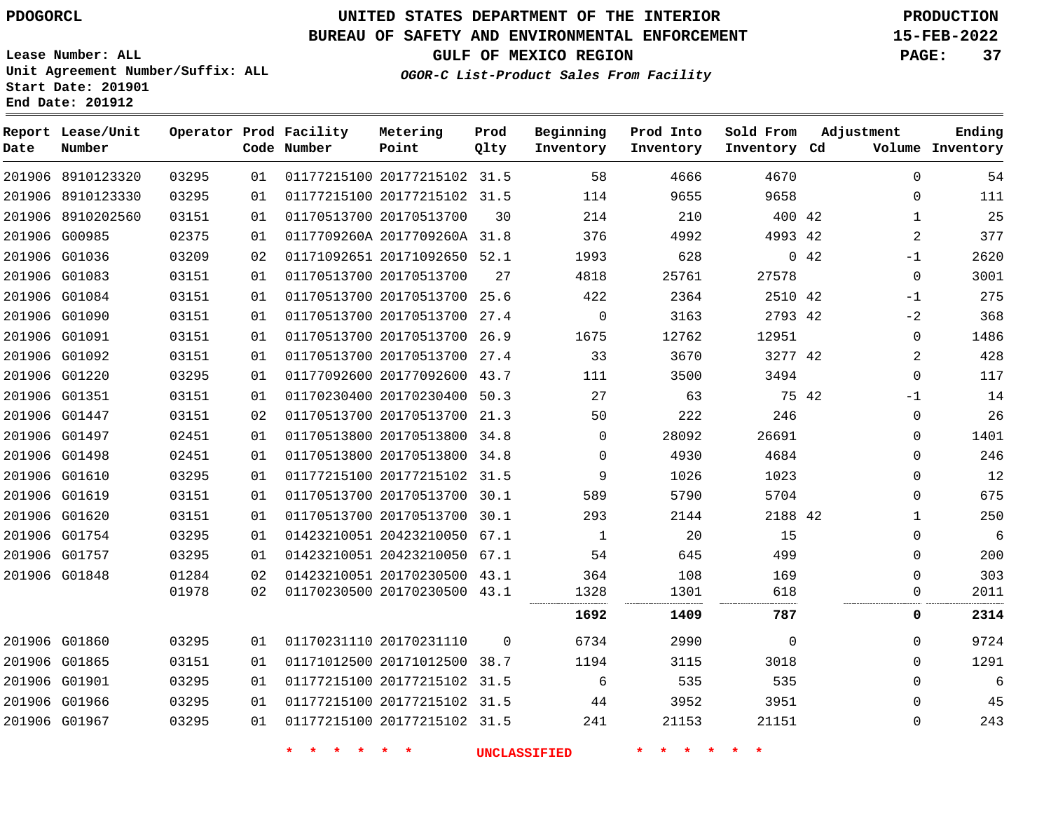**Report Lease/Unit**

**Number**

## **UNITED STATES DEPARTMENT OF THE INTERIOR PDOGORCL PRODUCTION**

**Prod Qlty**

#### **BUREAU OF SAFETY AND ENVIRONMENTAL ENFORCEMENT 15-FEB-2022**

**Lease Number: ALL Unit Agreement Number/Suffix: ALL Start Date: 201901 End Date: 201912**

**Operator Prod Facility**

**Code Number**

**Metering Point**

**OGOR-C List-Product Sales From Facility**

**Beginning Inventory** **Prod Into Inventory** **Sold From Inventory**

**GULF OF MEXICO REGION PAGE: 37**

**Inventory Cd Volume**

**Adjustment**

**Ending**

| 201906 8910123320 | 03295 | 01 |                         | 01177215100 20177215102 31.5    |                | 58                  | 4666    | 4670           | $\Omega$            | 54   |
|-------------------|-------|----|-------------------------|---------------------------------|----------------|---------------------|---------|----------------|---------------------|------|
| 201906 8910123330 | 03295 | 01 |                         | 01177215100 20177215102 31.5    |                | 114                 | 9655    | 9658           | 0                   | 111  |
| 201906 8910202560 | 03151 | 01 |                         | 01170513700 20170513700         | 30             | 214                 | 210     | 400 42         | $\mathbf{1}$        | 25   |
| 201906 G00985     | 02375 | 01 |                         | 0117709260A 2017709260A 31.8    |                | 376                 | 4992    | 4993 42        | $\overline{2}$      | 377  |
| 201906 G01036     | 03209 | 02 |                         | 01171092651 20171092650 52.1    |                | 1993                | 628     |                | $0\quad 42$<br>$-1$ | 2620 |
| 201906 G01083     | 03151 | 01 | 01170513700 20170513700 |                                 | 27             | 4818                | 25761   | 27578          | $\mathbf 0$         | 3001 |
| 201906 G01084     | 03151 | 01 |                         | 01170513700 20170513700 25.6    |                | 422                 | 2364    | 2510 42        | $-1$                | 275  |
| 201906 G01090     | 03151 | 01 |                         | 01170513700 20170513700 27.4    |                | $\overline{0}$      | 3163    | 2793 42        | $-2$                | 368  |
| 201906 G01091     | 03151 | 01 |                         | 01170513700 20170513700 26.9    |                | 1675                | 12762   | 12951          | $\mathbf{0}$        | 1486 |
| 201906 G01092     | 03151 | 01 |                         | 01170513700 20170513700 27.4    |                | 33                  | 3670    | 3277 42        | 2                   | 428  |
| 201906 G01220     | 03295 | 01 |                         | 01177092600 20177092600 43.7    |                | 111                 | 3500    | 3494           | $\mathbf 0$         | 117  |
| 201906 G01351     | 03151 | 01 |                         | 01170230400 20170230400 50.3    |                | 27                  | 63      | 75 42          | $-1$                | 14   |
| 201906 G01447     | 03151 | 02 |                         | 01170513700 20170513700 21.3    |                | 50                  | 222     | 246            | $\mathbf{0}$        | 26   |
| 201906 G01497     | 02451 | 01 |                         | 01170513800 20170513800 34.8    |                | $\overline{0}$      | 28092   | 26691          | $\mathbf{0}$        | 1401 |
| 201906 G01498     | 02451 | 01 |                         | 01170513800 20170513800 34.8    |                | $\Omega$            | 4930    | 4684           | $\Omega$            | 246  |
| 201906 G01610     | 03295 | 01 |                         | 01177215100 20177215102 31.5    |                | 9                   | 1026    | 1023           | $\mathbf{0}$        | 12   |
| 201906 G01619     | 03151 | 01 |                         | 01170513700 20170513700 30.1    |                | 589                 | 5790    | 5704           | $\mathbf 0$         | 675  |
| 201906 G01620     | 03151 | 01 |                         | 01170513700 20170513700 30.1    |                | 293                 | 2144    | 2188 42        | $\mathbf{1}$        | 250  |
| 201906 G01754     | 03295 | 01 |                         | 01423210051 20423210050 67.1    |                | $\mathbf{1}$        | 20      | 15             | 0                   | 6    |
| 201906 G01757     | 03295 | 01 |                         | 01423210051 20423210050 67.1    |                | 54                  | 645     | 499            | 0                   | 200  |
| 201906 G01848     | 01284 | 02 |                         | 01423210051 20170230500 43.1    |                | 364                 | 108     | 169            | 0                   | 303  |
|                   | 01978 |    |                         | 02 01170230500 20170230500 43.1 |                | 1328                | 1301    | 618            | $\mathbf{0}$        | 2011 |
|                   |       |    |                         |                                 |                | 1692                | 1409    | 787            | 0                   | 2314 |
| 201906 G01860     | 03295 | 01 |                         | 01170231110 20170231110         | $\overline{0}$ | 6734                | 2990    | $\overline{0}$ | 0                   | 9724 |
| 201906 G01865     | 03151 | 01 |                         | 01171012500 20171012500 38.7    |                | 1194                | 3115    | 3018           | $\mathbf{0}$        | 1291 |
| 201906 G01901     | 03295 | 01 |                         | 01177215100 20177215102 31.5    |                | $6\overline{6}$     | 535     | 535            | $\mathbf 0$         | -6   |
| 201906 G01966     | 03295 | 01 |                         | 01177215100 20177215102 31.5    |                | 44                  | 3952    | 3951           | $\Omega$            | 45   |
| 201906 G01967     | 03295 | 01 |                         | 01177215100 20177215102 31.5    |                | 241                 | 21153   | 21151          | $\mathsf{O}$        | 243  |
|                   |       |    | $\star$<br>一大           | $\star$ $\star$                 |                | <b>UNCLASSIFIED</b> | * * * * |                |                     |      |
|                   |       |    |                         |                                 |                |                     |         |                |                     |      |
|                   |       |    |                         |                                 |                |                     |         |                |                     |      |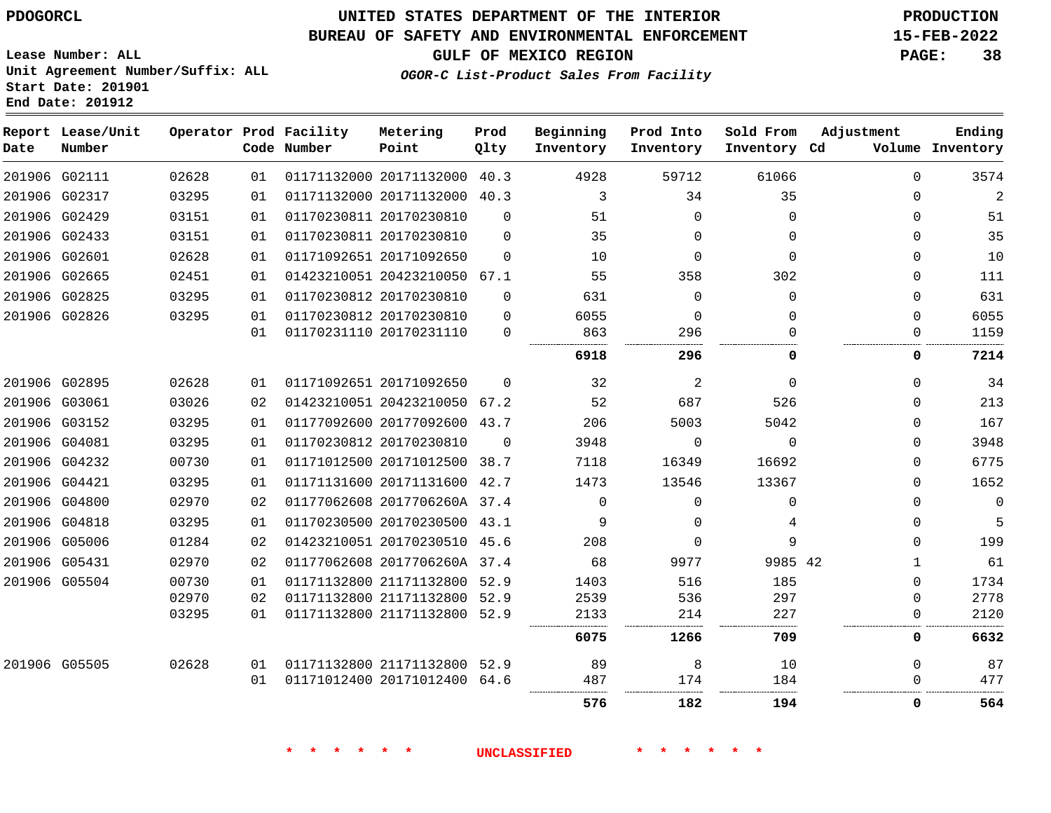**End Date: 201912**

### **UNITED STATES DEPARTMENT OF THE INTERIOR PDOGORCL PRODUCTION**

#### **BUREAU OF SAFETY AND ENVIRONMENTAL ENFORCEMENT 15-FEB-2022**

**Lease Number: ALL Unit Agreement Number/Suffix: ALL Start Date: 201901**

### **GULF OF MEXICO REGION PAGE: 38**

**OGOR-C List-Product Sales From Facility**

| Date | Report Lease/Unit<br>Number |       |    | Operator Prod Facility<br>Code Number | Metering<br>Point            | Prod<br>Qlty | Beginning<br>Inventory | Prod Into<br>Inventory | Sold From<br>Inventory Cd | Adjustment  | Ending<br>Volume Inventory |
|------|-----------------------------|-------|----|---------------------------------------|------------------------------|--------------|------------------------|------------------------|---------------------------|-------------|----------------------------|
|      | 201906 G02111               | 02628 | 01 |                                       | 01171132000 20171132000 40.3 |              | 4928                   | 59712                  | 61066                     | $\Omega$    | 3574                       |
|      | 201906 G02317               | 03295 | 01 |                                       | 01171132000 20171132000 40.3 |              | 3                      | 34                     | 35                        | $\Omega$    | $\overline{2}$             |
|      | 201906 G02429               | 03151 | 01 |                                       | 01170230811 20170230810      | $\Omega$     | 51                     | $\Omega$               | $\Omega$                  | $\Omega$    | 51                         |
|      | 201906 G02433               | 03151 | 01 |                                       | 01170230811 20170230810      | $\Omega$     | 35                     | $\Omega$               | $\Omega$                  | $\Omega$    | 35                         |
|      | 201906 G02601               | 02628 | 01 |                                       | 01171092651 20171092650      | $\Omega$     | 10                     | $\Omega$               | $\Omega$                  | $\Omega$    | 10                         |
|      | 201906 G02665               | 02451 | 01 |                                       | 01423210051 20423210050 67.1 |              | 55                     | 358                    | 302                       | $\Omega$    | 111                        |
|      | 201906 G02825               | 03295 | 01 |                                       | 01170230812 20170230810      | $\Omega$     | 631                    | $\Omega$               | $\Omega$                  | 0           | 631                        |
|      | 201906 G02826               | 03295 | 01 |                                       | 01170230812 20170230810      | $\Omega$     | 6055                   | $\Omega$               | 0                         | $\Omega$    | 6055                       |
|      |                             |       | 01 |                                       | 01170231110 20170231110      | $\Omega$     | 863                    | 296                    | $\Omega$                  | $\mathbf 0$ | 1159                       |
|      |                             |       |    |                                       |                              |              | 6918                   | 296                    | 0                         | 0           | 7214                       |
|      | 201906 G02895               | 02628 | 01 |                                       | 01171092651 20171092650      | $\Omega$     | 32                     | 2                      | $\Omega$                  | 0           | 34                         |
|      | 201906 G03061               | 03026 | 02 |                                       | 01423210051 20423210050 67.2 |              | 52                     | 687                    | 526                       | $\Omega$    | 213                        |
|      | 201906 G03152               | 03295 | 01 |                                       | 01177092600 20177092600 43.7 |              | 206                    | 5003                   | 5042                      | $\Omega$    | 167                        |
|      | 201906 G04081               | 03295 | 01 |                                       | 01170230812 20170230810      | $\Omega$     | 3948                   | $\Omega$               | $\Omega$                  | $\Omega$    | 3948                       |
|      | 201906 G04232               | 00730 | 01 |                                       | 01171012500 20171012500 38.7 |              | 7118                   | 16349                  | 16692                     | $\Omega$    | 6775                       |
|      | 201906 G04421               | 03295 | 01 |                                       | 01171131600 20171131600 42.7 |              | 1473                   | 13546                  | 13367                     | $\Omega$    | 1652                       |
|      | 201906 G04800               | 02970 | 02 |                                       | 01177062608 2017706260A 37.4 |              | $\Omega$               | 0                      | $\mathbf 0$               | $\Omega$    | $\mathbf 0$                |
|      | 201906 G04818               | 03295 | 01 |                                       | 01170230500 20170230500 43.1 |              | 9                      | $\Omega$               | 4                         | $\Omega$    | 5                          |
|      | 201906 G05006               | 01284 | 02 |                                       | 01423210051 20170230510 45.6 |              | 208                    | $\Omega$               | 9                         | $\Omega$    | 199                        |
|      | 201906 G05431               | 02970 | 02 |                                       | 01177062608 2017706260A 37.4 |              | 68                     | 9977                   | 9985 42                   | 1           | 61                         |
|      | 201906 G05504               | 00730 | 01 |                                       | 01171132800 21171132800 52.9 |              | 1403                   | 516                    | 185                       | $\mathbf 0$ | 1734                       |
|      |                             | 02970 | 02 |                                       | 01171132800 21171132800 52.9 |              | 2539                   | 536                    | 297                       | 0           | 2778                       |
|      |                             | 03295 | 01 |                                       | 01171132800 21171132800      | 52.9         | 2133                   | 214                    | 227                       | $\Omega$    | 2120                       |
|      |                             |       |    |                                       |                              |              | 6075                   | 1266                   | 709                       | 0           | 6632                       |
|      | 201906 G05505               | 02628 | 01 |                                       | 01171132800 21171132800 52.9 |              | 89                     | 8                      | 10                        | $\Omega$    | 87                         |
|      |                             |       | 01 |                                       | 01171012400 20171012400 64.6 |              | 487                    | 174                    | 184                       | $\Omega$    | 477                        |
|      |                             |       |    |                                       |                              |              | 576                    | 182                    | 194                       | 0           | 564                        |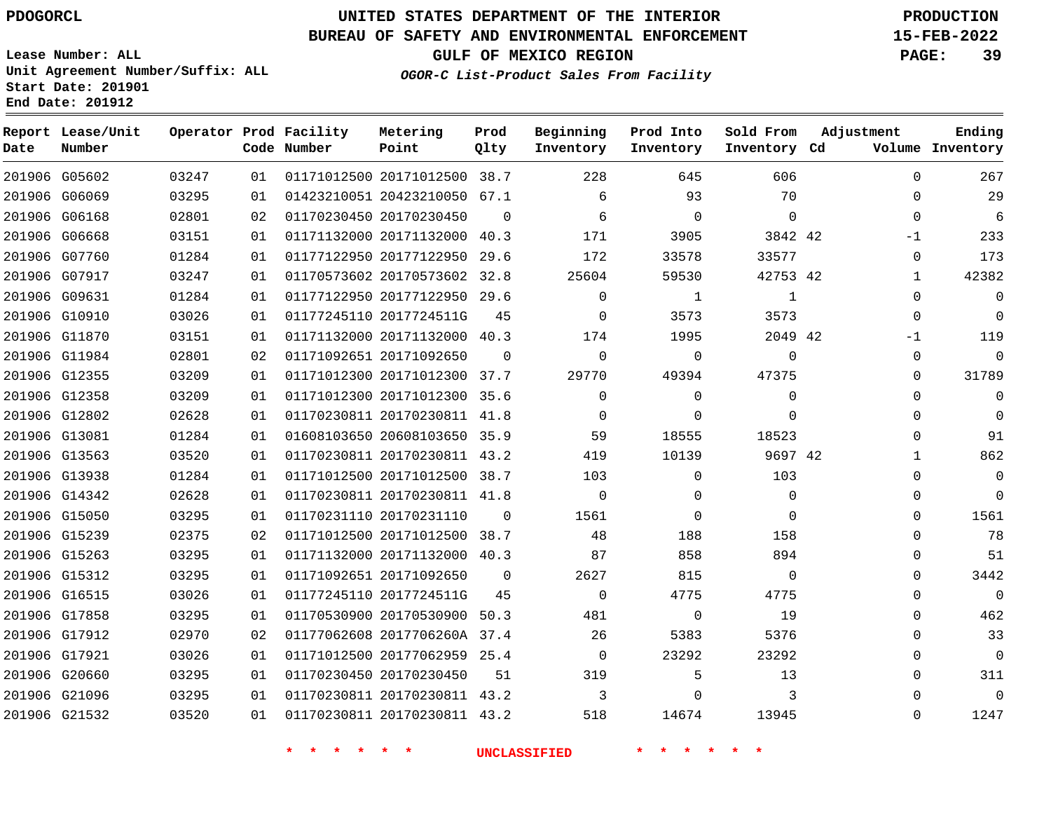**Report Lease/Unit**

**Number**

### **UNITED STATES DEPARTMENT OF THE INTERIOR PDOGORCL PRODUCTION**

**Prod Qlty**

#### **BUREAU OF SAFETY AND ENVIRONMENTAL ENFORCEMENT 15-FEB-2022**

**Lease Number: ALL Unit Agreement Number/Suffix: ALL Start Date: 201901 End Date: 201912**

**Operator Prod Facility**

**Code Number**

**Metering Point**

**OGOR-C List-Product Sales From Facility**

**Beginning Inventory** **Prod Into Inventory** **Sold From Inventory**

**GULF OF MEXICO REGION PAGE: 39**

**Inventory Cd Volume**

**Adjustment**

  $-1$  -1  $\Omega$  $\Omega$  $\Omega$   $\overline{0}$  $\Omega$  $\Omega$  $\overline{0}$  $\overline{0}$  $\Omega$  $\overline{0}$  

**Ending**

|               | 201906 G05602       | 03247 |    |  | 01  01171012500  20171012500  38.7  228 |                        | 645            | 606                     |  |
|---------------|---------------------|-------|----|--|-----------------------------------------|------------------------|----------------|-------------------------|--|
|               | 201906 G06069       | 03295 |    |  | 01 01423210051 20423210050 67.1 6       |                        | 93             | 70                      |  |
| 201906 G06168 |                     | 02801 | 02 |  | 01170230450 20170230450 0 6 6           |                        | $\overline{0}$ | $\overline{0}$          |  |
| 201906 G06668 |                     | 03151 | 01 |  | 01171132000 20171132000 40.3 171        |                        | 3905           | 3842 42                 |  |
| 201906 G07760 |                     | 01284 | 01 |  | 01177122950 20177122950 29.6 172        |                        | 33578          | 33577                   |  |
|               | 201906 G07917       | 03247 | 01 |  | 01170573602 20170573602 32.8 25604      |                        | 59530          | 42753 42                |  |
|               | 201906 G09631       | 01284 | 01 |  | 01177122950 20177122950 29.6            | $\overline{0}$         | $\sim$ 1       | $\overline{1}$          |  |
| 201906 G10910 |                     | 03026 | 01 |  | 01177245110 2017724511G 45              | $\overline{0}$         | 3573           | 3573                    |  |
| 201906 G11870 |                     | 03151 | 01 |  | 01171132000 20171132000 40.3 174        |                        | 1995           | 2049 42                 |  |
|               | 201906 G11984       | 02801 | 02 |  | 01171092651 20171092650   0   0   0     |                        | $\overline{0}$ | $\overline{0}$          |  |
|               | 201906 G12355       | 03209 | 01 |  | 01171012300 20171012300 37.7 29770      |                        | 49394          | 47375                   |  |
|               | 201906 G12358       | 03209 | 01 |  | 01171012300 20171012300 35.6 0          |                        | $\overline{0}$ | $\Omega$                |  |
| 201906 G12802 |                     | 02628 | 01 |  | 01170230811 20170230811 41.8 0          |                        | $\overline{0}$ | $\overline{0}$          |  |
|               | 201906 G13081       | 01284 | 01 |  | 01608103650 20608103650 35.9 59         |                        | 18555          | 18523                   |  |
|               | 201906 G13563       | 03520 | 01 |  | 01170230811 20170230811 43.2 419        |                        |                | 9697 42<br>10139        |  |
|               | 201906 G13938       | 01284 |    |  |                                         |                        | $\overline{0}$ | 103                     |  |
| 201906 G14342 |                     | 02628 | 01 |  | 01170230811 20170230811 41.8            | $\overline{0}$         | $\overline{0}$ | $\overline{0}$          |  |
|               | 201906 G15050       | 03295 | 01 |  | 01170231110 20170231110 0               | 1561                   | $\overline{0}$ | $\overline{0}$          |  |
|               | 201906 G15239       | 02375 | 02 |  | 01171012500 20171012500 38.7 48         |                        | 188            | 158                     |  |
|               | 201906 G15263       | 03295 | 01 |  | 01171132000 20171132000 40.3 87         |                        | 858            | 894                     |  |
|               | 201906 G15312       | 03295 | 01 |  | 01171092651 20171092650 0               |                        | 2627 815       | $\overline{0}$          |  |
| 201906 G16515 |                     | 03026 | 01 |  | 01177245110 2017724511G 45              | $\overline{0}$         | 4775           | 4775                    |  |
|               | 201906 G17858       | 03295 | 01 |  | 01170530900 20170530900 50.3 481        |                        | $\overline{0}$ | 19                      |  |
|               | 201906 G17912       | 02970 | 02 |  | 01177062608 2017706260A 37.4 26         |                        | 5383           | 5376                    |  |
|               | 201906 G17921       | 03026 | 01 |  | 01171012500 20177062959 25.4 0          |                        | 23292          | 23292                   |  |
| 201906 G20660 |                     | 03295 | 01 |  | 01170230450 20170230450 51 319          |                        | 5 <sup>5</sup> | 13                      |  |
|               | 201906 G21096       | 03295 | 01 |  | 01170230811 20170230811 43.2 3          |                        | $\overline{0}$ | $\overline{\mathbf{3}}$ |  |
|               | 201906 G21532 03520 |       |    |  | 01 01170230811 20170230811 43.2 518     |                        |                | 14674 13945             |  |
|               |                     |       |    |  |                                         | UNCLASSIFIED * * * * * |                |                         |  |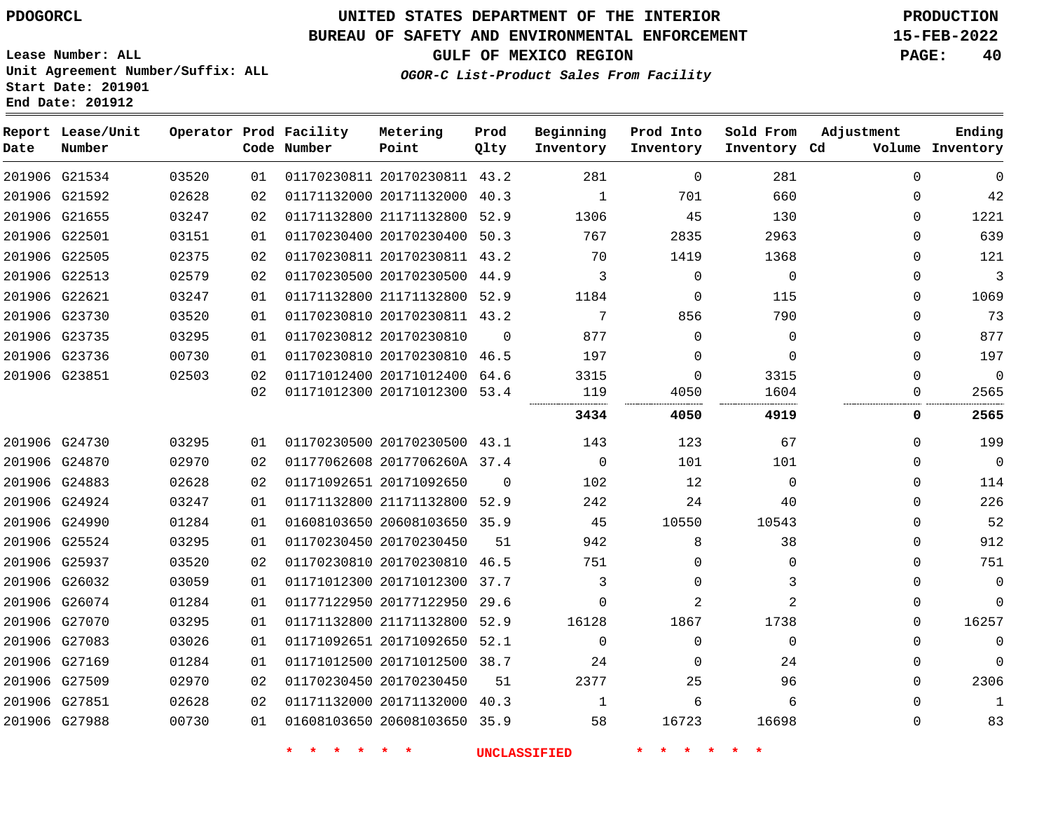#### **BUREAU OF SAFETY AND ENVIRONMENTAL ENFORCEMENT 15-FEB-2022**

**Lease Number: ALL Unit Agreement Number/Suffix: ALL Start Date: 201901 End Date: 201912**

**GULF OF MEXICO REGION PAGE: 40**

**OGOR-C List-Product Sales From Facility**

| Date | Report Lease/Unit<br>Number |       |    | Operator Prod Facility<br>Code Number | Metering<br>Point            | Prod<br>Qlty | Beginning<br>Inventory | Prod Into<br>Inventory | Sold From<br>Inventory Cd | Adjustment   | Ending<br>Volume Inventory |
|------|-----------------------------|-------|----|---------------------------------------|------------------------------|--------------|------------------------|------------------------|---------------------------|--------------|----------------------------|
|      | 201906 G21534               | 03520 | 01 |                                       | 01170230811 20170230811 43.2 |              | 281                    | $\mathbf 0$            | 281                       | $\Omega$     | $\mathbf 0$                |
|      | 201906 G21592               | 02628 | 02 |                                       | 01171132000 20171132000 40.3 |              | $\mathbf{1}$           | 701                    | 660                       | $\Omega$     | 42                         |
|      | 201906 G21655               | 03247 | 02 |                                       | 01171132800 21171132800 52.9 |              | 1306                   | 45                     | 130                       | $\Omega$     | 1221                       |
|      | 201906 G22501               | 03151 | 01 |                                       | 01170230400 20170230400 50.3 |              | 767                    | 2835                   | 2963                      | $\Omega$     | 639                        |
|      | 201906 G22505               | 02375 | 02 |                                       | 01170230811 20170230811 43.2 |              | 70                     | 1419                   | 1368                      | $\Omega$     | 121                        |
|      | 201906 G22513               | 02579 | 02 |                                       | 01170230500 20170230500 44.9 |              | 3                      | $\mathbf 0$            | $\mathbf 0$               | 0            | 3                          |
|      | 201906 G22621               | 03247 | 01 |                                       | 01171132800 21171132800 52.9 |              | 1184                   | $\Omega$               | 115                       | $\Omega$     | 1069                       |
|      | 201906 G23730               | 03520 | 01 |                                       | 01170230810 20170230811 43.2 |              | 7                      | 856                    | 790                       | $\Omega$     | 73                         |
|      | 201906 G23735               | 03295 | 01 |                                       | 01170230812 20170230810      | $\Omega$     | 877                    | $\Omega$               | $\Omega$                  | 0            | 877                        |
|      | 201906 G23736               | 00730 | 01 |                                       | 01170230810 20170230810 46.5 |              | 197                    | 0                      | $\mathbf 0$               | 0            | 197                        |
|      | 201906 G23851               | 02503 | 02 |                                       | 01171012400 20171012400 64.6 |              | 3315                   | $\Omega$               | 3315                      | $\Omega$     | $\mathbf 0$                |
|      |                             |       | 02 |                                       | 01171012300 20171012300 53.4 |              | 119                    | 4050                   | 1604                      | 0            | 2565                       |
|      |                             |       |    |                                       |                              |              | 3434                   | 4050                   | 4919                      | 0            | 2565                       |
|      | 201906 G24730               | 03295 | 01 |                                       | 01170230500 20170230500 43.1 |              | 143                    | 123                    | 67                        | $\Omega$     | 199                        |
|      | 201906 G24870               | 02970 | 02 |                                       | 01177062608 2017706260A 37.4 |              | $\mathbf 0$            | 101                    | 101                       | 0            | $\mathbf 0$                |
|      | 201906 G24883               | 02628 | 02 |                                       | 01171092651 20171092650      | $\Omega$     | 102                    | 12                     | $\Omega$                  | $\Omega$     | 114                        |
|      | 201906 G24924               | 03247 | 01 |                                       | 01171132800 21171132800 52.9 |              | 242                    | 24                     | 40                        | 0            | 226                        |
|      | 201906 G24990               | 01284 | 01 |                                       | 01608103650 20608103650 35.9 |              | 45                     | 10550                  | 10543                     | 0            | 52                         |
|      | 201906 G25524               | 03295 | 01 |                                       | 01170230450 20170230450      | 51           | 942                    | 8                      | 38                        | $\mathbf{0}$ | 912                        |
|      | 201906 G25937               | 03520 | 02 |                                       | 01170230810 20170230810 46.5 |              | 751                    | $\Omega$               | $\Omega$                  | $\Omega$     | 751                        |
|      | 201906 G26032               | 03059 | 01 |                                       | 01171012300 20171012300 37.7 |              | 3                      | $\Omega$               | 3                         | $\Omega$     | $\mathbf 0$                |
|      | 201906 G26074               | 01284 | 01 |                                       | 01177122950 20177122950      | 29.6         | $\Omega$               | 2                      | 2                         | 0            | $\mathbf 0$                |
|      | 201906 G27070               | 03295 | 01 |                                       | 01171132800 21171132800      | 52.9         | 16128                  | 1867                   | 1738                      | $\Omega$     | 16257                      |
|      | 201906 G27083               | 03026 | 01 |                                       | 01171092651 20171092650      | 52.1         | $\mathbf 0$            | $\Omega$               | $\Omega$                  | $\Omega$     | $\mathbf 0$                |
|      | 201906 G27169               | 01284 | 01 |                                       | 01171012500 20171012500 38.7 |              | 24                     | $\Omega$               | 24                        | $\Omega$     | $\Omega$                   |
|      | 201906 G27509               | 02970 | 02 |                                       | 01170230450 20170230450      | 51           | 2377                   | 25                     | 96                        | 0            | 2306                       |
|      | 201906 G27851               | 02628 | 02 |                                       | 01171132000 20171132000 40.3 |              | 1                      | 6                      | 6                         | $\Omega$     | 1                          |
|      | 201906 G27988               | 00730 | 01 |                                       | 01608103650 20608103650 35.9 |              | 58                     | 16723                  | 16698                     | $\Omega$     | 83                         |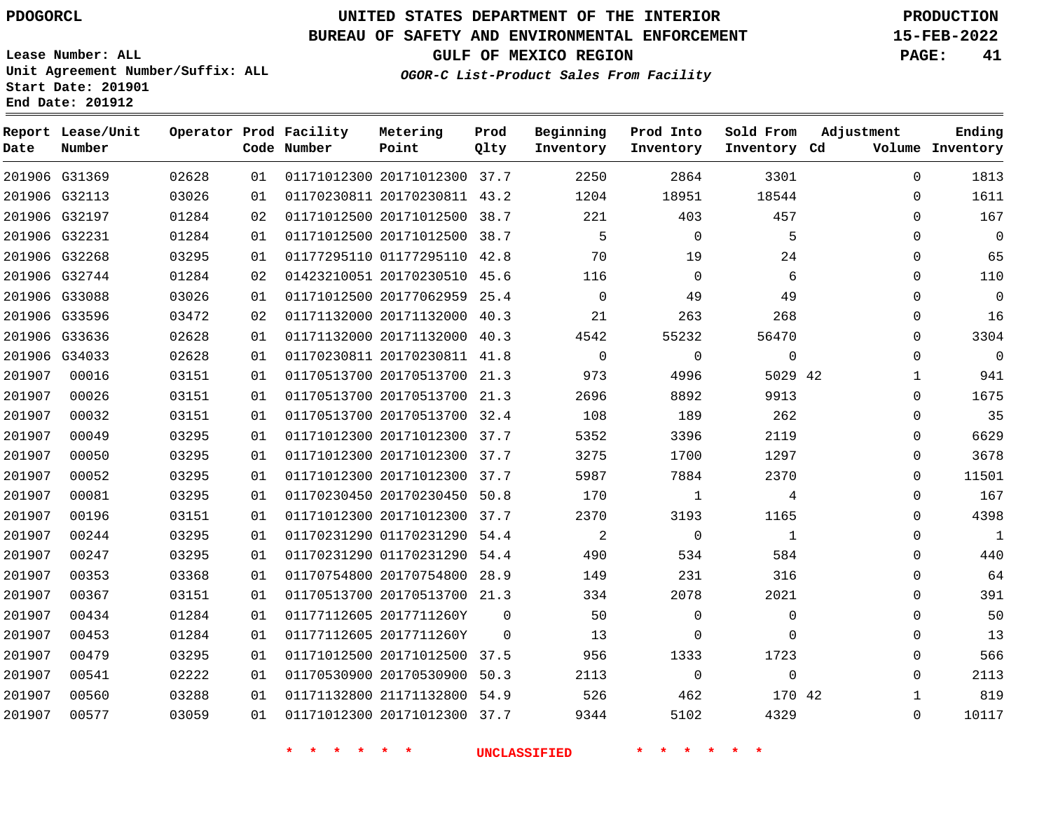#### **BUREAU OF SAFETY AND ENVIRONMENTAL ENFORCEMENT 15-FEB-2022**

**Lease Number: ALL Unit Agreement Number/Suffix: ALL Start Date: 201901 End Date: 201912**

**GULF OF MEXICO REGION PAGE: 41**

**OGOR-C List-Product Sales From Facility**

| Date   | Report Lease/Unit<br>Number |       |    | Operator Prod Facility<br>Code Number | Metering<br>Point            | Prod<br>Qlty | Beginning<br>Inventory | Prod Into<br>Inventory | Sold From<br>Inventory Cd | Adjustment   | Ending<br>Volume Inventory |
|--------|-----------------------------|-------|----|---------------------------------------|------------------------------|--------------|------------------------|------------------------|---------------------------|--------------|----------------------------|
|        | 201906 G31369               | 02628 | 01 |                                       | 01171012300 20171012300 37.7 |              | 2250                   | 2864                   | 3301                      | $\Omega$     | 1813                       |
|        | 201906 G32113               | 03026 | 01 |                                       | 01170230811 20170230811 43.2 |              | 1204                   | 18951                  | 18544                     | $\Omega$     | 1611                       |
|        | 201906 G32197               | 01284 | 02 |                                       | 01171012500 20171012500 38.7 |              | 221                    | 403                    | 457                       | $\Omega$     | 167                        |
|        | 201906 G32231               | 01284 | 01 |                                       | 01171012500 20171012500 38.7 |              | 5                      | $\mathbf 0$            | 5                         | $\Omega$     | $\mathbf 0$                |
|        | 201906 G32268               | 03295 | 01 |                                       | 01177295110 01177295110 42.8 |              | 70                     | 19                     | 24                        | $\Omega$     | 65                         |
|        | 201906 G32744               | 01284 | 02 |                                       | 01423210051 20170230510 45.6 |              | 116                    | $\mathbf 0$            | 6                         | $\Omega$     | 110                        |
|        | 201906 G33088               | 03026 | 01 |                                       | 01171012500 20177062959 25.4 |              | $\Omega$               | 49                     | 49                        | $\Omega$     | $\mathbf 0$                |
|        | 201906 G33596               | 03472 | 02 |                                       | 01171132000 20171132000 40.3 |              | 21                     | 263                    | 268                       | $\mathbf 0$  | 16                         |
|        | 201906 G33636               | 02628 | 01 |                                       | 01171132000 20171132000 40.3 |              | 4542                   | 55232                  | 56470                     | $\Omega$     | 3304                       |
|        | 201906 G34033               | 02628 | 01 |                                       | 01170230811 20170230811 41.8 |              | $\mathbf{0}$           | $\mathbf 0$            | $\mathbf 0$               | $\mathbf 0$  | $\mathbf 0$                |
| 201907 | 00016                       | 03151 | 01 |                                       | 01170513700 20170513700 21.3 |              | 973                    | 4996                   | 5029 42                   | $\mathbf{1}$ | 941                        |
| 201907 | 00026                       | 03151 | 01 |                                       | 01170513700 20170513700 21.3 |              | 2696                   | 8892                   | 9913                      | $\Omega$     | 1675                       |
| 201907 | 00032                       | 03151 | 01 |                                       | 01170513700 20170513700 32.4 |              | 108                    | 189                    | 262                       | $\Omega$     | 35                         |
| 201907 | 00049                       | 03295 | 01 |                                       | 01171012300 20171012300 37.7 |              | 5352                   | 3396                   | 2119                      | $\mathbf 0$  | 6629                       |
| 201907 | 00050                       | 03295 | 01 |                                       | 01171012300 20171012300 37.7 |              | 3275                   | 1700                   | 1297                      | 0            | 3678                       |
| 201907 | 00052                       | 03295 | 01 |                                       | 01171012300 20171012300 37.7 |              | 5987                   | 7884                   | 2370                      | $\mathbf 0$  | 11501                      |
| 201907 | 00081                       | 03295 | 01 |                                       | 01170230450 20170230450 50.8 |              | 170                    | $\mathbf{1}$           | 4                         | $\mathbf 0$  | 167                        |
| 201907 | 00196                       | 03151 | 01 |                                       | 01171012300 20171012300 37.7 |              | 2370                   | 3193                   | 1165                      | $\mathbf 0$  | 4398                       |
| 201907 | 00244                       | 03295 | 01 |                                       | 01170231290 01170231290 54.4 |              | 2                      | $\mathbf 0$            | 1                         | $\mathbf 0$  | $\mathbf{1}$               |
| 201907 | 00247                       | 03295 | 01 |                                       | 01170231290 01170231290 54.4 |              | 490                    | 534                    | 584                       | 0            | 440                        |
| 201907 | 00353                       | 03368 | 01 |                                       | 01170754800 20170754800 28.9 |              | 149                    | 231                    | 316                       | $\Omega$     | 64                         |
| 201907 | 00367                       | 03151 | 01 |                                       | 01170513700 20170513700 21.3 |              | 334                    | 2078                   | 2021                      | $\mathbf 0$  | 391                        |
| 201907 | 00434                       | 01284 | 01 |                                       | 01177112605 2017711260Y      | $\Omega$     | 50                     | $\mathbf 0$            | $\mathbf 0$               | $\mathbf 0$  | 50                         |
| 201907 | 00453                       | 01284 | 01 |                                       | 01177112605 2017711260Y      | $\mathbf 0$  | 13                     | 0                      | $\Omega$                  | $\mathbf 0$  | 13                         |
| 201907 | 00479                       | 03295 | 01 |                                       | 01171012500 20171012500 37.5 |              | 956                    | 1333                   | 1723                      | 0            | 566                        |
| 201907 | 00541                       | 02222 | 01 |                                       | 01170530900 20170530900 50.3 |              | 2113                   | $\mathbf 0$            | $\mathbf 0$               | 0            | 2113                       |
| 201907 | 00560                       | 03288 | 01 |                                       | 01171132800 21171132800 54.9 |              | 526                    | 462                    | 170 42                    | 1            | 819                        |
| 201907 | 00577                       | 03059 | 01 |                                       | 01171012300 20171012300 37.7 |              | 9344                   | 5102                   | 4329                      | $\mathbf 0$  | 10117                      |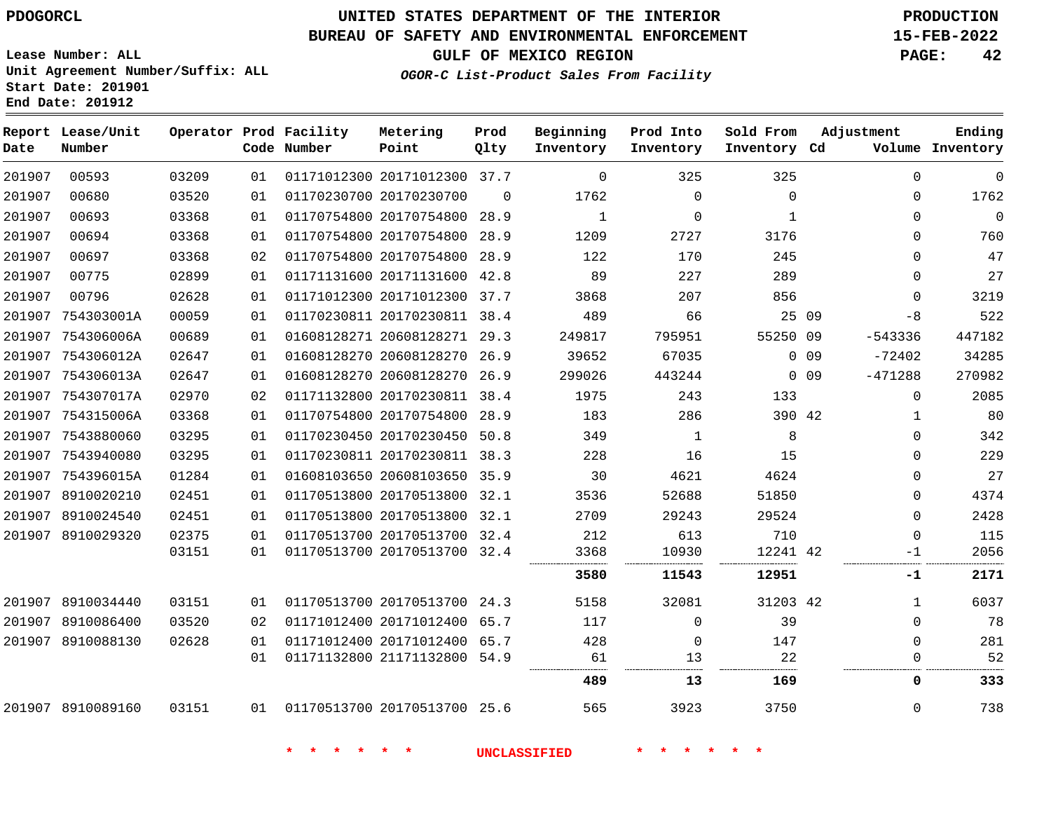**Report Lease/Unit**

## **UNITED STATES DEPARTMENT OF THE INTERIOR PDOGORCL PRODUCTION**

**Prod**

#### **BUREAU OF SAFETY AND ENVIRONMENTAL ENFORCEMENT 15-FEB-2022**

**Lease Number: ALL Unit Agreement Number/Suffix: ALL Start Date: 201901 End Date: 201912**

**Operator Prod Facility**

**OGOR-C List-Product Sales From Facility**

**Beginning**

**Prod Into**

**Sold From**

**GULF OF MEXICO REGION PAGE: 42**

**Adjustment**

**Ending**

| Date   | Number            |       |    | Code Number             | Point                        | Olty     | Inventory    | Inventory | Inventory Cd |       |           | Volume Inventory |
|--------|-------------------|-------|----|-------------------------|------------------------------|----------|--------------|-----------|--------------|-------|-----------|------------------|
| 201907 | 00593             | 03209 | 01 |                         | 01171012300 20171012300 37.7 |          | $\Omega$     | 325       | 325          |       | $\Omega$  | $\Omega$         |
| 201907 | 00680             | 03520 | 01 | 01170230700 20170230700 |                              | $\Omega$ | 1762         | $\Omega$  | $\Omega$     |       | $\Omega$  | 1762             |
| 201907 | 00693             | 03368 | 01 |                         | 01170754800 20170754800      | 28.9     | $\mathbf{1}$ | $\Omega$  | $\mathbf{1}$ |       | $\Omega$  | $\Omega$         |
| 201907 | 00694             | 03368 | 01 |                         | 01170754800 20170754800      | 28.9     | 1209         | 2727      | 3176         |       | $\Omega$  | 760              |
| 201907 | 00697             | 03368 | 02 |                         | 01170754800 20170754800      | 28.9     | 122          | 170       | 245          |       | $\Omega$  | 47               |
| 201907 | 00775             | 02899 | 01 |                         | 01171131600 20171131600 42.8 |          | 89           | 227       | 289          |       | $\Omega$  | 27               |
| 201907 | 00796             | 02628 | 01 |                         | 01171012300 20171012300 37.7 |          | 3868         | 207       | 856          |       | $\Omega$  | 3219             |
| 201907 | 754303001A        | 00059 | 01 |                         | 01170230811 20170230811 38.4 |          | 489          | 66        |              | 25 09 | -8        | 522              |
| 201907 | 754306006A        | 00689 | 01 |                         | 01608128271 20608128271 29.3 |          | 249817       | 795951    | 55250 09     |       | $-543336$ | 447182           |
|        | 201907 754306012A | 02647 | 01 |                         | 01608128270 20608128270 26.9 |          | 39652        | 67035     |              | 0.09  | $-72402$  | 34285            |
|        | 201907 754306013A | 02647 | 01 |                         | 01608128270 20608128270 26.9 |          | 299026       | 443244    |              | 0.09  | $-471288$ | 270982           |
|        | 201907 754307017A | 02970 | 02 |                         | 01171132800 20170230811 38.4 |          | 1975         | 243       | 133          |       | $\Omega$  | 2085             |
|        | 201907 754315006A | 03368 | 01 |                         | 01170754800 20170754800 28.9 |          | 183          | 286       | 390 42       |       | 1         | 80               |
|        | 201907 7543880060 | 03295 | 01 |                         | 01170230450 20170230450 50.8 |          | 349          | 1         | 8            |       | 0         | 342              |
|        | 201907 7543940080 | 03295 | 01 |                         | 01170230811 20170230811 38.3 |          | 228          | 16        | 15           |       | $\Omega$  | 229              |
|        | 201907 754396015A | 01284 | 01 |                         | 01608103650 20608103650 35.9 |          | 30           | 4621      | 4624         |       | $\Omega$  | 27               |
|        | 201907 8910020210 | 02451 | 01 |                         | 01170513800 20170513800 32.1 |          | 3536         | 52688     | 51850        |       | $\Omega$  | 4374             |
|        | 201907 8910024540 | 02451 | 01 |                         | 01170513800 20170513800 32.1 |          | 2709         | 29243     | 29524        |       | $\Omega$  | 2428             |
|        | 201907 8910029320 | 02375 | 01 |                         | 01170513700 20170513700 32.4 |          | 212          | 613       | 710          |       | $\Omega$  | 115              |
|        |                   | 03151 | 01 |                         | 01170513700 20170513700 32.4 |          | 3368<br>.    | 10930     | 12241 42     |       | -1        | 2056             |
|        |                   |       |    |                         |                              |          | 3580         | 11543     | 12951        |       | -1        | 2171             |
|        | 201907 8910034440 | 03151 | 01 |                         | 01170513700 20170513700 24.3 |          | 5158         | 32081     | 31203 42     |       | 1         | 6037             |
|        | 201907 8910086400 | 03520 | 02 |                         | 01171012400 20171012400 65.7 |          | 117          | $\Omega$  | 39           |       | $\Omega$  | 78               |
|        | 201907 8910088130 | 02628 | 01 |                         | 01171012400 20171012400 65.7 |          | 428          | 0         | 147          |       | $\Omega$  | 281              |
|        |                   |       | 01 |                         | 01171132800 21171132800 54.9 |          | 61           | 13        | 22           |       | 0         | 52               |
|        |                   |       |    |                         |                              |          | 489          | 13        | 169          |       | 0         | 333              |
|        | 201907 8910089160 | 03151 | 01 |                         | 01170513700 20170513700 25.6 |          | 565          | 3923      | 3750         |       | 0         | 738              |

**Metering**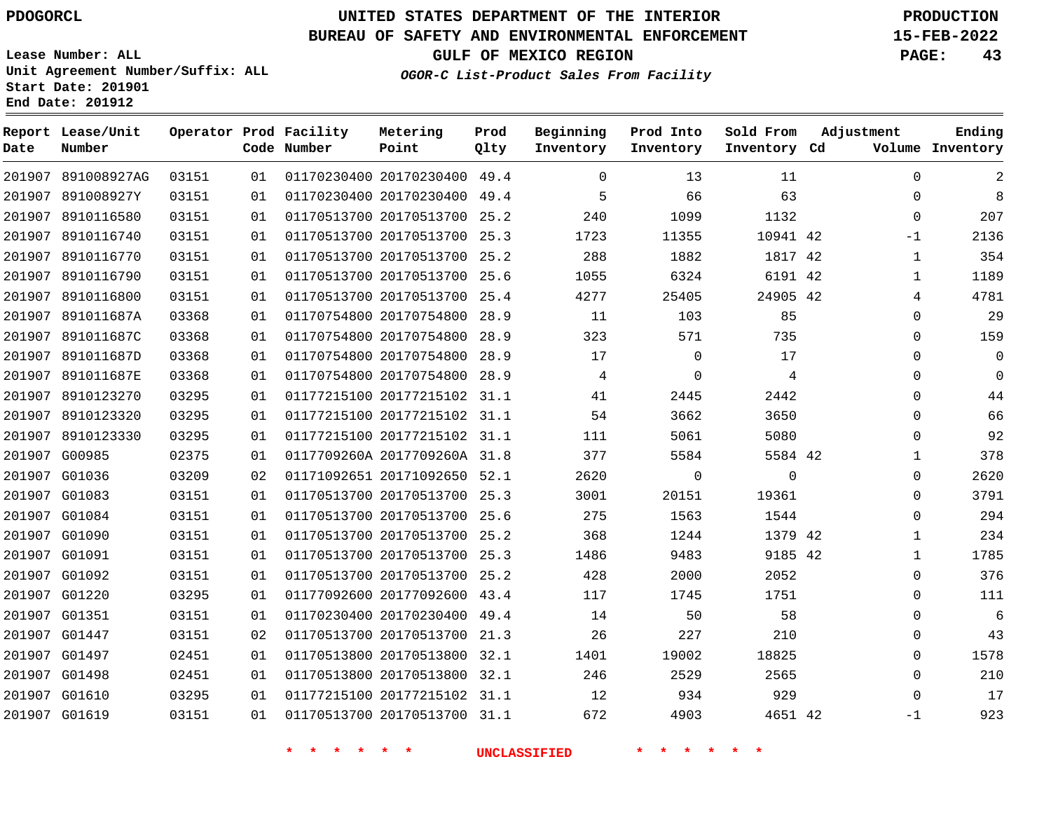891008927AG

**Number**

**Report Lease/Unit**

## **UNITED STATES DEPARTMENT OF THE INTERIOR PDOGORCL PRODUCTION**

**Prod Qlty**

#### **BUREAU OF SAFETY AND ENVIRONMENTAL ENFORCEMENT 15-FEB-2022**

**Lease Number: ALL Unit Agreement Number/Suffix: ALL Start Date: 201901 End Date: 201912**

**Operator Prod Facility**

**Code Number**

20170230400 49.4

**Metering Point**

**OGOR-C List-Product Sales From Facility**

**GULF OF MEXICO REGION PAGE: 43**

**Inventory Cd Volume**

**Adjustment**

**Ending**

|                                    |                |          |                                                              | <b>UNCLASSIFIED</b> |                |              |                 |  |
|------------------------------------|----------------|----------|--------------------------------------------------------------|---------------------|----------------|--------------|-----------------|--|
|                                    |                |          |                                                              |                     |                |              |                 |  |
| 201907 G01619                      | 03151          | 01       | 01170513700 20170513700 31.1                                 |                     | 672            | 4903         | 4651 42         |  |
| 201907 G01610                      | 03295          | 01       | 01177215100 20177215102 31.1                                 |                     | 12             | 934          | 929             |  |
| 201907 G01498                      | 02451          | 01       | 01170513800 20170513800 32.1                                 |                     | 246            | 2529         | 2565            |  |
| 201907 G01497                      | 02451          | 01       | 01170513800 20170513800 32.1                                 |                     | 1401           | 19002        | 18825           |  |
| 201907 G01447                      | 03151          | 02       | 01170513700 20170513700 21.3                                 |                     | 26             | 227          | 210             |  |
| 201907 G01351                      | 03151          | 01       | 01170230400 20170230400 49.4                                 |                     | 14             | 50           | 58              |  |
| 201907 G01220                      | 03295          | 01       | 01177092600 20177092600 43.4                                 |                     | 117            | 1745         | 1751            |  |
| 201907 G01092                      | 03151          | 01       | 01170513700 20170513700 25.2                                 |                     | 428            | 2000         | 2052            |  |
| 201907 G01091                      | 03151          | 01       | 01170513700 20170513700 25.3                                 |                     | 1486           | 9483         | 9185 42         |  |
| 201907 G01090                      | 03151          | 01       | 01170513700 20170513700 25.2                                 |                     | 368            | 1244         | 1379 42         |  |
| 201907 G01084                      | 03151          | 01       | 01170513700 20170513700 25.6                                 |                     | 275            | 1563         | 1544            |  |
| 201907 G01083                      | 03151          | 01       | 01170513700 20170513700 25.3                                 |                     | 3001           | 20151        | 19361           |  |
| 201907 G01036                      | 03209          | 02       | 01171092651 20171092650 52.1                                 |                     | 2620           | $\mathbf 0$  | $\mathsf 0$     |  |
| 201907 8910123330<br>201907 G00985 | 03295<br>02375 | 01<br>01 | 01177215100 20177215102 31.1<br>0117709260A 2017709260A 31.8 |                     | 111<br>377     | 5061<br>5584 | 5080<br>5584 42 |  |
| 201907 8910123320                  | 03295          | 01       | 01177215100 20177215102 31.1                                 |                     | 54             | 3662         | 3650            |  |
| 201907 8910123270                  | 03295          | 01       | 01177215100 20177215102 31.1                                 |                     | 41             | 2445         | 2442            |  |
| 201907 891011687E                  | 03368          | 01       | 01170754800 20170754800 28.9                                 |                     | $\overline{4}$ | $\mathbf 0$  | $\overline{4}$  |  |
| 201907 891011687D                  | 03368          | 01       | 01170754800 20170754800 28.9                                 |                     | 17             | $\mathbf 0$  | 17              |  |
| 201907 891011687C                  | 03368          | 01       | 01170754800 20170754800 28.9                                 |                     | 323            | 571          | 735             |  |
| 201907 891011687A                  | 03368          | 01       | 01170754800 20170754800 28.9                                 |                     | 11             | 103          | 85              |  |
| 201907 8910116800                  | 03151          | 01       | 01170513700 20170513700 25.4                                 |                     | 4277           | 25405        | 24905 42        |  |
| 201907 8910116790                  | 03151          | 01       | 01170513700 20170513700 25.6                                 |                     | 1055           | 6324         | 6191 42         |  |
| 201907 8910116770                  | 03151          | 01       | 01170513700 20170513700 25.2                                 |                     | 288            | 1882         | 1817 42         |  |
| 201907 8910116740                  | 03151          | 01       | 01170513700 20170513700 25.3                                 |                     | 1723           | 11355        | 10941 42        |  |
| 201907 8910116580                  | 03151          | 01       | 01170513700 20170513700 25.2                                 |                     | 240            | 1099         | 1132            |  |
| 201907 891008927Y                  | 03151          | 01       | 01170230400 20170230400 49.4                                 |                     | 5              | 66           | 63              |  |

**Beginning Inventory**

**Sold From Inventory**

**Prod Into Inventory**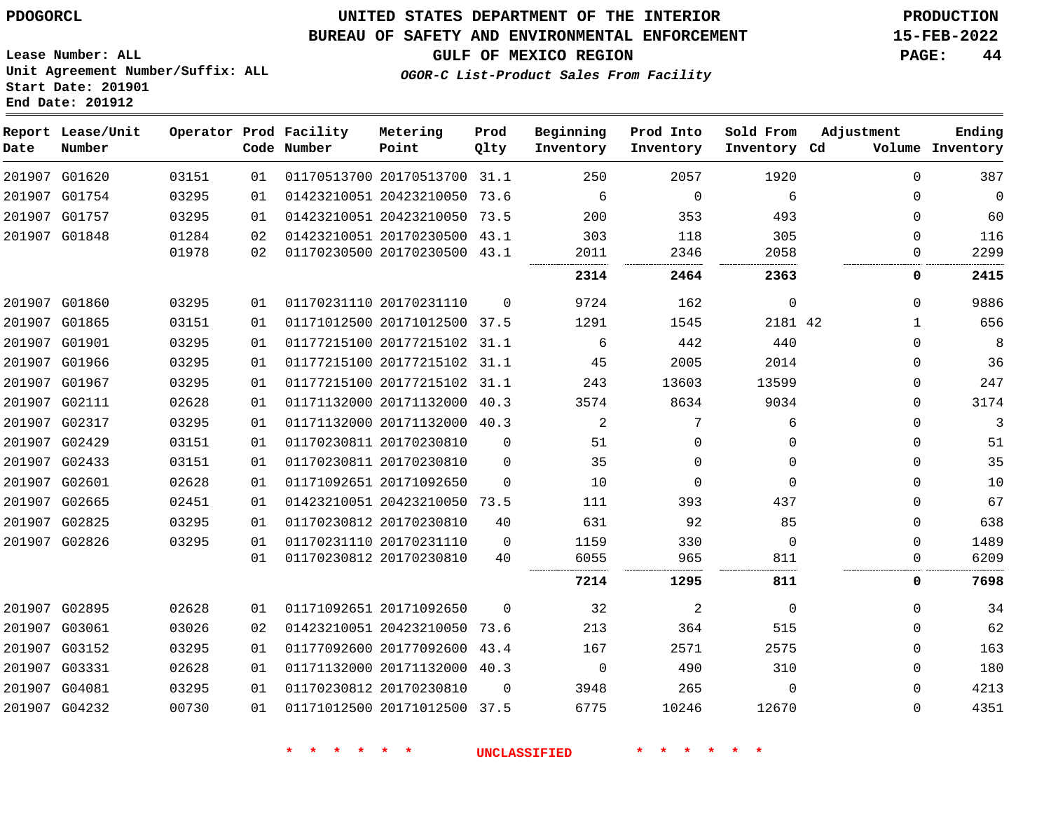**End Date: 201912**

### **UNITED STATES DEPARTMENT OF THE INTERIOR PDOGORCL PRODUCTION**

#### **BUREAU OF SAFETY AND ENVIRONMENTAL ENFORCEMENT 15-FEB-2022**

**Lease Number: ALL Unit Agreement Number/Suffix: ALL Start Date: 201901**

**GULF OF MEXICO REGION PAGE: 44**

**OGOR-C List-Product Sales From Facility**

| Date | Report Lease/Unit<br>Number |       |    | Operator Prod Facility<br>Code Number | Metering<br>Point            | Prod<br>Qlty | Beginning<br>Inventory | Prod Into<br>Inventory | Sold From<br>Inventory Cd | Adjustment   | Ending<br>Volume Inventory |
|------|-----------------------------|-------|----|---------------------------------------|------------------------------|--------------|------------------------|------------------------|---------------------------|--------------|----------------------------|
|      | 201907 G01620               | 03151 | 01 |                                       | 01170513700 20170513700 31.1 |              | 250                    | 2057                   | 1920                      | $\mathbf 0$  | 387                        |
|      | 201907 G01754               | 03295 | 01 |                                       | 01423210051 20423210050 73.6 |              | 6                      | $\Omega$               | 6                         | 0            | $\mathbf 0$                |
|      | 201907 G01757               | 03295 | 01 |                                       | 01423210051 20423210050      | 73.5         | 200                    | 353                    | 493                       | 0            | 60                         |
|      | 201907 G01848               | 01284 | 02 |                                       | 01423210051 20170230500 43.1 |              | 303                    | 118                    | 305                       | $\Omega$     | 116                        |
|      |                             | 01978 | 02 |                                       | 01170230500 20170230500 43.1 |              | 2011                   | 2346                   | 2058                      | $\Omega$     | 2299                       |
|      |                             |       |    |                                       |                              |              | 2314                   | 2464                   | 2363                      | 0            | 2415                       |
|      | 201907 G01860               | 03295 | 01 |                                       | 01170231110 20170231110      | $\Omega$     | 9724                   | 162                    | $\overline{0}$            | $\Omega$     | 9886                       |
|      | 201907 G01865               | 03151 | 01 |                                       | 01171012500 20171012500 37.5 |              | 1291                   | 1545                   | 2181 42                   | $\mathbf{1}$ | 656                        |
|      | 201907 G01901               | 03295 | 01 |                                       | 01177215100 20177215102      | 31.1         | 6                      | 442                    | 440                       | $\Omega$     | 8                          |
|      | 201907 G01966               | 03295 | 01 |                                       | 01177215100 20177215102 31.1 |              | 45                     | 2005                   | 2014                      | $\Omega$     | 36                         |
|      | 201907 G01967               | 03295 | 01 |                                       | 01177215100 20177215102 31.1 |              | 243                    | 13603                  | 13599                     | $\Omega$     | 247                        |
|      | 201907 G02111               | 02628 | 01 |                                       | 01171132000 20171132000 40.3 |              | 3574                   | 8634                   | 9034                      | $\Omega$     | 3174                       |
|      | 201907 G02317               | 03295 | 01 |                                       | 01171132000 20171132000      | 40.3         | 2                      | 7                      | 6                         | $\mathbf 0$  | 3                          |
|      | 201907 G02429               | 03151 | 01 |                                       | 01170230811 20170230810      | 0            | 51                     | $\Omega$               | $\Omega$                  | $\mathbf 0$  | 51                         |
|      | 201907 G02433               | 03151 | 01 |                                       | 01170230811 20170230810      | $\Omega$     | 35                     | $\Omega$               | $\Omega$                  | $\Omega$     | 35                         |
|      | 201907 G02601               | 02628 | 01 |                                       | 01171092651 20171092650      | $\Omega$     | 10                     | $\Omega$               | $\Omega$                  | $\Omega$     | 10                         |
|      | 201907 G02665               | 02451 | 01 |                                       | 01423210051 20423210050      | 73.5         | 111                    | 393                    | 437                       | $\mathbf 0$  | 67                         |
|      | 201907 G02825               | 03295 | 01 |                                       | 01170230812 20170230810      | 40           | 631                    | 92                     | 85                        | $\Omega$     | 638                        |
|      | 201907 G02826               | 03295 | 01 |                                       | 01170231110 20170231110      | $\Omega$     | 1159                   | 330                    | $\Omega$                  | $\Omega$     | 1489                       |
|      |                             |       | 01 |                                       | 01170230812 20170230810      | 40           | 6055                   | 965                    | 811                       | $\Omega$     | 6209                       |
|      |                             |       |    |                                       |                              |              | 7214                   | 1295                   | 811                       | 0            | 7698                       |
|      | 201907 G02895               | 02628 | 01 |                                       | 01171092651 20171092650      | $\Omega$     | 32                     | 2                      | $\Omega$                  | $\Omega$     | 34                         |
|      | 201907 G03061               | 03026 | 02 |                                       | 01423210051 20423210050 73.6 |              | 213                    | 364                    | 515                       | $\Omega$     | 62                         |
|      | 201907 G03152               | 03295 | 01 |                                       | 01177092600 20177092600      | 43.4         | 167                    | 2571                   | 2575                      | $\Omega$     | 163                        |
|      | 201907 G03331               | 02628 | 01 |                                       | 01171132000 20171132000 40.3 |              | $\mathbf 0$            | 490                    | 310                       | $\Omega$     | 180                        |
|      | 201907 G04081               | 03295 | 01 |                                       | 01170230812 20170230810      | $\Omega$     | 3948                   | 265                    | $\Omega$                  | $\Omega$     | 4213                       |
|      | 201907 G04232               | 00730 | 01 |                                       | 01171012500 20171012500 37.5 |              | 6775                   | 10246                  | 12670                     | $\Omega$     | 4351                       |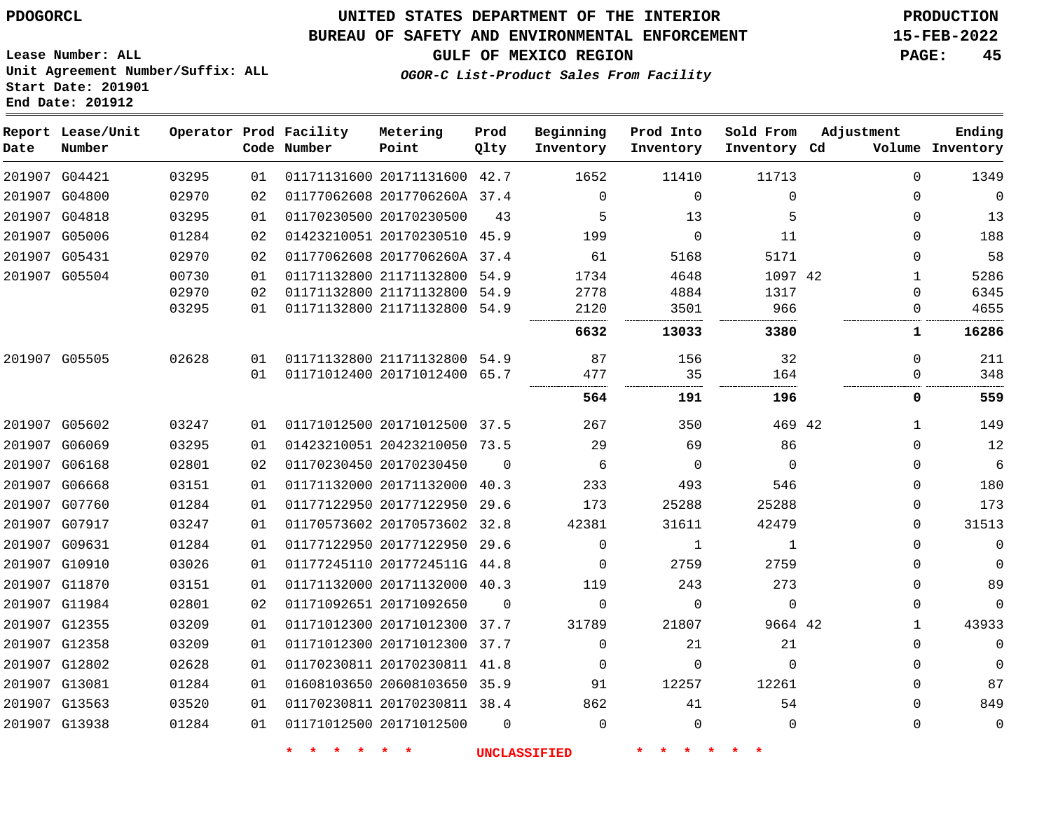**Lease Number: ALL**

**Start Date: 201901 End Date: 201912**

### **UNITED STATES DEPARTMENT OF THE INTERIOR PDOGORCL PRODUCTION**

#### **BUREAU OF SAFETY AND ENVIRONMENTAL ENFORCEMENT 15-FEB-2022**

**Unit Agreement Number/Suffix: ALL**

**GULF OF MEXICO REGION PAGE: 45**

**OGOR-C List-Product Sales From Facility**

| Ending<br>Volume Inventory | Adjustment   | Sold From<br>Inventory Cd | Prod Into<br>Inventory | Beginning<br>Inventory | Prod<br>Qlty | Metering<br>Point            | Operator Prod Facility<br>Code Number |    |       | Report Lease/Unit<br>Number | Date |
|----------------------------|--------------|---------------------------|------------------------|------------------------|--------------|------------------------------|---------------------------------------|----|-------|-----------------------------|------|
| 1349                       | $\Omega$     | 11713                     | 11410                  | 1652                   |              | 01171131600 20171131600 42.7 |                                       | 01 | 03295 | 201907 G04421               |      |
| $\mathbf 0$                | $\Omega$     | $\mathbf 0$               | $\Omega$               | $\Omega$               |              | 01177062608 2017706260A 37.4 |                                       | 02 | 02970 | 201907 G04800               |      |
| 13                         | $\Omega$     | 5                         | 13                     | 5                      | 43           |                              | 01170230500 20170230500               | 01 | 03295 | 201907 G04818               |      |
| 188                        | $\Omega$     | 11                        | $\Omega$               | 199                    |              | 01423210051 20170230510 45.9 |                                       | 02 | 01284 | 201907 G05006               |      |
| 58                         | $\Omega$     | 5171                      | 5168                   | 61                     |              | 01177062608 2017706260A 37.4 |                                       | 02 | 02970 | 201907 G05431               |      |
| 5286                       | $\mathbf{1}$ | 1097 42                   | 4648                   | 1734                   |              | 01171132800 21171132800 54.9 |                                       | 01 | 00730 | 201907 G05504               |      |
| 6345                       | $\Omega$     | 1317                      | 4884                   | 2778                   |              | 01171132800 21171132800 54.9 |                                       | 02 | 02970 |                             |      |
| 4655                       | 0            | 966                       | 3501                   | 2120                   |              | 01171132800 21171132800 54.9 |                                       | 01 | 03295 |                             |      |
| 16286                      | 1            | 3380                      | 13033                  | 6632                   |              |                              |                                       |    |       |                             |      |
| 211                        | $\Omega$     | 32                        | 156                    | 87                     |              | 01171132800 21171132800 54.9 |                                       | 01 | 02628 | 201907 G05505               |      |
| 348                        | $\Omega$     | 164                       | 35                     | 477                    |              | 01171012400 20171012400 65.7 |                                       | 01 |       |                             |      |
| 559                        | 0            | 196                       | 191                    | 564                    |              |                              |                                       |    |       |                             |      |
| 149                        | $\mathbf{1}$ | 469 42                    | 350                    | 267                    |              | 01171012500 20171012500 37.5 |                                       | 01 | 03247 | 201907 G05602               |      |
| 12                         | $\Omega$     | 86                        | 69                     | 29                     |              | 01423210051 20423210050 73.5 |                                       | 01 | 03295 | 201907 G06069               |      |
| 6                          | $\Omega$     | $\Omega$                  | $\Omega$               | 6                      | $\Omega$     |                              | 01170230450 20170230450               | 02 | 02801 | 201907 G06168               |      |
| 180                        | 0            | 546                       | 493                    | 233                    |              | 01171132000 20171132000 40.3 |                                       | 01 | 03151 | 201907 G06668               |      |
| 173                        | $\Omega$     | 25288                     | 25288                  | 173                    |              | 01177122950 20177122950 29.6 |                                       | 01 | 01284 | 201907 G07760               |      |
| 31513                      | $\Omega$     | 42479                     | 31611                  | 42381                  |              | 01170573602 20170573602 32.8 |                                       | 01 | 03247 | 201907 G07917               |      |
| $\mathbf 0$                | $\Omega$     | 1                         | 1                      | $\Omega$               |              | 01177122950 20177122950 29.6 |                                       | 01 | 01284 | 201907 G09631               |      |
| 0                          | 0            | 2759                      | 2759                   | $\mathbf 0$            |              | 01177245110 2017724511G 44.8 |                                       | 01 | 03026 | 201907 G10910               |      |
| 89                         | $\Omega$     | 273                       | 243                    | 119                    |              | 01171132000 20171132000 40.3 |                                       | 01 | 03151 | 201907 G11870               |      |
| $\Omega$                   | $\mathbf{0}$ | $\mathbf 0$               | $\Omega$               | $\Omega$               | $\Omega$     |                              | 01171092651 20171092650               | 02 | 02801 | 201907 G11984               |      |
| 43933                      | $\mathbf{1}$ | 9664 42                   | 21807                  | 31789                  |              | 01171012300 20171012300 37.7 |                                       | 01 | 03209 | 201907 G12355               |      |
| $\mathbf 0$                | $\mathbf{0}$ | 21                        | 21                     | $\Omega$               |              | 01171012300 20171012300 37.7 |                                       | 01 | 03209 | 201907 G12358               |      |
| $\Omega$                   | $\Omega$     | $\Omega$                  | $\Omega$               | $\Omega$               |              | 01170230811 20170230811 41.8 |                                       | 01 | 02628 | 201907 G12802               |      |
| 87                         | $\Omega$     | 12261                     | 12257                  | 91                     |              | 01608103650 20608103650 35.9 |                                       | 01 | 01284 | 201907 G13081               |      |
| 849                        | $\Omega$     | 54                        | 41                     | 862                    |              | 01170230811 20170230811 38.4 |                                       | 01 | 03520 | 201907 G13563               |      |
| $\mathbf 0$                | $\Omega$     | $\mathbf 0$               | $\Omega$               | $\Omega$               | $\Omega$     |                              | 01171012500 20171012500               | 01 | 01284 | 201907 G13938               |      |
|                            |              |                           |                        |                        |              |                              |                                       |    |       |                             |      |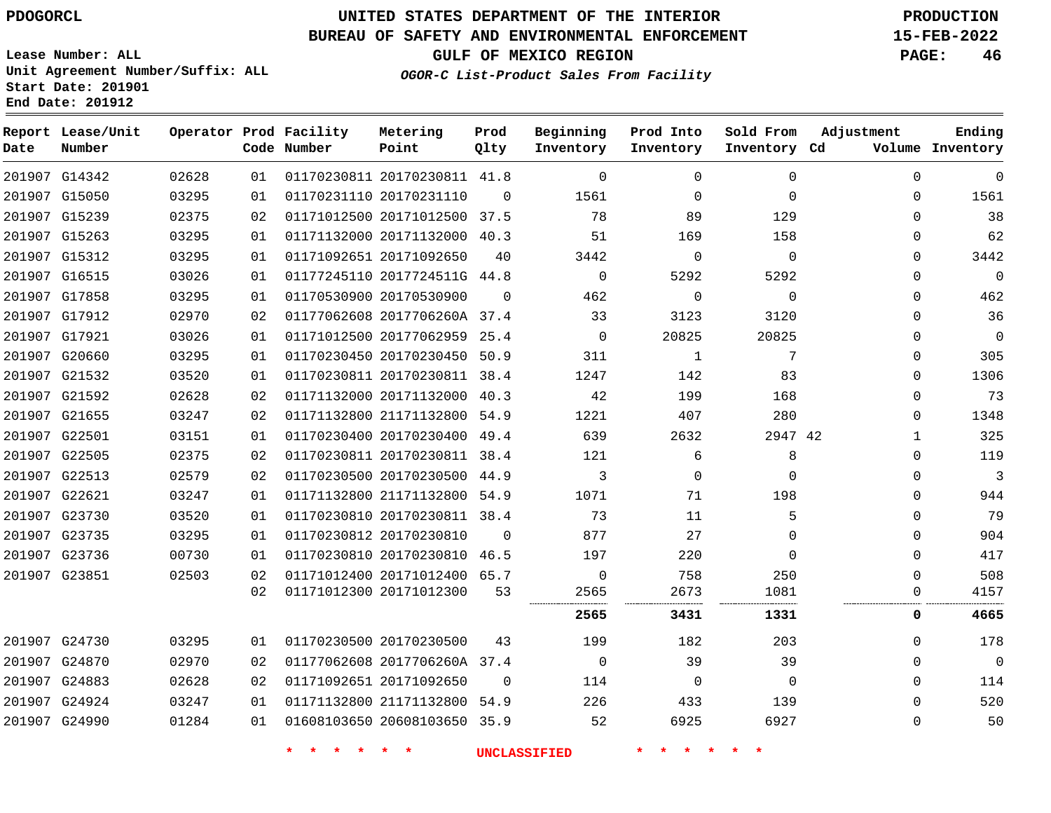**Report Lease/Unit**

**Number**

G24990

### **UNITED STATES DEPARTMENT OF THE INTERIOR PDOGORCL PRODUCTION**

#### **BUREAU OF SAFETY AND ENVIRONMENTAL ENFORCEMENT 15-FEB-2022**

**Lease Number: ALL Unit Agreement Number/Suffix: ALL Start Date: 201901 End Date: 201912**

**Operator Prod Facility**

**Code Number**

**Metering Point**

**Prod Qlty**

**GULF OF MEXICO REGION PAGE: 46**

**Inventory Cd Volume**

**Adjustment**

**Ending**

**OGOR-C List-Product Sales From Facility**

**Beginning Inventory** **Prod Into Inventory** **Sold From Inventory**

| 201907 G14342 | 02628 | 01 | 01170230811 20170230811 41.8 |          | 0           | 0           | 0           | 0        | $\Omega$       |
|---------------|-------|----|------------------------------|----------|-------------|-------------|-------------|----------|----------------|
| 201907 G15050 | 03295 | 01 | 01170231110 20170231110      | $\Omega$ | 1561        | $\mathbf 0$ | $\mathbf 0$ | $\Omega$ | 1561           |
| 201907 G15239 | 02375 | 02 | 01171012500 20171012500 37.5 |          | 78          | 89          | 129         | 0        | 38             |
| 201907 G15263 | 03295 | 01 | 01171132000 20171132000 40.3 |          | 51          | 169         | 158         | 0        | 62             |
| 201907 G15312 | 03295 | 01 | 01171092651 20171092650      | 40       | 3442        | 0           | $\mathbf 0$ | 0        | 3442           |
| 201907 G16515 | 03026 | 01 | 01177245110 2017724511G 44.8 |          | 0           | 5292        | 5292        | $\Omega$ | $\overline{0}$ |
| 201907 G17858 | 03295 | 01 | 01170530900 20170530900      | $\Omega$ | 462         | $\mathbf 0$ | $\mathbf 0$ | 0        | 462            |
| 201907 G17912 | 02970 | 02 | 01177062608 2017706260A 37.4 |          | 33          | 3123        | 3120        | 0        | 36             |
| 201907 G17921 | 03026 | 01 | 01171012500 20177062959 25.4 |          | $\mathbf 0$ | 20825       | 20825       | 0        | - 0            |
| 201907 G20660 | 03295 | 01 | 01170230450 20170230450 50.9 |          | 311         | 1           | 7           | $\Omega$ | 305            |
| 201907 G21532 | 03520 | 01 | 01170230811 20170230811 38.4 |          | 1247        | 142         | 83          | 0        | 1306           |
| 201907 G21592 | 02628 | 02 | 01171132000 20171132000 40.3 |          | 42          | 199         | 168         | $\Omega$ | 73             |
| 201907 G21655 | 03247 | 02 | 01171132800 21171132800 54.9 |          | 1221        | 407         | 280         | 0        | 1348           |
| 201907 G22501 | 03151 | 01 | 01170230400 20170230400 49.4 |          | 639         | 2632        | 2947 42     | 1        | 325            |
| 201907 G22505 | 02375 | 02 | 01170230811 20170230811 38.4 |          | 121         | 6           | 8           | $\Omega$ | 119            |
| 201907 G22513 | 02579 | 02 | 01170230500 20170230500 44.9 |          | 3           | $\Omega$    | $\Omega$    | 0        | -3             |
| 201907 G22621 | 03247 | 01 | 01171132800 21171132800 54.9 |          | 1071        | 71          | 198         | 0        | 944            |
| 201907 G23730 | 03520 | 01 | 01170230810 20170230811 38.4 |          | 73          | 11          | 5           | $\Omega$ | 79             |
| 201907 G23735 | 03295 | 01 | 01170230812 20170230810      | $\Omega$ | 877         | 27          | 0           | $\Omega$ | 904            |
| 201907 G23736 | 00730 | 01 | 01170230810 20170230810 46.5 |          | 197         | 220         | $\Omega$    | 0        | 417            |
| 201907 G23851 | 02503 | 02 | 01171012400 20171012400 65.7 |          | 0           | 758         | 250         | 0        | 508            |
|               |       | 02 | 01171012300 20171012300      | 53       | 2565        | 2673<br>    | 1081        | 0        | 4157           |
|               |       |    |                              |          | 2565        | 3431        | 1331        | 0        | 4665           |
| 201907 G24730 | 03295 | 01 | 01170230500 20170230500      | 43       | 199         | 182         | 203         | 0        | 178            |
| 201907 G24870 | 02970 | 02 | 01177062608 2017706260A 37.4 |          | $\mathbf 0$ | 39          | 39          | $\Omega$ | $\overline{0}$ |
| 201907 G24883 | 02628 | 02 | 01171092651 20171092650      | $\Omega$ | 114         | $\Omega$    | $\Omega$    | $\Omega$ | 114            |
| 201907 G24924 | 03247 | 01 | 01171132800 21171132800      | 54.9     | 226         | 433         | 139         | $\Omega$ | 520            |

**\* \* \* \* \* \* UNCLASSIFIED \* \* \* \* \* \***

20608103650 35.9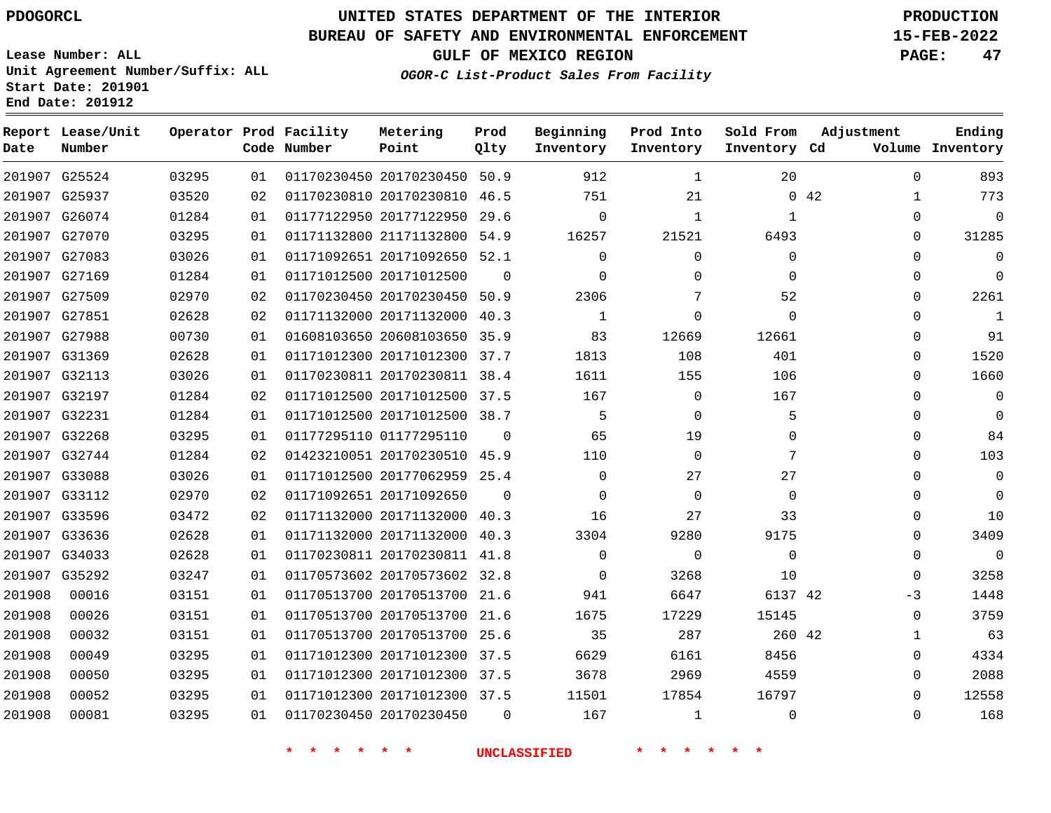### **UNITED STATES DEPARTMENT OF THE INTERIOR PDOGORCL PRODUCTION**

#### **BUREAU OF SAFETY AND ENVIRONMENTAL ENFORCEMENT 15-FEB-2022**

**Lease Number: ALL Unit Agreement Number/Suffix: ALL Start Date: 201901**

**OGOR-C List-Product Sales From Facility**

**GULF OF MEXICO REGION PAGE: 47**

# **End Date: 201912**

| Date   | Report Lease/Unit<br>Number |       |    | Operator Prod Facility<br>Code Number | Metering<br>Point            | Prod<br>Qlty | Beginning<br>Inventory | Prod Into<br>Inventory | Sold From<br>Inventory Cd | Adjustment           | Ending<br>Volume Inventory |
|--------|-----------------------------|-------|----|---------------------------------------|------------------------------|--------------|------------------------|------------------------|---------------------------|----------------------|----------------------------|
|        | 201907 G25524               | 03295 | 01 |                                       | 01170230450 20170230450 50.9 |              | 912                    | 1                      | 20                        | $\Omega$             | 893                        |
|        | 201907 G25937               | 03520 | 02 |                                       | 01170230810 20170230810 46.5 |              | 751                    | 21                     |                           | 0.42<br>$\mathbf{1}$ | 773                        |
|        | 201907 G26074               | 01284 | 01 |                                       | 01177122950 20177122950 29.6 |              | $\Omega$               | $\mathbf 1$            | 1                         | 0                    | $\Omega$                   |
|        | 201907 G27070               | 03295 | 01 |                                       | 01171132800 21171132800 54.9 |              | 16257                  | 21521                  | 6493                      | 0                    | 31285                      |
|        | 201907 G27083               | 03026 | 01 |                                       | 01171092651 20171092650 52.1 |              | $\Omega$               | $\Omega$               | $\Omega$                  | $\Omega$             | $\mathbf{0}$               |
|        | 201907 G27169               | 01284 | 01 |                                       | 01171012500 20171012500      | $\Omega$     | $\Omega$               | $\Omega$               | $\Omega$                  | $\mathbf 0$          | $\Omega$                   |
|        | 201907 G27509               | 02970 | 02 |                                       | 01170230450 20170230450 50.9 |              | 2306                   | 7                      | 52                        | 0                    | 2261                       |
|        | 201907 G27851               | 02628 | 02 |                                       | 01171132000 20171132000 40.3 |              | 1                      | 0                      | $\mathbf{0}$              | 0                    | $\mathbf{1}$               |
|        | 201907 G27988               | 00730 | 01 |                                       | 01608103650 20608103650 35.9 |              | 83                     | 12669                  | 12661                     | 0                    | 91                         |
|        | 201907 G31369               | 02628 | 01 |                                       | 01171012300 20171012300 37.7 |              | 1813                   | 108                    | 401                       | $\mathbf 0$          | 1520                       |
|        | 201907 G32113               | 03026 | 01 |                                       | 01170230811 20170230811 38.4 |              | 1611                   | 155                    | 106                       | $\Omega$             | 1660                       |
|        | 201907 G32197               | 01284 | 02 |                                       | 01171012500 20171012500 37.5 |              | 167                    | $\mathbf 0$            | 167                       | 0                    | $\mathbf 0$                |
|        | 201907 G32231               | 01284 | 01 |                                       | 01171012500 20171012500 38.7 |              | 5                      | $\mathbf 0$            | 5                         | $\Omega$             | $\mathbf 0$                |
|        | 201907 G32268               | 03295 | 01 |                                       | 01177295110 01177295110      | $\Omega$     | 65                     | 19                     | $\Omega$                  | $\mathbf 0$          | 84                         |
|        | 201907 G32744               | 01284 | 02 |                                       | 01423210051 20170230510 45.9 |              | 110                    | $\Omega$               | 7                         | $\Omega$             | 103                        |
|        | 201907 G33088               | 03026 | 01 |                                       | 01171012500 20177062959 25.4 |              | $\mathbf 0$            | 27                     | 27                        | $\mathbf 0$          | $\mathbf{0}$               |
|        | 201907 G33112               | 02970 | 02 |                                       | 01171092651 20171092650      | $\Omega$     | $\Omega$               | $\mathbf 0$            | $\Omega$                  | $\Omega$             | $\Omega$                   |
|        | 201907 G33596               | 03472 | 02 |                                       | 01171132000 20171132000 40.3 |              | 16                     | 27                     | 33                        | 0                    | 10                         |
|        | 201907 G33636               | 02628 | 01 |                                       | 01171132000 20171132000 40.3 |              | 3304                   | 9280                   | 9175                      | $\Omega$             | 3409                       |
|        | 201907 G34033               | 02628 | 01 |                                       | 01170230811 20170230811 41.8 |              | $\mathbf 0$            | $\mathbf 0$            | $\mathbf 0$               | $\mathbf 0$          | $\mathbf 0$                |
|        | 201907 G35292               | 03247 | 01 |                                       | 01170573602 20170573602 32.8 |              | $\Omega$               | 3268                   | 10                        | 0                    | 3258                       |
| 201908 | 00016                       | 03151 | 01 |                                       | 01170513700 20170513700 21.6 |              | 941                    | 6647                   | 6137 42                   | $-3$                 | 1448                       |
| 201908 | 00026                       | 03151 | 01 |                                       | 01170513700 20170513700 21.6 |              | 1675                   | 17229                  | 15145                     | $\Omega$             | 3759                       |
| 201908 | 00032                       | 03151 | 01 |                                       | 01170513700 20170513700 25.6 |              | 35                     | 287                    | 260 42                    | $\mathbf{1}$         | 63                         |
| 201908 | 00049                       | 03295 | 01 |                                       | 01171012300 20171012300 37.5 |              | 6629                   | 6161                   | 8456                      | 0                    | 4334                       |
| 201908 | 00050                       | 03295 | 01 |                                       | 01171012300 20171012300 37.5 |              | 3678                   | 2969                   | 4559                      | 0                    | 2088                       |
| 201908 | 00052                       | 03295 | 01 |                                       | 01171012300 20171012300 37.5 |              | 11501                  | 17854                  | 16797                     | $\Omega$             | 12558                      |
| 201908 | 00081                       | 03295 | 01 |                                       | 01170230450 20170230450      | $\Omega$     | 167                    | 1                      | $\Omega$                  | $\Omega$             | 168                        |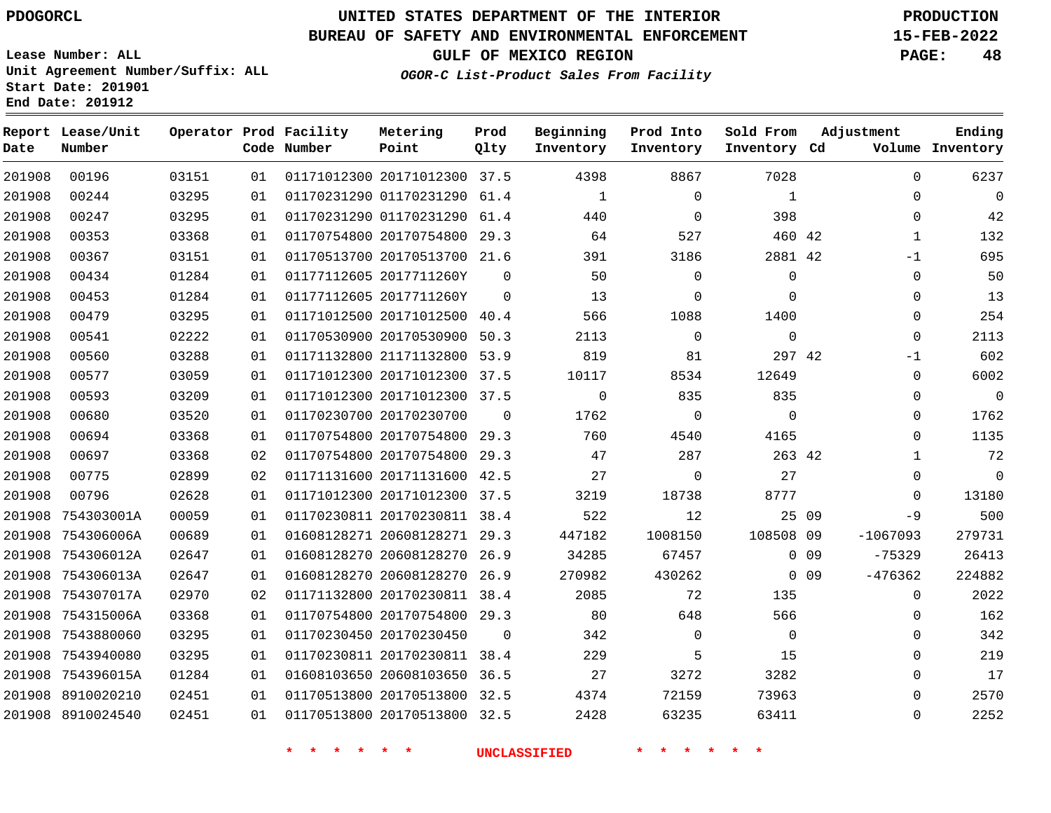**Report Lease/Unit**

**Number**

### **UNITED STATES DEPARTMENT OF THE INTERIOR PDOGORCL PRODUCTION**

**Prod Qlty**

#### **BUREAU OF SAFETY AND ENVIRONMENTAL ENFORCEMENT 15-FEB-2022**

**Lease Number: ALL Unit Agreement Number/Suffix: ALL Start Date: 201901 End Date: 201912**

**Operator Prod Facility**

**Code Number**

**OGOR-C List-Product Sales From Facility**

**Beginning Inventory** **Prod Into Inventory** **Sold From Inventory**

**GULF OF MEXICO REGION PAGE: 48**

**Inventory Cd Volume**

**Adjustment**

**Ending**

|                  |                   |                |          | 一大<br>$\rightarrow$     | $\rightarrow$<br>一天                                          |          | <b>UNCLASSIFIED</b> | $\star$<br>$\star$ .<br>$\ast$ | $\star$       |        |                             |
|------------------|-------------------|----------------|----------|-------------------------|--------------------------------------------------------------|----------|---------------------|--------------------------------|---------------|--------|-----------------------------|
|                  | 201908 8910024540 | 02451          | 01       |                         | 01170513800 20170513800 32.5                                 |          | 2428                | 63235                          | 63411         |        | $\mathbf 0$                 |
|                  | 201908 8910020210 | 02451          | 01       |                         | 01170513800 20170513800 32.5                                 |          | 4374                | 72159                          | 73963         |        | $\mathbf 0$                 |
|                  | 201908 754396015A | 01284          | 01       |                         | 01608103650 20608103650 36.5                                 |          | 27                  | 3272                           | 3282          |        | $\overline{0}$              |
|                  | 201908 7543940080 | 03295          | 01       |                         | 01170230811 20170230811 38.4                                 |          | 229                 | 5                              | 15            |        | $\overline{0}$              |
|                  | 201908 7543880060 | 03295          | 01       | 01170230450 20170230450 |                                                              | $\Omega$ | 342                 | $\mathbf 0$                    | $\mathbf 0$   |        | $\mathbf 0$                 |
|                  | 201908 754315006A | 03368          | 01       |                         | 01170754800 20170754800 29.3                                 |          | 80                  | 648                            | 566           |        | $\mathbf 0$                 |
|                  | 201908 754307017A | 02970          | 02       |                         | 01171132800 20170230811 38.4                                 |          | 2085                | 72                             | 135           |        | $\mathbf 0$                 |
|                  | 201908 754306013A | 02647          | 01       |                         | 01608128270 20608128270 26.9                                 |          | 270982              | 430262                         |               | $0$ 09 | $-476362$                   |
|                  | 201908 754306012A | 02647          | 01       |                         | 01608128270 20608128270 26.9                                 |          | 34285               | 67457                          |               | $0$ 09 | $-75329$                    |
| 201908           | 754306006A        | 00689          | 01       |                         | 01608128271 20608128271 29.3                                 |          | 447182              | 1008150                        | 108508 09     |        | $-1067093$                  |
| 201908           | 754303001A        | 00059          | 01       |                         | 01170230811 20170230811 38.4                                 |          | 522                 | 12                             |               | 25 09  | $-9$                        |
| 201908           | 00796             | 02628          | 01       |                         | 01171012300 20171012300 37.5                                 |          | 3219                | 18738                          | 8777          |        | $\Omega$                    |
| 201908           | 00775             | 02899          | 02       |                         | 01171131600 20171131600 42.5                                 |          | 27                  | 0                              | 27            |        | $\overline{0}$              |
| 201908           | 00697             | 03368          | 02       |                         | 01170754800 20170754800 29.3                                 |          | 47                  | 287                            | 263 42        |        | $\mathbf 1$                 |
| 201908           | 00694             | 03368          | 01       |                         | 01170754800 20170754800 29.3                                 |          | 760                 | 4540                           | 4165          |        | $\mathbf 0$                 |
| 201908           | 00680             | 03520          | 01       | 01170230700 20170230700 |                                                              | $\Omega$ | 1762                | $\mathbf 0$                    | $\mathbf 0$   |        | $\Omega$                    |
| 201908           | 00593             | 03209          | 01       |                         | 01171012300 20171012300 37.5                                 |          | $\mathbf 0$         | 835                            | 835           |        | $\mathbf 0$                 |
| 201908           | 00577             | 03059          | 01       |                         | 01171012300 20171012300 37.5                                 |          | 10117               | 8534                           | 12649         |        | $\mathbf 0$                 |
| 201908           | 00560             | 03288          | 01       |                         | 01171132800 21171132800 53.9                                 |          | 819                 | 81                             | 297 42        |        | $-1$                        |
| 201908           | 00541             | 02222          | 01       |                         | 01170530900 20170530900 50.3                                 |          | 2113                | $\mathbf 0$                    | $\mathbf 0$   |        | $\overline{0}$              |
| 201908           | 00479             | 03295          | 01       |                         | 01171012500 20171012500 40.4                                 |          | 566                 | 1088                           | 1400          |        | $\mathbb O$                 |
| 201908           | 00453             | 01284          | 01       |                         | 01177112605 2017711260Y                                      | $\Omega$ | 13                  | 0                              | $\Omega$      |        | $\mathbf 0$                 |
| 201908           | 00434             | 01284          | 01       | 01177112605 2017711260Y |                                                              | $\Omega$ | 50                  | 3186<br>$\mathbf 0$            | $\mathbf 0$   |        | $\mathbf 0$                 |
| 201908           | 00367             | 03151          | 01       |                         | 01170513700 20170513700 21.6                                 |          | 391                 |                                | 2881 42       |        | $-1$                        |
| 201908<br>201908 | 00247<br>00353    | 03295<br>03368 | 01<br>01 |                         | 01170231290 01170231290 61.4<br>01170754800 20170754800 29.3 |          | 440<br>64           | 0<br>527                       | 398<br>460 42 |        | $\mathbf 0$<br>$\mathbf{1}$ |
| 201908           | 00244             | 03295          | 01       |                         | 01170231290 01170231290 61.4                                 |          | $\mathbf{1}$        | $\mathbf 0$                    | $\mathbf{1}$  |        | $\mathbf 0$                 |
| 201908           | 00196             | 03151          | 01       |                         | 01171012300 20171012300 37.5                                 |          | 4398                | 8867                           | 7028          |        | $\Omega$                    |
|                  |                   |                |          |                         |                                                              |          |                     |                                |               |        |                             |

**Metering Point**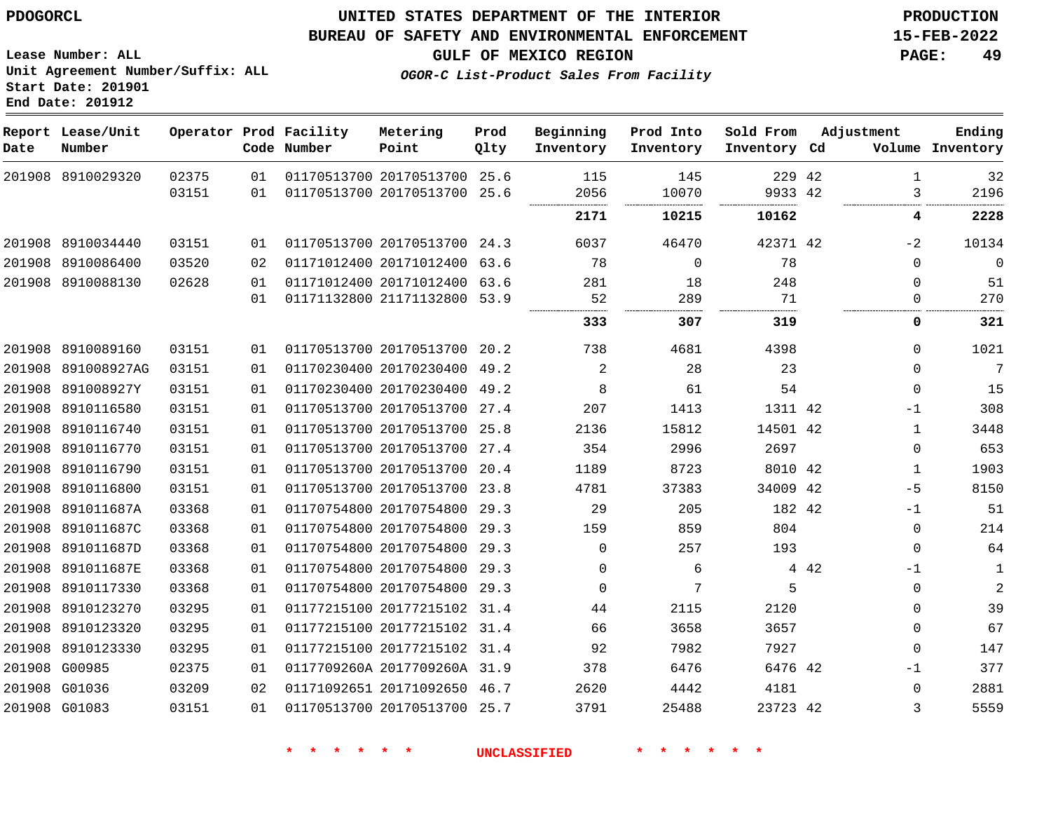**End Date: 201912**

### **UNITED STATES DEPARTMENT OF THE INTERIOR PDOGORCL PRODUCTION**

#### **BUREAU OF SAFETY AND ENVIRONMENTAL ENFORCEMENT 15-FEB-2022**

**Lease Number: ALL Unit Agreement Number/Suffix: ALL Start Date: 201901**

**OGOR-C List-Product Sales From Facility**

**GULF OF MEXICO REGION PAGE: 49**

| Date | Report Lease/Unit<br>Number |       |    | Operator Prod Facility<br>Code Number | Metering<br>Point            | Prod<br>Qlty | Beginning<br>Inventory | Prod Into<br>Inventory | Sold From<br>Inventory Cd |       | Adjustment  | Ending<br>Volume Inventory |
|------|-----------------------------|-------|----|---------------------------------------|------------------------------|--------------|------------------------|------------------------|---------------------------|-------|-------------|----------------------------|
|      | 201908 8910029320           | 02375 | 01 |                                       | 01170513700 20170513700 25.6 |              | 115                    | 145                    | 229 42                    |       | $\mathbf 1$ | 32                         |
|      |                             | 03151 | 01 |                                       | 01170513700 20170513700 25.6 |              | 2056                   | 10070                  | 9933 42                   |       | 3           | 2196                       |
|      |                             |       |    |                                       |                              |              | 2171                   | 10215                  | 10162                     |       | 4           | 2228                       |
|      | 201908 8910034440           | 03151 | 01 |                                       | 01170513700 20170513700 24.3 |              | 6037                   | 46470                  | 42371 42                  |       | $-2$        | 10134                      |
|      | 201908 8910086400           | 03520 | 02 |                                       | 01171012400 20171012400      | 63.6         | 78                     | $\mathbf 0$            | 78                        |       | $\Omega$    | $\mathbf 0$                |
|      | 201908 8910088130           | 02628 | 01 |                                       | 01171012400 20171012400 63.6 |              | 281                    | 18                     | 248                       |       | 0           | 51                         |
|      |                             |       | 01 |                                       | 01171132800 21171132800 53.9 |              | 52                     | 289                    | 71                        |       | $\Omega$    | 270                        |
|      |                             |       |    |                                       |                              |              | 333                    | 307                    | 319                       |       | 0           | 321                        |
|      | 201908 8910089160           | 03151 | 01 |                                       | 01170513700 20170513700 20.2 |              | 738                    | 4681                   | 4398                      |       | 0           | 1021                       |
|      | 201908 891008927AG          | 03151 | 01 |                                       | 01170230400 20170230400 49.2 |              | 2                      | 28                     | 23                        |       | 0           | 7                          |
|      | 201908 891008927Y           | 03151 | 01 |                                       | 01170230400 20170230400 49.2 |              | 8                      | 61                     | 54                        |       | 0           | 15                         |
|      | 201908 8910116580           | 03151 | 01 |                                       | 01170513700 20170513700      | 27.4         | 207                    | 1413                   | 1311 42                   |       | -1          | 308                        |
|      | 201908 8910116740           | 03151 | 01 |                                       | 01170513700 20170513700 25.8 |              | 2136                   | 15812                  | 14501 42                  |       | 1           | 3448                       |
|      | 201908 8910116770           | 03151 | 01 |                                       | 01170513700 20170513700      | 27.4         | 354                    | 2996                   | 2697                      |       | 0           | 653                        |
|      | 201908 8910116790           | 03151 | 01 |                                       | 01170513700 20170513700      | 20.4         | 1189                   | 8723                   | 8010 42                   |       | 1           | 1903                       |
|      | 201908 8910116800           | 03151 | 01 |                                       | 01170513700 20170513700      | 23.8         | 4781                   | 37383                  | 34009 42                  |       | $-5$        | 8150                       |
|      | 201908 891011687A           | 03368 | 01 |                                       | 01170754800 20170754800      | 29.3         | 29                     | 205                    | 182 42                    |       | -1          | 51                         |
|      | 201908 891011687C           | 03368 | 01 |                                       | 01170754800 20170754800      | 29.3         | 159                    | 859                    | 804                       |       | 0           | 214                        |
|      | 201908 891011687D           | 03368 | 01 |                                       | 01170754800 20170754800      | 29.3         | $\mathbf 0$            | 257                    | 193                       |       | 0           | 64                         |
|      | 201908 891011687E           | 03368 | 01 |                                       | 01170754800 20170754800      | 29.3         | 0                      | 6                      |                           | 4 4 2 | -1          | $\mathbf{1}$               |
|      | 201908 8910117330           | 03368 | 01 |                                       | 01170754800 20170754800 29.3 |              | $\Omega$               | 7                      | 5                         |       | 0           | $\overline{2}$             |
|      | 201908 8910123270           | 03295 | 01 |                                       | 01177215100 20177215102 31.4 |              | 44                     | 2115                   | 2120                      |       | 0           | 39                         |
|      | 201908 8910123320           | 03295 | 01 |                                       | 01177215100 20177215102 31.4 |              | 66                     | 3658                   | 3657                      |       | 0           | 67                         |
|      | 201908 8910123330           | 03295 | 01 |                                       | 01177215100 20177215102 31.4 |              | 92                     | 7982                   | 7927                      |       | $\Omega$    | 147                        |
|      | 201908 G00985               | 02375 | 01 |                                       | 0117709260A 2017709260A 31.9 |              | 378                    | 6476                   | 6476 42                   |       | -1          | 377                        |
|      | 201908 G01036               | 03209 | 02 |                                       | 01171092651 20171092650 46.7 |              | 2620                   | 4442                   | 4181                      |       | 0           | 2881                       |
|      | 201908 G01083               | 03151 | 01 |                                       | 01170513700 20170513700 25.7 |              | 3791                   | 25488                  | 23723 42                  |       | 3           | 5559                       |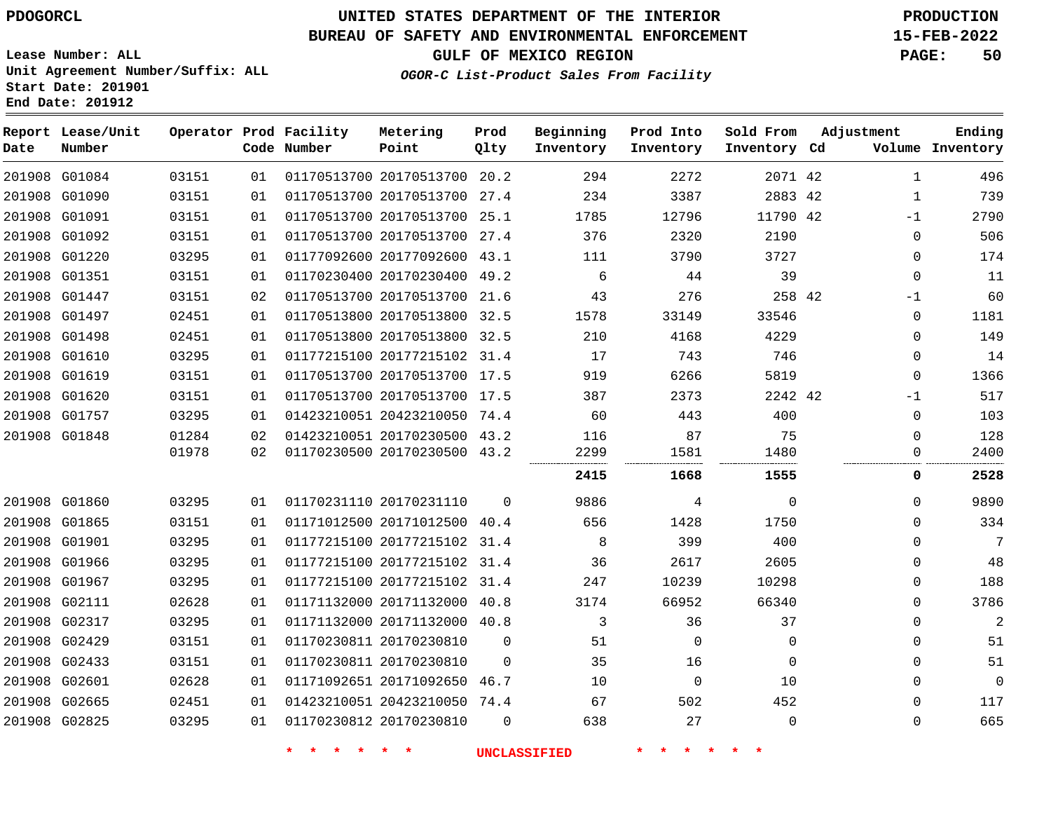**Report Lease/Unit**

### **UNITED STATES DEPARTMENT OF THE INTERIOR PDOGORCL PRODUCTION**

#### **BUREAU OF SAFETY AND ENVIRONMENTAL ENFORCEMENT 15-FEB-2022**

**Lease Number: ALL Unit Agreement Number/Suffix: ALL Start Date: 201901 End Date: 201912**

**Operator Prod Facility**

**Prod**

**Metering**

**GULF OF MEXICO REGION PAGE: 50**

**Sold From Adjustment**

**Ending**

**OGOR-C List-Product Sales From Facility**

**Beginning Prod Into**

| Date | Number        |       |    | Code Number             | Point                        | Qlty     | Inventory | Inventory | Inventory Cd |              | Volume Inventory |
|------|---------------|-------|----|-------------------------|------------------------------|----------|-----------|-----------|--------------|--------------|------------------|
|      | 201908 G01084 | 03151 | 01 |                         | 01170513700 20170513700 20.2 |          | 294       | 2272      | 2071 42      | $\mathbf{1}$ | 496              |
|      | 201908 G01090 | 03151 | 01 |                         | 01170513700 20170513700 27.4 |          | 234       | 3387      | 2883 42      | 1            | 739              |
|      | 201908 G01091 | 03151 | 01 |                         | 01170513700 20170513700 25.1 |          | 1785      | 12796     | 11790 42     | $-1$         | 2790             |
|      | 201908 G01092 | 03151 | 01 |                         | 01170513700 20170513700 27.4 |          | 376       | 2320      | 2190         | $\mathbf 0$  | 506              |
|      | 201908 G01220 | 03295 | 01 |                         | 01177092600 20177092600 43.1 |          | 111       | 3790      | 3727         | 0            | 174              |
|      | 201908 G01351 | 03151 | 01 |                         | 01170230400 20170230400 49.2 |          | 6         | 44        | 39           | $\Omega$     | 11               |
|      | 201908 G01447 | 03151 | 02 |                         | 01170513700 20170513700      | 21.6     | 43        | 276       | 258 42       | $-1$         | 60               |
|      | 201908 G01497 | 02451 | 01 |                         | 01170513800 20170513800 32.5 |          | 1578      | 33149     | 33546        | $\Omega$     | 1181             |
|      | 201908 G01498 | 02451 | 01 |                         | 01170513800 20170513800 32.5 |          | 210       | 4168      | 4229         | $\Omega$     | 149              |
|      | 201908 G01610 | 03295 | 01 |                         | 01177215100 20177215102 31.4 |          | 17        | 743       | 746          | $\Omega$     | 14               |
|      | 201908 G01619 | 03151 | 01 |                         | 01170513700 20170513700 17.5 |          | 919       | 6266      | 5819         | $\Omega$     | 1366             |
|      | 201908 G01620 | 03151 | 01 |                         | 01170513700 20170513700 17.5 |          | 387       | 2373      | 2242 42      | $-1$         | 517              |
|      | 201908 G01757 | 03295 | 01 |                         | 01423210051 20423210050 74.4 |          | 60        | 443       | 400          | $\Omega$     | 103              |
|      | 201908 G01848 | 01284 | 02 |                         | 01423210051 20170230500 43.2 |          | 116       | 87        | 75           | $\mathbf 0$  | 128              |
|      |               | 01978 | 02 |                         | 01170230500 20170230500 43.2 |          | 2299      | 1581      | 1480         | 0            | 2400             |
|      |               |       |    |                         |                              |          | 2415      | 1668      | 1555         | 0            | 2528             |
|      | 201908 G01860 | 03295 | 01 | 01170231110 20170231110 |                              | $\Omega$ | 9886      | 4         | $\mathbf{0}$ | $\Omega$     | 9890             |
|      | 201908 G01865 | 03151 | 01 |                         | 01171012500 20171012500 40.4 |          | 656       | 1428      | 1750         | $\Omega$     | 334              |
|      | 201908 G01901 | 03295 | 01 |                         | 01177215100 20177215102 31.4 |          | 8         | 399       | 400          | $\Omega$     | $7\phantom{.0}$  |
|      | 201908 G01966 | 03295 | 01 |                         | 01177215100 20177215102 31.4 |          | 36        | 2617      | 2605         | 0            | 48               |
|      | 201908 G01967 | 03295 | 01 |                         | 01177215100 20177215102 31.4 |          | 247       | 10239     | 10298        | $\Omega$     | 188              |
|      | 201908 G02111 | 02628 | 01 |                         | 01171132000 20171132000 40.8 |          | 3174      | 66952     | 66340        | $\Omega$     | 3786             |
|      | 201908 G02317 | 03295 | 01 |                         | 01171132000 20171132000 40.8 |          | 3         | 36        | 37           | $\Omega$     | 2                |
|      | 201908 G02429 | 03151 | 01 | 01170230811 20170230810 |                              | 0        | 51        | 0         | 0            | 0            | 51               |
|      | 201908 G02433 | 03151 | 01 |                         | 01170230811 20170230810      | $\Omega$ | 35        | 16        | $\mathbf 0$  | $\Omega$     | 51               |
|      | 201908 G02601 | 02628 | 01 |                         | 01171092651 20171092650 46.7 |          | 10        | 0         | 10           | $\mathbf 0$  | $\overline{0}$   |
|      | 201908 G02665 | 02451 | 01 |                         | 01423210051 20423210050 74.4 |          | 67        | 502       | 452          | $\Omega$     | 117              |
|      | 201908 G02825 | 03295 | 01 |                         | 01170230812 20170230810      | $\Omega$ | 638       | 27        | $\mathbf 0$  | $\Omega$     | 665              |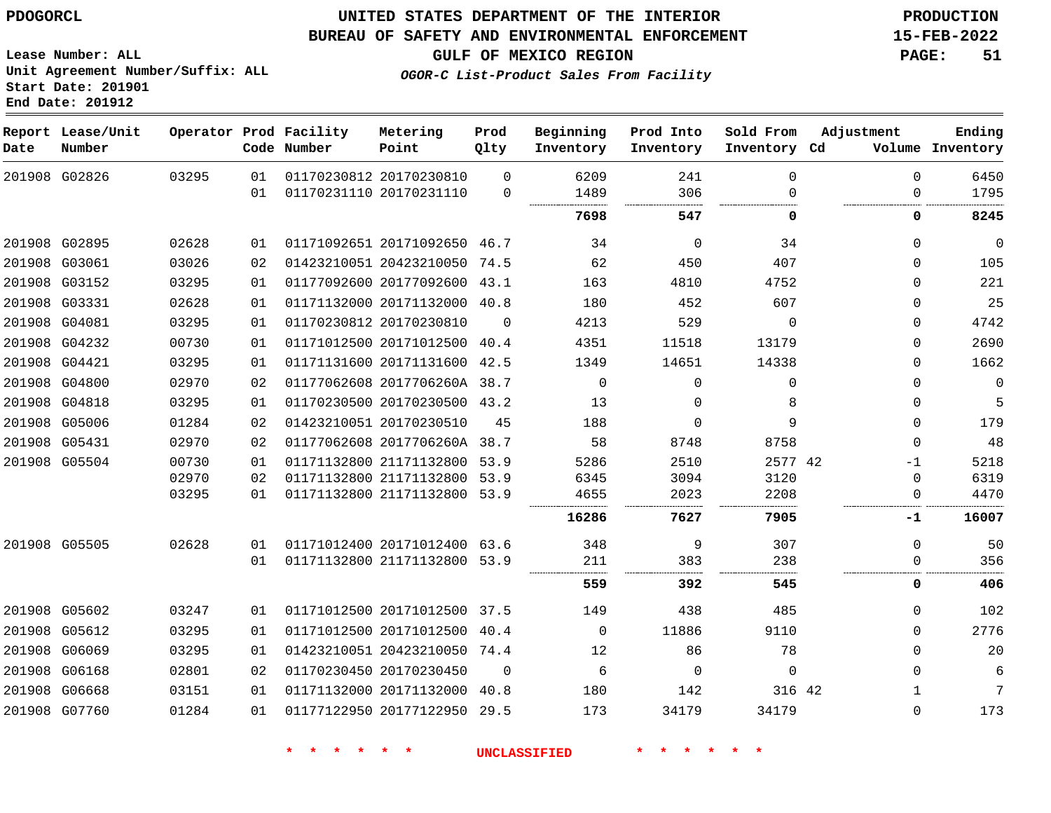### **UNITED STATES DEPARTMENT OF THE INTERIOR PDOGORCL PRODUCTION**

#### **BUREAU OF SAFETY AND ENVIRONMENTAL ENFORCEMENT 15-FEB-2022**

**Lease Number: ALL Unit Agreement Number/Suffix: ALL Start Date: 201901**

**OGOR-C List-Product Sales From Facility**

**GULF OF MEXICO REGION PAGE: 51**

**End Date: 201912**

| Date | Report Lease/Unit<br>Number |       |          | Operator Prod Facility<br>Code Number | Metering<br>Point                                  | Prod<br>Qlty         | Beginning<br>Inventory | Prod Into<br>Inventory | Sold From<br>Inventory Cd | Adjustment           | Ending<br>Volume Inventory |
|------|-----------------------------|-------|----------|---------------------------------------|----------------------------------------------------|----------------------|------------------------|------------------------|---------------------------|----------------------|----------------------------|
|      | 201908 G02826               | 03295 | 01<br>01 |                                       | 01170230812 20170230810<br>01170231110 20170231110 | $\Omega$<br>$\Omega$ | 6209<br>1489           | 241<br>306             | $\Omega$<br>$\Omega$      | $\Omega$<br>$\Omega$ | 6450<br>1795               |
|      |                             |       |          |                                       |                                                    |                      | 7698                   | 547                    | 0                         | 0                    | 8245                       |
|      | 201908 G02895               |       |          |                                       |                                                    |                      |                        |                        | 34                        |                      | $\mathbf 0$                |
|      |                             | 02628 | 01       |                                       | 01171092651 20171092650 46.7                       |                      | 34                     | $\Omega$               |                           | $\Omega$             |                            |
|      | 201908 G03061               | 03026 | 02       |                                       | 01423210051 20423210050 74.5                       |                      | 62                     | 450                    | 407                       | $\Omega$             | 105                        |
|      | 201908 G03152               | 03295 | 01       |                                       | 01177092600 20177092600 43.1                       |                      | 163                    | 4810                   | 4752                      | 0                    | 221                        |
|      | 201908 G03331               | 02628 | 01       |                                       | 01171132000 20171132000 40.8                       |                      | 180                    | 452                    | 607                       | 0                    | 25                         |
|      | 201908 G04081               | 03295 | 01       |                                       | 01170230812 20170230810                            | $\Omega$             | 4213                   | 529                    | $\mathbf 0$               | $\Omega$             | 4742                       |
|      | 201908 G04232               | 00730 | 01       |                                       | 01171012500 20171012500 40.4                       |                      | 4351                   | 11518                  | 13179                     | 0                    | 2690                       |
|      | 201908 G04421               | 03295 | 01       |                                       | 01171131600 20171131600 42.5                       |                      | 1349                   | 14651                  | 14338                     | $\Omega$             | 1662                       |
|      | 201908 G04800               | 02970 | 02       |                                       | 01177062608 2017706260A 38.7                       |                      | $\Omega$               | $\Omega$               | $\Omega$                  | $\Omega$             | $\overline{0}$             |
|      | 201908 G04818               | 03295 | 01       |                                       | 01170230500 20170230500 43.2                       |                      | 13                     | $\Omega$               | 8                         | $\Omega$             | 5                          |
|      | 201908 G05006               | 01284 | 02       |                                       | 01423210051 20170230510                            | 45                   | 188                    | 0                      | 9                         | $\mathbf{0}$         | 179                        |
|      | 201908 G05431               | 02970 | 02       |                                       | 01177062608 2017706260A 38.7                       |                      | 58                     | 8748                   | 8758                      | $\Omega$             | 48                         |
|      | 201908 G05504               | 00730 | 01       |                                       | 01171132800 21171132800 53.9                       |                      | 5286                   | 2510                   | 2577 42                   | $-1$                 | 5218                       |
|      |                             | 02970 | 02       |                                       | 01171132800 21171132800                            | 53.9                 | 6345                   | 3094                   | 3120                      | $\Omega$             | 6319                       |
|      |                             | 03295 | 01       |                                       | 01171132800 21171132800                            | 53.9                 | 4655                   | 2023                   | 2208                      | 0                    | 4470                       |
|      |                             |       |          |                                       |                                                    |                      | 16286                  | 7627                   | 7905                      | -1                   | 16007                      |
|      | 201908 G05505               | 02628 | 01       |                                       | 01171012400 20171012400 63.6                       |                      | 348                    | 9                      | 307                       | $\Omega$             | 50                         |
|      |                             |       | 01       |                                       | 01171132800 21171132800 53.9                       |                      | 211                    | 383                    | 238                       | 0                    | 356                        |
|      |                             |       |          |                                       |                                                    |                      | 559                    | 392                    | 545                       | 0                    | 406                        |
|      | 201908 G05602               | 03247 | 01       |                                       | 01171012500 20171012500 37.5                       |                      | 149                    | 438                    | 485                       | $\Omega$             | 102                        |
|      | 201908 G05612               | 03295 | 01       |                                       | 01171012500 20171012500 40.4                       |                      | $\Omega$               | 11886                  | 9110                      | 0                    | 2776                       |
|      | 201908 G06069               | 03295 | 01       |                                       | 01423210051 20423210050 74.4                       |                      | 12                     | 86                     | 78                        | $\Omega$             | 20                         |
|      | 201908 G06168               | 02801 | 02       |                                       | 01170230450 20170230450                            | $\Omega$             | 6                      | $\Omega$               | $\mathbf 0$               | $\Omega$             | 6                          |
|      | 201908 G06668               | 03151 | 01       |                                       | 01171132000 20171132000                            | 40.8                 | 180                    | 142                    | 316 42                    | 1                    | 7                          |
|      | 201908 G07760               | 01284 | 01       |                                       | 01177122950 20177122950 29.5                       |                      | 173                    | 34179                  | 34179                     | $\Omega$             | 173                        |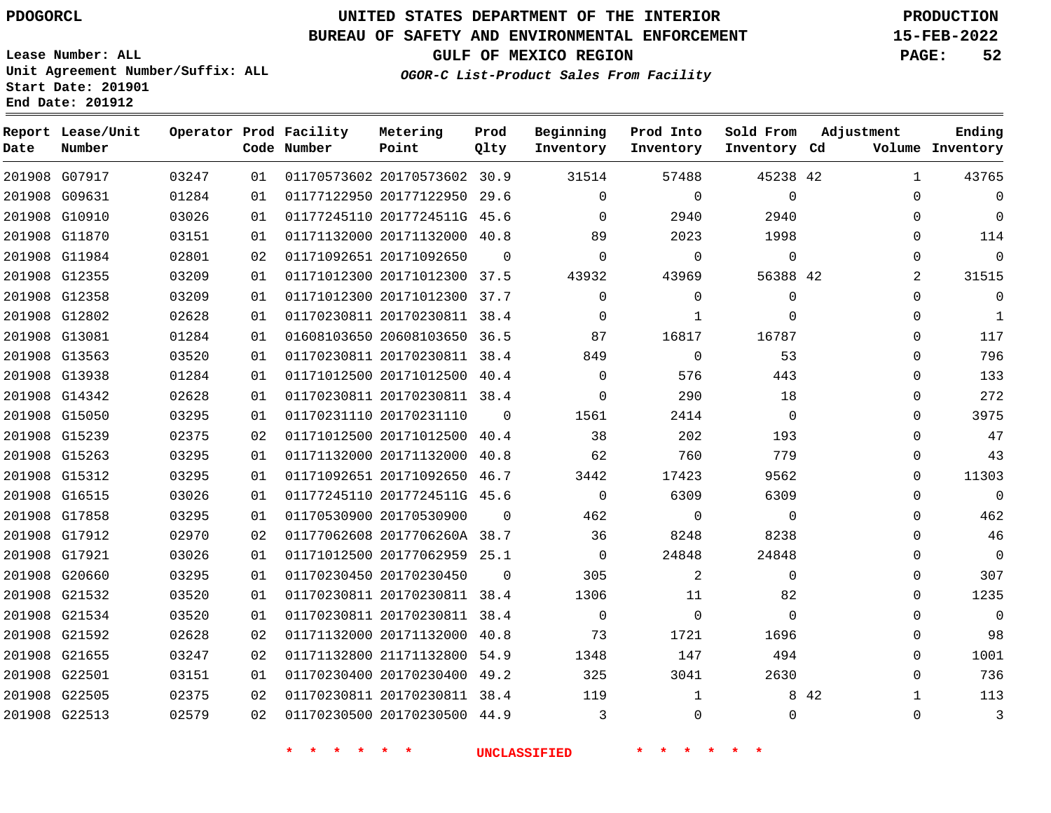### **UNITED STATES DEPARTMENT OF THE INTERIOR PDOGORCL PRODUCTION**

**Metering**

#### **BUREAU OF SAFETY AND ENVIRONMENTAL ENFORCEMENT 15-FEB-2022**

**Lease Number: ALL Unit Agreement Number/Suffix: ALL Start Date: 201901 End Date: 201912**

**OGOR-C List-Product Sales From Facility**

**Beginning**

**GULF OF MEXICO REGION PAGE: 52**

**Adjustment**

| Date | Report Lease/Unit<br>Number |       |    | Operator Prod Facility<br>Code Number | Metering<br>Point            | Prod<br>Qlty | Beginning<br>Inventory | Prod Into<br>Inventory | Sold From<br>Inventory Cd | Adjustment            | Ending<br>Volume Inventory |
|------|-----------------------------|-------|----|---------------------------------------|------------------------------|--------------|------------------------|------------------------|---------------------------|-----------------------|----------------------------|
|      | 201908 G07917               | 03247 | 01 |                                       | 01170573602 20170573602 30.9 |              | 31514                  | 57488                  | 45238 42                  | $\mathbf{1}$          | 43765                      |
|      | 201908 G09631               | 01284 | 01 |                                       | 01177122950 20177122950 29.6 |              | $\Omega$               | $\Omega$               | $\mathbf{0}$              | $\Omega$              |                            |
|      | 201908 G10910               | 03026 | 01 |                                       | 01177245110 2017724511G 45.6 |              | $\Omega$               | 2940                   | 2940                      | $\Omega$              | $\mathbf 0$                |
|      | 201908 G11870               | 03151 | 01 |                                       | 01171132000 20171132000 40.8 |              | 89                     | 2023                   | 1998                      | $\Omega$              | 114                        |
|      | 201908 G11984               | 02801 | 02 |                                       | 01171092651 20171092650      | $\Omega$     | $\Omega$               | $\Omega$               | $\mathbf{0}$              | $\Omega$              | $\mathbf 0$                |
|      | 201908 G12355               | 03209 | 01 |                                       | 01171012300 20171012300 37.5 |              | 43932                  | 43969                  | 56388 42                  | 2                     | 31515                      |
|      | 201908 G12358               | 03209 | 01 |                                       | 01171012300 20171012300 37.7 |              | $\Omega$               | $\mathbf 0$            | $\Omega$                  | $\Omega$              | 0                          |
|      | 201908 G12802               | 02628 | 01 |                                       | 01170230811 20170230811 38.4 |              | $\Omega$               | $\mathbf{1}$           | $\Omega$                  | $\Omega$              | $\mathbf{1}$               |
|      | 201908 G13081               | 01284 | 01 |                                       | 01608103650 20608103650 36.5 |              | 87                     | 16817                  | 16787                     | $\Omega$              | 117                        |
|      | 201908 G13563               | 03520 | 01 |                                       | 01170230811 20170230811 38.4 |              | 849                    | $\mathbf 0$            | 53                        | $\Omega$              | 796                        |
|      | 201908 G13938               | 01284 | 01 |                                       | 01171012500 20171012500 40.4 |              | $\Omega$               | 576                    | 443                       | $\Omega$              | 133                        |
|      | 201908 G14342               | 02628 | 01 |                                       | 01170230811 20170230811 38.4 |              | 0                      | 290                    | 18                        | $\Omega$              | 272                        |
|      | 201908 G15050               | 03295 | 01 |                                       | 01170231110 20170231110      | $\Omega$     | 1561                   | 2414                   | $\mathbf{0}$              | $\Omega$              | 3975                       |
|      | 201908 G15239               | 02375 | 02 |                                       | 01171012500 20171012500 40.4 |              | 38                     | 202                    | 193                       | $\Omega$              | 47                         |
|      | 201908 G15263               | 03295 | 01 |                                       | 01171132000 20171132000 40.8 |              | 62                     | 760                    | 779                       | $\Omega$              | 43                         |
|      | 201908 G15312               | 03295 | 01 |                                       | 01171092651 20171092650 46.7 |              | 3442                   | 17423                  | 9562                      | $\Omega$              | 11303                      |
|      | 201908 G16515               | 03026 | 01 |                                       | 01177245110 2017724511G 45.6 |              | $\Omega$               | 6309                   | 6309                      | $\Omega$              | $\mathbf 0$                |
|      | 201908 G17858               | 03295 | 01 |                                       | 01170530900 20170530900      | $\Omega$     | 462                    | $\mathbf 0$            | $\mathbf 0$               | $\Omega$              | 462                        |
|      | 201908 G17912               | 02970 | 02 |                                       | 01177062608 2017706260A 38.7 |              | 36                     | 8248                   | 8238                      | $\Omega$              | 46                         |
|      | 201908 G17921               | 03026 | 01 |                                       | 01171012500 20177062959 25.1 |              | $\overline{0}$         | 24848                  | 24848                     | $\Omega$              | $\overline{0}$             |
|      | 201908 G20660               | 03295 | 01 |                                       | 01170230450 20170230450      | $\Omega$     | 305                    | 2                      | $\mathbf{0}$              | $\Omega$              | 307                        |
|      | 201908 G21532               | 03520 | 01 |                                       | 01170230811 20170230811 38.4 |              | 1306                   | 11                     | 82                        | $\Omega$              | 1235                       |
|      | 201908 G21534               | 03520 | 01 |                                       | 01170230811 20170230811 38.4 |              | $\Omega$               | $\mathbf 0$            | $\Omega$                  | $\Omega$              | 0                          |
|      | 201908 G21592               | 02628 | 02 |                                       | 01171132000 20171132000 40.8 |              | 73                     | 1721                   | 1696                      | 0                     | 98                         |
|      | 201908 G21655               | 03247 | 02 |                                       | 01171132800 21171132800 54.9 |              | 1348                   | 147                    | 494                       | $\Omega$              | 1001                       |
|      | 201908 G22501               | 03151 | 01 |                                       | 01170230400 20170230400 49.2 |              | 325                    | 3041                   | 2630                      | 0                     | 736                        |
|      | 201908 G22505               | 02375 | 02 |                                       | 01170230811 20170230811 38.4 |              | 119                    | 1                      |                           | 8 4 2<br>$\mathbf{1}$ | 113                        |
|      | 201908 G22513               | 02579 | 02 |                                       | 01170230500 20170230500 44.9 |              | 3                      | $\mathbf{0}$           | $\mathbf{0}$              | $\mathbf 0$           | 3                          |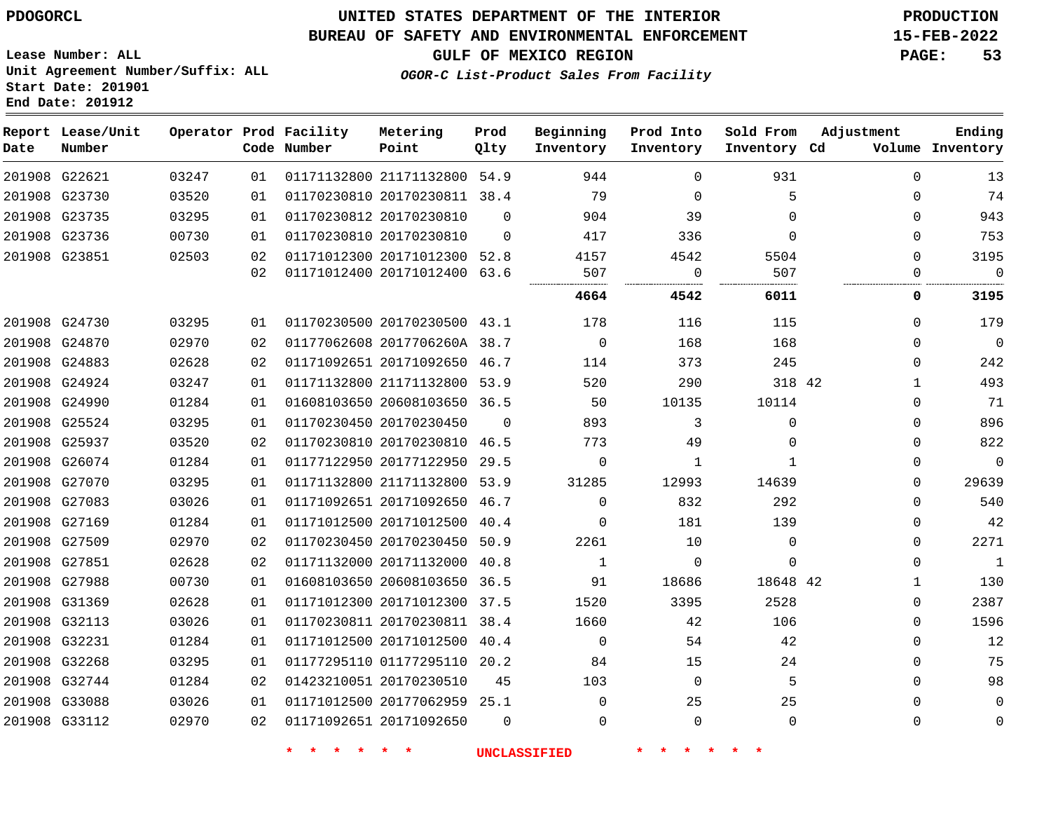#### **BUREAU OF SAFETY AND ENVIRONMENTAL ENFORCEMENT 15-FEB-2022**

**Lease Number: ALL Unit Agreement Number/Suffix: ALL Start Date: 201901 End Date: 201912**

**GULF OF MEXICO REGION PAGE: 53**

**OGOR-C List-Product Sales From Facility**

| Date          | Report Lease/Unit<br>Number |       |    | Operator Prod Facility<br>Code Number | Metering<br>Point            | Prod<br>Qlty | Beginning<br>Inventory | Prod Into<br>Inventory | Sold From<br>Inventory Cd | Adjustment   | Ending<br>Volume Inventory |
|---------------|-----------------------------|-------|----|---------------------------------------|------------------------------|--------------|------------------------|------------------------|---------------------------|--------------|----------------------------|
|               | 201908 G22621               | 03247 | 01 |                                       | 01171132800 21171132800 54.9 |              | 944                    | $\Omega$               | 931                       | $\Omega$     | 13                         |
|               | 201908 G23730               | 03520 | 01 |                                       | 01170230810 20170230811 38.4 |              | 79                     | $\Omega$               | 5                         | $\Omega$     | 74                         |
|               | 201908 G23735               | 03295 | 01 |                                       | 01170230812 20170230810      | $\Omega$     | 904                    | 39                     | $\Omega$                  | $\Omega$     | 943                        |
|               | 201908 G23736               | 00730 | 01 |                                       | 01170230810 20170230810      | $\Omega$     | 417                    | 336                    | $\Omega$                  | $\Omega$     | 753                        |
|               | 201908 G23851               | 02503 | 02 |                                       | 01171012300 20171012300 52.8 |              | 4157                   | 4542                   | 5504                      | $\Omega$     | 3195                       |
|               |                             |       | 02 |                                       | 01171012400 20171012400 63.6 |              | 507                    | 0                      | 507                       | $\Omega$     | $\mathbf 0$                |
|               |                             |       |    |                                       |                              |              | 4664                   | 4542                   | 6011                      | 0            | 3195                       |
|               | 201908 G24730               | 03295 | 01 |                                       | 01170230500 20170230500 43.1 |              | 178                    | 116                    | 115                       | $\Omega$     | 179                        |
| 201908 G24870 |                             | 02970 | 02 |                                       | 01177062608 2017706260A 38.7 |              | $\mathbf 0$            | 168                    | 168                       | $\Omega$     | $\mathbf 0$                |
|               | 201908 G24883               | 02628 | 02 |                                       | 01171092651 20171092650 46.7 |              | 114                    | 373                    | 245                       | $\Omega$     | 242                        |
|               | 201908 G24924               | 03247 | 01 |                                       | 01171132800 21171132800 53.9 |              | 520                    | 290                    | 318 42                    | $\mathbf 1$  | 493                        |
|               | 201908 G24990               | 01284 | 01 |                                       | 01608103650 20608103650 36.5 |              | 50                     | 10135                  | 10114                     | $\mathbf{0}$ | 71                         |
|               | 201908 G25524               | 03295 | 01 |                                       | 01170230450 20170230450      | $\Omega$     | 893                    | 3                      | $\Omega$                  | $\mathbf{0}$ | 896                        |
|               | 201908 G25937               | 03520 | 02 |                                       | 01170230810 20170230810 46.5 |              | 773                    | 49                     | $\Omega$                  | 0            | 822                        |
|               | 201908 G26074               | 01284 | 01 |                                       | 01177122950 20177122950 29.5 |              | $\mathbf 0$            | 1                      | 1                         | 0            | $\mathbf 0$                |
|               | 201908 G27070               | 03295 | 01 |                                       | 01171132800 21171132800 53.9 |              | 31285                  | 12993                  | 14639                     | $\Omega$     | 29639                      |
|               | 201908 G27083               | 03026 | 01 |                                       | 01171092651 20171092650 46.7 |              | $\Omega$               | 832                    | 292                       | $\Omega$     | 540                        |
|               | 201908 G27169               | 01284 | 01 |                                       | 01171012500 20171012500 40.4 |              | $\mathbf 0$            | 181                    | 139                       | $\mathbf{0}$ | 42                         |
|               | 201908 G27509               | 02970 | 02 |                                       | 01170230450 20170230450 50.9 |              | 2261                   | 10                     | $\mathbf 0$               | $\mathbf{0}$ | 2271                       |
|               | 201908 G27851               | 02628 | 02 |                                       | 01171132000 20171132000      | 40.8         | 1                      | $\mathbf 0$            | $\Omega$                  | $\mathbf{0}$ | 1                          |
|               | 201908 G27988               | 00730 | 01 |                                       | 01608103650 20608103650      | 36.5         | 91                     | 18686                  | 18648 42                  | $\mathbf{1}$ | 130                        |
|               | 201908 G31369               | 02628 | 01 |                                       | 01171012300 20171012300 37.5 |              | 1520                   | 3395                   | 2528                      | 0            | 2387                       |
|               | 201908 G32113               | 03026 | 01 |                                       | 01170230811 20170230811 38.4 |              | 1660                   | 42                     | 106                       | 0            | 1596                       |
|               | 201908 G32231               | 01284 | 01 |                                       | 01171012500 20171012500 40.4 |              | $\Omega$               | 54                     | 42                        | $\Omega$     | 12                         |
|               | 201908 G32268               | 03295 | 01 |                                       | 01177295110 01177295110 20.2 |              | 84                     | 15                     | 24                        | $\mathbf{0}$ | 75                         |
|               | 201908 G32744               | 01284 | 02 |                                       | 01423210051 20170230510      | 45           | 103                    | $\mathbf 0$            | 5                         | $\Omega$     | 98                         |
| 201908 G33088 |                             | 03026 | 01 |                                       | 01171012500 20177062959 25.1 |              | $\Omega$               | 25                     | 25                        | $\Omega$     | $\mathbf 0$                |
|               | 201908 G33112               | 02970 | 02 |                                       | 01171092651 20171092650      | $\Omega$     | $\mathbf 0$            | $\mathbf 0$            | $\Omega$                  | $\mathbf{0}$ | $\mathbf 0$                |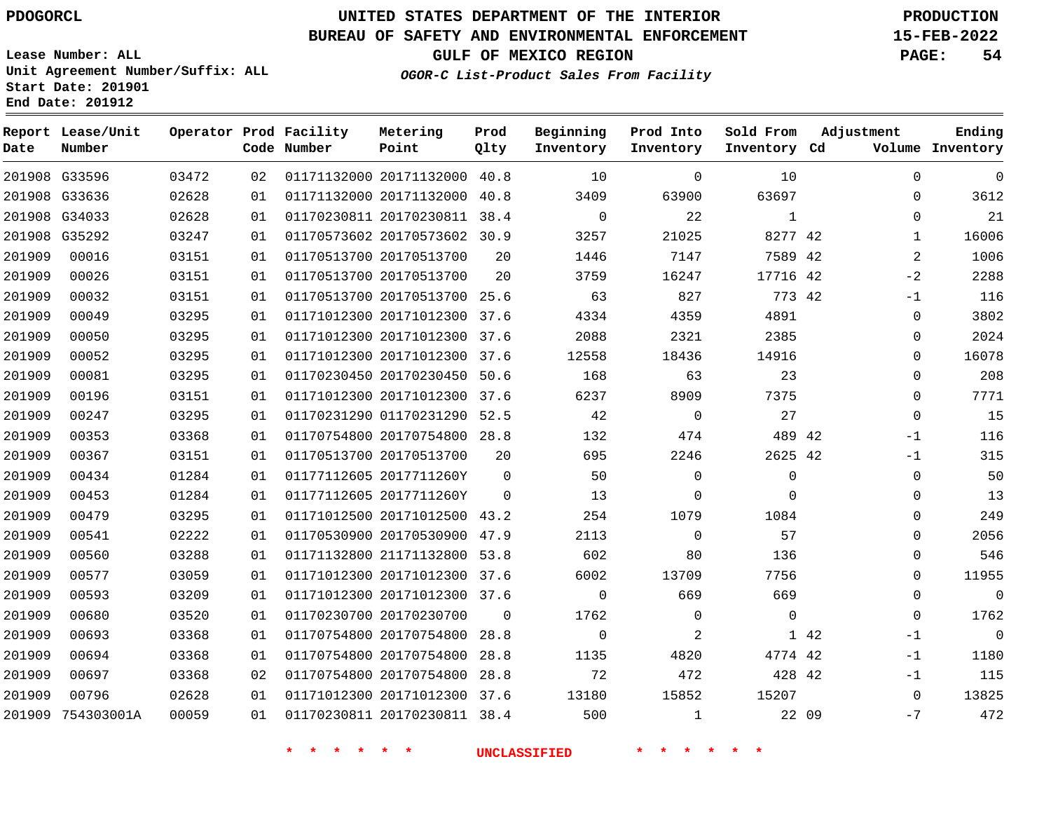G33596 G33636 G34033 G35292

**Report Lease/Unit**

**Number**

754303001A

**Date**

### **UNITED STATES DEPARTMENT OF THE INTERIOR PDOGORCL PRODUCTION**

#### **BUREAU OF SAFETY AND ENVIRONMENTAL ENFORCEMENT 15-FEB-2022**

**Lease Number: ALL Unit Agreement Number/Suffix: ALL Start Date: 201901 End Date: 201912**

**Operator Prod Facility**

**Code Number**

**OGOR-C List-Product Sales From Facility**

 $\cap$ 

 $1<sub>0</sub>$ 

**Sold From Inventory**

**Prod Into Inventory**

**Beginning Inventory**

**GULF OF MEXICO REGION PAGE: 54**

**Inventory Cd Volume**

**Adjustment**

 $\Omega$  $\Omega$  $\Omega$   $-2$ -1  $\Omega$  $\Omega$  $\Omega$  $\Omega$  $\Omega$  $\overline{0}$ -1  $-1$  $\overline{0}$  $\Omega$  $\Omega$  $\Omega$  $\Omega$  $\Omega$  $\Omega$  $\Omega$ -1 -1 -1  $-7$ 

**Ending**

|    | 10       | $\Omega$    | 10    | 40.8     | 01171132000 20171132000 | 02 | 03472 |
|----|----------|-------------|-------|----------|-------------------------|----|-------|
|    | 63697    | 63900       | 3409  | 40.8     | 01171132000 20171132000 | 01 | 02628 |
|    | 1        | 22          | 0     | 38.4     | 01170230811 20170230811 | 01 | 02628 |
|    | 8277 42  | 21025       | 3257  | 30.9     | 01170573602 20170573602 | 01 | 03247 |
| 42 | 7589     | 7147        | 1446  | 20       | 01170513700 20170513700 | 01 | 03151 |
| 42 | 17716    | 16247       | 3759  | 20       | 01170513700 20170513700 | 01 | 03151 |
|    | 773 42   | 827         | 63    | 25.6     | 01170513700 20170513700 | 01 | 03151 |
|    | 4891     | 4359        | 4334  | 37.6     | 01171012300 20171012300 | 01 | 03295 |
|    | 2385     | 2321        | 2088  | 37.6     | 01171012300 20171012300 | 01 | 03295 |
|    | 14916    | 18436       | 12558 | 37.6     | 01171012300 20171012300 | 01 | 03295 |
|    | 23       | 63          | 168   | 50.6     | 01170230450 20170230450 | 01 | 03295 |
|    | 7375     | 8909        | 6237  | 37.6     | 01171012300 20171012300 | 01 | 03151 |
|    | 27       | $\Omega$    | 42    | 52.5     | 01170231290 01170231290 | 01 | 03295 |
| 42 | 489      | 474         | 132   | 28.8     | 01170754800 20170754800 | 01 | 03368 |
|    | 2625 42  | 2246        | 695   | 20       | 01170513700 20170513700 | 01 | 03151 |
|    | 0        | 0           | 50    | 0        | 01177112605 2017711260Y | 01 | 01284 |
|    | $\Omega$ | $\mathbf 0$ | 13    | $\Omega$ | 01177112605 2017711260Y | 01 | 01284 |
|    | 1084     | 1079        | 254   | 43.2     | 01171012500 20171012500 | 01 | 03295 |

**Prod Qlty**

**\* \* \* \* \* \* UNCLASSIFIED \* \* \* \* \* \***

 20171012500 43.2 20170530900 47.9 21171132800 53.8 20171012300 37.6 20171012300 37.6

**Metering Point**

 20170754800 28.8 20170754800 28.8 20170754800 28.8 20171012300 37.6 20170230811 38.4

20170230700

 $\Omega$ 

22 09

42 42 42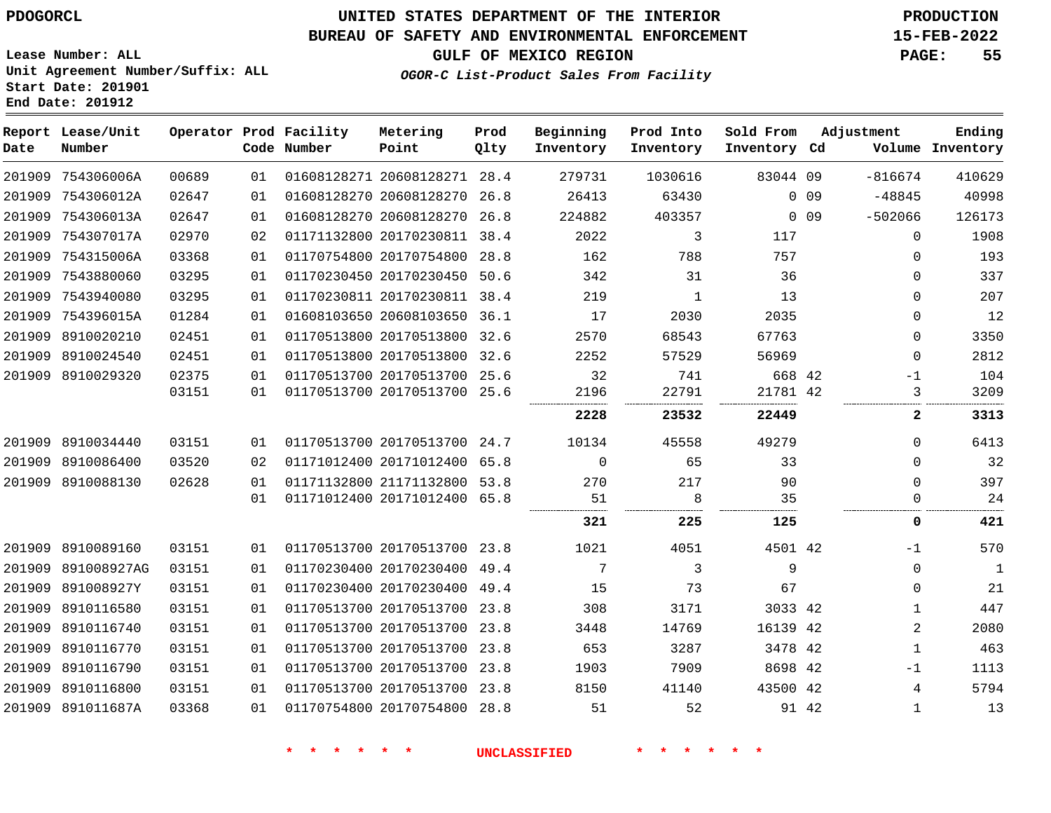#### **BUREAU OF SAFETY AND ENVIRONMENTAL ENFORCEMENT 15-FEB-2022**

**Lease Number: ALL Unit Agreement Number/Suffix: ALL Start Date: 201901**

**End Date: 201912**

**GULF OF MEXICO REGION PAGE: 55**

**OGOR-C List-Product Sales From Facility**

| Date | Report Lease/Unit<br>Number |       |    | Operator Prod Facility<br>Code Number | Metering<br>Point            | Prod<br>Qlty | Beginning<br>Inventory | Prod Into<br>Inventory | Sold From<br>Inventory Cd | Adjustment |              | Ending<br>Volume Inventory |
|------|-----------------------------|-------|----|---------------------------------------|------------------------------|--------------|------------------------|------------------------|---------------------------|------------|--------------|----------------------------|
|      | 201909 754306006A           | 00689 | 01 |                                       | 01608128271 20608128271 28.4 |              | 279731                 | 1030616                | 83044 09                  |            | $-816674$    | 410629                     |
|      | 201909 754306012A           | 02647 | 01 |                                       | 01608128270 20608128270 26.8 |              | 26413                  | 63430                  |                           | $0\quad09$ | $-48845$     | 40998                      |
|      | 201909 754306013A           | 02647 | 01 |                                       | 01608128270 20608128270 26.8 |              | 224882                 | 403357                 |                           | $0\quad09$ | $-502066$    | 126173                     |
|      | 201909 754307017A           | 02970 | 02 |                                       | 01171132800 20170230811 38.4 |              | 2022                   | 3                      | 117                       |            | $\mathbf 0$  | 1908                       |
|      | 201909 754315006A           | 03368 | 01 |                                       | 01170754800 20170754800 28.8 |              | 162                    | 788                    | 757                       |            | 0            | 193                        |
|      | 201909 7543880060           | 03295 | 01 |                                       | 01170230450 20170230450 50.6 |              | 342                    | 31                     | 36                        |            | $\Omega$     | 337                        |
|      | 201909 7543940080           | 03295 | 01 |                                       | 01170230811 20170230811 38.4 |              | 219                    | 1                      | 13                        |            | $\Omega$     | 207                        |
|      | 201909 754396015A           | 01284 | 01 |                                       | 01608103650 20608103650 36.1 |              | 17                     | 2030                   | 2035                      |            | $\Omega$     | 12                         |
|      | 201909 8910020210           | 02451 | 01 |                                       | 01170513800 20170513800 32.6 |              | 2570                   | 68543                  | 67763                     |            | $\mathbf 0$  | 3350                       |
|      | 201909 8910024540           | 02451 | 01 |                                       | 01170513800 20170513800 32.6 |              | 2252                   | 57529                  | 56969                     |            | $\Omega$     | 2812                       |
|      | 201909 8910029320           | 02375 | 01 |                                       | 01170513700 20170513700 25.6 |              | 32                     | 741                    | 668 42                    |            | $-1$         | 104                        |
|      |                             | 03151 | 01 |                                       | 01170513700 20170513700 25.6 |              | 2196                   | 22791                  | 21781 42                  |            | 3            | 3209                       |
|      |                             |       |    |                                       |                              |              | 2228                   | 23532                  | 22449                     |            | 2            | 3313                       |
|      | 201909 8910034440           | 03151 | 01 |                                       | 01170513700 20170513700 24.7 |              | 10134                  | 45558                  | 49279                     |            | $\Omega$     | 6413                       |
|      | 201909 8910086400           | 03520 | 02 |                                       | 01171012400 20171012400 65.8 |              | $\Omega$               | 65                     | 33                        |            | $\Omega$     | 32                         |
|      | 201909 8910088130           | 02628 | 01 |                                       | 01171132800 21171132800 53.8 |              | 270                    | 217                    | 90                        |            | $\mathbf 0$  | 397                        |
|      |                             |       | 01 |                                       | 01171012400 20171012400 65.8 |              | 51                     | 8                      | 35                        |            | $\mathbf 0$  | 24                         |
|      |                             |       |    |                                       |                              |              | 321                    | 225                    | 125                       |            | 0            | 421                        |
|      | 201909 8910089160           | 03151 | 01 |                                       | 01170513700 20170513700 23.8 |              | 1021                   | 4051                   | 4501 42                   |            | $-1$         | 570                        |
|      | 201909 891008927AG          | 03151 | 01 |                                       | 01170230400 20170230400 49.4 |              | 7                      | 3                      | 9                         |            | $\mathbf 0$  | $\mathbf{1}$               |
|      | 201909 891008927Y           | 03151 | 01 |                                       | 01170230400 20170230400 49.4 |              | 15                     | 73                     | 67                        |            | $\Omega$     | 21                         |
|      | 201909 8910116580           | 03151 | 01 |                                       | 01170513700 20170513700 23.8 |              | 308                    | 3171                   | 3033 42                   |            | $\mathbf{1}$ | 447                        |
|      | 201909 8910116740           | 03151 | 01 |                                       | 01170513700 20170513700 23.8 |              | 3448                   | 14769                  | 16139 42                  |            | 2            | 2080                       |
|      | 201909 8910116770           | 03151 | 01 |                                       | 01170513700 20170513700 23.8 |              | 653                    | 3287                   | 3478 42                   |            | $\mathbf{1}$ | 463                        |
|      | 201909 8910116790           | 03151 | 01 |                                       | 01170513700 20170513700 23.8 |              | 1903                   | 7909                   | 8698 42                   |            | $-1$         | 1113                       |
|      | 201909 8910116800           | 03151 | 01 |                                       | 01170513700 20170513700 23.8 |              | 8150                   | 41140                  | 43500 42                  |            | 4            | 5794                       |
|      | 201909 891011687A           | 03368 | 01 |                                       | 01170754800 20170754800 28.8 |              | 51                     | 52                     |                           | 91 42      | $\mathbf{1}$ | 13                         |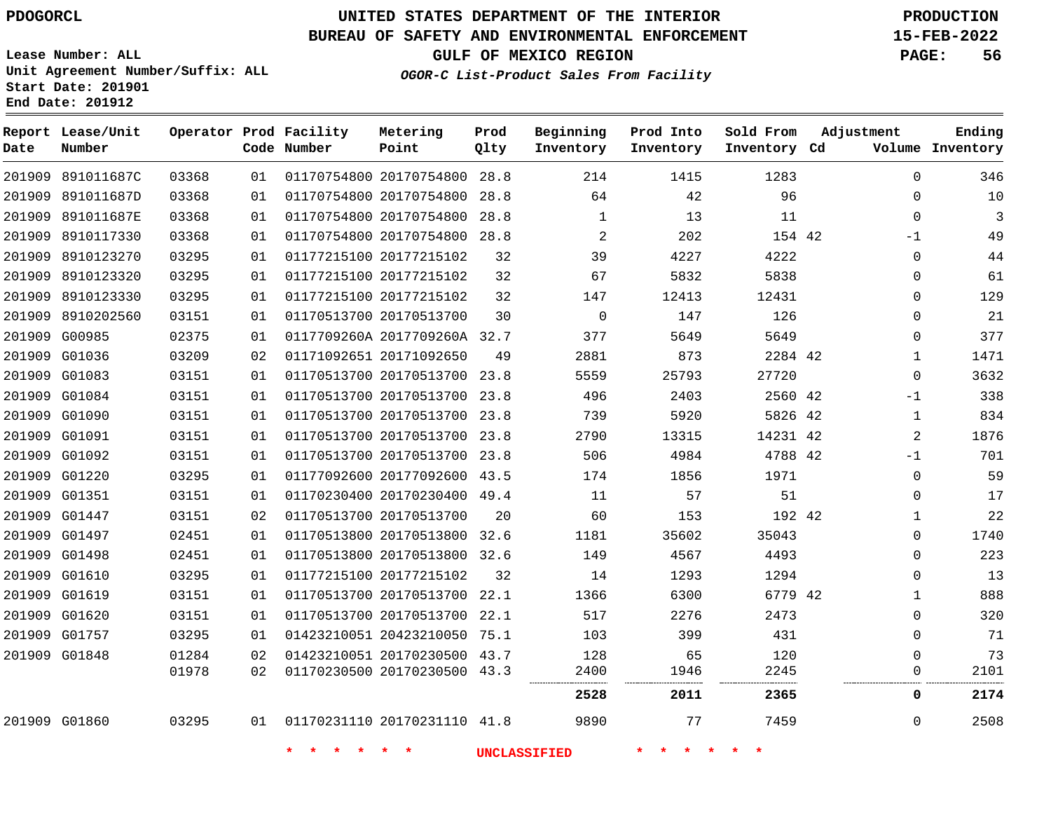### **BUREAU OF SAFETY AND ENVIRONMENTAL ENFORCEMENT 15-FEB-2022**

**Lease Number: ALL Unit Agreement Number/Suffix: ALL Start Date: 201901 End Date: 201912**

**OGOR-C List-Product Sales From Facility**

**GULF OF MEXICO REGION PAGE: 56**

| Date          | Report Lease/Unit<br>Number |       |    | Operator Prod Facility<br>Code Number | Metering<br>Point            | Prod<br>Qlty | Beginning<br>Inventory | Prod Into<br>Inventory | Sold From<br>Inventory Cd | Adjustment |              | Ending<br>Volume Inventory |
|---------------|-----------------------------|-------|----|---------------------------------------|------------------------------|--------------|------------------------|------------------------|---------------------------|------------|--------------|----------------------------|
|               | 201909 891011687C           | 03368 | 01 |                                       | 01170754800 20170754800      | 28.8         | 214                    | 1415                   | 1283                      |            | $\Omega$     | 346                        |
|               | 201909 891011687D           | 03368 | 01 |                                       | 01170754800 20170754800      | 28.8         | 64                     | 42                     | 96                        |            | 0            | 10                         |
|               | 201909 891011687E           | 03368 | 01 |                                       | 01170754800 20170754800      | 28.8         | $\mathbf{1}$           | 13                     | 11                        |            | $\Omega$     | 3                          |
|               | 201909 8910117330           | 03368 | 01 |                                       | 01170754800 20170754800      | 28.8         | 2                      | 202                    | 154 42                    |            | $-1$         | 49                         |
|               | 201909 8910123270           | 03295 | 01 |                                       | 01177215100 20177215102      | 32           | 39                     | 4227                   | 4222                      |            | 0            | 44                         |
|               | 201909 8910123320           | 03295 | 01 |                                       | 01177215100 20177215102      | 32           | 67                     | 5832                   | 5838                      |            | $\Omega$     | 61                         |
|               | 201909 8910123330           | 03295 | 01 |                                       | 01177215100 20177215102      | 32           | 147                    | 12413                  | 12431                     |            | $\Omega$     | 129                        |
|               | 201909 8910202560           | 03151 | 01 |                                       | 01170513700 20170513700      | 30           | $\Omega$               | 147                    | 126                       |            | $\Omega$     | 21                         |
|               | 201909 G00985               | 02375 | 01 |                                       | 0117709260A 2017709260A 32.7 |              | 377                    | 5649                   | 5649                      |            | $\mathbf{0}$ | 377                        |
|               | 201909 G01036               | 03209 | 02 |                                       | 01171092651 20171092650      | 49           | 2881                   | 873                    | 2284 42                   |            | $\mathbf 1$  | 1471                       |
|               | 201909 G01083               | 03151 | 01 |                                       | 01170513700 20170513700      | 23.8         | 5559                   | 25793                  | 27720                     |            | $\Omega$     | 3632                       |
|               | 201909 G01084               | 03151 | 01 |                                       | 01170513700 20170513700 23.8 |              | 496                    | 2403                   | 2560 42                   |            | $-1$         | 338                        |
|               | 201909 G01090               | 03151 | 01 |                                       | 01170513700 20170513700      | 23.8         | 739                    | 5920                   | 5826 42                   |            | $\mathbf 1$  | 834                        |
|               | 201909 G01091               | 03151 | 01 |                                       | 01170513700 20170513700 23.8 |              | 2790                   | 13315                  | 14231 42                  |            | 2            | 1876                       |
|               | 201909 G01092               | 03151 | 01 |                                       | 01170513700 20170513700 23.8 |              | 506                    | 4984                   | 4788 42                   |            | $-1$         | 701                        |
|               | 201909 G01220               | 03295 | 01 |                                       | 01177092600 20177092600 43.5 |              | 174                    | 1856                   | 1971                      |            | $\mathbf 0$  | 59                         |
|               | 201909 G01351               | 03151 | 01 |                                       | 01170230400 20170230400 49.4 |              | 11                     | 57                     | 51                        |            | $\Omega$     | 17                         |
|               | 201909 G01447               | 03151 | 02 |                                       | 01170513700 20170513700      | 20           | 60                     | 153                    | 192 42                    |            | $\mathbf 1$  | 22                         |
|               | 201909 G01497               | 02451 | 01 |                                       | 01170513800 20170513800 32.6 |              | 1181                   | 35602                  | 35043                     |            | 0            | 1740                       |
|               | 201909 G01498               | 02451 | 01 |                                       | 01170513800 20170513800 32.6 |              | 149                    | 4567                   | 4493                      |            | $\Omega$     | 223                        |
|               | 201909 G01610               | 03295 | 01 |                                       | 01177215100 20177215102      | 32           | 14                     | 1293                   | 1294                      |            | $\Omega$     | 13                         |
| 201909 G01619 |                             | 03151 | 01 |                                       | 01170513700 20170513700 22.1 |              | 1366                   | 6300                   | 6779 42                   |            | 1            | 888                        |
|               | 201909 G01620               | 03151 | 01 |                                       | 01170513700 20170513700      | 22.1         | 517                    | 2276                   | 2473                      |            | $\mathbf{0}$ | 320                        |
|               | 201909 G01757               | 03295 | 01 |                                       | 01423210051 20423210050 75.1 |              | 103                    | 399                    | 431                       |            | $\Omega$     | 71                         |
| 201909 G01848 |                             | 01284 | 02 |                                       | 01423210051 20170230500 43.7 |              | 128                    | 65                     | 120                       |            | $\Omega$     | 73                         |
|               |                             | 01978 | 02 |                                       | 01170230500 20170230500 43.3 |              | 2400                   | 1946                   | 2245                      |            | 0            | 2101                       |
|               |                             |       |    |                                       |                              |              | 2528                   | 2011                   | 2365                      |            | 0            | 2174                       |
|               | 201909 G01860               | 03295 | 01 |                                       | 01170231110 20170231110 41.8 |              | 9890                   | 77                     | 7459                      |            | 0            | 2508                       |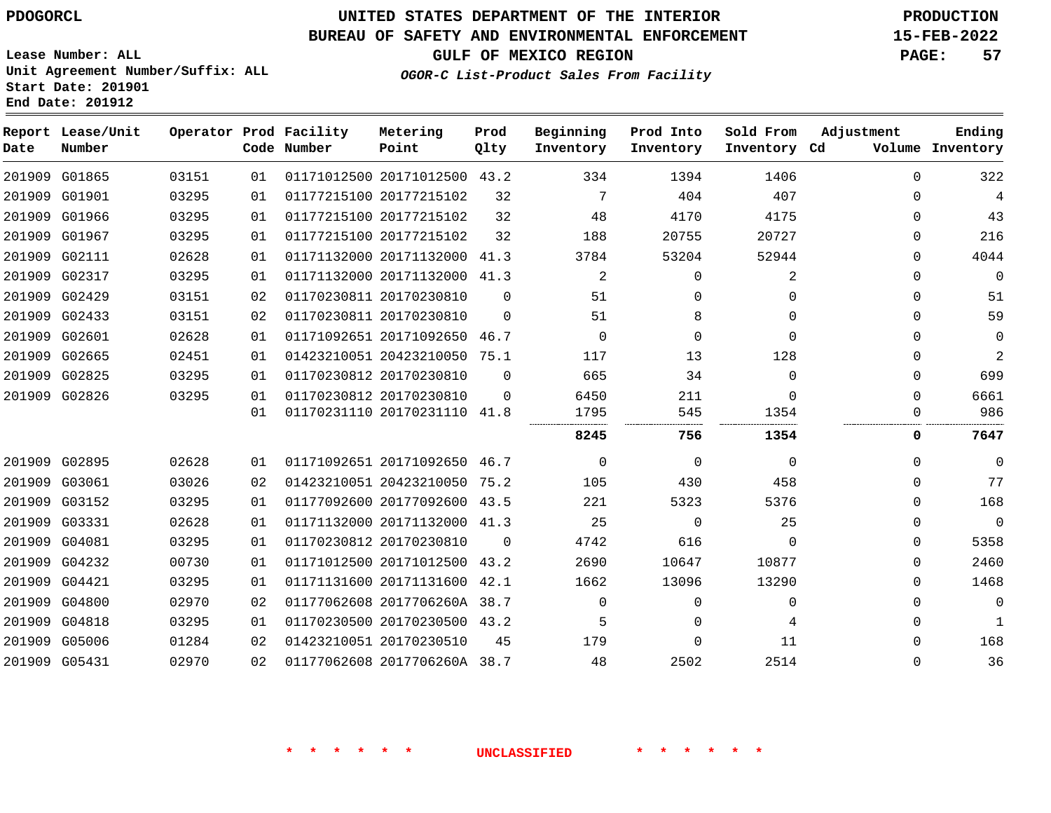**End Date: 201912**

**Report Lease/Unit**

### **UNITED STATES DEPARTMENT OF THE INTERIOR PDOGORCL PRODUCTION**

#### **BUREAU OF SAFETY AND ENVIRONMENTAL ENFORCEMENT 15-FEB-2022**

**Lease Number: ALL Unit Agreement Number/Suffix: ALL Start Date: 201901**

**OGOR-C List-Product Sales From Facility**

**GULF OF MEXICO REGION PAGE: 57**

**Adjustment**

**Ending**

**Operator Prod Facility Code Number Metering Point** 43.2 **Prod Qlty Beginning Inventory Prod Into Inventory Sold From Inventory**

| Date          | Number        |       |    | Code Number | Point                        | Qlty     | Inventory | Inventory   | Inventory Cd |          | Volume Inventory |
|---------------|---------------|-------|----|-------------|------------------------------|----------|-----------|-------------|--------------|----------|------------------|
| 201909        | G01865        | 03151 | 01 |             | 01171012500 20171012500      | 43.2     | 334       | 1394        | 1406         | 0        | 322              |
| 201909        | G01901        | 03295 | 01 |             | 01177215100 20177215102      | 32       | 7         | 404         | 407          | 0        | $\overline{4}$   |
|               | 201909 G01966 | 03295 | 01 |             | 01177215100 20177215102      | 32       | 48        | 4170        | 4175         | 0        | 43               |
|               | 201909 G01967 | 03295 | 01 |             | 01177215100 20177215102      | 32       | 188       | 20755       | 20727        | 0        | 216              |
| 201909        | G02111        | 02628 | 01 |             | 01171132000 20171132000      | 41.3     | 3784      | 53204       | 52944        | 0        | 4044             |
| 201909        | G02317        | 03295 | 01 |             | 01171132000 20171132000      | 41.3     | 2         | $\mathbf 0$ | 2            | 0        | $\overline{0}$   |
| 201909        | G02429        | 03151 | 02 |             | 01170230811 20170230810      | $\Omega$ | 51        | $\Omega$    | $\Omega$     | 0        | 51               |
| 201909        | G02433        | 03151 | 02 |             | 01170230811 20170230810      | 0        | 51        | 8           | $\Omega$     | 0        | 59               |
| 201909        | G02601        | 02628 | 01 |             | 01171092651 20171092650      | 46.7     | $\Omega$  | $\Omega$    | $\Omega$     | $\Omega$ | $\mathbf 0$      |
| 201909        | G02665        | 02451 | 01 |             | 01423210051 20423210050 75.1 |          | 117       | 13          | 128          | 0        | $\overline{2}$   |
| 201909        | G02825        | 03295 | 01 |             | 01170230812 20170230810      | $\Omega$ | 665       | 34          | $\mathbf 0$  | 0        | 699              |
|               | 201909 G02826 | 03295 | 01 |             | 01170230812 20170230810      | $\Omega$ | 6450      | 211         | $\Omega$     | $\Omega$ | 6661             |
|               |               |       | 01 |             | 01170231110 20170231110 41.8 |          | 1795      | 545         | 1354         | 0        | 986              |
|               |               |       |    |             |                              |          | 8245      | 756         | 1354         | 0        | 7647             |
| 201909 G02895 |               | 02628 | 01 |             | 01171092651 20171092650      | 46.7     | $\Omega$  | $\Omega$    | $\Omega$     | $\Omega$ | $\Omega$         |
| 201909        | G03061        | 03026 | 02 |             | 01423210051 20423210050      | 75.2     | 105       | 430         | 458          | 0        | 77               |
|               | 201909 G03152 | 03295 | 01 |             | 01177092600 20177092600 43.5 |          | 221       | 5323        | 5376         | 0        | 168              |
|               | 201909 G03331 | 02628 | 01 |             | 01171132000 20171132000 41.3 |          | 25        | $\Omega$    | 25           | 0        | $\Omega$         |
| 201909        | G04081        | 03295 | 01 |             | 01170230812 20170230810      | 0        | 4742      | 616         | $\Omega$     | 0        | 5358             |
|               | 201909 G04232 | 00730 | 01 |             | 01171012500 20171012500 43.2 |          | 2690      | 10647       | 10877        | 0        | 2460             |
| 201909        | G04421        | 03295 | 01 |             | 01171131600 20171131600      | 42.1     | 1662      | 13096       | 13290        | 0        | 1468             |
| 201909 G04800 |               | 02970 | 02 |             | 01177062608 2017706260A 38.7 |          | 0         | $\Omega$    | 0            | 0        | $\mathbf 0$      |
|               | 201909 G04818 | 03295 | 01 |             | 01170230500 20170230500 43.2 |          | 5         | $\Omega$    | 4            | 0        | 1                |
|               | 201909 G05006 | 01284 | 02 |             | 01423210051 20170230510      | 45       | 179       | 0           | 11           | 0        | 168              |
|               | 201909 G05431 | 02970 | 02 |             | 01177062608 2017706260A 38.7 |          | 48        | 2502        | 2514         | $\Omega$ | 36               |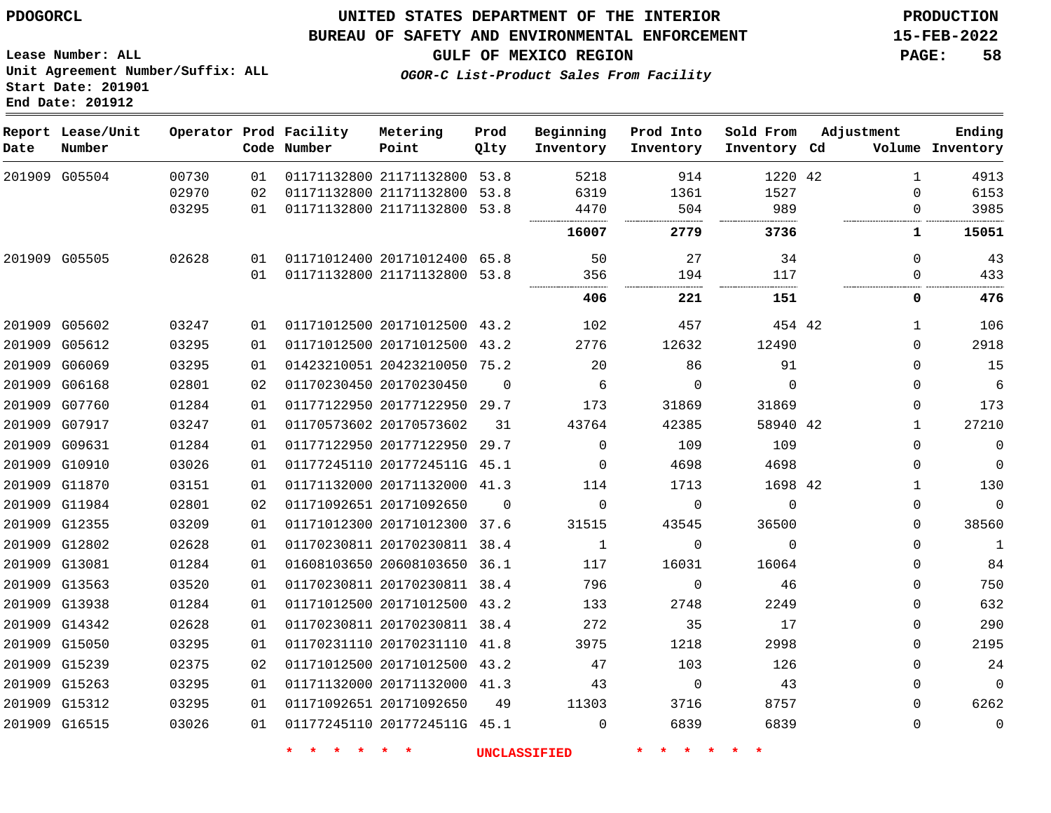#### **BUREAU OF SAFETY AND ENVIRONMENTAL ENFORCEMENT 15-FEB-2022**

**Lease Number: ALL Unit Agreement Number/Suffix: ALL Start Date: 201901 End Date: 201912**

**GULF OF MEXICO REGION PAGE: 58**

**OGOR-C List-Product Sales From Facility**

| Date          | Report Lease/Unit<br>Number |       |    | Operator Prod Facility<br>Code Number | Metering<br>Point            | Prod<br>Qlty | Beginning<br>Inventory | Prod Into<br>Inventory | Sold From<br>Inventory Cd | Adjustment   | Ending<br>Volume Inventory |
|---------------|-----------------------------|-------|----|---------------------------------------|------------------------------|--------------|------------------------|------------------------|---------------------------|--------------|----------------------------|
|               | 201909 G05504               | 00730 | 01 |                                       | 01171132800 21171132800 53.8 |              | 5218                   | 914                    | 1220 42                   | $\mathbf{1}$ | 4913                       |
|               |                             | 02970 | 02 | 01171132800 21171132800 53.8          |                              |              | 6319                   | 1361                   | 1527                      | $\Omega$     | 6153                       |
|               |                             | 03295 | 01 |                                       | 01171132800 21171132800 53.8 |              | 4470                   | 504                    | 989                       | $\Omega$     | 3985                       |
|               |                             |       |    |                                       |                              |              | 16007                  | 2779                   | 3736                      | 1            | 15051                      |
|               | 201909 G05505               | 02628 | 01 |                                       | 01171012400 20171012400 65.8 |              | 50                     | 27                     | 34                        | $\Omega$     | 43                         |
|               |                             |       | 01 | 01171132800 21171132800 53.8          |                              |              | 356                    | 194                    | 117                       | $\Omega$     | 433                        |
|               |                             |       |    |                                       |                              |              | 406                    | 221                    | 151                       | 0            | 476                        |
|               | 201909 G05602               | 03247 | 01 |                                       | 01171012500 20171012500 43.2 |              | 102                    | 457                    | 454 42                    | $\mathbf{1}$ | 106                        |
|               | 201909 G05612               | 03295 | 01 | 01171012500 20171012500 43.2          |                              |              | 2776                   | 12632                  | 12490                     | $\Omega$     | 2918                       |
| 201909 G06069 |                             | 03295 | 01 |                                       | 01423210051 20423210050 75.2 |              | 20                     | 86                     | 91                        | $\mathbf{0}$ | 15                         |
| 201909 G06168 |                             | 02801 | 02 | 01170230450 20170230450               |                              | $\Omega$     | 6                      | $\mathbf 0$            | $\Omega$                  | $\mathbf 0$  | 6                          |
|               | 201909 G07760               | 01284 | 01 |                                       | 01177122950 20177122950 29.7 |              | 173                    | 31869                  | 31869                     | $\Omega$     | 173                        |
|               | 201909 G07917               | 03247 | 01 |                                       | 01170573602 20170573602      | 31           | 43764                  | 42385                  | 58940 42                  | $\mathbf{1}$ | 27210                      |
| 201909 G09631 |                             | 01284 | 01 |                                       | 01177122950 20177122950 29.7 |              | $\Omega$               | 109                    | 109                       | $\Omega$     | $\mathbf 0$                |
| 201909 G10910 |                             | 03026 | 01 |                                       | 01177245110 2017724511G 45.1 |              | $\Omega$               | 4698                   | 4698                      | $\Omega$     | $\mathbf 0$                |
| 201909 G11870 |                             | 03151 | 01 |                                       | 01171132000 20171132000 41.3 |              | 114                    | 1713                   | 1698 42                   | $\mathbf{1}$ | 130                        |
|               | 201909 G11984               | 02801 | 02 |                                       | 01171092651 20171092650      | $\Omega$     | 0                      | $\mathbf 0$            | $\mathbf 0$               | $\Omega$     | $\mathsf 0$                |
|               | 201909 G12355               | 03209 | 01 |                                       | 01171012300 20171012300 37.6 |              | 31515                  | 43545                  | 36500                     | $\Omega$     | 38560                      |
| 201909 G12802 |                             | 02628 | 01 |                                       | 01170230811 20170230811 38.4 |              | $\mathbf{1}$           | $\Omega$               | $\Omega$                  | $\Omega$     | 1                          |
| 201909 G13081 |                             | 01284 | 01 |                                       | 01608103650 20608103650 36.1 |              | 117                    | 16031                  | 16064                     | $\Omega$     | 84                         |
| 201909 G13563 |                             | 03520 | 01 |                                       | 01170230811 20170230811 38.4 |              | 796                    | $\mathbf 0$            | 46                        | $\Omega$     | 750                        |
| 201909 G13938 |                             | 01284 | 01 |                                       | 01171012500 20171012500 43.2 |              | 133                    | 2748                   | 2249                      | $\Omega$     | 632                        |
|               | 201909 G14342               | 02628 | 01 |                                       | 01170230811 20170230811 38.4 |              | 272                    | 35                     | 17                        | $\Omega$     | 290                        |
| 201909 G15050 |                             | 03295 | 01 |                                       | 01170231110 20170231110 41.8 |              | 3975                   | 1218                   | 2998                      | $\Omega$     | 2195                       |
| 201909 G15239 |                             | 02375 | 02 |                                       | 01171012500 20171012500 43.2 |              | 47                     | 103                    | 126                       | $\Omega$     | 24                         |
| 201909 G15263 |                             | 03295 | 01 |                                       | 01171132000 20171132000 41.3 |              | 43                     | $\mathbf{0}$           | 43                        | $\Omega$     | $\overline{0}$             |
| 201909 G15312 |                             | 03295 | 01 |                                       | 01171092651 20171092650      | 49           | 11303                  | 3716                   | 8757                      | $\Omega$     | 6262                       |
| 201909 G16515 |                             | 03026 | 01 | 01177245110 2017724511G 45.1          |                              |              | $\mathbf 0$            | 6839                   | 6839                      | $\mathbf{0}$ | $\mathbf 0$                |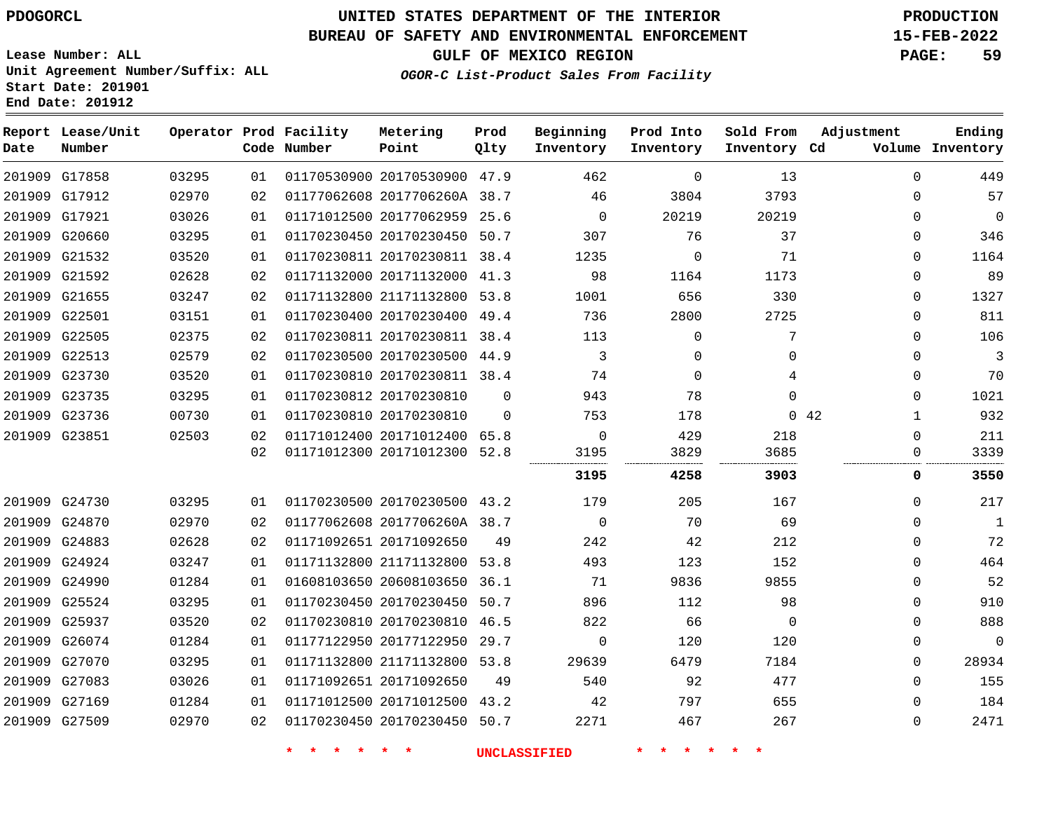#### **BUREAU OF SAFETY AND ENVIRONMENTAL ENFORCEMENT 15-FEB-2022**

**Lease Number: ALL Unit Agreement Number/Suffix: ALL Start Date: 201901 End Date: 201912**

**GULF OF MEXICO REGION PAGE: 59**

**OGOR-C List-Product Sales From Facility**

| Date | Report Lease/Unit<br>Number |       |    | Operator Prod Facility<br>Code Number | Metering<br>Point            | Prod<br>Qlty | Beginning<br>Inventory | Prod Into<br>Inventory | Sold From<br>Inventory Cd | Adjustment           | Ending<br>Volume Inventory |
|------|-----------------------------|-------|----|---------------------------------------|------------------------------|--------------|------------------------|------------------------|---------------------------|----------------------|----------------------------|
|      | 201909 G17858               | 03295 | 01 |                                       | 01170530900 20170530900 47.9 |              | 462                    | $\Omega$               | 13                        | $\Omega$             | 449                        |
|      | 201909 G17912               | 02970 | 02 |                                       | 01177062608 2017706260A 38.7 |              | 46                     | 3804                   | 3793                      | $\Omega$             | 57                         |
|      | 201909 G17921               | 03026 | 01 |                                       | 01171012500 20177062959 25.6 |              | $\mathbf 0$            | 20219                  | 20219                     | $\Omega$             | $\overline{0}$             |
|      | 201909 G20660               | 03295 | 01 |                                       | 01170230450 20170230450 50.7 |              | 307                    | 76                     | 37                        | $\Omega$             | 346                        |
|      | 201909 G21532               | 03520 | 01 |                                       | 01170230811 20170230811 38.4 |              | 1235                   | 0                      | 71                        | 0                    | 1164                       |
|      | 201909 G21592               | 02628 | 02 |                                       | 01171132000 20171132000 41.3 |              | 98                     | 1164                   | 1173                      | $\Omega$             | 89                         |
|      | 201909 G21655               | 03247 | 02 |                                       | 01171132800 21171132800 53.8 |              | 1001                   | 656                    | 330                       | 0                    | 1327                       |
|      | 201909 G22501               | 03151 | 01 |                                       | 01170230400 20170230400 49.4 |              | 736                    | 2800                   | 2725                      | $\Omega$             | 811                        |
|      | 201909 G22505               | 02375 | 02 |                                       | 01170230811 20170230811 38.4 |              | 113                    | 0                      | 7                         | 0                    | 106                        |
|      | 201909 G22513               | 02579 | 02 |                                       | 01170230500 20170230500 44.9 |              | 3                      | 0                      | 0                         | $\mathbf{0}$         | $\mathbf{3}$               |
|      | 201909 G23730               | 03520 | 01 |                                       | 01170230810 20170230811 38.4 |              | 74                     | $\Omega$               | 4                         | $\Omega$             | 70                         |
|      | 201909 G23735               | 03295 | 01 |                                       | 01170230812 20170230810      | $\Omega$     | 943                    | 78                     | $\Omega$                  | $\Omega$             | 1021                       |
|      | 201909 G23736               | 00730 | 01 |                                       | 01170230810 20170230810      | $\Omega$     | 753                    | 178                    |                           | 0.42<br>$\mathbf{1}$ | 932                        |
|      | 201909 G23851               | 02503 | 02 |                                       | 01171012400 20171012400 65.8 |              | $\Omega$               | 429                    | 218                       | $\Omega$             | 211                        |
|      |                             |       | 02 |                                       | 01171012300 20171012300 52.8 |              | 3195                   | 3829                   | 3685                      | $\Omega$             | 3339                       |
|      |                             |       |    |                                       |                              |              | 3195                   | 4258                   | 3903                      | 0                    | 3550                       |
|      | 201909 G24730               | 03295 | 01 |                                       | 01170230500 20170230500 43.2 |              | 179                    | 205                    | 167                       | $\mathbf{0}$         | 217                        |
|      | 201909 G24870               | 02970 | 02 |                                       | 01177062608 2017706260A 38.7 |              | $\Omega$               | 70                     | 69                        | $\Omega$             | $\mathbf{1}$               |
|      | 201909 G24883               | 02628 | 02 |                                       | 01171092651 20171092650      | 49           | 242                    | 42                     | 212                       | $\Omega$             | 72                         |
|      | 201909 G24924               | 03247 | 01 |                                       | 01171132800 21171132800      | 53.8         | 493                    | 123                    | 152                       | $\Omega$             | 464                        |
|      | 201909 G24990               | 01284 | 01 |                                       | 01608103650 20608103650 36.1 |              | 71                     | 9836                   | 9855                      | $\Omega$             | 52                         |
|      | 201909 G25524               | 03295 | 01 |                                       | 01170230450 20170230450 50.7 |              | 896                    | 112                    | 98                        | $\Omega$             | 910                        |
|      | 201909 G25937               | 03520 | 02 |                                       | 01170230810 20170230810      | 46.5         | 822                    | 66                     | $\mathbf 0$               | 0                    | 888                        |
|      | 201909 G26074               | 01284 | 01 |                                       | 01177122950 20177122950 29.7 |              | $\Omega$               | 120                    | 120                       | $\Omega$             | $\Omega$                   |
|      | 201909 G27070               | 03295 | 01 |                                       | 01171132800 21171132800      | 53.8         | 29639                  | 6479                   | 7184                      | $\Omega$             | 28934                      |
|      | 201909 G27083               | 03026 | 01 |                                       | 01171092651 20171092650      | 49           | 540                    | 92                     | 477                       | $\Omega$             | 155                        |
|      | 201909 G27169               | 01284 | 01 |                                       | 01171012500 20171012500 43.2 |              | 42                     | 797                    | 655                       | 0                    | 184                        |
|      | 201909 G27509               | 02970 | 02 |                                       | 01170230450 20170230450 50.7 |              | 2271                   | 467                    | 267                       | $\Omega$             | 2471                       |

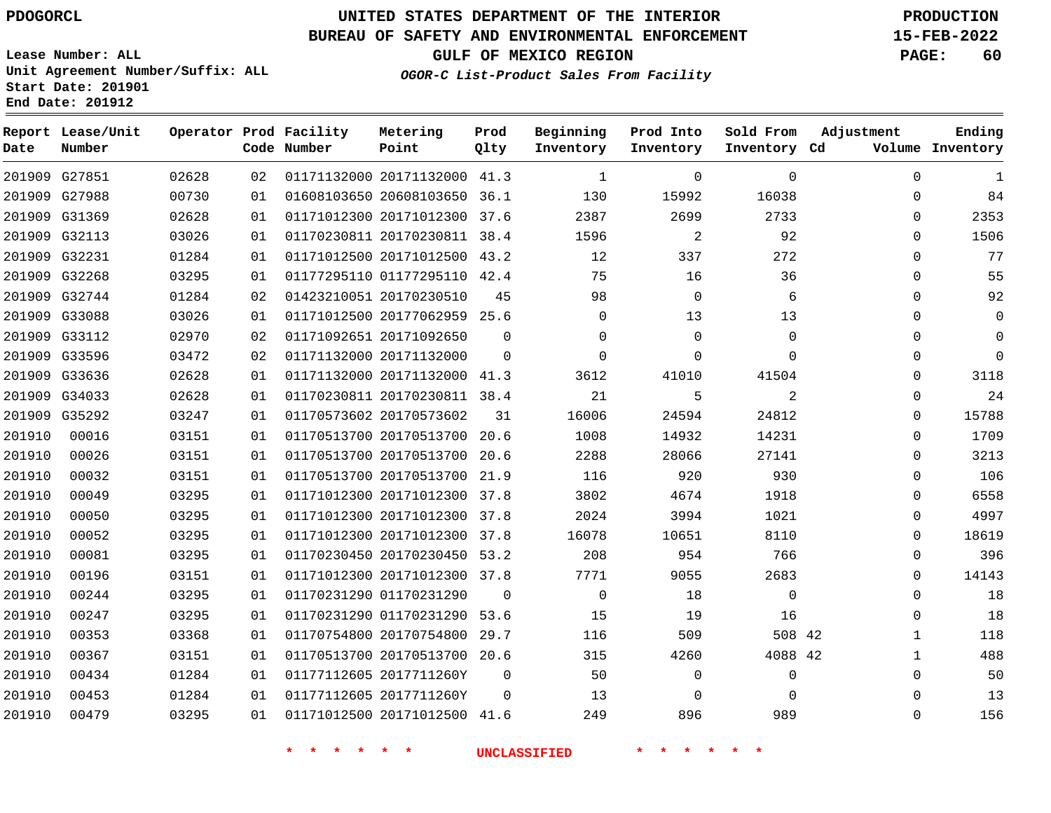#### **BUREAU OF SAFETY AND ENVIRONMENTAL ENFORCEMENT 15-FEB-2022**

**Lease Number: ALL Unit Agreement Number/Suffix: ALL Start Date: 201901 End Date: 201912**

**GULF OF MEXICO REGION PAGE: 60**

**OGOR-C List-Product Sales From Facility**

| Date   | Report Lease/Unit<br>Number |       |    | Operator Prod Facility<br>Code Number | Metering<br>Point            | Prod<br>Qlty | Beginning<br>Inventory | Prod Into<br>Inventory | Sold From<br>Inventory Cd | Adjustment   | Ending<br>Volume Inventory |
|--------|-----------------------------|-------|----|---------------------------------------|------------------------------|--------------|------------------------|------------------------|---------------------------|--------------|----------------------------|
|        | 201909 G27851               | 02628 | 02 |                                       | 01171132000 20171132000 41.3 |              | $\overline{1}$         | $\mathbf 0$            | $\mathbf 0$               | $\mathbf 0$  | $\mathbf{1}$               |
|        | 201909 G27988               | 00730 | 01 |                                       | 01608103650 20608103650 36.1 |              | 130                    | 15992                  | 16038                     | $\Omega$     | 84                         |
|        | 201909 G31369               | 02628 | 01 |                                       | 01171012300 20171012300 37.6 |              | 2387                   | 2699                   | 2733                      | $\Omega$     | 2353                       |
|        | 201909 G32113               | 03026 | 01 |                                       | 01170230811 20170230811 38.4 |              | 1596                   | 2                      | 92                        | $\Omega$     | 1506                       |
|        | 201909 G32231               | 01284 | 01 |                                       | 01171012500 20171012500 43.2 |              | 12                     | 337                    | 272                       | $\Omega$     | 77                         |
|        | 201909 G32268               | 03295 | 01 |                                       | 01177295110 01177295110 42.4 |              | 75                     | 16                     | 36                        | 0            | 55                         |
|        | 201909 G32744               | 01284 | 02 |                                       | 01423210051 20170230510      | 45           | 98                     | $\mathbf 0$            | 6                         | $\mathbf 0$  | 92                         |
|        | 201909 G33088               | 03026 | 01 |                                       | 01171012500 20177062959 25.6 |              | $\Omega$               | 13                     | 13                        | $\Omega$     | $\mathbf 0$                |
|        | 201909 G33112               | 02970 | 02 |                                       | 01171092651 20171092650      | $\Omega$     | $\Omega$               | $\Omega$               | $\Omega$                  | $\Omega$     | $\mathbf 0$                |
|        | 201909 G33596               | 03472 | 02 |                                       | 01171132000 20171132000      | 0            | $\mathbf 0$            | $\Omega$               | $\mathbf 0$               | 0            | $\mathbf 0$                |
|        | 201909 G33636               | 02628 | 01 |                                       | 01171132000 20171132000 41.3 |              | 3612                   | 41010                  | 41504                     | 0            | 3118                       |
|        | 201909 G34033               | 02628 | 01 |                                       | 01170230811 20170230811 38.4 |              | 21                     | 5                      | $\overline{a}$            | $\mathbf 0$  | 24                         |
|        | 201909 G35292               | 03247 | 01 |                                       | 01170573602 20170573602      | 31           | 16006                  | 24594                  | 24812                     | 0            | 15788                      |
| 201910 | 00016                       | 03151 | 01 |                                       | 01170513700 20170513700 20.6 |              | 1008                   | 14932                  | 14231                     | $\mathbf 0$  | 1709                       |
| 201910 | 00026                       | 03151 | 01 |                                       | 01170513700 20170513700 20.6 |              | 2288                   | 28066                  | 27141                     | $\Omega$     | 3213                       |
| 201910 | 00032                       | 03151 | 01 |                                       | 01170513700 20170513700      | 21.9         | 116                    | 920                    | 930                       | $\Omega$     | 106                        |
| 201910 | 00049                       | 03295 | 01 |                                       | 01171012300 20171012300 37.8 |              | 3802                   | 4674                   | 1918                      | 0            | 6558                       |
| 201910 | 00050                       | 03295 | 01 |                                       | 01171012300 20171012300      | 37.8         | 2024                   | 3994                   | 1021                      | $\Omega$     | 4997                       |
| 201910 | 00052                       | 03295 | 01 |                                       | 01171012300 20171012300 37.8 |              | 16078                  | 10651                  | 8110                      | 0            | 18619                      |
| 201910 | 00081                       | 03295 | 01 |                                       | 01170230450 20170230450 53.2 |              | 208                    | 954                    | 766                       | 0            | 396                        |
| 201910 | 00196                       | 03151 | 01 |                                       | 01171012300 20171012300 37.8 |              | 7771                   | 9055                   | 2683                      | $\Omega$     | 14143                      |
| 201910 | 00244                       | 03295 | 01 |                                       | 01170231290 01170231290      | $\Omega$     | $\Omega$               | 18                     | $\Omega$                  | $\Omega$     | 18                         |
| 201910 | 00247                       | 03295 | 01 |                                       | 01170231290 01170231290      | 53.6         | 15                     | 19                     | 16                        | $\mathbf 0$  | 18                         |
| 201910 | 00353                       | 03368 | 01 |                                       | 01170754800 20170754800 29.7 |              | 116                    | 509                    | 508 42                    | $\mathbf{1}$ | 118                        |
| 201910 | 00367                       | 03151 | 01 |                                       | 01170513700 20170513700 20.6 |              | 315                    | 4260                   | 4088 42                   | $\mathbf{1}$ | 488                        |
| 201910 | 00434                       | 01284 | 01 |                                       | 01177112605 2017711260Y      | 0            | 50                     | 0                      | $\mathbf 0$               | 0            | 50                         |
| 201910 | 00453                       | 01284 | 01 |                                       | 01177112605 2017711260Y      | $\mathbf 0$  | 13                     | $\mathbf 0$            | $\Omega$                  | 0            | 13                         |
| 201910 | 00479                       | 03295 | 01 |                                       | 01171012500 20171012500 41.6 |              | 249                    | 896                    | 989                       | $\Omega$     | 156                        |
|        |                             |       |    |                                       |                              |              |                        |                        |                           |              |                            |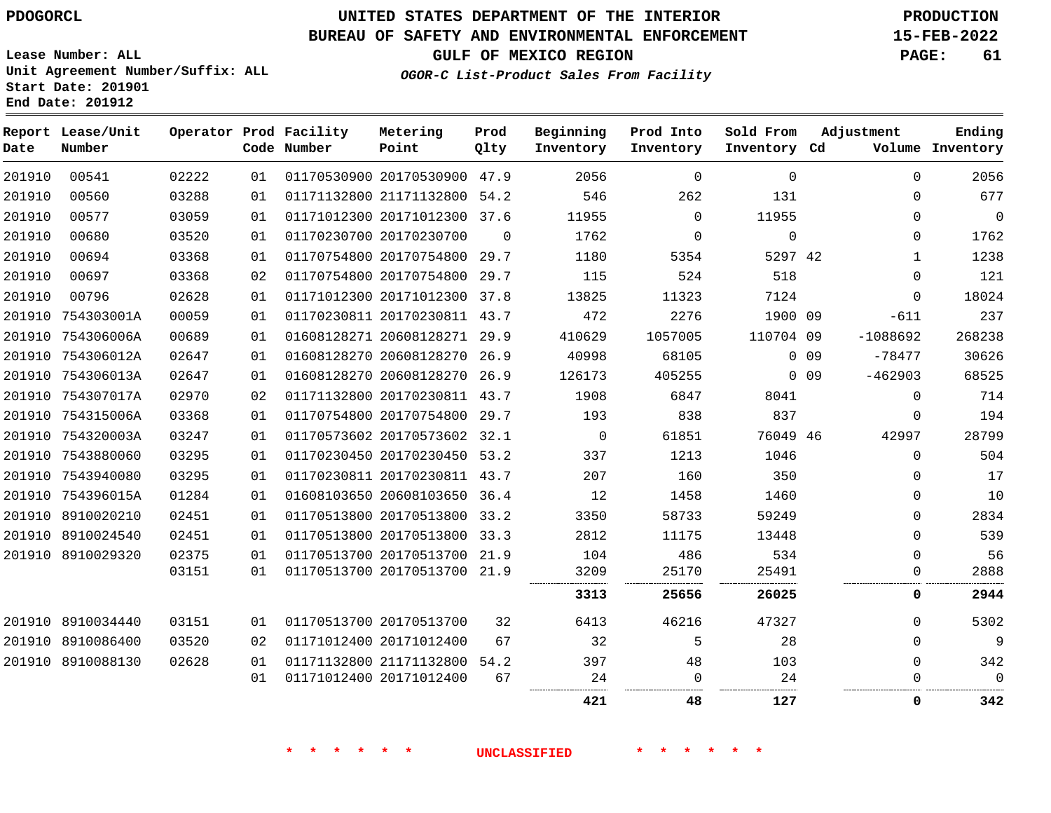**Report Lease/Unit**

**Number**

**Date**

# **UNITED STATES DEPARTMENT OF THE INTERIOR PDOGORCL PRODUCTION**

**Prod Qlty**

#### **BUREAU OF SAFETY AND ENVIRONMENTAL ENFORCEMENT 15-FEB-2022**

**Lease Number: ALL Unit Agreement Number/Suffix: ALL Start Date: 201901 End Date: 201912**

> 

**Operator Prod Facility**

**Code Number**

 

**GULF OF MEXICO REGION PAGE: 61**

**Inventory Cd Volume**

**Adjustment**

  $\Omega$  $\Omega$   $\Omega$  $\Omega$ -611 -1088692 -78477 -462903

> $\Omega$  $\overline{0}$   $\Omega$  $\overline{0}$  $\Omega$  $\Omega$  $\Omega$  $\Omega$

> > $\Omega$   $\Omega$

. . . . . .

**Ending**

 

**Sold From Inventory**

|                  |                   |                |          |                         |                              |              | 421         | 48          | 127         |
|------------------|-------------------|----------------|----------|-------------------------|------------------------------|--------------|-------------|-------------|-------------|
|                  |                   |                | 01       | 01171012400 20171012400 |                              | 67           | 24          | 0           | 24          |
|                  | 201910 8910088130 | 02628          | 01       |                         | 01171132800 21171132800      | 54.2         | 397         | 48          | 103         |
| 201910           | 8910086400        | 03520          | 02       | 01171012400 20171012400 |                              | 67           | 32          | 5           | 28          |
|                  | 201910 8910034440 | 03151          | 01       | 01170513700 20170513700 |                              | 32           | 6413        | 46216       | 47327       |
|                  |                   |                |          |                         |                              |              | 3313        | 25656       | 26025       |
|                  |                   | 03151          | 01       |                         | 01170513700 20170513700      | 21.9         | 3209        | 25170       | 25491       |
|                  | 201910 8910029320 | 02375          | 01       |                         | 01170513700 20170513700      | 21.9         | 104         | 486         | 534         |
|                  | 201910 8910024540 | 02451          | 01       | 01170513800 20170513800 |                              | 33.3         | 2812        | 11175       | 13448       |
|                  | 201910 8910020210 | 02451          | 01       | 01170513800 20170513800 |                              | 33.2         | 3350        | 58733       | 59249       |
| 201910           | 754396015A        | 01284          | 01       | 01608103650 20608103650 |                              | 36.4         | 12          | 1458        | 1460        |
| 201910           | 7543940080        | 03295          | 01       | 01170230811 20170230811 |                              | 43.7         | 207         | 160         | 350         |
| 201910           | 7543880060        | 03295          | 01       | 01170230450 20170230450 |                              | 53.2         | 337         | 1213        | 1046        |
| 201910           | 754320003A        | 03247          | 01       | 01170573602 20170573602 |                              | 32.1         | $\mathbf 0$ | 61851       | 76049       |
| 201910           | 754315006A        | 03368          | 01       | 01170754800 20170754800 |                              | 29.7         | 193         | 838         | 837         |
| 201910           | 754307017A        | 02970          | 02       | 01171132800 20170230811 |                              | 43.7         | 1908        | 6847        | 8041        |
| 201910           | 754306013A        | 02647          | 01       | 01608128270 20608128270 |                              | 26.9         | 126173      | 405255      | $\mathbf 0$ |
| 201910           | 754306012A        | 02647          | 01       | 01608128270 20608128270 |                              | 26.9         | 40998       | 68105       | $\mathsf 0$ |
| 201910           | 754306006A        | 00689          | 01       | 01608128271 20608128271 |                              | 29.9         | 410629      | 1057005     | 110704      |
| 201910           | 754303001A        | 00059          | 01       | 01170230811 20170230811 |                              | 43.7         | 472         | 2276        | 1900        |
| 201910           | 00796             | 02628          | 01       | 01171012300 20171012300 |                              | 37.8         | 13825       | 11323       | 7124        |
| 201910<br>201910 | 00697             | 03368<br>03368 | 01<br>02 | 01170754800 20170754800 |                              | 29.7<br>29.7 | 1180<br>115 | 5354<br>524 | 5297<br>518 |
| 201910           | 00680<br>00694    | 03520          | 01       | 01170230700 20170230700 | 01170754800 20170754800      | $\mathbf 0$  | 1762        | 0           | $\mathbb O$ |
|                  |                   |                |          |                         |                              |              |             |             |             |
| 201910           | 00577             | 03059          | 01       |                         | 01171012300 20171012300 37.6 |              | 11955       | 0           | 11955       |

 20170530900 47.9 21171132800 54.2

**Metering Point**

**OGOR-C List-Product Sales From Facility**

 

 

**Prod Into Inventory**

**Beginning Inventory**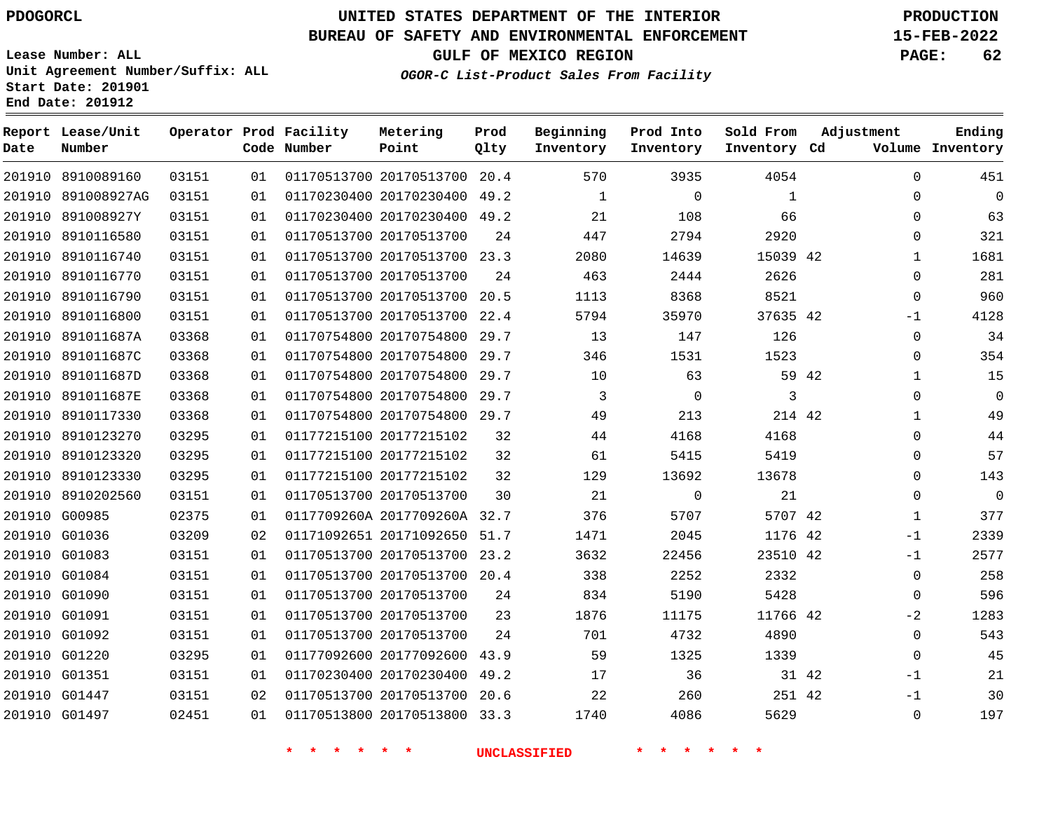8910089160

**Report Lease/Unit**

**Number**

**Date**

## **UNITED STATES DEPARTMENT OF THE INTERIOR PDOGORCL PRODUCTION**

**Prod Qlty**

#### **BUREAU OF SAFETY AND ENVIRONMENTAL ENFORCEMENT 15-FEB-2022**

**Lease Number: ALL Unit Agreement Number/Suffix: ALL Start Date: 201901 End Date: 201912**

**Operator Prod Facility**

**Code Number**

20170513700 20.4

**Metering Point**

**OGOR-C List-Product Sales From Facility**

**Sold From Inventory**

**Prod Into Inventory**

**Beginning Inventory**

**GULF OF MEXICO REGION PAGE: 62**

**Inventory Cd Volume**

**Adjustment**

  $\Omega$  -1  $\Omega$   $\overline{0}$  $\Omega$  $\overline{0}$  $\Omega$  -1 -1  $-2$   $-1$ -1 

**Ending**

| 891008927AG | 03151 | 01 | 01170230400 20170230400 49.2 |      | $\mathbf{1}$        | $\mathbf 0$ | $\mathbf{1}$ |       |
|-------------|-------|----|------------------------------|------|---------------------|-------------|--------------|-------|
| 891008927Y  | 03151 | 01 | 01170230400 20170230400 49.2 |      | 21                  | 108         | 66           |       |
| 8910116580  | 03151 | 01 | 01170513700 20170513700      | 24   | 447                 | 2794        | 2920         |       |
| 8910116740  | 03151 | 01 | 01170513700 20170513700 23.3 |      | 2080                | 14639       | 15039 42     |       |
| 8910116770  | 03151 | 01 | 01170513700 20170513700      | 24   | 463                 | 2444        | 2626         |       |
| 8910116790  | 03151 | 01 | 01170513700 20170513700 20.5 |      | 1113                | 8368        | 8521         |       |
| 8910116800  | 03151 | 01 | 01170513700 20170513700      | 22.4 | 5794                | 35970       | 37635 42     |       |
| 891011687A  | 03368 | 01 | 01170754800 20170754800      | 29.7 | 13                  | 147         | 126          |       |
| 891011687C  | 03368 | 01 | 01170754800 20170754800      | 29.7 | 346                 | 1531        | 1523         |       |
| 891011687D  | 03368 | 01 | 01170754800 20170754800      | 29.7 | 10                  | 63          |              | 59 42 |
| 891011687E  | 03368 | 01 | 01170754800 20170754800      | 29.7 | $\mathbf{3}$        | $\mathbf 0$ | 3            |       |
| 8910117330  | 03368 | 01 | 01170754800 20170754800 29.7 |      | 49                  | 213         | 214 42       |       |
| 8910123270  | 03295 | 01 | 01177215100 20177215102      | 32   | 44                  | 4168        | 4168         |       |
| 8910123320  | 03295 | 01 | 01177215100 20177215102      | 32   | 61                  | 5415        | 5419         |       |
| 8910123330  | 03295 | 01 | 01177215100 20177215102      | 32   | 129                 | 13692       | 13678        |       |
| 8910202560  | 03151 | 01 | 01170513700 20170513700      | 30   | 21                  | $\mathbf 0$ | 21           |       |
| G00985      | 02375 | 01 | 0117709260A 2017709260A 32.7 |      | 376                 | 5707        | 5707 42      |       |
| G01036      | 03209 | 02 | 01171092651 20171092650 51.7 |      | 1471                | 2045        | 1176 42      |       |
| G01083      | 03151 | 01 | 01170513700 20170513700 23.2 |      | 3632                | 22456       | 23510 42     |       |
| G01084      | 03151 | 01 | 01170513700 20170513700 20.4 |      | 338                 | 2252        | 2332         |       |
| G01090      | 03151 | 01 | 01170513700 20170513700      | 24   | 834                 | 5190        | 5428         |       |
| G01091      | 03151 | 01 | 01170513700 20170513700      | 23   | 1876                | 11175       | 11766 42     |       |
| G01092      | 03151 | 01 | 01170513700 20170513700      | 24   | 701                 | 4732        | 4890         |       |
| G01220      | 03295 | 01 | 01177092600 20177092600      | 43.9 | 59                  | 1325        | 1339         |       |
| G01351      | 03151 | 01 | 01170230400 20170230400 49.2 |      | 17                  | 36          |              | 31 42 |
| G01447      | 03151 | 02 | 01170513700 20170513700 20.6 |      | 22                  | 260         | 251 42       |       |
| G01497      | 02451 | 01 | 01170513800 20170513800 33.3 |      | 1740                | 4086        | 5629         |       |
|             |       |    |                              |      | <b>UNCLASSIFIED</b> |             |              |       |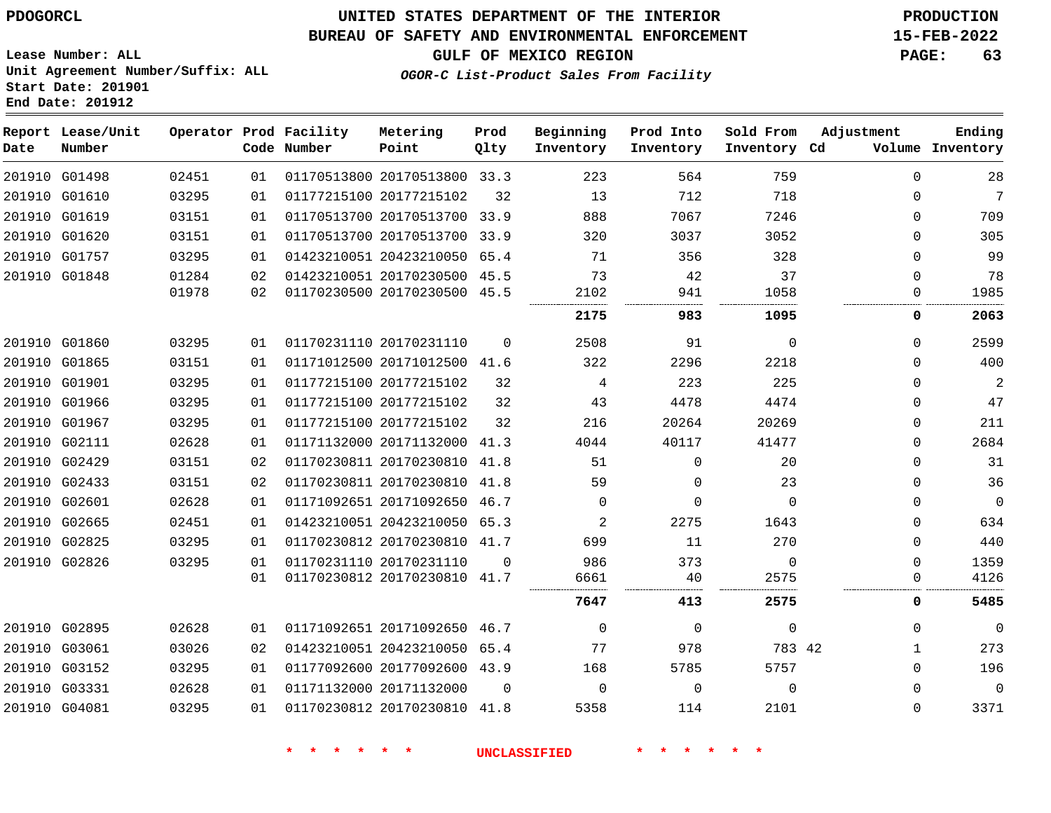G01498 G01610 G01619 G01620 G01757 G01848

**Date**

**Report Lease/Unit**

**Number**

 G01860 G01865 G01901 G01966 G01967 G02111 G02429 G02433 G02601 G02665 G02825 G02826

 G02895 G03061 G03152 G03331 G04081

### **UNITED STATES DEPARTMENT OF THE INTERIOR PDOGORCL PRODUCTION**

**Prod Qlty**

#### **BUREAU OF SAFETY AND ENVIRONMENTAL ENFORCEMENT 15-FEB-2022**

**Lease Number: ALL Unit Agreement Number/Suffix: ALL Start Date: 201901 End Date: 201912**

**Operator Prod Facility**

**Code Number**

   

 

  **OGOR-C List-Product Sales From Facility**

**Beginning Inventory** **Prod Into Inventory** **Sold From Inventory**

**Inventory Cd Volume**

**Adjustment**

  $\Omega$  $\Omega$  $\Omega$  $\Omega$  $\Omega$  $\Omega$ 

 $\Omega$   $\Omega$   $\Omega$  $\Omega$  $\Omega$  $\Omega$  $\Omega$  $\Omega$  $\Omega$   $\Omega$ 

. . . . .

**GULF OF MEXICO REGION PAGE: 63**

**Ending**

| 02451 | 01 | 01170513800 20170513800 | 33.3     | 223  | 564      | 759      |  |
|-------|----|-------------------------|----------|------|----------|----------|--|
| 03295 | 01 | 01177215100 20177215102 | 32       | 13   | 712      | 718      |  |
| 03151 | 01 | 01170513700 20170513700 | 33.9     | 888  | 7067     | 7246     |  |
| 03151 | 01 | 01170513700 20170513700 | 33.9     | 320  | 3037     | 3052     |  |
| 03295 | 01 | 01423210051 20423210050 | 65.4     | 71   | 356      | 328      |  |
| 01284 | 02 | 01423210051 20170230500 | 45.5     | 73   | 42       | 37       |  |
| 01978 | 02 | 01170230500 20170230500 | 45.5     | 2102 | 941      | 1058     |  |
|       |    |                         |          | 2175 | 983      | 1095     |  |
| 03295 | 01 | 01170231110 20170231110 | $\Omega$ | 2508 | 91       | $\Omega$ |  |
| 03151 | 01 | 01171012500 20171012500 | 41.6     | 322  | 2296     | 2218     |  |
| 03295 | 01 | 01177215100 20177215102 | 32       | 4    | 223      | 225      |  |
| 03295 | 01 | 01177215100 20177215102 | 32       | 43   | 4478     | 4474     |  |
| 03295 | 01 | 01177215100 20177215102 | 32       | 216  | 20264    | 20269    |  |
| 02628 | 01 | 01171132000 20171132000 | 41.3     | 4044 | 40117    | 41477    |  |
| 03151 | 02 | 01170230811 20170230810 | 41.8     | 51   | $\Omega$ | 20       |  |
| 03151 | 02 | 01170230811 20170230810 | 41.8     | 59   | $\Omega$ | 23       |  |
| 02628 | 01 | 01171092651 20171092650 | 46.7     | O    | 0        | 0        |  |
| 02451 | 01 | 01423210051 20423210050 | 65.3     | 2    | 2275     | 1643     |  |

 $\Omega$ 

 20171132000 20170230810 41.8  $\Omega$ 

20170230810 41.7

**Metering Point**

20170230810 41.7

 20171092650 46.7 20423210050 65.4 20177092600 43.9

20170231110

 

 

 $\Omega$   $\Omega$ 

 $\Omega$   $\Omega$ 

42

 $\Omega$ 

  $\Omega$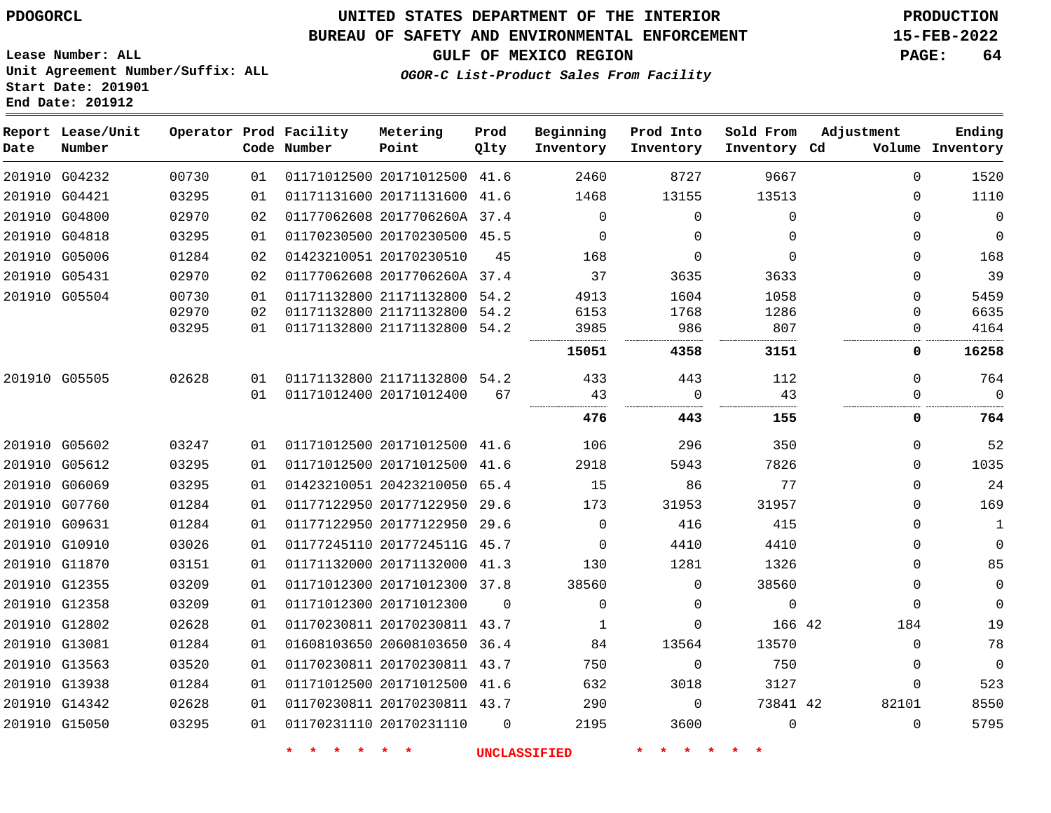#### **BUREAU OF SAFETY AND ENVIRONMENTAL ENFORCEMENT 15-FEB-2022**

**Lease Number: ALL Unit Agreement Number/Suffix: ALL Start Date: 201901 End Date: 201912**

**GULF OF MEXICO REGION PAGE: 64**

**OGOR-C List-Product Sales From Facility**

| Date | Report Lease/Unit<br>Number |       |    | Operator Prod Facility<br>Code Number | Metering<br>Point            | Prod<br>Qlty | Beginning<br>Inventory | Prod Into<br>Inventory | Sold From<br>Inventory Cd | Adjustment   | Ending<br>Volume Inventory |
|------|-----------------------------|-------|----|---------------------------------------|------------------------------|--------------|------------------------|------------------------|---------------------------|--------------|----------------------------|
|      | 201910 G04232               | 00730 | 01 |                                       | 01171012500 20171012500 41.6 |              | 2460                   | 8727                   | 9667                      | $\Omega$     | 1520                       |
|      | 201910 G04421               | 03295 | 01 |                                       | 01171131600 20171131600 41.6 |              | 1468                   | 13155                  | 13513                     | $\Omega$     | 1110                       |
|      | 201910 G04800               | 02970 | 02 |                                       | 01177062608 2017706260A 37.4 |              | $\mathbf 0$            | $\mathbf 0$            | $\mathbf 0$               | $\mathbf{0}$ | $\mathbf 0$                |
|      | 201910 G04818               | 03295 | 01 |                                       | 01170230500 20170230500 45.5 |              | $\Omega$               | $\Omega$               | $\Omega$                  | $\Omega$     | $\mathbf 0$                |
|      | 201910 G05006               | 01284 | 02 |                                       | 01423210051 20170230510      | 45           | 168                    | $\Omega$               | $\Omega$                  | $\Omega$     | 168                        |
|      | 201910 G05431               | 02970 | 02 |                                       | 01177062608 2017706260A 37.4 |              | 37                     | 3635                   | 3633                      | $\mathbf{0}$ | 39                         |
|      | 201910 G05504               | 00730 | 01 |                                       | 01171132800 21171132800 54.2 |              | 4913                   | 1604                   | 1058                      | $\Omega$     | 5459                       |
|      |                             | 02970 | 02 |                                       | 01171132800 21171132800 54.2 |              | 6153                   | 1768                   | 1286                      | $\Omega$     | 6635                       |
|      |                             | 03295 | 01 |                                       | 01171132800 21171132800 54.2 |              | 3985                   | 986                    | 807                       | $\Omega$     | 4164                       |
|      |                             |       |    |                                       |                              |              | 15051                  | 4358                   | 3151                      | 0            | 16258                      |
|      | 201910 G05505               | 02628 | 01 |                                       | 01171132800 21171132800 54.2 |              | 433                    | 443                    | 112                       | $\Omega$     | 764                        |
|      |                             |       | 01 |                                       | 01171012400 20171012400      | 67           | 43                     | $\Omega$               | 43                        | $\Omega$     | $\Omega$                   |
|      |                             |       |    |                                       |                              |              | 476                    | 443                    | 155                       | 0            | 764                        |
|      | 201910 G05602               | 03247 | 01 |                                       | 01171012500 20171012500 41.6 |              | 106                    | 296                    | 350                       | $\Omega$     | 52                         |
|      | 201910 G05612               | 03295 | 01 |                                       | 01171012500 20171012500      | 41.6         | 2918                   | 5943                   | 7826                      | $\Omega$     | 1035                       |
|      | 201910 G06069               | 03295 | 01 |                                       | 01423210051 20423210050 65.4 |              | 15                     | 86                     | 77                        | 0            | 24                         |
|      | 201910 G07760               | 01284 | 01 |                                       | 01177122950 20177122950 29.6 |              | 173                    | 31953                  | 31957                     | $\Omega$     | 169                        |
|      | 201910 G09631               | 01284 | 01 |                                       | 01177122950 20177122950 29.6 |              | $\Omega$               | 416                    | 415                       | $\Omega$     | $\mathbf{1}$               |
|      | 201910 G10910               | 03026 | 01 |                                       | 01177245110 2017724511G 45.7 |              | $\Omega$               | 4410                   | 4410                      | $\Omega$     | $\Omega$                   |
|      | 201910 G11870               | 03151 | 01 |                                       | 01171132000 20171132000 41.3 |              | 130                    | 1281                   | 1326                      | $\Omega$     | 85                         |
|      | 201910 G12355               | 03209 | 01 |                                       | 01171012300 20171012300 37.8 |              | 38560                  | $\Omega$               | 38560                     | $\mathbf 0$  | $\Omega$                   |
|      | 201910 G12358               | 03209 | 01 |                                       | 01171012300 20171012300      | $\Omega$     | $\Omega$               | $\Omega$               | $\mathbf 0$               | $\Omega$     | $\Omega$                   |
|      | 201910 G12802               | 02628 | 01 |                                       | 01170230811 20170230811 43.7 |              | $\mathbf{1}$           | $\Omega$               | 166 42                    | 184          | 19                         |
|      | 201910 G13081               | 01284 | 01 |                                       | 01608103650 20608103650 36.4 |              | 84                     | 13564                  | 13570                     | $\Omega$     | 78                         |
|      | 201910 G13563               | 03520 | 01 |                                       | 01170230811 20170230811 43.7 |              | 750                    | $\mathbf 0$            | 750                       | $\Omega$     | $\Omega$                   |
|      | 201910 G13938               | 01284 | 01 |                                       | 01171012500 20171012500 41.6 |              | 632                    | 3018                   | 3127                      | $\Omega$     | 523                        |
|      | 201910 G14342               | 02628 | 01 |                                       | 01170230811 20170230811 43.7 |              | 290                    | $\mathbf 0$            | 73841 42                  | 82101        | 8550                       |
|      | 201910 G15050               | 03295 | 01 |                                       | 01170231110 20170231110      | $\Omega$     | 2195                   | 3600                   | $\Omega$                  | $\mathbf 0$  | 5795                       |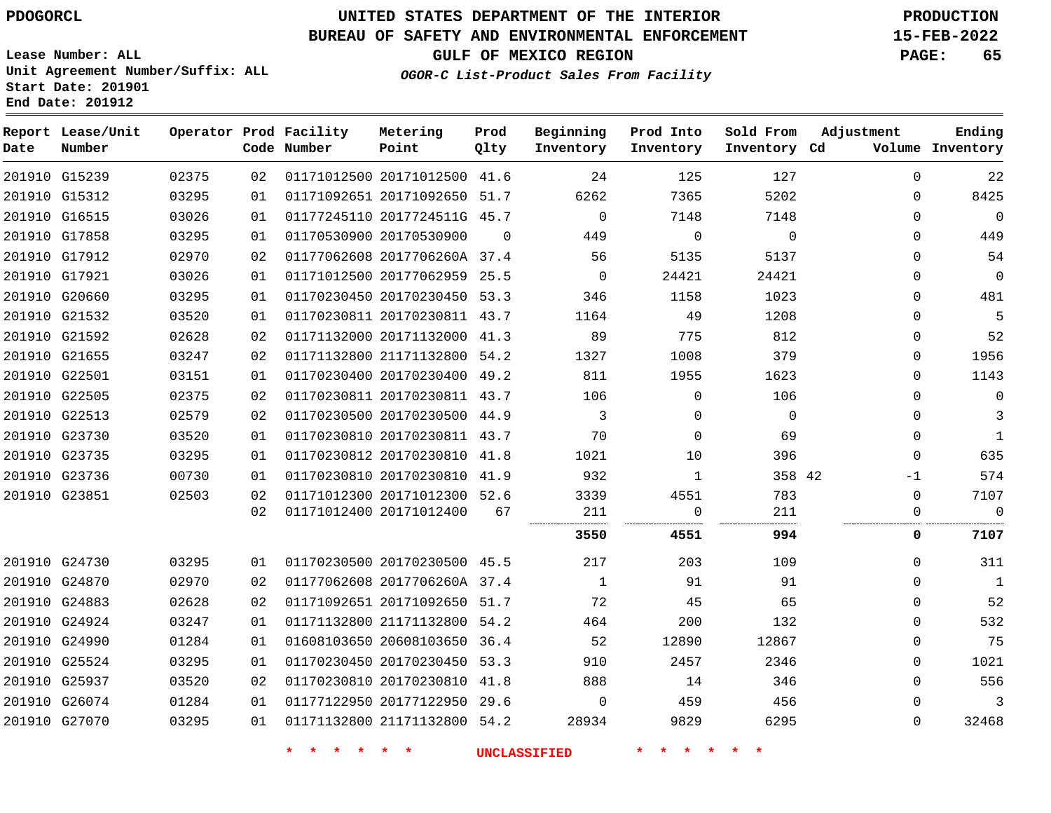**Report Lease/Unit**

**Number**

### **UNITED STATES DEPARTMENT OF THE INTERIOR PDOGORCL PRODUCTION**

#### **BUREAU OF SAFETY AND ENVIRONMENTAL ENFORCEMENT 15-FEB-2022**

**Lease Number: ALL Unit Agreement Number/Suffix: ALL Start Date: 201901 End Date: 201912**

**Operator Prod Facility**

**Code Number**

**Metering Point**

**Prod Qlty**

**GULF OF MEXICO REGION PAGE: 65**

**Inventory Cd Volume**

**Adjustment**

**Ending**

**OGOR-C List-Product Sales From Facility**

**Beginning Inventory**

**Prod Into Inventory**

**Sold From Inventory**

| 22           | $\Omega$    | 127            | 125         | 24             |          | 01171012500 20171012500 41.6 |                         | 02 | 02375 | 201910 G15239 |  |
|--------------|-------------|----------------|-------------|----------------|----------|------------------------------|-------------------------|----|-------|---------------|--|
| 8425         | $\Omega$    | 5202           | 7365        | 6262           |          | 01171092651 20171092650 51.7 |                         | 01 | 03295 | 201910 G15312 |  |
| $\mathbf 0$  | $\mathbf 0$ | 7148           | 7148        | $\mathbf{0}$   |          | 01177245110 2017724511G 45.7 |                         | 01 | 03026 | 201910 G16515 |  |
| 449          | $\Omega$    | $\overline{0}$ | 0           | 449            | $\Omega$ |                              | 01170530900 20170530900 | 01 | 03295 | 201910 G17858 |  |
| 54           | $\Omega$    | 5137           | 5135        | 56             |          | 01177062608 2017706260A 37.4 |                         | 02 | 02970 | 201910 G17912 |  |
| $\mathbf 0$  | $\Omega$    | 24421          | 24421       | $\Omega$       |          | 01171012500 20177062959 25.5 |                         | 01 | 03026 | 201910 G17921 |  |
| 481          | $\Omega$    | 1023           | 1158        | 346            |          | 01170230450 20170230450 53.3 |                         | 01 | 03295 | 201910 G20660 |  |
| 5            | $\Omega$    | 1208           | 49          | 1164           |          | 01170230811 20170230811 43.7 |                         | 01 | 03520 | 201910 G21532 |  |
| 52           | $\Omega$    | 812            | 775         | 89             |          | 01171132000 20171132000 41.3 |                         | 02 | 02628 | 201910 G21592 |  |
| 1956         | $\Omega$    | 379            | 1008        | 1327           |          | 01171132800 21171132800 54.2 |                         | 02 | 03247 | 201910 G21655 |  |
| 1143         | $\Omega$    | 1623           | 1955        | 811            |          | 01170230400 20170230400 49.2 |                         | 01 | 03151 | 201910 G22501 |  |
| $\mathbf 0$  | $\Omega$    | 106            | $\mathbf 0$ | 106            |          | 01170230811 20170230811 43.7 |                         | 02 | 02375 | 201910 G22505 |  |
| 3            | $\Omega$    | $\Omega$       | $\Omega$    | $\overline{3}$ |          | 01170230500 20170230500 44.9 |                         | 02 | 02579 | 201910 G22513 |  |
| $\mathbf{1}$ | $\Omega$    | 69             | $\Omega$    | 70             |          | 01170230810 20170230811 43.7 |                         | 01 | 03520 | 201910 G23730 |  |
| 635          | $\Omega$    | 396            | 10          | 1021           |          | 01170230812 20170230810 41.8 |                         | 01 | 03295 | 201910 G23735 |  |
| 574          | $-1$        | 358 42         | 1           | 932            |          | 01170230810 20170230810 41.9 |                         | 01 | 00730 | 201910 G23736 |  |
| 7107         | $\Omega$    | 783            | 4551        | 3339           |          | 01171012300 20171012300 52.6 |                         | 02 | 02503 | 201910 G23851 |  |
| $\mathbf 0$  |             | 211            | $\Omega$    | 211            | 67       |                              | 01171012400 20171012400 | 02 |       |               |  |
| 7107         | 0           | 994            | 4551        | 3550           |          |                              |                         |    |       |               |  |
| 311          | $\Omega$    | 109            | 203         | 217            |          | 01170230500 20170230500 45.5 |                         | 01 | 03295 | 201910 G24730 |  |
| 1            | $\Omega$    | 91             | 91          | $\mathbf{1}$   |          | 01177062608 2017706260A 37.4 |                         | 02 | 02970 | 201910 G24870 |  |
| 52           | 0           | 65             | 45          | 72             |          | 01171092651 20171092650 51.7 |                         | 02 | 02628 | 201910 G24883 |  |
| 532          | $\Omega$    | 132            | 200         | 464            |          | 01171132800 21171132800 54.2 |                         | 01 | 03247 | 201910 G24924 |  |
| 75           | $\Omega$    | 12867          | 12890       | 52             |          | 01608103650 20608103650 36.4 |                         | 01 | 01284 | 201910 G24990 |  |
| 1021         | $\Omega$    | 2346           | 2457        | 910            |          | 01170230450 20170230450 53.3 |                         | 01 | 03295 | 201910 G25524 |  |
| 556          | $\Omega$    | 346            | 14          | 888            |          | 01170230810 20170230810 41.8 |                         | 02 | 03520 | 201910 G25937 |  |
| 3            | $\Omega$    | 456            | 459         | $\Omega$       | 29.6     | 01177122950 20177122950      |                         | 01 | 01284 | 201910 G26074 |  |
| 32468        | $\Omega$    | 6295           | 9829        | 28934          |          | 01171132800 21171132800 54.2 |                         | 01 | 03295 | 201910 G27070 |  |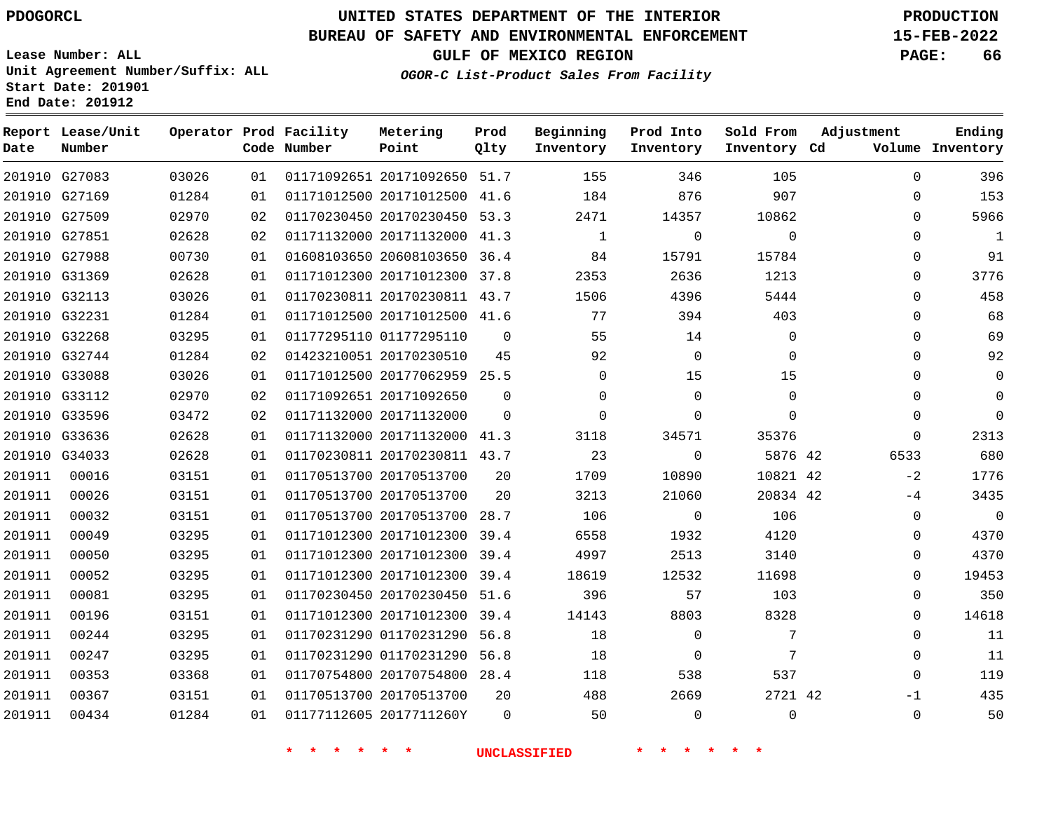**Report Lease/Unit**

### **UNITED STATES DEPARTMENT OF THE INTERIOR PDOGORCL PRODUCTION**

**Prod**  $Q1 + V$ 

#### **BUREAU OF SAFETY AND ENVIRONMENTAL ENFORCEMENT 15-FEB-2022**

**Lease Number: ALL Unit Agreement Number/Suffix: ALL Start Date: 201901 End Date: 201912**

**Operator Prod Facility**

**OGOR-C List-Product Sales From Facility**

**Beginning**

**Prod Into Inventory** **Sold From Inventory**

**GULF OF MEXICO REGION PAGE: 66**

**Adjustment**

**Ending**

| Date   | Number        |       |    | Code Number             | Point                        | Qlty                     | Inventory      | Inventory      | Inventory Cd    |              | Volume Inventory |
|--------|---------------|-------|----|-------------------------|------------------------------|--------------------------|----------------|----------------|-----------------|--------------|------------------|
|        | 201910 G27083 | 03026 | 01 |                         | 01171092651 20171092650 51.7 |                          | 155            | 346            | 105             | $\Omega$     | 396              |
|        | 201910 G27169 | 01284 | 01 |                         | 01171012500 20171012500 41.6 |                          | 184            | 876            | 907             | $\Omega$     | 153              |
|        | 201910 G27509 | 02970 | 02 |                         | 01170230450 20170230450 53.3 |                          | 2471           | 14357          | 10862           | $\Omega$     | 5966             |
|        | 201910 G27851 | 02628 | 02 |                         | 01171132000 20171132000 41.3 |                          | 1              | $\mathbf 0$    | $\overline{0}$  | $\Omega$     | -1               |
|        | 201910 G27988 | 00730 | 01 |                         | 01608103650 20608103650 36.4 |                          | 84             | 15791          | 15784           | $\Omega$     | 91               |
|        | 201910 G31369 | 02628 | 01 |                         | 01171012300 20171012300 37.8 |                          | 2353           | 2636           | 1213            | $\Omega$     | 3776             |
|        | 201910 G32113 | 03026 | 01 |                         | 01170230811 20170230811 43.7 |                          | 1506           | 4396           | 5444            | $\Omega$     | 458              |
|        | 201910 G32231 | 01284 | 01 |                         | 01171012500 20171012500 41.6 |                          | 77             | 394            | 403             | $\Omega$     | 68               |
|        | 201910 G32268 | 03295 | 01 |                         | 01177295110 01177295110      | $\overline{0}$           | 55             | 14             | $\mathbf 0$     | $\Omega$     | 69               |
|        | 201910 G32744 | 01284 | 02 |                         | 01423210051 20170230510      | 45                       | 92             | $\overline{0}$ | $\mathbf 0$     | $\Omega$     | 92               |
|        | 201910 G33088 | 03026 | 01 |                         | 01171012500 20177062959 25.5 |                          | $\overline{0}$ | 15             | 15              | $\Omega$     | $\overline{0}$   |
|        | 201910 G33112 | 02970 | 02 |                         | 01171092651 20171092650      | $\Omega$                 | $\Omega$       | $\mathbf 0$    | $\Omega$        | 0            | 0                |
|        | 201910 G33596 | 03472 | 02 |                         | 01171132000 20171132000      | $\Omega$                 | $\Omega$       | $\Omega$       | $\Omega$        | $\Omega$     | $\mathbf 0$      |
|        | 201910 G33636 | 02628 | 01 |                         | 01171132000 20171132000 41.3 |                          | 3118           | 34571          | 35376           | $\Omega$     | 2313             |
|        | 201910 G34033 | 02628 | 01 |                         | 01170230811 20170230811 43.7 |                          | 23             | $\overline{0}$ | 5876 42         | 6533         | 680              |
| 201911 | 00016         | 03151 | 01 |                         | 01170513700 20170513700      | 20                       | 1709           | 10890          | 10821 42        | $-2$         | 1776             |
| 201911 | 00026         | 03151 | 01 |                         | 01170513700 20170513700      | 20                       | 3213           | 21060          | 20834 42        | $-4$         | 3435             |
| 201911 | 00032         | 03151 | 01 |                         | 01170513700 20170513700 28.7 |                          | 106            | $\mathbf 0$    | 106             | $\Omega$     | $\overline{0}$   |
| 201911 | 00049         | 03295 | 01 |                         | 01171012300 20171012300 39.4 |                          | 6558           | 1932           | 4120            | $\Omega$     | 4370             |
| 201911 | 00050         | 03295 | 01 |                         | 01171012300 20171012300 39.4 |                          | 4997           | 2513           | 3140            | $\Omega$     | 4370             |
| 201911 | 00052         | 03295 | 01 |                         | 01171012300 20171012300 39.4 |                          | 18619          | 12532          | 11698           | $\Omega$     | 19453            |
| 201911 | 00081         | 03295 | 01 |                         | 01170230450 20170230450 51.6 |                          | 396            | 57             | 103             | $\Omega$     | 350              |
| 201911 | 00196         | 03151 | 01 |                         | 01171012300 20171012300 39.4 |                          | 14143          | 8803           | 8328            | 0            | 14618            |
| 201911 | 00244         | 03295 | 01 |                         | 01170231290 01170231290 56.8 |                          | 18             | $\mathbf 0$    | 7               | $\Omega$     | 11               |
| 201911 | 00247         | 03295 | 01 |                         | 01170231290 01170231290 56.8 |                          | 18             | $\overline{0}$ | $7\overline{ }$ | $\Omega$     | 11               |
| 201911 | 00353         | 03368 | 01 |                         | 01170754800 20170754800 28.4 |                          | 118            | 538            | 537             | $\Omega$     | 119              |
| 201911 | 00367         | 03151 | 01 |                         | 01170513700 20170513700      | 20                       | 488            | 2669           | 2721 42         | $-1$         | 435              |
| 201911 | 00434         | 01284 | 01 | 01177112605 2017711260Y |                              | $\overline{\phantom{0}}$ | 50             | $\mathbf 0$    | $\mathbf 0$     | $\mathbf{0}$ | 50               |

**Metering Point**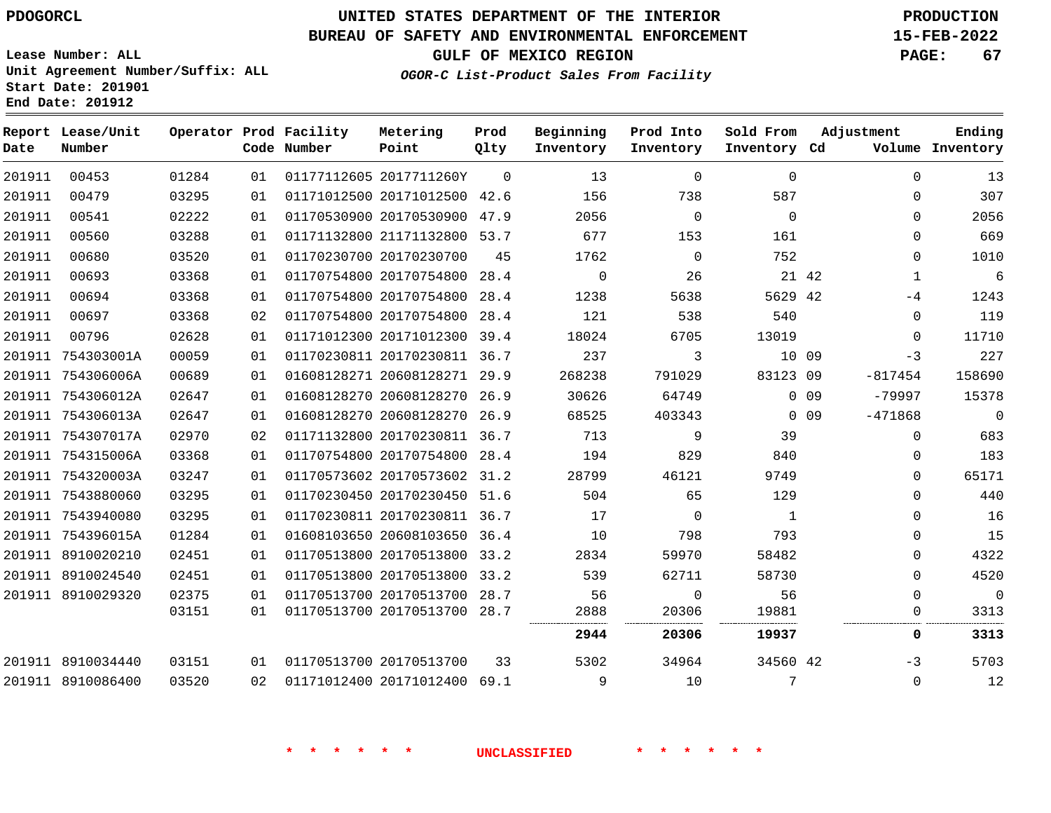00453

**Report Lease/Unit**

**Number**

**Date**

## **UNITED STATES DEPARTMENT OF THE INTERIOR PDOGORCL PRODUCTION**

#### **BUREAU OF SAFETY AND ENVIRONMENTAL ENFORCEMENT 15-FEB-2022**

**Lease Number: ALL Unit Agreement Number/Suffix: ALL Start Date: 201901 End Date: 201912**

**Operator Prod Facility**

**GULF OF MEXICO REGION PAGE: 67**

**Inventory Cd Volume**

**Adjustment**

 

**Sold From**

 

**Ending**

**OGOR-C List-Product Sales From Facility**

**Beginning**

**Prod Into**

|       |           | Code Number                     | Point | Olty | Inventory  | Inventory | Inventory Cd |  |
|-------|-----------|---------------------------------|-------|------|------------|-----------|--------------|--|
| 01284 |           | 01 01177112605 2017711260Y      |       |      | -13        |           |              |  |
| 03295 |           | 01 01171012500 20171012500 42.6 |       |      | 156        | 738       | 587          |  |
| 02222 |           | 01 01170530900 20170530900 47.9 |       |      | 2056       |           |              |  |
| nannn | <b>01</b> | 01171133000 31171133000 F3 7    |       |      | $\epsilon$ | 1 L J     | 1.61         |  |

**Prod**

**Metering**

| 201911 | 00541      | 02222 | 01 | 01170530900 20170530900 | 47.9 | 2056     | $\Omega$  | $\Omega$        |                 | 0         | 2056        |
|--------|------------|-------|----|-------------------------|------|----------|-----------|-----------------|-----------------|-----------|-------------|
| 201911 | 00560      | 03288 | 01 | 01171132800 21171132800 | 53.7 | 677      | 153       | 161             |                 | 0         | 669         |
| 201911 | 00680      | 03520 | 01 | 01170230700 20170230700 | 45   | 1762     | $\Omega$  | 752             |                 | $\Omega$  | 1010        |
| 201911 | 00693      | 03368 | 01 | 01170754800 20170754800 | 28.4 | $\Omega$ | 26        |                 | 21 42           | 1         | 6           |
| 201911 | 00694      | 03368 | 01 | 01170754800 20170754800 | 28.4 | 1238     | 5638      | 5629 42         |                 | -4        | 1243        |
| 201911 | 00697      | 03368 | 02 | 01170754800 20170754800 | 28.4 | 121      | 538       | 540             |                 | 0         | 119         |
| 201911 | 00796      | 02628 | 01 | 01171012300 20171012300 | 39.4 | 18024    | 6705      | 13019           |                 | 0         | 11710       |
| 201911 | 754303001A | 00059 | 01 | 01170230811 20170230811 | 36.7 | 237      | 3         | 10 <sup>°</sup> | 09              | $-3$      | 227         |
| 201911 | 754306006A | 00689 | 01 | 01608128271 20608128271 | 29.9 | 268238   | 791029    | 83123 09        |                 | $-817454$ | 158690      |
| 201911 | 754306012A | 02647 | 01 | 01608128270 20608128270 | 26.9 | 30626    | 64749     |                 | 0.09            | $-79997$  | 15378       |
| 201911 | 754306013A | 02647 | 01 | 01608128270 20608128270 | 26.9 | 68525    | 403343    |                 | 0 <sub>09</sub> | $-471868$ | $\mathbf 0$ |
| 201911 | 754307017A | 02970 | 02 | 01171132800 20170230811 | 36.7 | 713      | 9         | 39              |                 | 0         | 683         |
| 201911 | 754315006A | 03368 | 01 | 01170754800 20170754800 | 28.4 | 194      | 829       | 840             |                 | 0         | 183         |
| 201911 | 754320003A | 03247 | 01 | 01170573602 20170573602 | 31.2 | 28799    | 46121     | 9749            |                 | 0         | 65171       |
| 201911 | 7543880060 | 03295 | 01 | 01170230450 20170230450 | 51.6 | 504      | 65        | 129             |                 | 0         | 440         |
| 201911 | 7543940080 | 03295 | 01 | 01170230811 20170230811 | 36.7 | 17       | 0         | 1               |                 | $\Omega$  | 16          |
| 201911 | 754396015A | 01284 | 01 | 01608103650 20608103650 | 36.4 | 10       | 798       | 793             |                 | $\Omega$  | 15          |
| 201911 | 8910020210 | 02451 | 01 | 01170513800 20170513800 | 33.2 | 2834     | 59970     | 58482           |                 | 0         | 4322        |
| 201911 | 8910024540 | 02451 | 01 | 01170513800 20170513800 | 33.2 | 539      | 62711     | 58730           |                 | $\Omega$  | 4520        |
| 201911 | 8910029320 | 02375 | 01 | 01170513700 20170513700 | 28.7 | 56       | $\Omega$  | 56              |                 | $\Omega$  | 0           |
|        |            | 03151 | 01 | 01170513700 20170513700 | 28.7 | 2888<br> | 20306<br> | 19881<br>       |                 | O         | 3313        |
|        |            |       |    |                         |      | 2944     | 20306     | 19937           |                 | 0         | 3313        |
| 201911 | 8910034440 | 03151 | 01 | 01170513700 20170513700 | 33   | 5302     | 34964     | 34560 42        |                 | $-3$      | 5703        |
| 201911 | 8910086400 | 03520 | 02 | 01171012400 20171012400 | 69.1 | 9        | 10        |                 |                 | $\Omega$  | 12          |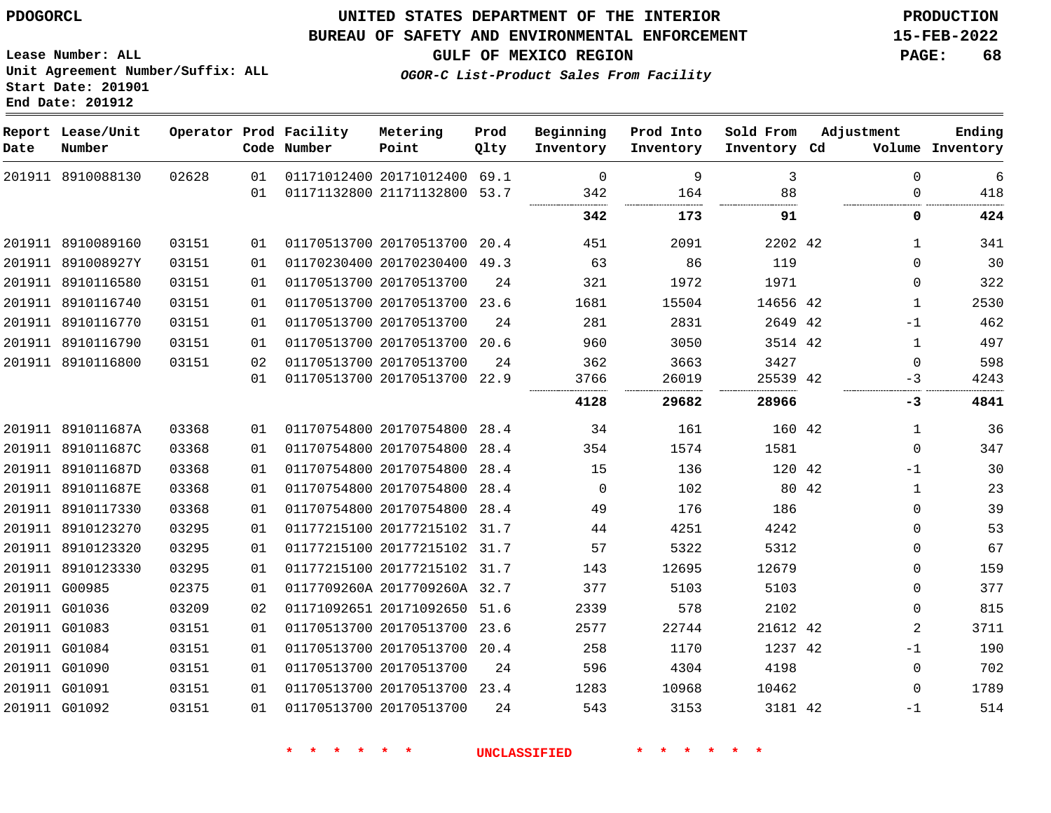**Report Lease/Unit**

**Number**

### **UNITED STATES DEPARTMENT OF THE INTERIOR PDOGORCL PRODUCTION**

**Prod Qlty**

#### **BUREAU OF SAFETY AND ENVIRONMENTAL ENFORCEMENT 15-FEB-2022**

**Lease Number: ALL Unit Agreement Number/Suffix: ALL Start Date: 201901 End Date: 201912**

**Operator Prod Facility**

**Code Number**

**OGOR-C List-Product Sales From Facility**

**Beginning Inventory**

**GULF OF MEXICO REGION PAGE: 68**

 

**Ending**

 $2c$ 

| 9         | 0        | 69.1 |                         | 01171012400 20171012400 | 01             | 02628 | 8910088130 | 201911 |
|-----------|----------|------|-------------------------|-------------------------|----------------|-------|------------|--------|
| 164       | 342      | 53.7 | 01171132800 21171132800 |                         | 01             |       |            |        |
| .<br>173  | <br>342  |      |                         |                         |                |       |            |        |
| 2091      | 451      | 20.4 | 01170513700 20170513700 |                         | 01             | 03151 | 8910089160 | 201911 |
| 86        | 63       | 49.3 |                         | 01170230400 20170230400 | 01             | 03151 | 891008927Y | 201911 |
| 1972      | 321      | 24   |                         | 01170513700 20170513700 | 01             | 03151 | 8910116580 | 201911 |
| 15504     | 1681     | 23.6 |                         | 01170513700 20170513700 | 01             | 03151 | 8910116740 | 201911 |
| 2831      | 281      | 24   |                         | 01170513700 20170513700 | 01             | 03151 | 8910116770 | 201911 |
| 3050      | 960      | 20.6 |                         | 01170513700 20170513700 | 01             | 03151 | 8910116790 | 201911 |
| 3663      | 362      | 24   |                         | 01170513700 20170513700 | 02             | 03151 | 8910116800 | 201911 |
| 26019     | 3766     | 22.9 |                         | 01170513700 20170513700 | 0 <sub>1</sub> |       |            |        |
| <br>29682 | <br>4128 |      |                         |                         |                |       |            |        |

**Metering Point**

42 42 . . . . . . 20170754800 28.4 28.4 28.4 28.4 

| 201911 891011687A | 03368 | 01   |  |                                                    | 34                                                                                                                                                                                                                                                                                                                                                                                                                           | 161   |       |                                                             | 36   |
|-------------------|-------|------|--|----------------------------------------------------|------------------------------------------------------------------------------------------------------------------------------------------------------------------------------------------------------------------------------------------------------------------------------------------------------------------------------------------------------------------------------------------------------------------------------|-------|-------|-------------------------------------------------------------|------|
| 201911 891011687C | 03368 | 01   |  |                                                    | 354                                                                                                                                                                                                                                                                                                                                                                                                                          | 1574  | 1581  | $\mathbf 0$                                                 | 347  |
| 201911 891011687D | 03368 | 01   |  |                                                    | 15                                                                                                                                                                                                                                                                                                                                                                                                                           | 136   |       | $-1$                                                        | 30   |
| 201911 891011687E | 03368 | 01   |  |                                                    | $\Omega$                                                                                                                                                                                                                                                                                                                                                                                                                     | 102   |       |                                                             | 23   |
| 201911 8910117330 | 03368 | 01   |  |                                                    | 49                                                                                                                                                                                                                                                                                                                                                                                                                           | 176   | 186   | $\mathbf 0$                                                 | 39   |
| 201911 8910123270 | 03295 | 01   |  |                                                    | 44                                                                                                                                                                                                                                                                                                                                                                                                                           | 4251  | 4242  | 0                                                           | 53   |
| 201911 8910123320 | 03295 | 01   |  |                                                    | 57                                                                                                                                                                                                                                                                                                                                                                                                                           | 5322  | 5312  | 0                                                           | 67   |
| 201911 8910123330 | 03295 | 01 D |  |                                                    | 143                                                                                                                                                                                                                                                                                                                                                                                                                          | 12695 | 12679 | $\Omega$                                                    | 159  |
| 201911 G00985     | 02375 | 01   |  |                                                    | 377                                                                                                                                                                                                                                                                                                                                                                                                                          | 5103  | 5103  | $\mathbf 0$                                                 | 377  |
| 201911 G01036     | 03209 | 0.2  |  |                                                    | 2339                                                                                                                                                                                                                                                                                                                                                                                                                         | 578   | 2102  | $\Omega$                                                    | 815  |
| 201911 G01083     | 03151 | 01   |  |                                                    | 2577                                                                                                                                                                                                                                                                                                                                                                                                                         | 22744 |       | 2                                                           | 3711 |
| 201911 G01084     | 03151 | 01   |  |                                                    | 258                                                                                                                                                                                                                                                                                                                                                                                                                          | 1170  |       | $-1$                                                        | 190  |
| 201911 G01090     | 03151 | 01   |  | 24                                                 | 596                                                                                                                                                                                                                                                                                                                                                                                                                          | 4304  | 4198  | $\Omega$                                                    | 702  |
| 201911 G01091     | 03151 | 01   |  |                                                    | 1283                                                                                                                                                                                                                                                                                                                                                                                                                         | 10968 | 10462 | $\Omega$                                                    | 1789 |
| 201911 G01092     | 03151 | 01   |  | 24                                                 | 543                                                                                                                                                                                                                                                                                                                                                                                                                          | 3153  |       | $-1$                                                        | 514  |
|                   |       |      |  | 01170513700 20170513700<br>01170513700 20170513700 | 01170754800 20170754800 28.4<br>01170754800 20170754800 28.4<br>01170754800 20170754800 28.4<br>01170754800 20170754800 28.4<br>01170754800 20170754800 28.4<br>01177215100 20177215102 31.7<br>01177215100 20177215102 31.7<br>01177215100 20177215102 31.7<br>0117709260A 2017709260A 32.7<br>01171092651 20171092650 51.6<br>01170513700 20170513700 23.6<br>01170513700 20170513700 20.4<br>01170513700 20170513700 23.4 |       |       | 160 42<br>120 42<br>80 42<br>21612 42<br>1237 42<br>3181 42 |      |

**\* \* \* \* \* \* UNCLASSIFIED \* \* \* \* \* \***

**Inventory Cd Volume**

**Adjustment**

  $\overline{0}$ 

 $\overline{1}$ 

**-3**

42

. . . . . .

 

 

**Sold From Inventory**

**Prod Into Inventory**

> 42 42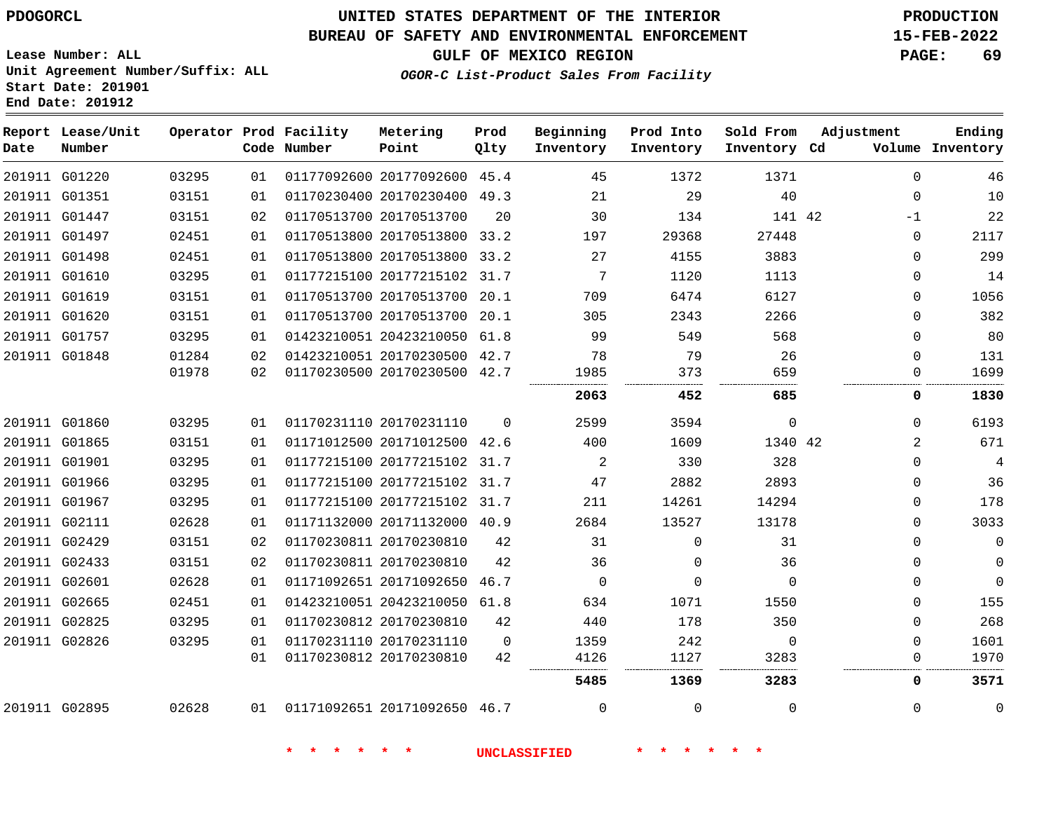**Report Lease/Unit**

**Number**

### **UNITED STATES DEPARTMENT OF THE INTERIOR PDOGORCL PRODUCTION**

#### **BUREAU OF SAFETY AND ENVIRONMENTAL ENFORCEMENT 15-FEB-2022**

**Lease Number: ALL Unit Agreement Number/Suffix: ALL Start Date: 201901 End Date: 201912**

**Operator Prod Facility**

**Code Number**

**Metering Point**

**Prod Qlty**

**GULF OF MEXICO REGION PAGE: 69**

**Inventory Cd Volume**

**Adjustment**

**Ending**

**OGOR-C List-Product Sales From Facility**

**Beginning Inventory**

**Prod Into Inventory**

**Sold From Inventory**

| 201911 G01220 | 03295 | 01 | 01177092600 20177092600 45.4 |          | 45       | 1372     | 1371        | $\Omega$ | 46          |
|---------------|-------|----|------------------------------|----------|----------|----------|-------------|----------|-------------|
| 201911 G01351 | 03151 | 01 | 01170230400 20170230400 49.3 |          | 21       | 29       | 40          | $\Omega$ | 10          |
| 201911 G01447 | 03151 | 02 | 01170513700 20170513700      | 20       | 30       | 134      | 141 42      | $-1$     | 22          |
| 201911 G01497 | 02451 | 01 | 01170513800 20170513800 33.2 |          | 197      | 29368    | 27448       | $\Omega$ | 2117        |
| 201911 G01498 | 02451 | 01 | 01170513800 20170513800 33.2 |          | 27       | 4155     | 3883        | $\Omega$ | 299         |
| 201911 G01610 | 03295 | 01 | 01177215100 20177215102 31.7 |          | 7        | 1120     | 1113        | $\Omega$ | 14          |
| 201911 G01619 | 03151 | 01 | 01170513700 20170513700      | 20.1     | 709      | 6474     | 6127        | $\Omega$ | 1056        |
| 201911 G01620 | 03151 | 01 | 01170513700 20170513700 20.1 |          | 305      | 2343     | 2266        | $\Omega$ | 382         |
| 201911 G01757 | 03295 | 01 | 01423210051 20423210050 61.8 |          | 99       | 549      | 568         | $\Omega$ | 80          |
| 201911 G01848 | 01284 | 02 | 01423210051 20170230500 42.7 |          | 78       | 79       | 26          | $\Omega$ | 131         |
|               | 01978 | 02 | 01170230500 20170230500 42.7 |          | 1985<br> | 373      | 659         | $\Omega$ | 1699        |
|               |       |    |                              |          | 2063     | 452      | 685         | 0        | 1830        |
| 201911 G01860 | 03295 | 01 | 01170231110 20170231110      | $\Omega$ | 2599     | 3594     | $\mathbf 0$ | 0        | 6193        |
| 201911 G01865 | 03151 | 01 | 01171012500 20171012500 42.6 |          | 400      | 1609     | 1340 42     | 2        | 671         |
| 201911 G01901 | 03295 | 01 | 01177215100 20177215102 31.7 |          | 2        | 330      | 328         | $\Omega$ | 4           |
| 201911 G01966 | 03295 | 01 | 01177215100 20177215102 31.7 |          | 47       | 2882     | 2893        | $\Omega$ | 36          |
| 201911 G01967 | 03295 | 01 | 01177215100 20177215102      | 31.7     | 211      | 14261    | 14294       | $\Omega$ | 178         |
| 201911 G02111 | 02628 | 01 | 01171132000 20171132000 40.9 |          | 2684     | 13527    | 13178       | $\Omega$ | 3033        |
| 201911 G02429 | 03151 | 02 | 01170230811 20170230810      | 42       | 31       | 0        | 31          | 0        | $\Omega$    |
| 201911 G02433 | 03151 | 02 | 01170230811 20170230810      | 42       | 36       | $\Omega$ | 36          | $\Omega$ | $\mathbf 0$ |
| 201911 G02601 | 02628 | 01 | 01171092651 20171092650 46.7 |          | $\Omega$ | 0        | $\Omega$    | $\Omega$ | $\mathbf 0$ |
| 201911 G02665 | 02451 | 01 | 01423210051 20423210050 61.8 |          | 634      | 1071     | 1550        | $\Omega$ | 155         |
| 201911 G02825 | 03295 | 01 | 01170230812 20170230810      | 42       | 440      | 178      | 350         | $\Omega$ | 268         |
| 201911 G02826 | 03295 | 01 | 01170231110 20170231110      | $\Omega$ | 1359     | 242      | $\Omega$    | $\Omega$ | 1601        |
|               |       | 01 | 01170230812 20170230810      | 42       | 4126     | 1127     | 3283        | 0        | 1970        |
|               |       |    |                              |          | 5485     | 1369     | 3283        | 0        | 3571        |
| 201911 G02895 | 02628 | 01 | 01171092651 20171092650 46.7 |          | 0        | $\Omega$ | $\Omega$    | $\Omega$ | 0           |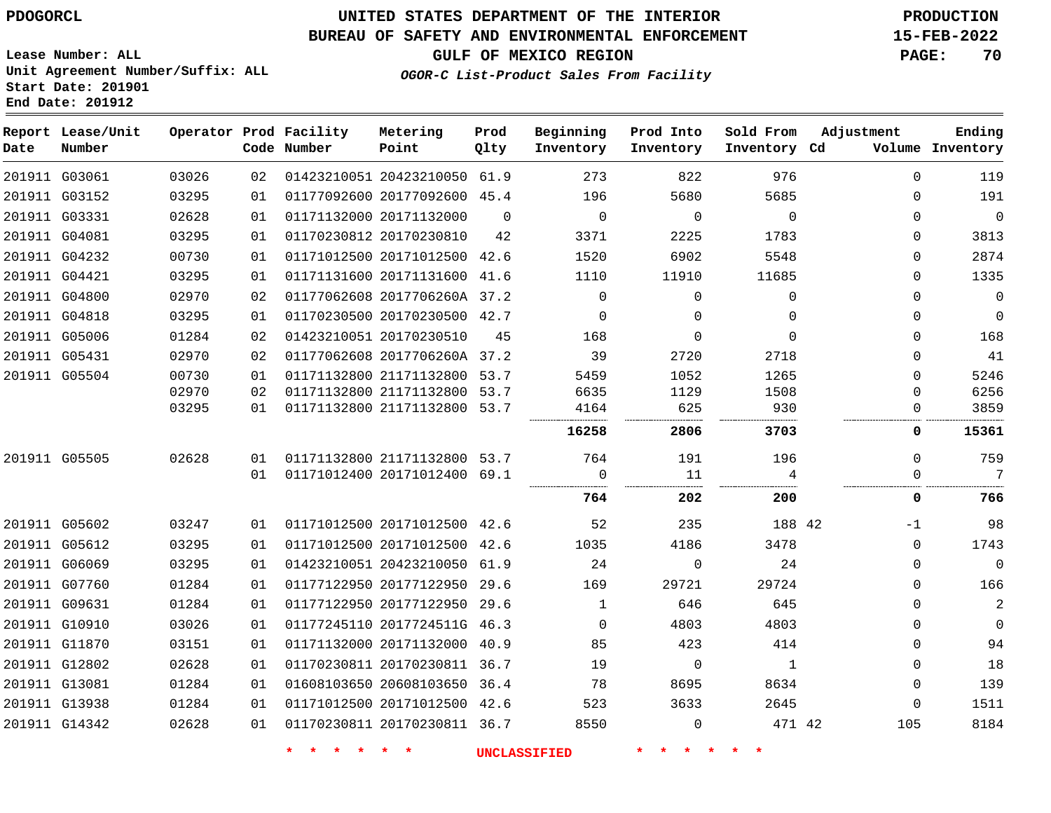#### **BUREAU OF SAFETY AND ENVIRONMENTAL ENFORCEMENT 15-FEB-2022**

**Lease Number: ALL Unit Agreement Number/Suffix: ALL Start Date: 201901**

**End Date: 201912**

**GULF OF MEXICO REGION PAGE: 70**

**OGOR-C List-Product Sales From Facility**

| Date | Report Lease/Unit<br>Number |       |    | Operator Prod Facility<br>Code Number | Metering<br>Point            | Prod<br>Qlty | Beginning<br>Inventory | Prod Into<br>Inventory | Sold From<br>Inventory Cd | Adjustment   | Ending<br>Volume Inventory |
|------|-----------------------------|-------|----|---------------------------------------|------------------------------|--------------|------------------------|------------------------|---------------------------|--------------|----------------------------|
|      | 201911 G03061               | 03026 | 02 |                                       | 01423210051 20423210050 61.9 |              | 273                    | 822                    | 976                       | $\Omega$     | 119                        |
|      | 201911 G03152               | 03295 | 01 |                                       | 01177092600 20177092600 45.4 |              | 196                    | 5680                   | 5685                      | $\Omega$     | 191                        |
|      | 201911 G03331               | 02628 | 01 |                                       | 01171132000 20171132000      | $\Omega$     | $\mathbf 0$            | $\Omega$               | $\Omega$                  | $\Omega$     | $\overline{0}$             |
|      | 201911 G04081               | 03295 | 01 |                                       | 01170230812 20170230810      | 42           | 3371                   | 2225                   | 1783                      | 0            | 3813                       |
|      | 201911 G04232               | 00730 | 01 |                                       | 01171012500 20171012500 42.6 |              | 1520                   | 6902                   | 5548                      | 0            | 2874                       |
|      | 201911 G04421               | 03295 | 01 |                                       | 01171131600 20171131600 41.6 |              | 1110                   | 11910                  | 11685                     | $\Omega$     | 1335                       |
|      | 201911 G04800               | 02970 | 02 |                                       | 01177062608 2017706260A 37.2 |              | $\mathbf 0$            | $\Omega$               | $\mathbf 0$               | $\mathbf 0$  | $\mathbf 0$                |
|      | 201911 G04818               | 03295 | 01 |                                       | 01170230500 20170230500 42.7 |              | $\Omega$               | $\Omega$               | $\Omega$                  | 0            | $\mathbf 0$                |
|      | 201911 G05006               | 01284 | 02 |                                       | 01423210051 20170230510      | 45           | 168                    | 0                      | $\Omega$                  | 0            | 168                        |
|      | 201911 G05431               | 02970 | 02 |                                       | 01177062608 2017706260A 37.2 |              | 39                     | 2720                   | 2718                      | $\Omega$     | 41                         |
|      | 201911 G05504               | 00730 | 01 |                                       | 01171132800 21171132800 53.7 |              | 5459                   | 1052                   | 1265                      | 0            | 5246                       |
|      |                             | 02970 | 02 |                                       | 01171132800 21171132800 53.7 |              | 6635                   | 1129                   | 1508                      | 0            | 6256                       |
|      |                             | 03295 | 01 |                                       | 01171132800 21171132800 53.7 |              | 4164                   | 625                    | 930                       | 0            | 3859                       |
|      |                             |       |    |                                       |                              |              | 16258                  | 2806                   | 3703                      | 0            | 15361                      |
|      | 201911 G05505               | 02628 | 01 |                                       | 01171132800 21171132800 53.7 |              | 764                    | 191                    | 196                       | $\Omega$     | 759                        |
|      |                             |       | 01 |                                       | 01171012400 20171012400 69.1 |              | 0                      | 11                     | 4                         | $\mathbf{0}$ | 7                          |
|      |                             |       |    |                                       |                              |              | 764                    | 202                    | 200                       | 0            | 766                        |
|      | 201911 G05602               | 03247 | 01 |                                       | 01171012500 20171012500 42.6 |              | 52                     | 235                    | 188 42                    | $-1$         | 98                         |
|      | 201911 G05612               | 03295 | 01 |                                       | 01171012500 20171012500 42.6 |              | 1035                   | 4186                   | 3478                      | $\Omega$     | 1743                       |
|      | 201911 G06069               | 03295 | 01 |                                       | 01423210051 20423210050 61.9 |              | 24                     | $\mathbf 0$            | 24                        | $\Omega$     | $\mathsf{O}$               |
|      | 201911 G07760               | 01284 | 01 |                                       | 01177122950 20177122950 29.6 |              | 169                    | 29721                  | 29724                     | $\Omega$     | 166                        |
|      | 201911 G09631               | 01284 | 01 |                                       | 01177122950 20177122950 29.6 |              | 1                      | 646                    | 645                       | 0            | 2                          |
|      | 201911 G10910               | 03026 | 01 |                                       | 01177245110 2017724511G 46.3 |              | $\Omega$               | 4803                   | 4803                      | $\Omega$     | $\mathbf 0$                |
|      | 201911 G11870               | 03151 | 01 |                                       | 01171132000 20171132000 40.9 |              | 85                     | 423                    | 414                       | 0            | 94                         |
|      | 201911 G12802               | 02628 | 01 |                                       | 01170230811 20170230811 36.7 |              | 19                     | $\mathbf 0$            | 1                         | 0            | 18                         |
|      | 201911 G13081               | 01284 | 01 |                                       | 01608103650 20608103650 36.4 |              | 78                     | 8695                   | 8634                      | 0            | 139                        |
|      | 201911 G13938               | 01284 | 01 |                                       | 01171012500 20171012500 42.6 |              | 523                    | 3633                   | 2645                      | 0            | 1511                       |
|      | 201911 G14342               | 02628 | 01 |                                       | 01170230811 20170230811 36.7 |              | 8550                   | $\Omega$               | 471 42                    | 105          | 8184                       |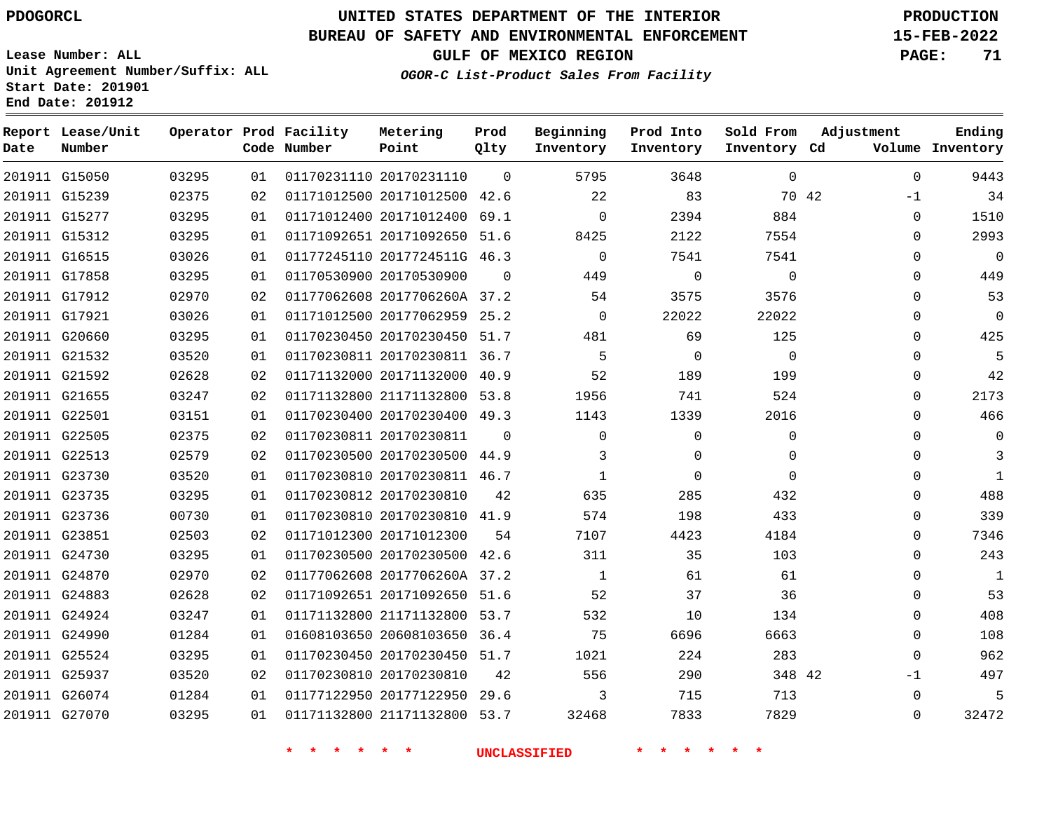**Report Lease/Unit**

**Number**

### **UNITED STATES DEPARTMENT OF THE INTERIOR PDOGORCL PRODUCTION**

**Prod Qlty**

**Metering Point**

#### **BUREAU OF SAFETY AND ENVIRONMENTAL ENFORCEMENT 15-FEB-2022**

**Lease Number: ALL Unit Agreement Number/Suffix: ALL Start Date: 201901 End Date: 201912**

**Operator Prod Facility**

**GULF OF MEXICO REGION PAGE: 71**

**Ending**

**OGOR-C List-Product Sales From Facility**

**Beginning Inventory**

**Prod Into Inventory**

**Sold From Inventory**

**Adjustment**

| 32468 | 7833 |  |
|-------|------|--|
|       |      |  |
|       |      |  |

| k | $\star$ | $\ast$ | $\ast$ | $\ast$ |
|---|---------|--------|--------|--------|
|   |         |        |        |        |

| Date | Number        |       |    | Code Number | Point                        | Qlty     | Inventory    | Inventory   | Inventory Cd |       |             | Volume Inventory |
|------|---------------|-------|----|-------------|------------------------------|----------|--------------|-------------|--------------|-------|-------------|------------------|
|      | 201911 G15050 | 03295 | 01 |             | 01170231110 20170231110      | $\Omega$ | 5795         | 3648        | $\mathbf 0$  |       | $\Omega$    | 9443             |
|      | 201911 G15239 | 02375 | 02 |             | 01171012500 20171012500 42.6 |          | 22           | 83          |              | 70 42 | $-1$        | 34               |
|      | 201911 G15277 | 03295 | 01 |             | 01171012400 20171012400 69.1 |          | $\mathbf 0$  | 2394        | 884          |       | $\Omega$    | 1510             |
|      | 201911 G15312 | 03295 | 01 |             | 01171092651 20171092650      | 51.6     | 8425         | 2122        | 7554         |       | 0           | 2993             |
|      | 201911 G16515 | 03026 | 01 |             | 01177245110 2017724511G 46.3 |          | $\mathbf 0$  | 7541        | 7541         |       | $\Omega$    | $\overline{0}$   |
|      | 201911 G17858 | 03295 | 01 |             | 01170530900 20170530900      | $\Omega$ | 449          | $\mathbf 0$ | $\mathbf 0$  |       | $\Omega$    | 449              |
|      | 201911 G17912 | 02970 | 02 |             | 01177062608 2017706260A 37.2 |          | 54           | 3575        | 3576         |       | $\Omega$    | 53               |
|      | 201911 G17921 | 03026 | 01 |             | 01171012500 20177062959 25.2 |          | $\mathbf 0$  | 22022       | 22022        |       | $\Omega$    | - 0              |
|      | 201911 G20660 | 03295 | 01 |             | 01170230450 20170230450 51.7 |          | 481          | 69          | 125          |       | 0           | 425              |
|      | 201911 G21532 | 03520 | 01 |             | 01170230811 20170230811 36.7 |          | 5            | $\mathbf 0$ | $\mathbf 0$  |       | 0           | -5               |
|      | 201911 G21592 | 02628 | 02 |             | 01171132000 20171132000 40.9 |          | 52           | 189         | 199          |       | 0           | 42               |
|      | 201911 G21655 | 03247 | 02 |             | 01171132800 21171132800 53.8 |          | 1956         | 741         | 524          |       | $\Omega$    | 2173             |
|      | 201911 G22501 | 03151 | 01 |             | 01170230400 20170230400 49.3 |          | 1143         | 1339        | 2016         |       | $\Omega$    | 466              |
|      | 201911 G22505 | 02375 | 02 |             | 01170230811 20170230811      | $\Omega$ | 0            | $\mathbf 0$ | 0            |       | $\Omega$    | $\overline{0}$   |
|      | 201911 G22513 | 02579 | 02 |             | 01170230500 20170230500 44.9 |          | 3            | $\mathbf 0$ | $\mathbf 0$  |       | $\Omega$    | 3                |
|      | 201911 G23730 | 03520 | 01 |             | 01170230810 20170230811 46.7 |          | $\mathbf{1}$ | $\mathbf 0$ | $\mathbf 0$  |       | 0           | 1                |
|      | 201911 G23735 | 03295 | 01 |             | 01170230812 20170230810      | 42       | 635          | 285         | 432          |       | $\mathbf 0$ | 488              |
|      | 201911 G23736 | 00730 | 01 |             | 01170230810 20170230810 41.9 |          | 574          | 198         | 433          |       | $\Omega$    | 339              |
|      | 201911 G23851 | 02503 | 02 |             | 01171012300 20171012300      | 54       | 7107         | 4423        | 4184         |       | $\Omega$    | 7346             |
|      | 201911 G24730 | 03295 | 01 |             | 01170230500 20170230500 42.6 |          | 311          | 35          | 103          |       | $\Omega$    | 243              |
|      | 201911 G24870 | 02970 | 02 |             | 01177062608 2017706260A 37.2 |          | $\mathbf{1}$ | 61          | 61           |       | 0           | 1                |
|      | 201911 G24883 | 02628 | 02 |             | 01171092651 20171092650 51.6 |          | 52           | 37          | 36           |       | $\Omega$    | 53               |
|      | 201911 G24924 | 03247 | 01 |             | 01171132800 21171132800 53.7 |          | 532          | 10          | 134          |       | 0           | 408              |
|      | 201911 G24990 | 01284 | 01 |             | 01608103650 20608103650 36.4 |          | 75           | 6696        | 6663         |       | $\Omega$    | 108              |
|      | 201911 G25524 | 03295 | 01 |             | 01170230450 20170230450 51.7 |          | 1021         | 224         | 283          |       | $\Omega$    | 962              |
|      | 201911 G25937 | 03520 | 02 |             | 01170230810 20170230810      | 42       | 556          | 290         | 348 42       |       | $-1$        | 497              |
|      | 201911 G26074 | 01284 | 01 |             | 01177122950 20177122950 29.6 |          | 3            | 715         | 713          |       | $\mathbf 0$ | 5                |
|      | 201911 G27070 | 03295 | 01 |             | 01171132800 21171132800 53.7 |          | 32468        | 7833        | 7829         |       | $\Omega$    | 32472            |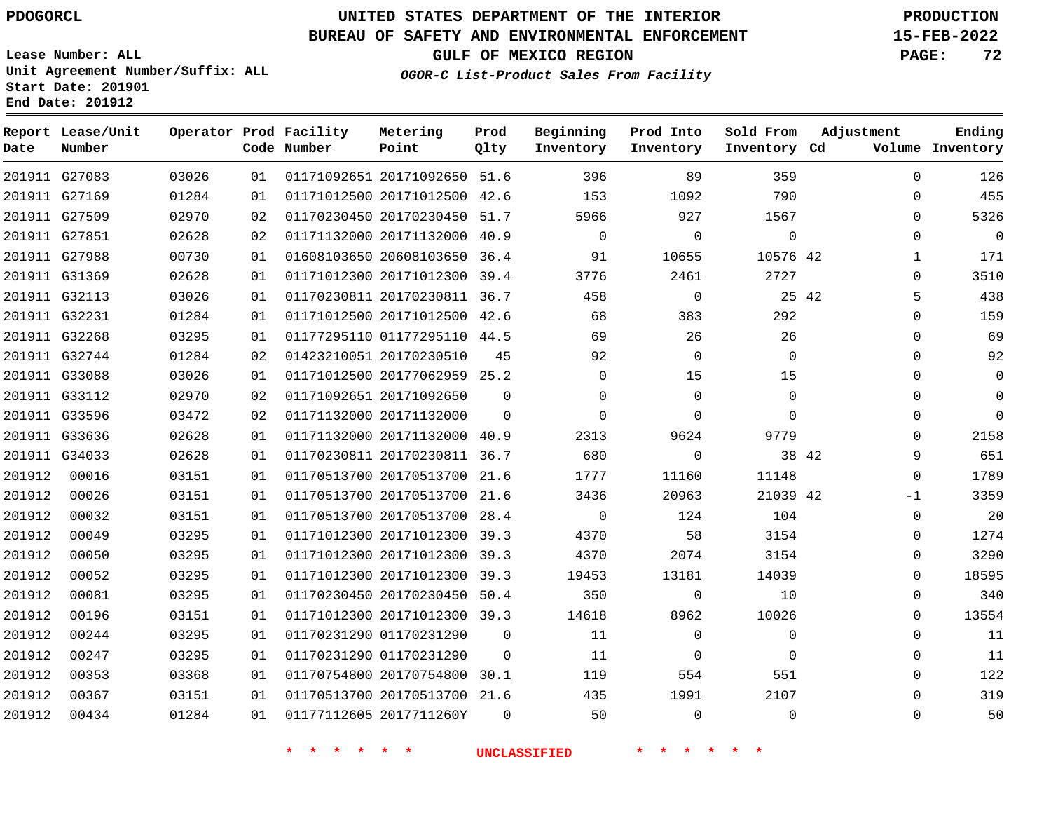G27083

**Date**

**Report Lease/Unit**

**Number**

### **UNITED STATES DEPARTMENT OF THE INTERIOR PDOGORCL PRODUCTION**

**Prod Qlty**

**Metering Point**

### **BUREAU OF SAFETY AND ENVIRONMENTAL ENFORCEMENT 15-FEB-2022**

**Lease Number: ALL Unit Agreement Number/Suffix: ALL Start Date: 201901 End Date: 201912**

**Operator Prod Facility**

**OGOR-C List-Product Sales From Facility**

**Beginning Inventory** **Prod Into Inventory**

**GULF OF MEXICO REGION PAGE: 72**

**Inventory Cd Volume**

**Adjustment**

**Sold From Inventory**

**Ending**

|    | Code Number                     | Point | Olty | Inventory Inventory |      | Invent |
|----|---------------------------------|-------|------|---------------------|------|--------|
|    |                                 |       |      | 396                 | 89   |        |
| 01 | 01171012500 20171012500 42.6    |       |      | 153                 | 1092 |        |
|    | 02 01170230450 20170230450 51.7 |       |      | 5966                | 927  |        |
|    |                                 |       |      |                     |      |        |
|    |                                 |       |      |                     |      |        |

| 201911 G27169 | 01284 | 01 |          | 153                                                                                                                                                                                                                                                                                                                                                                                                                                                                                                                                                                                                                                                                                                                                                                                                               | 1092         | 790         | $\Omega$ | 455                                    |
|---------------|-------|----|----------|-------------------------------------------------------------------------------------------------------------------------------------------------------------------------------------------------------------------------------------------------------------------------------------------------------------------------------------------------------------------------------------------------------------------------------------------------------------------------------------------------------------------------------------------------------------------------------------------------------------------------------------------------------------------------------------------------------------------------------------------------------------------------------------------------------------------|--------------|-------------|----------|----------------------------------------|
| 201911 G27509 | 02970 | 02 | 51.7     | 5966                                                                                                                                                                                                                                                                                                                                                                                                                                                                                                                                                                                                                                                                                                                                                                                                              | 927          | 1567        | $\Omega$ | 5326                                   |
| 201911 G27851 | 02628 | 02 | 40.9     | $\mathbf 0$                                                                                                                                                                                                                                                                                                                                                                                                                                                                                                                                                                                                                                                                                                                                                                                                       | $\mathsf{O}$ | $\mathbf 0$ | 0        | $\overline{0}$                         |
| 201911 G27988 | 00730 | 01 | 36.4     | 91                                                                                                                                                                                                                                                                                                                                                                                                                                                                                                                                                                                                                                                                                                                                                                                                                | 10655        |             | 1        | 171                                    |
| 201911 G31369 | 02628 | 01 |          | 3776                                                                                                                                                                                                                                                                                                                                                                                                                                                                                                                                                                                                                                                                                                                                                                                                              | 2461         | 2727        | $\Omega$ | 3510                                   |
| 201911 G32113 | 03026 | 01 |          | 458                                                                                                                                                                                                                                                                                                                                                                                                                                                                                                                                                                                                                                                                                                                                                                                                               | $\mathbf 0$  |             | 5        | 438                                    |
| 201911 G32231 | 01284 | 01 | 42.6     | 68                                                                                                                                                                                                                                                                                                                                                                                                                                                                                                                                                                                                                                                                                                                                                                                                                | 383          | 292         | $\Omega$ | 159                                    |
| 201911 G32268 | 03295 | 01 | 44.5     | 69                                                                                                                                                                                                                                                                                                                                                                                                                                                                                                                                                                                                                                                                                                                                                                                                                | 26           | 26          | $\Omega$ | 69                                     |
| 201911 G32744 | 01284 | 02 | 45       | 92                                                                                                                                                                                                                                                                                                                                                                                                                                                                                                                                                                                                                                                                                                                                                                                                                | $\Omega$     | $\mathbf 0$ | $\Omega$ | 92                                     |
| 201911 G33088 | 03026 | 01 |          | 0                                                                                                                                                                                                                                                                                                                                                                                                                                                                                                                                                                                                                                                                                                                                                                                                                 | 15           | 15          | $\Omega$ | $\overline{0}$                         |
| 201911 G33112 | 02970 | 02 | $\Omega$ | $\Omega$                                                                                                                                                                                                                                                                                                                                                                                                                                                                                                                                                                                                                                                                                                                                                                                                          | $\mathbf 0$  | 0           | $\Omega$ | $\mathbf{0}$                           |
| 201911 G33596 | 03472 | 02 | $\Omega$ | $\Omega$                                                                                                                                                                                                                                                                                                                                                                                                                                                                                                                                                                                                                                                                                                                                                                                                          | $\Omega$     | $\Omega$    | $\Omega$ | $\Omega$                               |
| 201911 G33636 | 02628 | 01 |          | 2313                                                                                                                                                                                                                                                                                                                                                                                                                                                                                                                                                                                                                                                                                                                                                                                                              | 9624         | 9779        | $\Omega$ | 2158                                   |
| 201911 G34033 | 02628 | 01 |          | 680                                                                                                                                                                                                                                                                                                                                                                                                                                                                                                                                                                                                                                                                                                                                                                                                               | 0            |             | 9        | 651                                    |
| 00016         | 03151 | 01 | 21.6     | 1777                                                                                                                                                                                                                                                                                                                                                                                                                                                                                                                                                                                                                                                                                                                                                                                                              | 11160        | 11148       | $\Omega$ | 1789                                   |
| 00026         | 03151 | 01 | 21.6     | 3436                                                                                                                                                                                                                                                                                                                                                                                                                                                                                                                                                                                                                                                                                                                                                                                                              | 20963        |             | $-1$     | 3359                                   |
| 00032         | 03151 | 01 |          | $\Omega$                                                                                                                                                                                                                                                                                                                                                                                                                                                                                                                                                                                                                                                                                                                                                                                                          | 124          | 104         | $\Omega$ | 20                                     |
| 00049         | 03295 | 01 |          | 4370                                                                                                                                                                                                                                                                                                                                                                                                                                                                                                                                                                                                                                                                                                                                                                                                              | 58           | 3154        | $\Omega$ | 1274                                   |
| 00050         | 03295 | 01 |          | 4370                                                                                                                                                                                                                                                                                                                                                                                                                                                                                                                                                                                                                                                                                                                                                                                                              | 2074         | 3154        | $\Omega$ | 3290                                   |
| 00052         | 03295 | 01 | 39.3     | 19453                                                                                                                                                                                                                                                                                                                                                                                                                                                                                                                                                                                                                                                                                                                                                                                                             | 13181        | 14039       | $\Omega$ | 18595                                  |
| 00081         | 03295 | 01 | 50.4     | 350                                                                                                                                                                                                                                                                                                                                                                                                                                                                                                                                                                                                                                                                                                                                                                                                               | $\mathbf 0$  | 10          | 0        | 340                                    |
| 00196         | 03151 | 01 |          | 14618                                                                                                                                                                                                                                                                                                                                                                                                                                                                                                                                                                                                                                                                                                                                                                                                             | 8962         | 10026       | $\Omega$ | 13554                                  |
| 00244         | 03295 | 01 | $\Omega$ | 11                                                                                                                                                                                                                                                                                                                                                                                                                                                                                                                                                                                                                                                                                                                                                                                                                | $\mathbf 0$  | 0           | $\Omega$ | 11                                     |
| 00247         | 03295 | 01 | $\Omega$ | 11                                                                                                                                                                                                                                                                                                                                                                                                                                                                                                                                                                                                                                                                                                                                                                                                                | $\Omega$     | $\Omega$    | $\Omega$ | 11                                     |
| 00353         | 03368 | 01 |          | 119                                                                                                                                                                                                                                                                                                                                                                                                                                                                                                                                                                                                                                                                                                                                                                                                               | 554          | 551         | $\Omega$ | 122                                    |
| 00367         | 03151 | 01 |          | 435                                                                                                                                                                                                                                                                                                                                                                                                                                                                                                                                                                                                                                                                                                                                                                                                               | 1991         | 2107        | $\Omega$ | 319                                    |
| 00434         | 01284 | 01 | $\Omega$ | 50                                                                                                                                                                                                                                                                                                                                                                                                                                                                                                                                                                                                                                                                                                                                                                                                                | $\mathbf 0$  | $\mathbf 0$ | 0        | 50                                     |
|               |       |    |          | 01171012500 20171012500 42.6<br>01170230450 20170230450<br>01171132000 20171132000<br>01608103650 20608103650<br>01171012300 20171012300 39.4<br>01170230811 20170230811 36.7<br>01171012500 20171012500<br>01177295110 01177295110<br>01423210051 20170230510<br>01171012500 20177062959 25.2<br>01171092651 20171092650<br>01171132000 20171132000<br>01171132000 20171132000 40.9<br>01170230811 20170230811 36.7<br>01170513700 20170513700<br>01170513700 20170513700<br>01170513700 20170513700 28.4<br>01171012300 20171012300 39.3<br>01171012300 20171012300 39.3<br>01171012300 20171012300<br>01170230450 20170230450<br>01171012300 20171012300 39.3<br>01170231290 01170231290<br>01170231290 01170231290<br>01170754800 20170754800 30.1<br>01170513700 20170513700 21.6<br>01177112605 2017711260Y |              |             |          | 10576 42<br>25 42<br>38 42<br>21039 42 |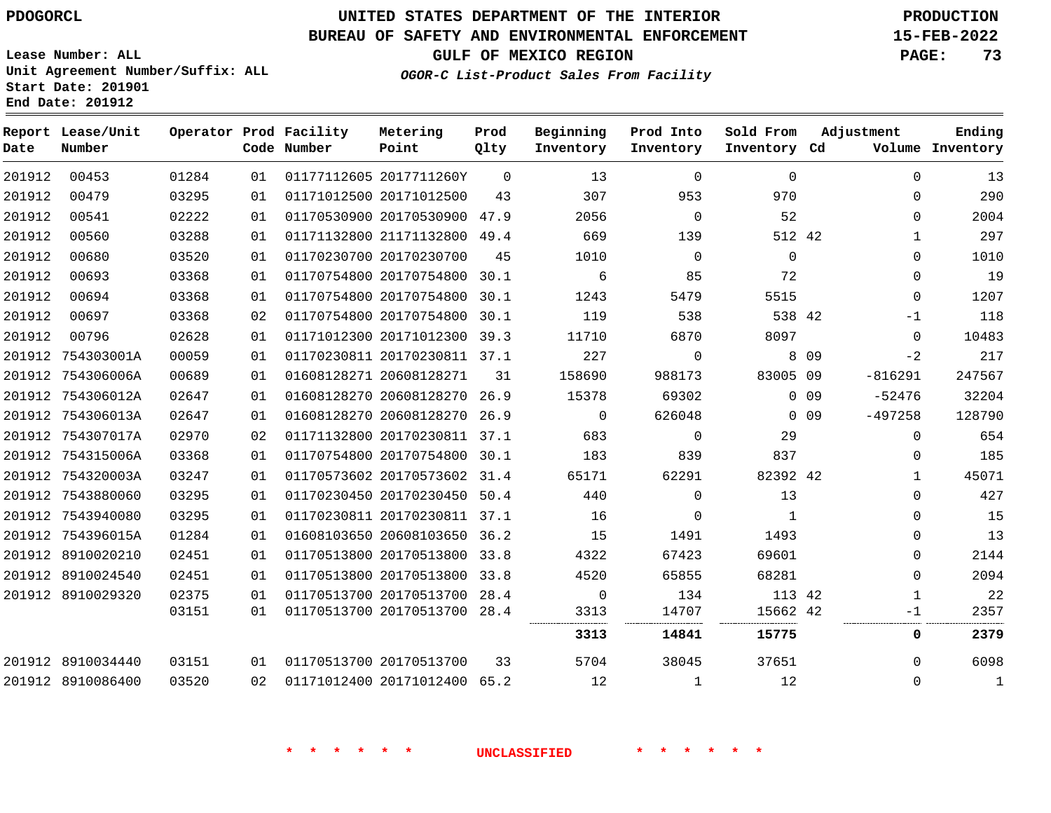**Date**

**Report Lease/Unit**

**Number**

# **UNITED STATES DEPARTMENT OF THE INTERIOR PDOGORCL PRODUCTION**

**Prod Qlty**

#### **BUREAU OF SAFETY AND ENVIRONMENTAL ENFORCEMENT 15-FEB-2022**

**Lease Number: ALL Unit Agreement Number/Suffix: ALL Start Date: 201901 End Date: 201912**

**Operator Prod Facility**

**Code Number**

**OGOR-C List-Product Sales From Facility**

**Beginning Inventory** **Prod Into Inventory** **Sold From Inventory**

**GULF OF MEXICO REGION PAGE: 73**

**Inventory Cd Volume**

**Adjustment**

**Ending**

 

| 201912 | 00453             | 01284 | 01 | 01177112605 2017711260Y      | $\Omega$ | 13             | $\Omega$                 | $\Omega$ |                 | 0            | 13          |
|--------|-------------------|-------|----|------------------------------|----------|----------------|--------------------------|----------|-----------------|--------------|-------------|
| 201912 | 00479             | 03295 | 01 | 01171012500 20171012500      | 43       | 307            | 953                      | 970      |                 | 0            | 290         |
| 201912 | 00541             | 02222 | 01 | 01170530900 20170530900 47.9 |          | 2056           | $\overline{\phantom{0}}$ | 52       |                 | 0            | 2004        |
| 201912 | 00560             | 03288 | 01 | 01171132800 21171132800 49.4 |          | 669            | 139                      | 512 42   |                 | $\mathbf 1$  | 297         |
| 201912 | 00680             | 03520 | 01 | 01170230700 20170230700      | 45       | 1010           | $\mathbf{0}$             | $\Omega$ |                 | $\Omega$     | 1010        |
| 201912 | 00693             | 03368 | 01 | 01170754800 20170754800 30.1 |          | 6              | 85                       | 72       |                 | $\Omega$     | 19          |
| 201912 | 00694             | 03368 | 01 | 01170754800 20170754800 30.1 |          | 1243           | 5479                     | 5515     |                 | $\mathbf 0$  | 1207        |
| 201912 | 00697             | 03368 | 02 | 01170754800 20170754800 30.1 |          | 119            | 538                      | 538 42   |                 | $-1$         | 118         |
| 201912 | 00796             | 02628 | 01 | 01171012300 20171012300 39.3 |          | 11710          | 6870                     | 8097     |                 | 0            | 10483       |
|        | 201912 754303001A | 00059 | 01 | 01170230811 20170230811 37.1 |          | 227            | $\mathbf{0}$             |          | 8 0 9           | $-2$         | 217         |
|        | 201912 754306006A | 00689 | 01 | 01608128271 20608128271      | 31       | 158690         | 988173                   | 83005 09 |                 | $-816291$    | 247567      |
|        | 201912 754306012A | 02647 | 01 | 01608128270 20608128270 26.9 |          | 15378          | 69302                    |          | 0 <sub>09</sub> | $-52476$     | 32204       |
|        | 201912 754306013A | 02647 | 01 | 01608128270 20608128270 26.9 |          | $\overline{0}$ | 626048                   |          | $0\quad09$      | $-497258$    | 128790      |
|        | 201912 754307017A | 02970 | 02 | 01171132800 20170230811 37.1 |          | 683            | $\mathbf 0$              | 29       |                 | $\mathbf 0$  | 654         |
|        | 201912 754315006A | 03368 | 01 | 01170754800 20170754800 30.1 |          | 183            | 839                      | 837      |                 | $\Omega$     | 185         |
|        | 201912 754320003A | 03247 | 01 | 01170573602 20170573602 31.4 |          | 65171          | 62291                    | 82392 42 |                 | $\mathbf{1}$ | 45071       |
|        | 201912 7543880060 | 03295 | 01 | 01170230450 20170230450 50.4 |          | 440            | $\Omega$                 | 13       |                 | $\Omega$     | 427         |
|        | 201912 7543940080 | 03295 | 01 | 01170230811 20170230811 37.1 |          | 16             | 0                        | 1        |                 | $\Omega$     | 15          |
|        | 201912 754396015A | 01284 | 01 | 01608103650 20608103650 36.2 |          | 15             | 1491                     | 1493     |                 | $\Omega$     | 13          |
|        | 201912 8910020210 | 02451 | 01 | 01170513800 20170513800 33.8 |          | 4322           | 67423                    | 69601    |                 | $\Omega$     | 2144        |
|        | 201912 8910024540 | 02451 | 01 | 01170513800 20170513800 33.8 |          | 4520           | 65855                    | 68281    |                 | $\Omega$     | 2094        |
|        | 201912 8910029320 | 02375 | 01 | 01170513700 20170513700 28.4 |          | $\overline{0}$ | 134                      | 113 42   |                 | 1            | 22          |
|        |                   | 03151 | 01 | 01170513700 20170513700 28.4 |          | 3313<br>       | 14707<br>                | 15662 42 |                 | -1           | 2357<br>.   |
|        |                   |       |    |                              |          | 3313           | 14841                    | 15775    |                 | 0            | 2379        |
|        | 201912 8910034440 | 03151 | 01 | 01170513700 20170513700      | 33       | 5704           | 38045                    | 37651    |                 | $\Omega$     | 6098        |
|        | 201912 8910086400 | 03520 | 02 | 01171012400 20171012400 65.2 |          | 12             | $\mathbf{1}$             | 12       |                 | $\mathbf{0}$ | $\mathbf 1$ |
|        |                   |       |    |                              |          |                |                          |          |                 |              |             |
|        |                   |       |    |                              |          |                |                          |          |                 |              |             |

**Metering Point**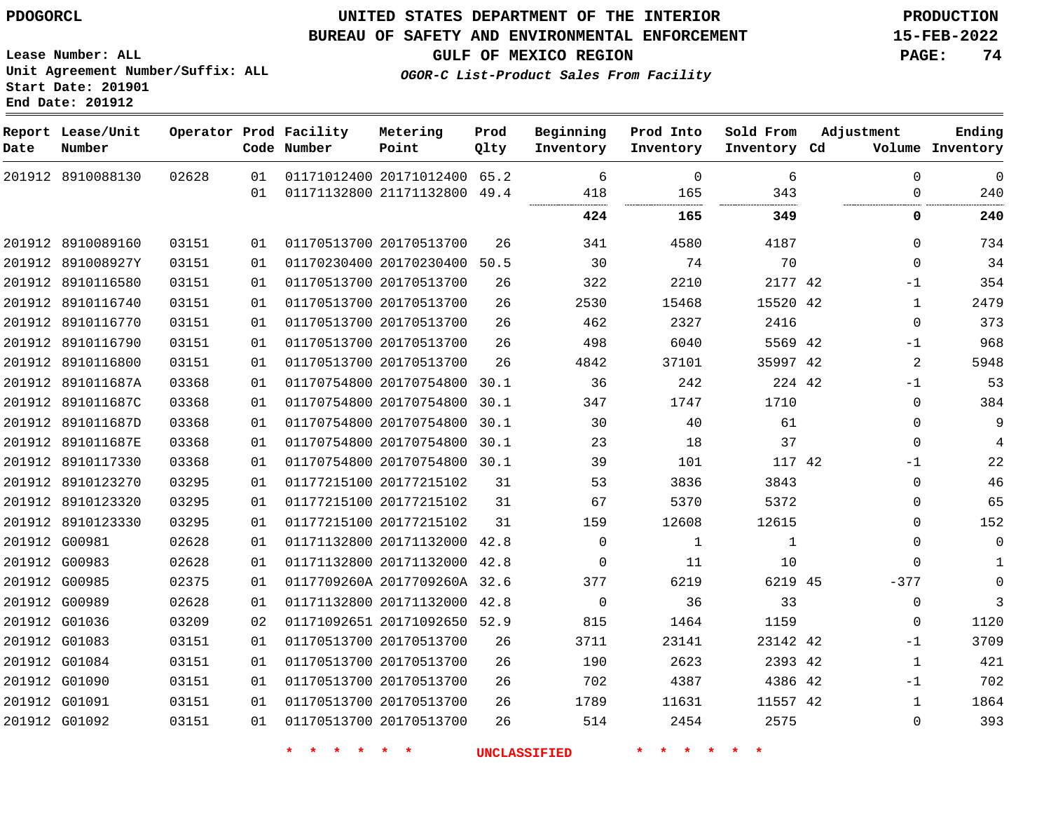**Report Lease/Unit**

## **UNITED STATES DEPARTMENT OF THE INTERIOR PDOGORCL PRODUCTION**

**Prod**

**Metering**

#### **BUREAU OF SAFETY AND ENVIRONMENTAL ENFORCEMENT 15-FEB-2022**

**Lease Number: ALL Unit Agreement Number/Suffix: ALL Start Date: 201901 End Date: 201912**

**Operator Prod Facility**

**GULF OF MEXICO REGION PAGE: 74**

**Ending**

**OGOR-C List-Product Sales From Facility**

**Beginning Prod Into**

**Sold From**

**Adjustment**

| Date   | Number            |       |          | Code Number | Point                        | Qlty | Inventory   | Inventory    | Inventory Cd |               | Volume Inventory |
|--------|-------------------|-------|----------|-------------|------------------------------|------|-------------|--------------|--------------|---------------|------------------|
|        | 201912 8910088130 | 02628 | 01<br>01 |             | 01171012400 20171012400 65.2 |      | 6           | $\mathbf 0$  | 6<br>343     | $\Omega$<br>0 | 0                |
|        |                   |       |          |             | 01171132800 21171132800 49.4 |      | 418<br>     | 165<br><br>. |              |               | 240              |
|        |                   |       |          |             |                              |      | 424         | 165          | 349          | 0             | 240              |
| 201912 | 8910089160        | 03151 | 01       |             | 01170513700 20170513700      | 26   | 341         | 4580         | 4187         | 0             | 734              |
|        | 201912 891008927Y | 03151 | 01       |             | 01170230400 20170230400 50.5 |      | 30          | 74           | 70           | $\Omega$      | 34               |
|        | 201912 8910116580 | 03151 | 01       |             | 01170513700 20170513700      | 26   | 322         | 2210         | 2177 42      | -1            | 354              |
|        | 201912 8910116740 | 03151 | 01       |             | 01170513700 20170513700      | 26   | 2530        | 15468        | 15520 42     | 1             | 2479             |
|        | 201912 8910116770 | 03151 | 01       |             | 01170513700 20170513700      | 26   | 462         | 2327         | 2416         | $\mathbf 0$   | 373              |
|        | 201912 8910116790 | 03151 | 01       |             | 01170513700 20170513700      | 26   | 498         | 6040         | 5569 42      | $-1$          | 968              |
|        | 201912 8910116800 | 03151 | 01       |             | 01170513700 20170513700      | 26   | 4842        | 37101        | 35997 42     | 2             | 5948             |
|        | 201912 891011687A | 03368 | 01       |             | 01170754800 20170754800      | 30.1 | 36          | 242          | 224 42       | -1            | 53               |
|        | 201912 891011687C | 03368 | 01       |             | 01170754800 20170754800      | 30.1 | 347         | 1747         | 1710         | 0             | 384              |
|        | 201912 891011687D | 03368 | 01       |             | 01170754800 20170754800      | 30.1 | 30          | 40           | 61           | $\Omega$      | 9                |
|        | 201912 891011687E | 03368 | 01       |             | 01170754800 20170754800      | 30.1 | 23          | 18           | 37           | $\mathbf 0$   | 4                |
|        | 201912 8910117330 | 03368 | 01       |             | 01170754800 20170754800 30.1 |      | 39          | 101          | 117 42       | $-1$          | 22               |
|        | 201912 8910123270 | 03295 | 01       |             | 01177215100 20177215102      | 31   | 53          | 3836         | 3843         | $\Omega$      | 46               |
|        | 201912 8910123320 | 03295 | 01       |             | 01177215100 20177215102      | 31   | 67          | 5370         | 5372         | 0             | 65               |
|        | 201912 8910123330 | 03295 | 01       |             | 01177215100 20177215102      | 31   | 159         | 12608        | 12615        | $\Omega$      | 152              |
|        | 201912 G00981     | 02628 | 01       |             | 01171132800 20171132000 42.8 |      | $\mathbf 0$ | 1            | 1            | $\mathbf 0$   | 0                |
|        | 201912 G00983     | 02628 | 01       |             | 01171132800 20171132000 42.8 |      | 0           | 11           | 10           | $\mathbf 0$   | 1                |
|        | 201912 G00985     | 02375 | 01       |             | 0117709260A 2017709260A 32.6 |      | 377         | 6219         | 6219 45      | $-377$        | $\mathbf 0$      |
|        | 201912 G00989     | 02628 | 01       |             | 01171132800 20171132000 42.8 |      | $\mathbf 0$ | 36           | 33           | $\mathbf 0$   | 3                |
|        | 201912 G01036     | 03209 | 02       |             | 01171092651 20171092650 52.9 |      | 815         | 1464         | 1159         | $\mathbf 0$   | 1120             |
|        | 201912 G01083     | 03151 | 01       |             | 01170513700 20170513700      | 26   | 3711        | 23141        | 23142 42     | $-1$          | 3709             |
|        | 201912 G01084     | 03151 | 01       |             | 01170513700 20170513700      | 26   | 190         | 2623         | 2393 42      | $\mathbf{1}$  | 421              |
|        | 201912 G01090     | 03151 | 01       |             | 01170513700 20170513700      | 26   | 702         | 4387         | 4386 42      | -1            | 702              |
|        | 201912 G01091     | 03151 | 01       |             | 01170513700 20170513700      | 26   | 1789        | 11631        | 11557 42     | $\mathbf{1}$  | 1864             |
|        | 201912 G01092     | 03151 | 01       |             | 01170513700 20170513700      | 26   | 514         | 2454         | 2575         | $\mathbf 0$   | 393              |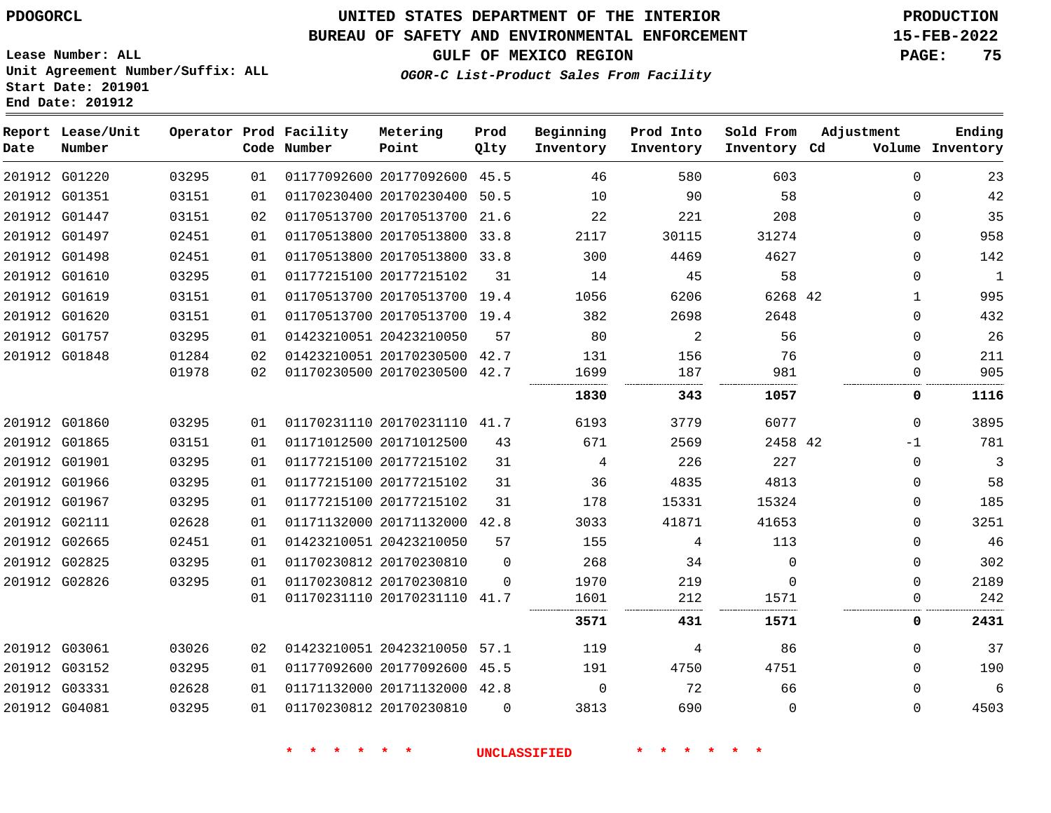## **UNITED STATES DEPARTMENT OF THE INTERIOR PDOGORCL PRODUCTION**

#### **BUREAU OF SAFETY AND ENVIRONMENTAL ENFORCEMENT 15-FEB-2022**

**Lease Number: ALL Unit Agreement Number/Suffix: ALL Start Date: 201901 End Date: 201912**

**GULF OF MEXICO REGION PAGE: 75**

OGOR-C List-Product Sal

|  | les From Facility |  |  |
|--|-------------------|--|--|
|  |                   |  |  |

| Date          | Report Lease/Unit<br>Number |       |    | Operator Prod Facility<br>Code Number | Metering<br>Point            | Prod<br>Qlty | Beginning<br>Inventory | Prod Into<br>Inventory | Sold From<br>Inventory Cd | Adjustment  | Ending<br>Volume Inventory |
|---------------|-----------------------------|-------|----|---------------------------------------|------------------------------|--------------|------------------------|------------------------|---------------------------|-------------|----------------------------|
|               | 201912 G01220               | 03295 | 01 |                                       | 01177092600 20177092600 45.5 |              | 46                     | 580                    | 603                       | $\Omega$    | 23                         |
|               | 201912 G01351               | 03151 | 01 |                                       | 01170230400 20170230400 50.5 |              | 10                     | 90                     | 58                        | $\Omega$    | 42                         |
|               | 201912 G01447               | 03151 | 02 |                                       | 01170513700 20170513700 21.6 |              | 22                     | 221                    | 208                       | $\Omega$    | 35                         |
|               | 201912 G01497               | 02451 | 01 |                                       | 01170513800 20170513800 33.8 |              | 2117                   | 30115                  | 31274                     | $\Omega$    | 958                        |
|               | 201912 G01498               | 02451 | 01 |                                       | 01170513800 20170513800 33.8 |              | 300                    | 4469                   | 4627                      | $\Omega$    | 142                        |
|               | 201912 G01610               | 03295 | 01 |                                       | 01177215100 20177215102      | 31           | 14                     | 45                     | 58                        | $\Omega$    | $\mathbf{1}$               |
|               | 201912 G01619               | 03151 | 01 |                                       | 01170513700 20170513700 19.4 |              | 1056                   | 6206                   | 6268 42                   | 1           | 995                        |
|               | 201912 G01620               | 03151 | 01 |                                       | 01170513700 20170513700 19.4 |              | 382                    | 2698                   | 2648                      | $\Omega$    | 432                        |
|               | 201912 G01757               | 03295 | 01 |                                       | 01423210051 20423210050      | 57           | 80                     | 2                      | 56                        | $\mathbf 0$ | 26                         |
|               | 201912 G01848               | 01284 | 02 |                                       | 01423210051 20170230500 42.7 |              | 131                    | 156                    | 76                        | $\Omega$    | 211                        |
|               |                             | 01978 | 02 |                                       | 01170230500 20170230500 42.7 |              | 1699                   | 187                    | 981                       | 0           | 905                        |
|               |                             |       |    |                                       |                              |              | 1830                   | 343                    | 1057                      | 0           | 1116                       |
|               | 201912 G01860               | 03295 | 01 |                                       | 01170231110 20170231110 41.7 |              | 6193                   | 3779                   | 6077                      | $\Omega$    | 3895                       |
|               | 201912 G01865               | 03151 | 01 |                                       | 01171012500 20171012500      | 43           | 671                    | 2569                   | 2458 42                   | $-1$        | 781                        |
| 201912 G01901 |                             | 03295 | 01 |                                       | 01177215100 20177215102      | 31           | 4                      | 226                    | 227                       | $\mathbf 0$ | 3                          |
|               | 201912 G01966               | 03295 | 01 |                                       | 01177215100 20177215102      | 31           | 36                     | 4835                   | 4813                      | $\Omega$    | 58                         |
|               | 201912 G01967               | 03295 | 01 |                                       | 01177215100 20177215102      | 31           | 178                    | 15331                  | 15324                     | $\mathbf 0$ | 185                        |
|               | 201912 G02111               | 02628 | 01 |                                       | 01171132000 20171132000 42.8 |              | 3033                   | 41871                  | 41653                     | $\mathbf 0$ | 3251                       |
|               | 201912 G02665               | 02451 | 01 |                                       | 01423210051 20423210050      | 57           | 155                    | 4                      | 113                       | $\mathbf 0$ | 46                         |
| 201912 G02825 |                             | 03295 | 01 |                                       | 01170230812 20170230810      | $\mathbf 0$  | 268                    | 34                     | $\mathbf 0$               | $\mathbf 0$ | 302                        |
|               | 201912 G02826               | 03295 | 01 |                                       | 01170230812 20170230810      | $\Omega$     | 1970                   | 219                    | $\Omega$                  | $\mathbf 0$ | 2189                       |
|               |                             |       | 01 |                                       | 01170231110 20170231110 41.7 |              | 1601                   | 212                    | 1571                      | $\mathbf 0$ | 242                        |
|               |                             |       |    |                                       |                              |              | 3571                   | 431                    | 1571                      | 0           | 2431                       |
|               | 201912 G03061               | 03026 | 02 |                                       | 01423210051 20423210050 57.1 |              | 119                    | 4                      | 86                        | $\mathbf 0$ | 37                         |
|               | 201912 G03152               | 03295 | 01 |                                       | 01177092600 20177092600 45.5 |              | 191                    | 4750                   | 4751                      | $\Omega$    | 190                        |
| 201912 G03331 |                             | 02628 | 01 |                                       | 01171132000 20171132000 42.8 |              | $\mathbf 0$            | 72                     | 66                        | $\mathbf 0$ | $\sqrt{6}$                 |
| 201912 G04081 |                             | 03295 | 01 |                                       | 01170230812 20170230810      | $\Omega$     | 3813                   | 690                    | $\Omega$                  | $\Omega$    | 4503                       |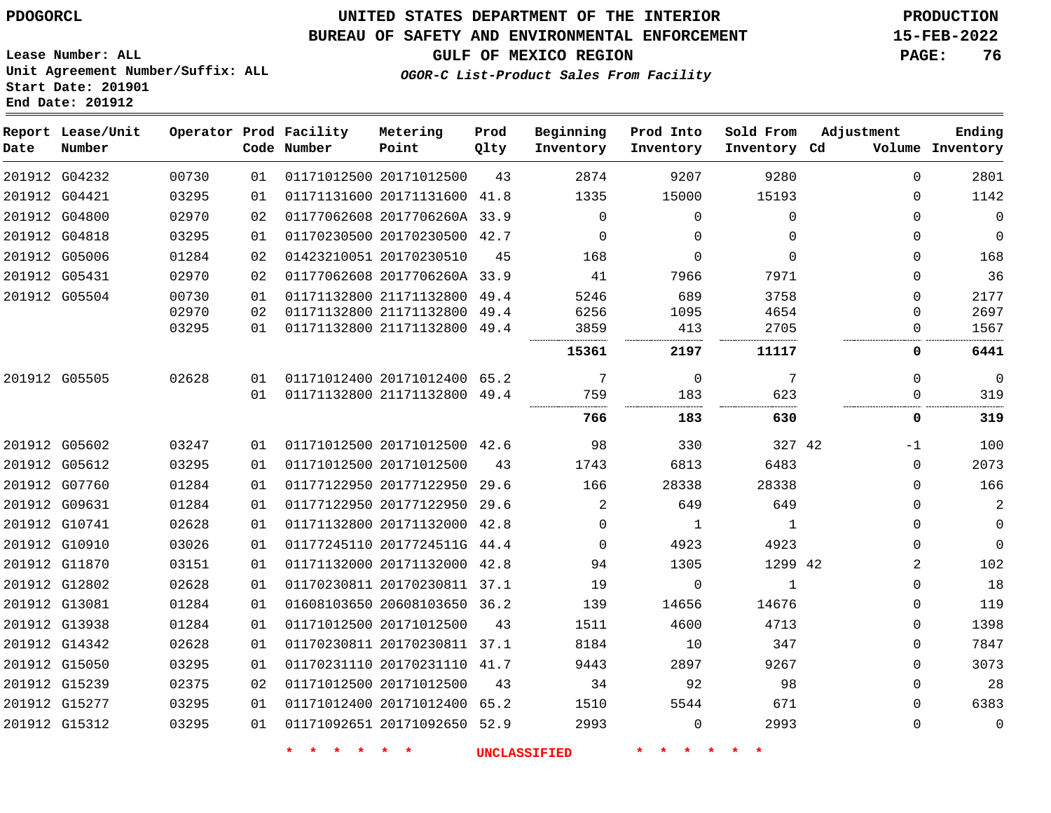## **UNITED STATES DEPARTMENT OF THE INTERIOR PDOGORCL PRODUCTION**

#### **BUREAU OF SAFETY AND ENVIRONMENTAL ENFORCEMENT 15-FEB-2022**

**Lease Number: ALL Unit Agreement Number/Suffix: ALL Start Date: 201901 End Date: 201912**

**GULF OF MEXICO REGION PAGE: 76**

**OGOR-C List-Product Sales From Facility**

| Date          | Report Lease/Unit<br>Number |       |    | Operator Prod Facility<br>Code Number | Metering<br>Point            | Prod<br>Qlty | Beginning<br>Inventory | Prod Into<br>Inventory | Sold From<br>Inventory Cd | Adjustment  | Ending<br>Volume Inventory |
|---------------|-----------------------------|-------|----|---------------------------------------|------------------------------|--------------|------------------------|------------------------|---------------------------|-------------|----------------------------|
|               | 201912 G04232               | 00730 | 01 |                                       | 01171012500 20171012500      | 43           | 2874                   | 9207                   | 9280                      | $\Omega$    | 2801                       |
|               | 201912 G04421               | 03295 | 01 |                                       | 01171131600 20171131600      | 41.8         | 1335                   | 15000                  | 15193                     | $\Omega$    | 1142                       |
|               | 201912 G04800               | 02970 | 02 |                                       | 01177062608 2017706260A 33.9 |              | $\mathbf{0}$           | $\mathbf 0$            | $\mathbf 0$               | $\Omega$    | $\mathbf 0$                |
|               | 201912 G04818               | 03295 | 01 |                                       | 01170230500 20170230500 42.7 |              | $\Omega$               | $\Omega$               | $\Omega$                  | $\Omega$    | $\Omega$                   |
|               | 201912 G05006               | 01284 | 02 |                                       | 01423210051 20170230510      | 45           | 168                    | $\mathbf 0$            | $\mathbf 0$               | $\mathbf 0$ | 168                        |
|               | 201912 G05431               | 02970 | 02 |                                       | 01177062608 2017706260A 33.9 |              | 41                     | 7966                   | 7971                      | $\Omega$    | 36                         |
|               | 201912 G05504               | 00730 | 01 |                                       | 01171132800 21171132800 49.4 |              | 5246                   | 689                    | 3758                      | $\Omega$    | 2177                       |
|               |                             | 02970 | 02 |                                       | 01171132800 21171132800 49.4 |              | 6256                   | 1095                   | 4654                      | $\Omega$    | 2697                       |
|               |                             | 03295 | 01 |                                       | 01171132800 21171132800      | 49.4         | 3859                   | 413                    | 2705                      | $\Omega$    | 1567                       |
|               |                             |       |    |                                       |                              |              | 15361                  | 2197                   | 11117                     | 0           | 6441                       |
|               | 201912 G05505               | 02628 | 01 |                                       | 01171012400 20171012400 65.2 |              | $\overline{7}$         | $\mathbf 0$            | $7\phantom{.0}$           | $\mathbf 0$ | $\overline{0}$             |
|               |                             |       | 01 |                                       | 01171132800 21171132800 49.4 |              | 759                    | 183                    | 623                       | $\Omega$    | 319                        |
|               |                             |       |    |                                       |                              |              | 766                    | 183                    | 630                       | 0           | 319                        |
|               | 201912 G05602               | 03247 | 01 |                                       | 01171012500 20171012500 42.6 |              | 98                     | 330                    | 327 42                    | $-1$        | 100                        |
|               | 201912 G05612               | 03295 | 01 |                                       | 01171012500 20171012500      | 43           | 1743                   | 6813                   | 6483                      | $\Omega$    | 2073                       |
|               | 201912 G07760               | 01284 | 01 |                                       | 01177122950 20177122950      | 29.6         | 166                    | 28338                  | 28338                     | $\Omega$    | 166                        |
|               | 201912 G09631               | 01284 | 01 |                                       | 01177122950 20177122950 29.6 |              | $\overline{c}$         | 649                    | 649                       | $\Omega$    | $\overline{2}$             |
| 201912 G10741 |                             | 02628 | 01 |                                       | 01171132800 20171132000 42.8 |              | $\Omega$               | 1                      | $\mathbf{1}$              | $\Omega$    | $\overline{0}$             |
|               | 201912 G10910               | 03026 | 01 |                                       | 01177245110 2017724511G 44.4 |              | $\mathbf{0}$           | 4923                   | 4923                      | $\mathbf 0$ | $\mathbf 0$                |
|               | 201912 G11870               | 03151 | 01 |                                       | 01171132000 20171132000 42.8 |              | 94                     | 1305                   | 1299 42                   | 2           | 102                        |
|               | 201912 G12802               | 02628 | 01 |                                       | 01170230811 20170230811 37.1 |              | 19                     | $\Omega$               | $\mathbf{1}$              | $\Omega$    | 18                         |
| 201912 G13081 |                             | 01284 | 01 |                                       | 01608103650 20608103650 36.2 |              | 139                    | 14656                  | 14676                     | $\Omega$    | 119                        |
|               | 201912 G13938               | 01284 | 01 |                                       | 01171012500 20171012500      | 43           | 1511                   | 4600                   | 4713                      | $\Omega$    | 1398                       |
|               | 201912 G14342               | 02628 | 01 |                                       | 01170230811 20170230811 37.1 |              | 8184                   | 10                     | 347                       | $\Omega$    | 7847                       |
|               | 201912 G15050               | 03295 | 01 |                                       | 01170231110 20170231110 41.7 |              | 9443                   | 2897                   | 9267                      | 0           | 3073                       |
|               | 201912 G15239               | 02375 | 02 |                                       | 01171012500 20171012500      | 43           | 34                     | 92                     | 98                        | $\mathbf 0$ | 28                         |
|               | 201912 G15277               | 03295 | 01 |                                       | 01171012400 20171012400 65.2 |              | 1510                   | 5544                   | 671                       | $\Omega$    | 6383                       |
|               | 201912 G15312               | 03295 | 01 |                                       | 01171092651 20171092650 52.9 |              | 2993                   | $\mathbf 0$            | 2993                      | $\mathbf 0$ | $\overline{0}$             |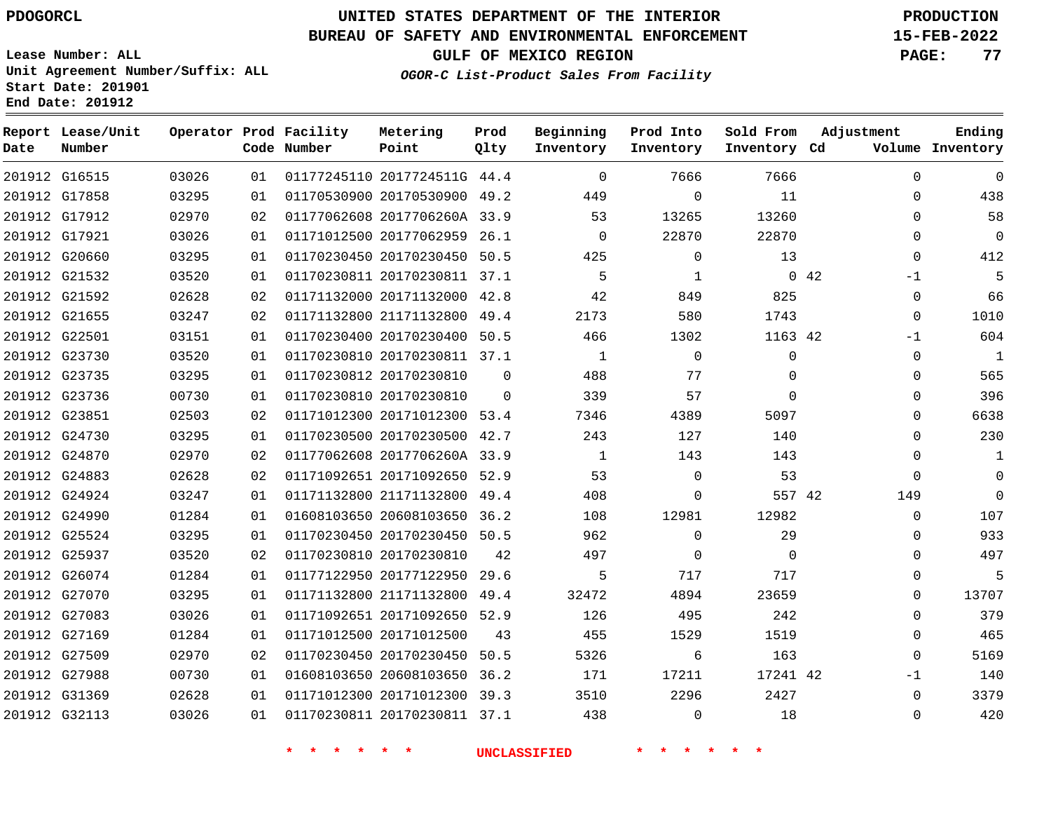G16515 G17858 G17912 G17921 G20660 G21532 G21592 G21655 G22501 G23730 G23735 G23736 G23851 G24730 G24870 G24883 G24924 G24990 G25524 G25937 G26074 G27070 G27083 G27169 G27509 G27988 G31369 G32113

**Date**

**Report Lease/Unit**

**Number**

# **UNITED STATES DEPARTMENT OF THE INTERIOR PDOGORCL PRODUCTION**

**Prod Qlty**

#### **BUREAU OF SAFETY AND ENVIRONMENTAL ENFORCEMENT 15-FEB-2022**

**Lease Number: ALL Unit Agreement Number/Suffix: ALL Start Date: 201901 End Date: 201912**

**Operator Prod Facility**

**Code Number**

**OGOR-C List-Product Sales From Facility**

**Beginning Inventory** **Prod Into Inventory** **Sold From Inventory**

**GULF OF MEXICO REGION PAGE: 77**

**Inventory Cd Volume**

**Adjustment**

  $\Omega$  $\Omega$   $\Omega$ -1  $\Omega$  -1  $\Omega$  $\Omega$  $\Omega$  $\overline{0}$   $\Omega$  $\overline{0}$   $\Omega$  $\Omega$  $\Omega$   $\Omega$  $\Omega$  -1  $\Omega$ 

**Ending**

|     | 7666         | 7666        | $\Omega$     |      | 01177245110 2017724511G 44.4 | 01 | 03026 |
|-----|--------------|-------------|--------------|------|------------------------------|----|-------|
|     | 11           | $\mathbf 0$ | 449          |      | 01170530900 20170530900 49.2 | 01 | 03295 |
|     | 13260        | 13265       | 53           |      | 01177062608 2017706260A 33.9 | 02 | 02970 |
|     | 22870        | 22870       | $\mathbf 0$  | 26.1 | 01171012500 20177062959      | 01 | 03026 |
|     | 13           | 0           | 425          | 50.5 | 01170230450 20170230450      | 01 | 03295 |
| 042 |              | 1           | 5            |      | 01170230811 20170230811 37.1 | 01 | 03520 |
|     | 825          | 849         | 42           | 42.8 | 01171132000 20171132000      | 02 | 02628 |
|     | 1743         | 580         | 2173         |      | 01171132800 21171132800 49.4 | 02 | 03247 |
|     | 1163 42      | 1302        | 466          | 50.5 | 01170230400 20170230400      | 01 | 03151 |
|     | $\mathbf 0$  | $\Omega$    | $\mathbf{1}$ |      | 01170230810 20170230811 37.1 | 01 | 03520 |
|     | $\mathbf 0$  | 77          | 488          | 0    | 01170230812 20170230810      | 01 | 03295 |
|     | $\mathbf 0$  | 57          | 339          | 0    | 01170230810 20170230810      | 01 | 00730 |
|     | 5097         | 4389        | 7346         |      | 01171012300 20171012300 53.4 | 02 | 02503 |
|     | 140          | 127         | 243          |      | 01170230500 20170230500 42.7 | 01 | 03295 |
|     | 143          | 143         | $\mathbf{1}$ |      | 01177062608 2017706260A 33.9 | 02 | 02970 |
|     | 53           | $\Omega$    | 53           | 52.9 | 01171092651 20171092650      | 02 | 02628 |
|     | 557 42       | 0           | 408          |      | 01171132800 21171132800 49.4 | 01 | 03247 |
|     | 12982        | 12981       | 108          | 36.2 | 01608103650 20608103650      | 01 | 01284 |
|     | 29           | $\mathbf 0$ | 962          |      | 01170230450 20170230450 50.5 | 01 | 03295 |
|     | $\mathbf{0}$ | 0           | 497          | 42   | 01170230810 20170230810      | 02 | 03520 |
|     | 717          | 717         | 5            | 29.6 | 01177122950 20177122950      | 01 | 01284 |
|     | 23659        | 4894        | 32472        | 49.4 | 01171132800 21171132800      | 01 | 03295 |
|     | 242          | 495         | 126          |      | 01171092651 20171092650 52.9 | 01 | 03026 |
|     | 1519         | 1529        | 455          | 43   | 01171012500 20171012500      | 01 | 01284 |
|     | 163          | 6           | 5326         | 50.5 | 01170230450 20170230450      | 02 | 02970 |
|     | 17241 42     | 17211       | 171          |      | 01608103650 20608103650 36.2 | 01 | 00730 |
|     |              |             |              |      |                              |    |       |

**\* \* \* \* \* \* UNCLASSIFIED \* \* \* \* \* \***

 20171012300 39.3 20170230811 37.1

**Metering Point**